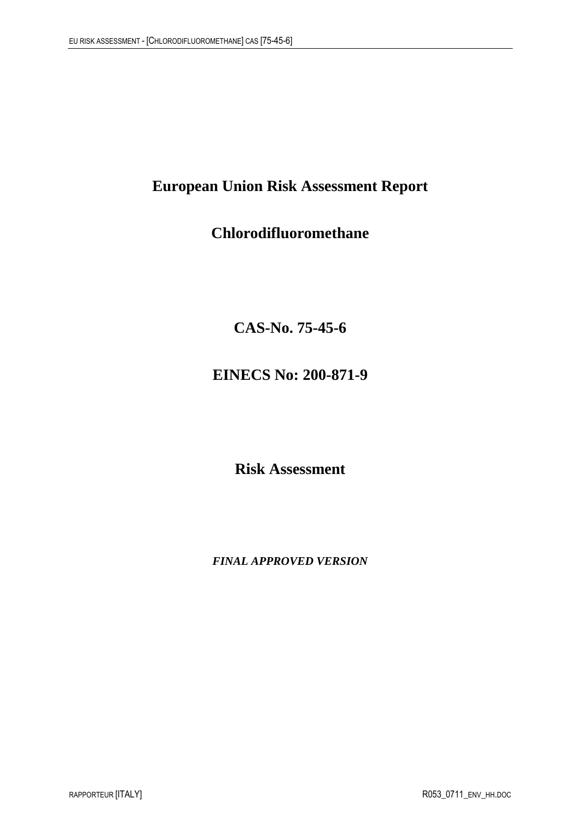# **European Union Risk Assessment Report**

# **Chlorodifluoromethane**

**CAS-No. 75-45-6** 

# **EINECS No: 200-871-9**

**Risk Assessment** 

*FINAL APPROVED VERSION*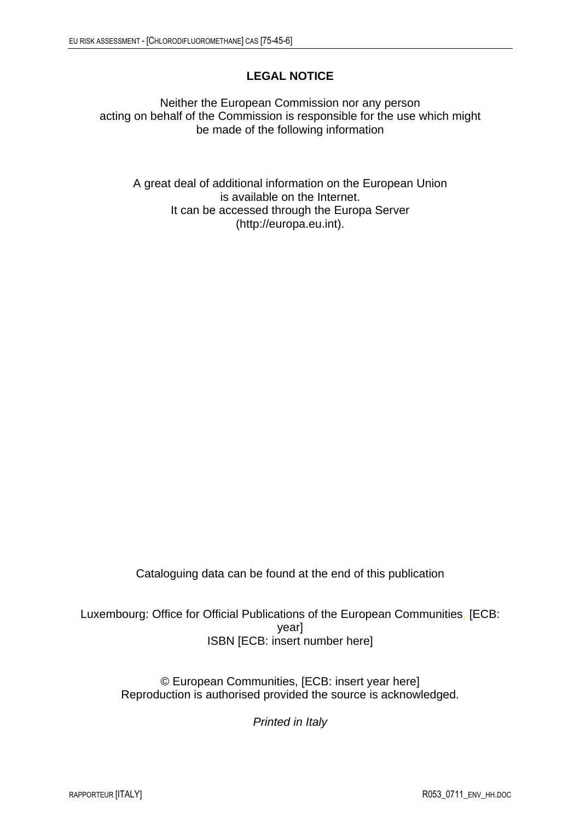# **LEGAL NOTICE**

Neither the European Commission nor any person acting on behalf of the Commission is responsible for the use which might be made of the following information

A great deal of additional information on the European Union is available on the Internet. It can be accessed through the Europa Server (http://europa.eu.int).

Cataloguing data can be found at the end of this publication

Luxembourg: Office for Official Publications of the European Communities, [ECB: year] ISBN [ECB: insert number here]

© European Communities, [ECB: insert year here] Reproduction is authorised provided the source is acknowledged.

*Printed in Italy*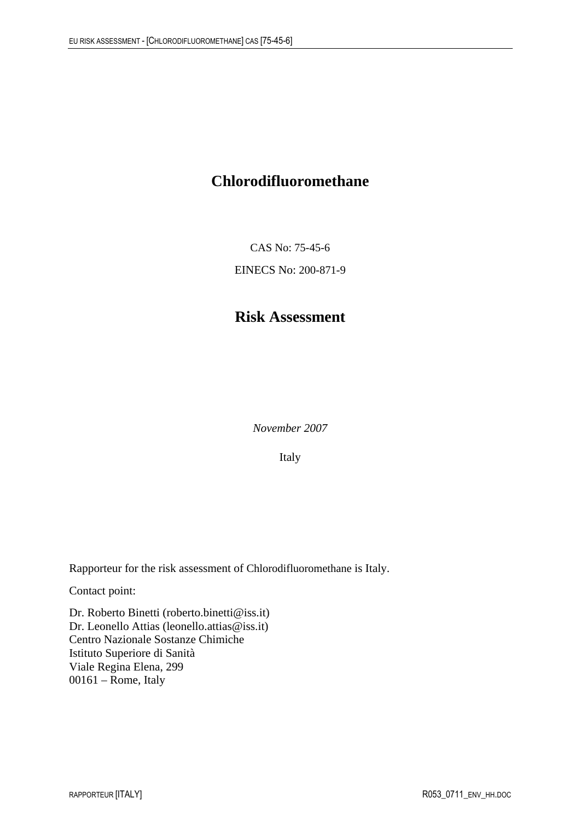# **Chlorodifluoromethane**

CAS No: 75-45-6

EINECS No: 200-871-9

# **Risk Assessment**

*November 2007*

Italy

Rapporteur for the risk assessment of Chlorodifluoromethane is Italy.

Contact point:

Dr. Roberto Binetti (roberto.binetti@iss.it) Dr. Leonello Attias (leonello.attias@iss.it) Centro Nazionale Sostanze Chimiche Istituto Superiore di Sanità Viale Regina Elena, 299 00161 – Rome, Italy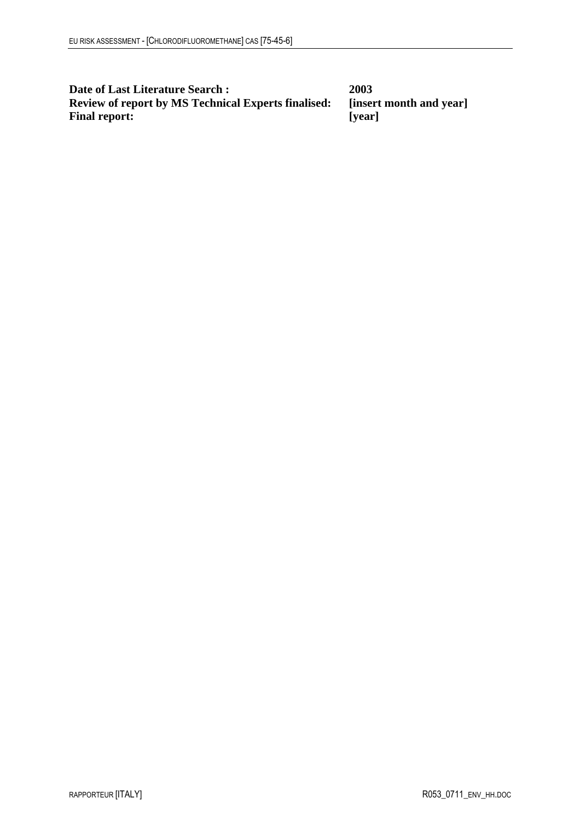| Date of Last Literature Search:                            | 2003                    |
|------------------------------------------------------------|-------------------------|
| <b>Review of report by MS Technical Experts finalised:</b> | [insert month and year] |
| <b>Final report:</b>                                       | [year]                  |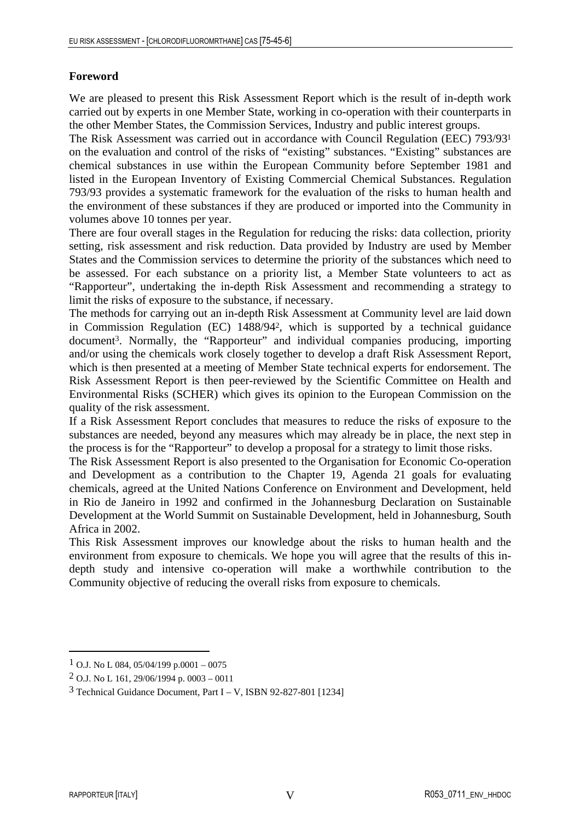# **Foreword**

We are pleased to present this Risk Assessment Report which is the result of in-depth work carried out by experts in one Member State, working in co-operation with their counterparts in the other Member States, the Commission Services, Industry and public interest groups.

The Risk Assessment was carried out in accordance with Council Regulation (EEC) 793/931 on the evaluation and control of the risks of "existing" substances. "Existing" substances are chemical substances in use within the European Community before September 1981 and listed in the European Inventory of Existing Commercial Chemical Substances. Regulation 793/93 provides a systematic framework for the evaluation of the risks to human health and the environment of these substances if they are produced or imported into the Community in volumes above 10 tonnes per year.

There are four overall stages in the Regulation for reducing the risks: data collection, priority setting, risk assessment and risk reduction. Data provided by Industry are used by Member States and the Commission services to determine the priority of the substances which need to be assessed. For each substance on a priority list, a Member State volunteers to act as "Rapporteur", undertaking the in-depth Risk Assessment and recommending a strategy to limit the risks of exposure to the substance, if necessary.

The methods for carrying out an in-depth Risk Assessment at Community level are laid down in Commission Regulation (EC) 1488/942, which is supported by a technical guidance document3. Normally, the "Rapporteur" and individual companies producing, importing and/or using the chemicals work closely together to develop a draft Risk Assessment Report, which is then presented at a meeting of Member State technical experts for endorsement. The Risk Assessment Report is then peer-reviewed by the Scientific Committee on Health and Environmental Risks (SCHER) which gives its opinion to the European Commission on the quality of the risk assessment.

If a Risk Assessment Report concludes that measures to reduce the risks of exposure to the substances are needed, beyond any measures which may already be in place, the next step in the process is for the "Rapporteur" to develop a proposal for a strategy to limit those risks.

The Risk Assessment Report is also presented to the Organisation for Economic Co-operation and Development as a contribution to the Chapter 19, Agenda 21 goals for evaluating chemicals, agreed at the United Nations Conference on Environment and Development, held in Rio de Janeiro in 1992 and confirmed in the Johannesburg Declaration on Sustainable Development at the World Summit on Sustainable Development, held in Johannesburg, South Africa in 2002.

This Risk Assessment improves our knowledge about the risks to human health and the environment from exposure to chemicals. We hope you will agree that the results of this indepth study and intensive co-operation will make a worthwhile contribution to the Community objective of reducing the overall risks from exposure to chemicals.

 $\overline{a}$ 

 $1$  O.J. No L 084, 05/04/199 p.0001 – 0075

<sup>2</sup> O.J. No L 161, 29/06/1994 p. 0003 – 0011

 $3$  Technical Guidance Document, Part I – V, ISBN 92-827-801 [1234]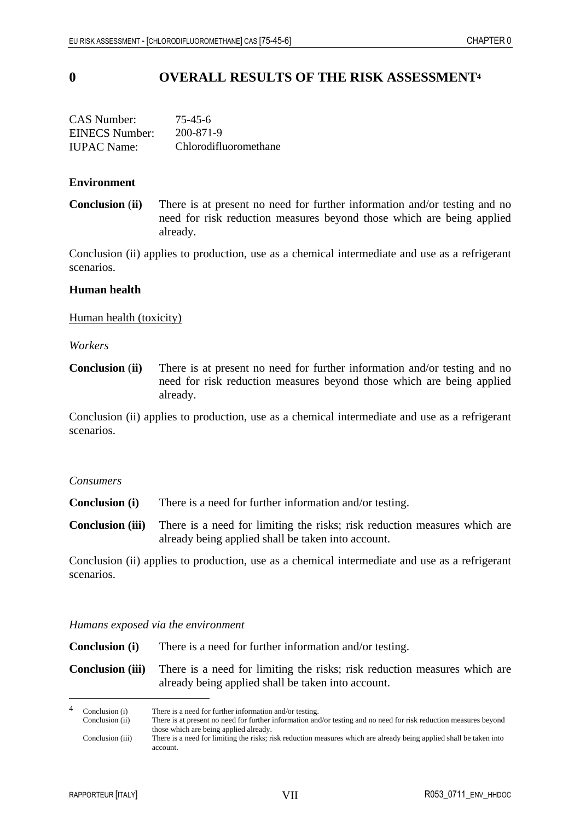# **0 OVERALL RESULTS OF THE RISK ASSESSMENT4**

| CAS Number:        | $75 - 45 - 6$         |
|--------------------|-----------------------|
| EINECS Number:     | 200-871-9             |
| <b>IUPAC</b> Name: | Chlorodifluoromethane |

#### **Environment**

**Conclusion** (**ii)** There is at present no need for further information and/or testing and no need for risk reduction measures beyond those which are being applied already.

Conclusion (ii) applies to production, use as a chemical intermediate and use as a refrigerant scenarios.

#### **Human health**

Human health (toxicity)

*Workers* 

**Conclusion** (**ii)** There is at present no need for further information and/or testing and no need for risk reduction measures beyond those which are being applied already.

Conclusion (ii) applies to production, use as a chemical intermediate and use as a refrigerant scenarios.

#### *Consumers*

**Conclusion (i)** There is a need for further information and/or testing.

**Conclusion (iii)** There is a need for limiting the risks; risk reduction measures which are already being applied shall be taken into account.

Conclusion (ii) applies to production, use as a chemical intermediate and use as a refrigerant scenarios.

#### *Humans exposed via the environment*

**Conclusion (i)** There is a need for further information and/or testing.

**Conclusion (iii)** There is a need for limiting the risks; risk reduction measures which are already being applied shall be taken into account.

Conclusion (iii) There is a need for limiting the risks; risk reduction measures which are already being applied shall be taken into account.

 $\overline{a}$ 

<sup>4</sup> Conclusion (i) There is a need for further information and/or testing.

Conclusion (ii) There is at present no need for further information and/or testing and no need for risk reduction measures beyond those which are being applied already.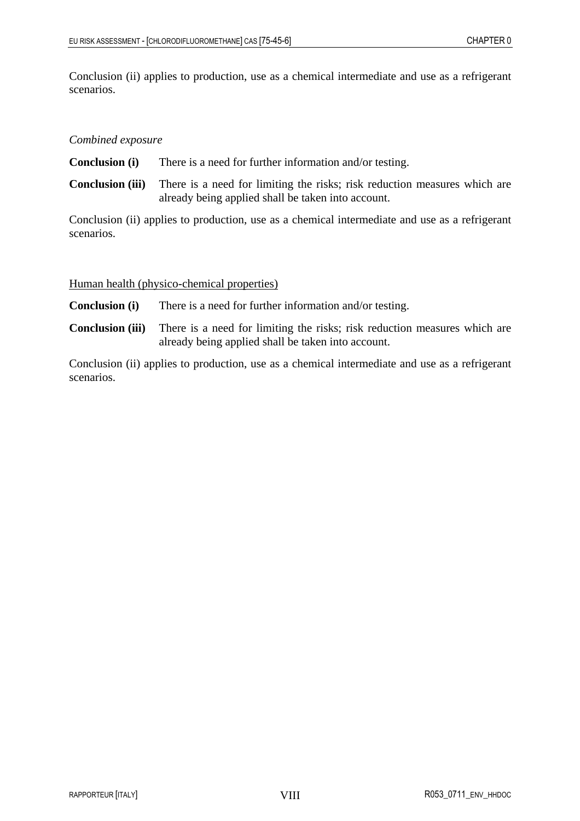Conclusion (ii) applies to production, use as a chemical intermediate and use as a refrigerant scenarios.

#### *Combined exposure*

**Conclusion (i)** There is a need for further information and/or testing.

**Conclusion (iii)** There is a need for limiting the risks; risk reduction measures which are already being applied shall be taken into account.

Conclusion (ii) applies to production, use as a chemical intermediate and use as a refrigerant scenarios.

#### Human health (physico-chemical properties)

**Conclusion (i)** There is a need for further information and/or testing.

**Conclusion (iii)** There is a need for limiting the risks; risk reduction measures which are already being applied shall be taken into account.

Conclusion (ii) applies to production, use as a chemical intermediate and use as a refrigerant scenarios.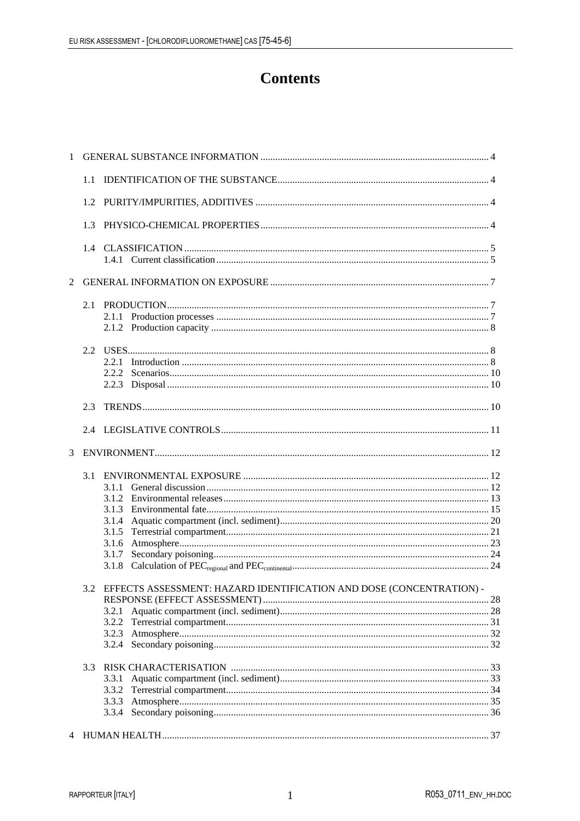# **Contents**

| $\mathbf{1}$   |     |       |                                                                          |  |  |
|----------------|-----|-------|--------------------------------------------------------------------------|--|--|
|                | 1.1 |       |                                                                          |  |  |
|                |     |       |                                                                          |  |  |
|                | 1.3 |       |                                                                          |  |  |
|                |     |       |                                                                          |  |  |
|                |     |       |                                                                          |  |  |
| $\mathfrak{D}$ |     |       |                                                                          |  |  |
|                | 2.1 |       |                                                                          |  |  |
|                |     |       |                                                                          |  |  |
|                | 2.2 |       |                                                                          |  |  |
|                |     |       |                                                                          |  |  |
|                |     |       |                                                                          |  |  |
|                |     |       |                                                                          |  |  |
|                | 2.3 |       |                                                                          |  |  |
|                |     |       |                                                                          |  |  |
| 3              |     |       |                                                                          |  |  |
|                |     |       |                                                                          |  |  |
|                |     |       |                                                                          |  |  |
|                |     |       |                                                                          |  |  |
|                |     |       |                                                                          |  |  |
|                |     |       |                                                                          |  |  |
|                |     | 3.1.6 |                                                                          |  |  |
|                |     | 3.1.7 |                                                                          |  |  |
|                |     |       |                                                                          |  |  |
|                |     |       | 3.2 EFFECTS ASSESSMENT: HAZARD IDENTIFICATION AND DOSE (CONCENTRATION) - |  |  |
|                |     |       |                                                                          |  |  |
|                |     | 3.2.1 |                                                                          |  |  |
|                |     |       |                                                                          |  |  |
|                |     |       |                                                                          |  |  |
|                |     |       |                                                                          |  |  |
|                | 3.3 |       |                                                                          |  |  |
|                |     | 3.3.1 |                                                                          |  |  |
|                |     |       |                                                                          |  |  |
|                |     |       |                                                                          |  |  |
|                |     |       |                                                                          |  |  |
|                |     |       |                                                                          |  |  |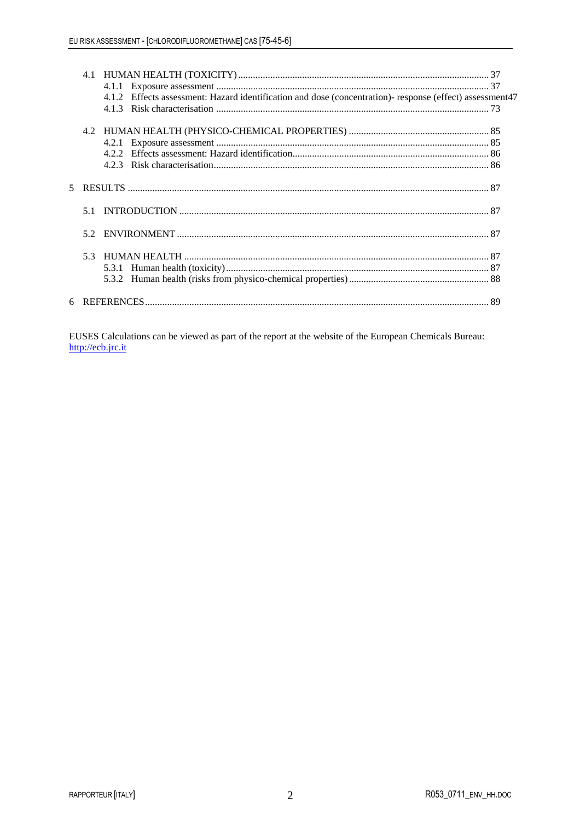|   |    | 4.1.2 Effects assessment: Hazard identification and dose (concentration)- response (effect) assessment47 |  |
|---|----|----------------------------------------------------------------------------------------------------------|--|
|   |    |                                                                                                          |  |
| 5 |    |                                                                                                          |  |
|   | 51 |                                                                                                          |  |
|   |    |                                                                                                          |  |
|   | 53 |                                                                                                          |  |
|   |    |                                                                                                          |  |

EUSES Calculations can be viewed as part of the report at the website of the European Chemicals Bureau: http://ecb.jrc.it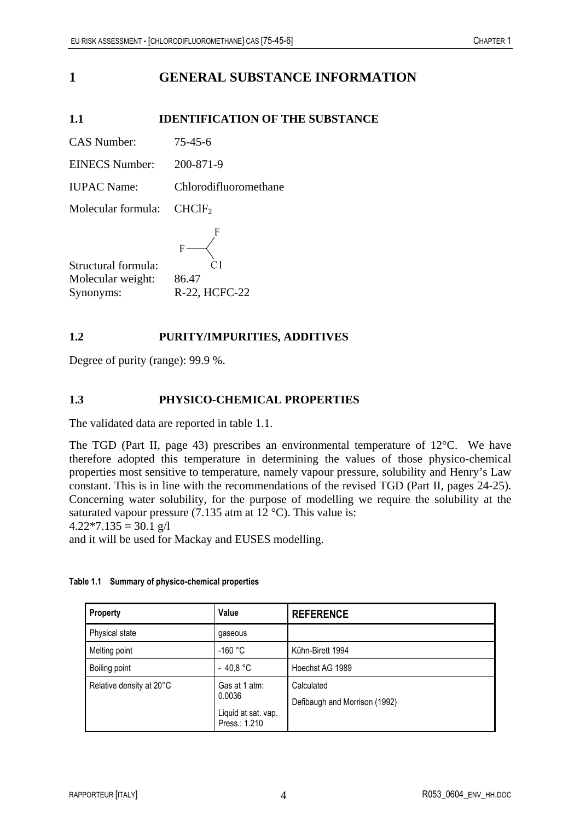## <span id="page-11-1"></span>**1.1 IDENTIFICATION OF THE SUBSTANCE**

CAS Number: 75-45-6

EINECS Number: 200-871-9

IUPAC Name: Chlorodifluoromethane

Molecular formula:  $CHCIF<sub>2</sub>$ 

Structural formula:  $\mathsf{C}1$ Molecular weight: 86.47 Synonyms: R-22, HCFC-22

# <span id="page-11-2"></span>**1.2 PURITY/IMPURITIES, ADDITIVES**

Degree of purity (range): 99.9 %.

# <span id="page-11-3"></span>**1.3 PHYSICO-CHEMICAL PROPERTIES**

The validated data are reported in table 1.1.

The TGD (Part II, page 43) prescribes an environmental temperature of 12°C. We have therefore adopted this temperature in determining the values of those physico-chemical properties most sensitive to temperature, namely vapour pressure, solubility and Henry's Law constant. This is in line with the recommendations of the revised TGD (Part II, pages 24-25). Concerning water solubility, for the purpose of modelling we require the solubility at the saturated vapour pressure (7.135 atm at 12 °C). This value is:

 $4.22*7.135 = 30.1$  g/l

and it will be used for Mackay and EUSES modelling.

#### **Table 1.1 Summary of physico-chemical properties**

| <b>Property</b>                           | Value                                          | <b>REFERENCE</b>              |
|-------------------------------------------|------------------------------------------------|-------------------------------|
| Physical state                            | gaseous                                        |                               |
| Melting point                             | $-160 °C$                                      | Kühn-Birett 1994              |
| Boiling point                             | $-40.8 °C$                                     | Hoechst AG 1989               |
| Relative density at 20°C<br>Gas at 1 atm: |                                                | Calculated                    |
|                                           | 0.0036<br>Liquid at sat. vap.<br>Press.: 1.210 | Defibaugh and Morrison (1992) |

<span id="page-11-0"></span>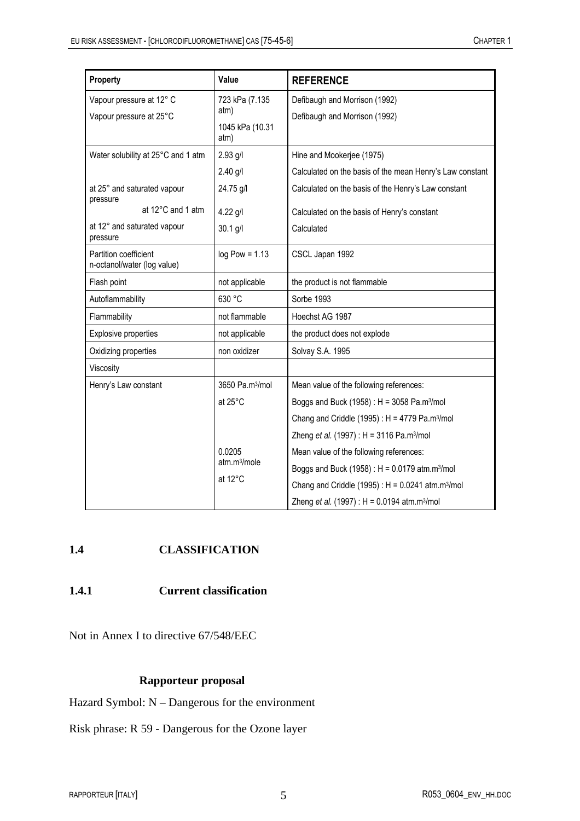| Property                                             | Value                       | <b>REFERENCE</b>                                                |
|------------------------------------------------------|-----------------------------|-----------------------------------------------------------------|
| Vapour pressure at 12° C                             | 723 kPa (7.135              | Defibaugh and Morrison (1992)                                   |
| Vapour pressure at 25°C                              | atm)                        | Defibaugh and Morrison (1992)                                   |
|                                                      | 1045 kPa (10.31<br>atm)     |                                                                 |
| Water solubility at 25°C and 1 atm                   | $2.93$ g/l                  | Hine and Mookerjee (1975)                                       |
|                                                      | $2.40$ g/l                  | Calculated on the basis of the mean Henry's Law constant        |
| at 25° and saturated vapour<br>pressure              | 24.75 g/l                   | Calculated on the basis of the Henry's Law constant             |
| at 12°C and 1 atm                                    | $4.22$ g/l                  | Calculated on the basis of Henry's constant                     |
| at 12° and saturated vapour<br>pressure              | $30.1$ g/l                  | Calculated                                                      |
| Partition coefficient<br>n-octanol/water (log value) | $log$ Pow = 1.13            | CSCL Japan 1992                                                 |
| Flash point                                          | not applicable              | the product is not flammable                                    |
| Autoflammability                                     | 630 °C                      | Sorbe 1993                                                      |
| Flammability                                         | not flammable               | Hoechst AG 1987                                                 |
| <b>Explosive properties</b>                          | not applicable              | the product does not explode                                    |
| Oxidizing properties                                 | non oxidizer                | Solvay S.A. 1995                                                |
| Viscosity                                            |                             |                                                                 |
| Henry's Law constant                                 | 3650 Pa.m <sup>3</sup> /mol | Mean value of the following references:                         |
|                                                      | at 25°C                     | Boggs and Buck (1958) : H = 3058 Pa.m <sup>3</sup> /mol         |
|                                                      |                             | Chang and Criddle (1995): $H = 4779$ Pa.m <sup>3</sup> /mol     |
|                                                      | 0.0205                      | Zheng et al. (1997) : H = 3116 Pa.m <sup>3</sup> /mol           |
|                                                      |                             | Mean value of the following references:                         |
|                                                      | atm.m <sup>3</sup> /mole    | Boggs and Buck (1958) : $H = 0.0179$ atm.m <sup>3</sup> /mol    |
|                                                      | at 12°C                     | Chang and Criddle (1995) : $H = 0.0241$ atm.m <sup>3</sup> /mol |
|                                                      |                             | Zheng et al. (1997) : H = 0.0194 atm.m <sup>3</sup> /mol        |

# <span id="page-12-0"></span>**1.4 CLASSIFICATION**

## <span id="page-12-1"></span>**1.4.1 Current classification**

Not in Annex I to directive 67/548/EEC

# **Rapporteur proposal**

Hazard Symbol: N – Dangerous for the environment

Risk phrase: R 59 - Dangerous for the Ozone layer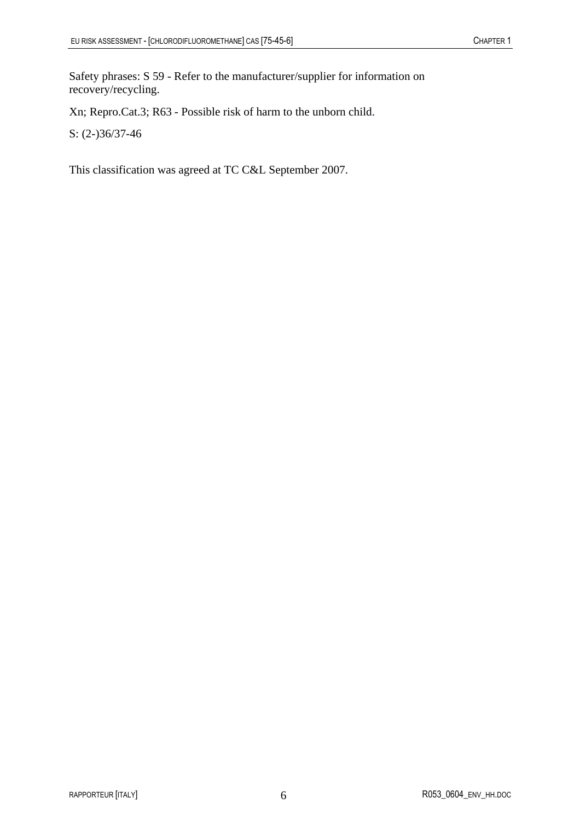Safety phrases: S 59 - Refer to the manufacturer/supplier for information on recovery/recycling.

Xn; Repro.Cat.3; R63 - Possible risk of harm to the unborn child.

S: (2-)36/37-46

This classification was agreed at TC C&L September 2007.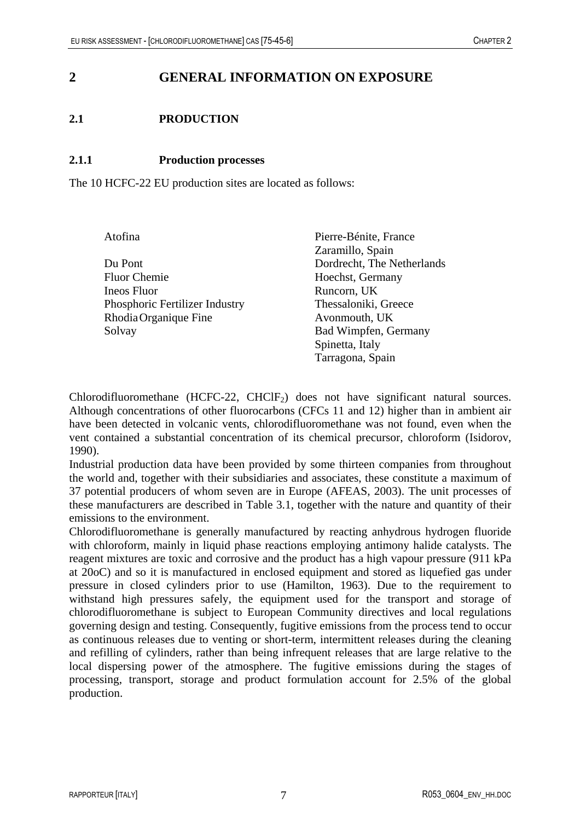# <span id="page-14-0"></span>**2 GENERAL INFORMATION ON EXPOSURE**

## <span id="page-14-1"></span>**2.1 PRODUCTION**

#### <span id="page-14-2"></span>**2.1.1 Production processes**

The 10 HCFC-22 EU production sites are located as follows:

| Pierre-Bénite, France      |
|----------------------------|
| Zaramillo, Spain           |
| Dordrecht, The Netherlands |
| Hoechst, Germany           |
| Runcorn, UK                |
| Thessaloniki, Greece       |
| Avonmouth, UK              |
| Bad Wimpfen, Germany       |
| Spinetta, Italy            |
| Tarragona, Spain           |
|                            |

Chlorodifluoromethane (HCFC-22, CHClF2) does not have significant natural sources. Although concentrations of other fluorocarbons (CFCs 11 and 12) higher than in ambient air have been detected in volcanic vents, chlorodifluoromethane was not found, even when the vent contained a substantial concentration of its chemical precursor, chloroform (Isidorov, 1990).

Industrial production data have been provided by some thirteen companies from throughout the world and, together with their subsidiaries and associates, these constitute a maximum of 37 potential producers of whom seven are in Europe (AFEAS, 2003). The unit processes of these manufacturers are described in Table 3.1, together with the nature and quantity of their emissions to the environment.

Chlorodifluoromethane is generally manufactured by reacting anhydrous hydrogen fluoride with chloroform, mainly in liquid phase reactions employing antimony halide catalysts. The reagent mixtures are toxic and corrosive and the product has a high vapour pressure (911 kPa at 20oC) and so it is manufactured in enclosed equipment and stored as liquefied gas under pressure in closed cylinders prior to use (Hamilton, 1963). Due to the requirement to withstand high pressures safely, the equipment used for the transport and storage of chlorodifluoromethane is subject to European Community directives and local regulations governing design and testing. Consequently, fugitive emissions from the process tend to occur as continuous releases due to venting or short-term, intermittent releases during the cleaning and refilling of cylinders, rather than being infrequent releases that are large relative to the local dispersing power of the atmosphere. The fugitive emissions during the stages of processing, transport, storage and product formulation account for 2.5% of the global production.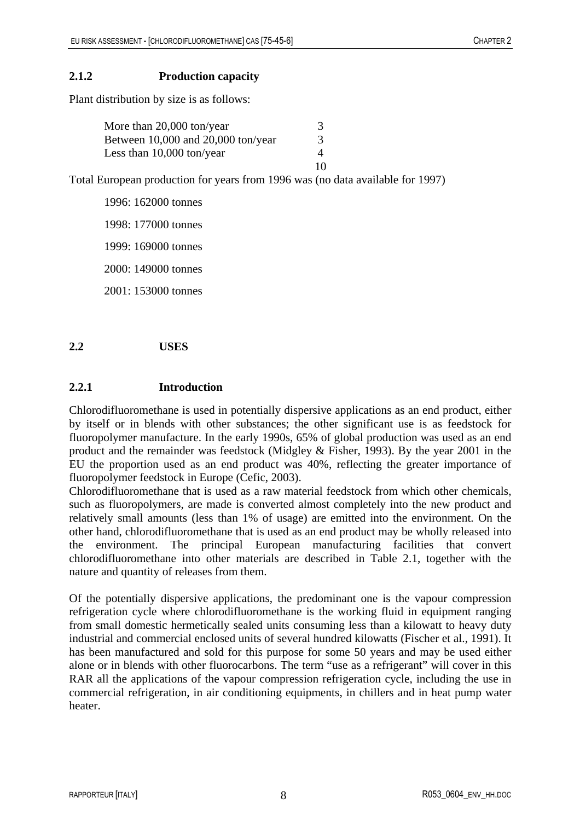## <span id="page-15-0"></span>**2.1.2 Production capacity**

Plant distribution by size is as follows:

| More than $20,000$ ton/year        | 3             |
|------------------------------------|---------------|
| Between 10,000 and 20,000 ton/year | $\mathcal{R}$ |
| Less than $10,000$ ton/year        |               |
|                                    | 10            |

Total European production for years from 1996 was (no data available for 1997)

 1996: 162000 tonnes 1998: 177000 tonnes 1999: 169000 tonnes 2000: 149000 tonnes

2001: 153000 tonnes

## <span id="page-15-1"></span>**2.2 USES**

#### <span id="page-15-2"></span>**2.2.1 Introduction**

Chlorodifluoromethane is used in potentially dispersive applications as an end product, either by itself or in blends with other substances; the other significant use is as feedstock for fluoropolymer manufacture. In the early 1990s, 65% of global production was used as an end product and the remainder was feedstock (Midgley & Fisher, 1993). By the year 2001 in the EU the proportion used as an end product was 40%, reflecting the greater importance of fluoropolymer feedstock in Europe (Cefic, 2003).

Chlorodifluoromethane that is used as a raw material feedstock from which other chemicals, such as fluoropolymers, are made is converted almost completely into the new product and relatively small amounts (less than 1% of usage) are emitted into the environment. On the other hand, chlorodifluoromethane that is used as an end product may be wholly released into the environment. The principal European manufacturing facilities that convert chlorodifluoromethane into other materials are described in Table 2.1, together with the nature and quantity of releases from them.

Of the potentially dispersive applications, the predominant one is the vapour compression refrigeration cycle where chlorodifluoromethane is the working fluid in equipment ranging from small domestic hermetically sealed units consuming less than a kilowatt to heavy duty industrial and commercial enclosed units of several hundred kilowatts (Fischer et al., 1991). It has been manufactured and sold for this purpose for some 50 years and may be used either alone or in blends with other fluorocarbons. The term "use as a refrigerant" will cover in this RAR all the applications of the vapour compression refrigeration cycle, including the use in commercial refrigeration, in air conditioning equipments, in chillers and in heat pump water heater.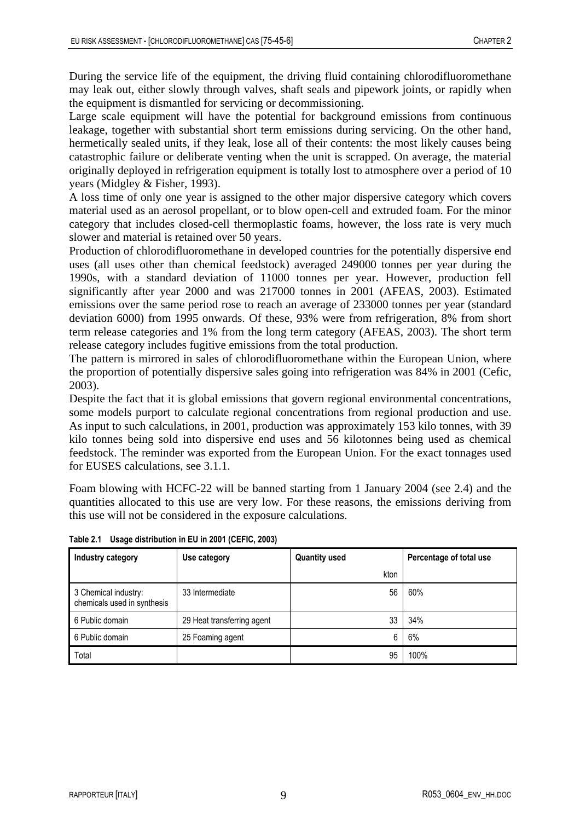During the service life of the equipment, the driving fluid containing chlorodifluoromethane may leak out, either slowly through valves, shaft seals and pipework joints, or rapidly when the equipment is dismantled for servicing or decommissioning.

Large scale equipment will have the potential for background emissions from continuous leakage, together with substantial short term emissions during servicing. On the other hand, hermetically sealed units, if they leak, lose all of their contents: the most likely causes being catastrophic failure or deliberate venting when the unit is scrapped. On average, the material originally deployed in refrigeration equipment is totally lost to atmosphere over a period of 10 years (Midgley & Fisher, 1993).

A loss time of only one year is assigned to the other major dispersive category which covers material used as an aerosol propellant, or to blow open-cell and extruded foam. For the minor category that includes closed-cell thermoplastic foams, however, the loss rate is very much slower and material is retained over 50 years.

Production of chlorodifluoromethane in developed countries for the potentially dispersive end uses (all uses other than chemical feedstock) averaged 249000 tonnes per year during the 1990s, with a standard deviation of 11000 tonnes per year. However, production fell significantly after year 2000 and was 217000 tonnes in 2001 (AFEAS, 2003). Estimated emissions over the same period rose to reach an average of 233000 tonnes per year (standard deviation 6000) from 1995 onwards. Of these, 93% were from refrigeration, 8% from short term release categories and 1% from the long term category (AFEAS, 2003). The short term release category includes fugitive emissions from the total production.

The pattern is mirrored in sales of chlorodifluoromethane within the European Union, where the proportion of potentially dispersive sales going into refrigeration was 84% in 2001 (Cefic, 2003).

Despite the fact that it is global emissions that govern regional environmental concentrations, some models purport to calculate regional concentrations from regional production and use. As input to such calculations, in 2001, production was approximately 153 kilo tonnes, with 39 kilo tonnes being sold into dispersive end uses and 56 kilotonnes being used as chemical feedstock. The reminder was exported from the European Union. For the exact tonnages used for EUSES calculations, see 3.1.1.

Foam blowing with HCFC-22 will be banned starting from 1 January 2004 (see 2.4) and the quantities allocated to this use are very low. For these reasons, the emissions deriving from this use will not be considered in the exposure calculations.

| Industry category                                   | Use category               | <b>Quantity used</b> | Percentage of total use |
|-----------------------------------------------------|----------------------------|----------------------|-------------------------|
|                                                     |                            | kton                 |                         |
| 3 Chemical industry:<br>chemicals used in synthesis | 33 Intermediate            | 56                   | 60%                     |
| 6 Public domain                                     | 29 Heat transferring agent | 33                   | 34%                     |
| 6 Public domain                                     | 25 Foaming agent           | 6                    | 6%                      |
| Total                                               |                            | 95                   | 100%                    |

**Table 2.1 Usage distribution in EU in 2001 (CEFIC, 2003)**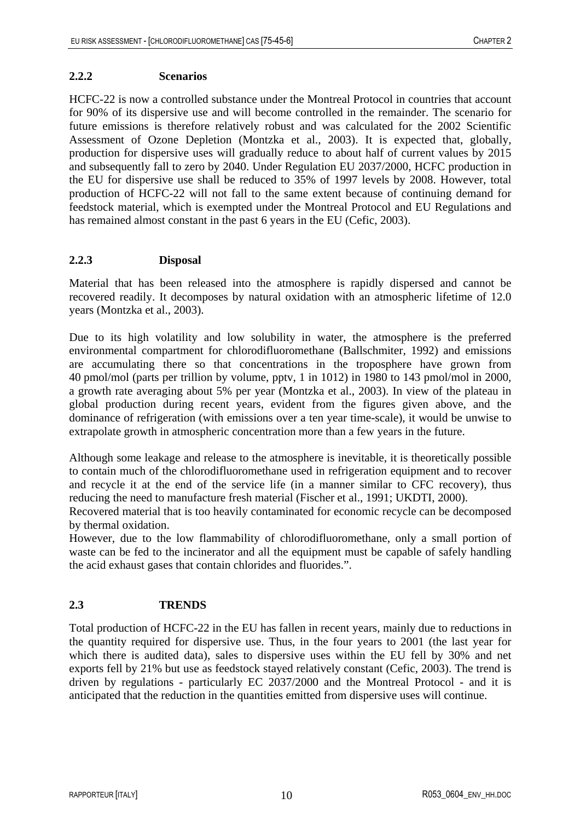## <span id="page-17-0"></span>**2.2.2 Scenarios**

HCFC-22 is now a controlled substance under the Montreal Protocol in countries that account for 90% of its dispersive use and will become controlled in the remainder. The scenario for future emissions is therefore relatively robust and was calculated for the 2002 Scientific Assessment of Ozone Depletion (Montzka et al., 2003). It is expected that, globally, production for dispersive uses will gradually reduce to about half of current values by 2015 and subsequently fall to zero by 2040. Under Regulation EU 2037/2000, HCFC production in the EU for dispersive use shall be reduced to 35% of 1997 levels by 2008. However, total production of HCFC-22 will not fall to the same extent because of continuing demand for feedstock material, which is exempted under the Montreal Protocol and EU Regulations and has remained almost constant in the past 6 years in the EU (Cefic, 2003).

## <span id="page-17-1"></span>**2.2.3 Disposal**

Material that has been released into the atmosphere is rapidly dispersed and cannot be recovered readily. It decomposes by natural oxidation with an atmospheric lifetime of 12.0 years (Montzka et al., 2003).

Due to its high volatility and low solubility in water, the atmosphere is the preferred environmental compartment for chlorodifluoromethane (Ballschmiter, 1992) and emissions are accumulating there so that concentrations in the troposphere have grown from 40 pmol/mol (parts per trillion by volume, pptv, 1 in 1012) in 1980 to 143 pmol/mol in 2000, a growth rate averaging about 5% per year (Montzka et al., 2003). In view of the plateau in global production during recent years, evident from the figures given above, and the dominance of refrigeration (with emissions over a ten year time-scale), it would be unwise to extrapolate growth in atmospheric concentration more than a few years in the future.

Although some leakage and release to the atmosphere is inevitable, it is theoretically possible to contain much of the chlorodifluoromethane used in refrigeration equipment and to recover and recycle it at the end of the service life (in a manner similar to CFC recovery), thus reducing the need to manufacture fresh material (Fischer et al., 1991; UKDTI, 2000).

Recovered material that is too heavily contaminated for economic recycle can be decomposed by thermal oxidation.

However, due to the low flammability of chlorodifluoromethane, only a small portion of waste can be fed to the incinerator and all the equipment must be capable of safely handling the acid exhaust gases that contain chlorides and fluorides.".

## <span id="page-17-2"></span>**2.3 TRENDS**

Total production of HCFC-22 in the EU has fallen in recent years, mainly due to reductions in the quantity required for dispersive use. Thus, in the four years to 2001 (the last year for which there is audited data), sales to dispersive uses within the EU fell by 30% and net exports fell by 21% but use as feedstock stayed relatively constant (Cefic, 2003). The trend is driven by regulations - particularly EC 2037/2000 and the Montreal Protocol - and it is anticipated that the reduction in the quantities emitted from dispersive uses will continue.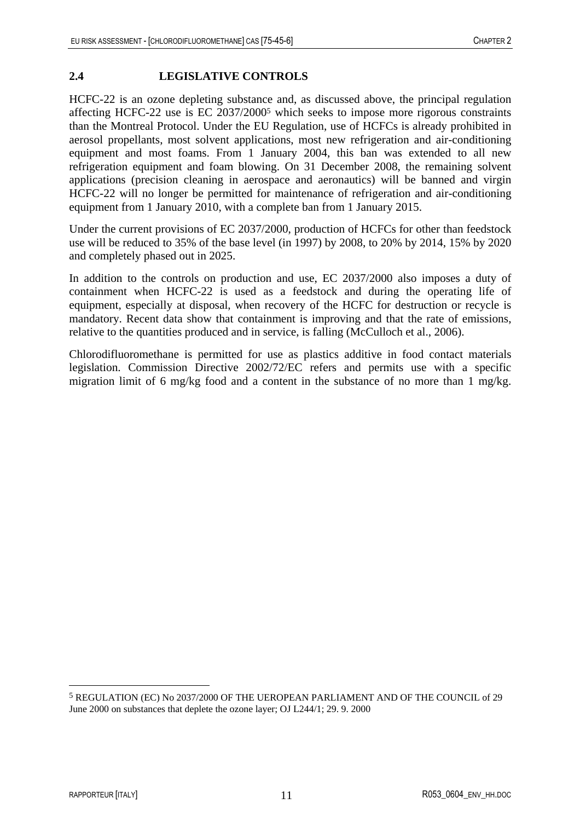#### <span id="page-18-0"></span>**2.4 LEGISLATIVE CONTROLS**

HCFC-22 is an ozone depleting substance and, as discussed above, the principal regulation affecting HCFC-22 use is EC 2037/20005 which seeks to impose more rigorous constraints than the Montreal Protocol. Under the EU Regulation, use of HCFCs is already prohibited in aerosol propellants, most solvent applications, most new refrigeration and air-conditioning equipment and most foams. From 1 January 2004, this ban was extended to all new refrigeration equipment and foam blowing. On 31 December 2008, the remaining solvent applications (precision cleaning in aerospace and aeronautics) will be banned and virgin HCFC-22 will no longer be permitted for maintenance of refrigeration and air-conditioning equipment from 1 January 2010, with a complete ban from 1 January 2015.

Under the current provisions of EC 2037/2000, production of HCFCs for other than feedstock use will be reduced to 35% of the base level (in 1997) by 2008, to 20% by 2014, 15% by 2020 and completely phased out in 2025.

In addition to the controls on production and use, EC 2037/2000 also imposes a duty of containment when HCFC-22 is used as a feedstock and during the operating life of equipment, especially at disposal, when recovery of the HCFC for destruction or recycle is mandatory. Recent data show that containment is improving and that the rate of emissions, relative to the quantities produced and in service, is falling (McCulloch et al., 2006).

Chlorodifluoromethane is permitted for use as plastics additive in food contact materials legislation. Commission Directive 2002/72/EC refers and permits use with a specific migration limit of 6 mg/kg food and a content in the substance of no more than 1 mg/kg.

 $\overline{a}$ 

<sup>5</sup> REGULATION (EC) No 2037/2000 OF THE UEROPEAN PARLIAMENT AND OF THE COUNCIL of 29 June 2000 on substances that deplete the ozone layer; OJ L244/1; 29. 9. 2000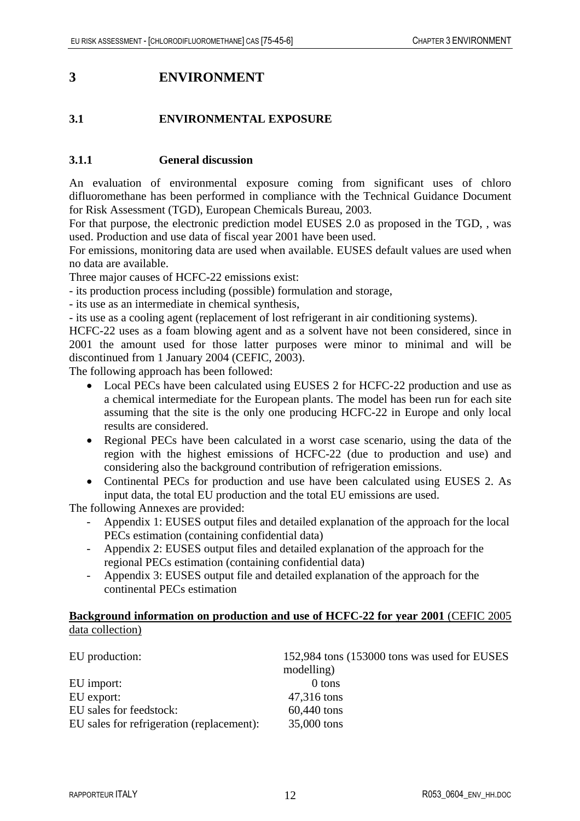# <span id="page-19-0"></span>**3 ENVIRONMENT**

## <span id="page-19-1"></span>**3.1 ENVIRONMENTAL EXPOSURE**

#### <span id="page-19-2"></span>**3.1.1 General discussion**

An evaluation of environmental exposure coming from significant uses of chloro difluoromethane has been performed in compliance with the Technical Guidance Document for Risk Assessment (TGD), European Chemicals Bureau, 2003.

For that purpose, the electronic prediction model EUSES 2.0 as proposed in the TGD, , was used. Production and use data of fiscal year 2001 have been used.

For emissions, monitoring data are used when available. EUSES default values are used when no data are available.

Three major causes of HCFC-22 emissions exist:

- its production process including (possible) formulation and storage,

- its use as an intermediate in chemical synthesis,

- its use as a cooling agent (replacement of lost refrigerant in air conditioning systems).

HCFC-22 uses as a foam blowing agent and as a solvent have not been considered, since in 2001 the amount used for those latter purposes were minor to minimal and will be discontinued from 1 January 2004 (CEFIC, 2003).

The following approach has been followed:

- Local PECs have been calculated using EUSES 2 for HCFC-22 production and use as a chemical intermediate for the European plants. The model has been run for each site assuming that the site is the only one producing HCFC-22 in Europe and only local results are considered.
- Regional PECs have been calculated in a worst case scenario, using the data of the region with the highest emissions of HCFC-22 (due to production and use) and considering also the background contribution of refrigeration emissions.
- Continental PECs for production and use have been calculated using EUSES 2. As input data, the total EU production and the total EU emissions are used.

The following Annexes are provided:

- Appendix 1: EUSES output files and detailed explanation of the approach for the local PECs estimation (containing confidential data)
- Appendix 2: EUSES output files and detailed explanation of the approach for the regional PECs estimation (containing confidential data)
- Appendix 3: EUSES output file and detailed explanation of the approach for the continental PECs estimation

#### **Background information on production and use of HCFC-22 for year 2001** (CEFIC 2005 data collection)

| EU production:                            | 152,984 tons (153000 tons was used for EUSES)<br>modelling) |
|-------------------------------------------|-------------------------------------------------------------|
| EU import:                                | 0 tons                                                      |
| EU export:                                | 47,316 tons                                                 |
| EU sales for feedstock:                   | 60,440 tons                                                 |
| EU sales for refrigeration (replacement): | 35,000 tons                                                 |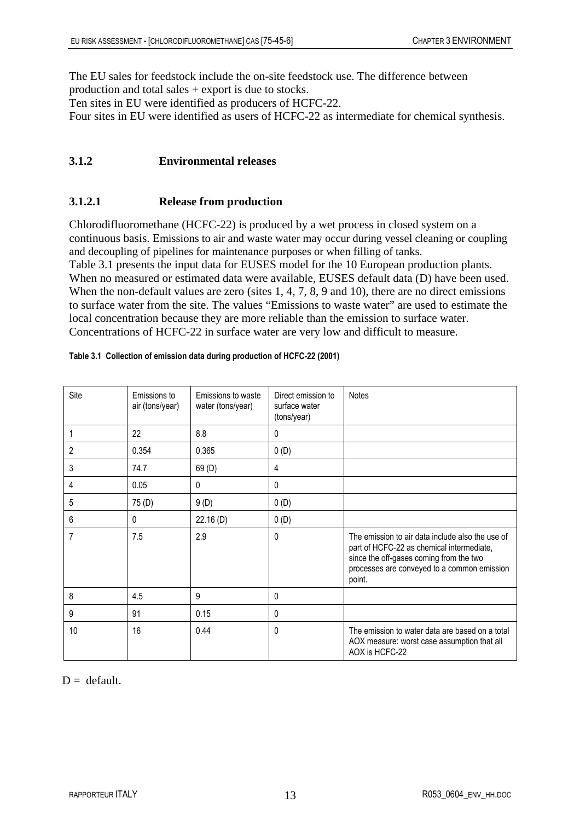The EU sales for feedstock include the on-site feedstock use. The difference between production and total sales + export is due to stocks.

Ten sites in EU were identified as producers of HCFC-22.

Four sites in EU were identified as users of HCFC-22 as intermediate for chemical synthesis.

## <span id="page-20-0"></span>**3.1.2 Environmental releases**

## **3.1.2.1 Release from production**

Chlorodifluoromethane (HCFC-22) is produced by a wet process in closed system on a continuous basis. Emissions to air and waste water may occur during vessel cleaning or coupling and decoupling of pipelines for maintenance purposes or when filling of tanks.

Table 3.1 presents the input data for EUSES model for the 10 European production plants. When no measured or estimated data were available, EUSES default data (D) have been used. When the non-default values are zero (sites 1, 4, 7, 8, 9 and 10), there are no direct emissions to surface water from the site. The values "Emissions to waste water" are used to estimate the local concentration because they are more reliable than the emission to surface water. Concentrations of HCFC-22 in surface water are very low and difficult to measure.

#### **Table 3.1 Collection of emission data during production of HCFC-22 (2001)**

| Site | Emissions to<br>air (tons/year) | Emissions to waste<br>water (tons/year) | Direct emission to<br>surface water<br>(tons/year) | Notes                                                                                                                                                                                             |
|------|---------------------------------|-----------------------------------------|----------------------------------------------------|---------------------------------------------------------------------------------------------------------------------------------------------------------------------------------------------------|
|      | 22                              | 8.8                                     | 0                                                  |                                                                                                                                                                                                   |
| 2    | 0.354                           | 0.365                                   | 0(D)                                               |                                                                                                                                                                                                   |
| 3    | 74.7                            | 69 <sub>(D)</sub>                       | 4                                                  |                                                                                                                                                                                                   |
| 4    | 0.05                            | $\mathbf{0}$                            | 0                                                  |                                                                                                                                                                                                   |
| 5    | 75(D)                           | 9(D)                                    | 0(D)                                               |                                                                                                                                                                                                   |
| 6    | 0                               | 22.16(D)                                | 0(D)                                               |                                                                                                                                                                                                   |
| 7    | 7.5                             | 2.9                                     | 0                                                  | The emission to air data include also the use of<br>part of HCFC-22 as chemical intermediate,<br>since the off-gases coming from the two<br>processes are conveyed to a common emission<br>point. |
| 8    | 4.5                             | 9                                       | $\Omega$                                           |                                                                                                                                                                                                   |
| 9    | 91                              | 0.15                                    | 0                                                  |                                                                                                                                                                                                   |
| 10   | 16                              | 0.44                                    | 0                                                  | The emission to water data are based on a total<br>AOX measure: worst case assumption that all<br>AOX is HCFC-22                                                                                  |

 $D =$  default.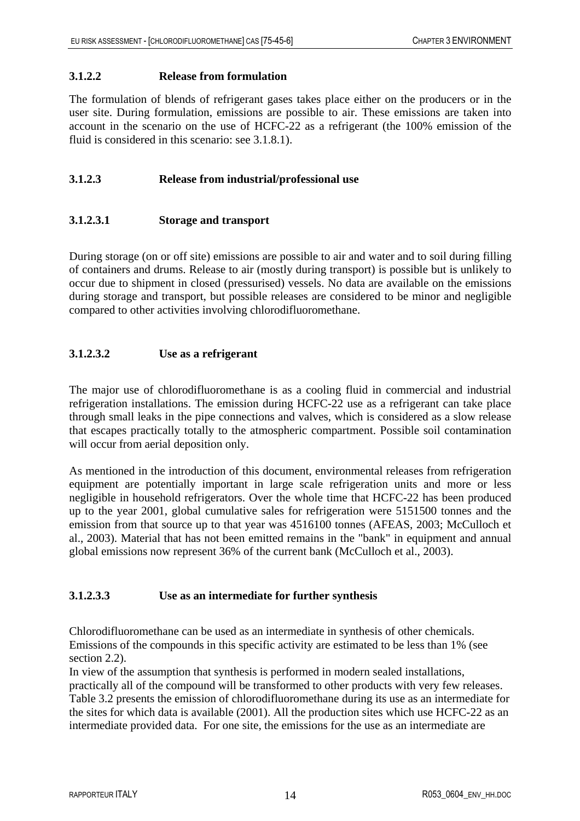## **3.1.2.2 Release from formulation**

The formulation of blends of refrigerant gases takes place either on the producers or in the user site. During formulation, emissions are possible to air. These emissions are taken into account in the scenario on the use of HCFC-22 as a refrigerant (the 100% emission of the fluid is considered in this scenario: see 3.1.8.1).

## **3.1.2.3 Release from industrial/professional use**

## **3.1.2.3.1 Storage and transport**

During storage (on or off site) emissions are possible to air and water and to soil during filling of containers and drums. Release to air (mostly during transport) is possible but is unlikely to occur due to shipment in closed (pressurised) vessels. No data are available on the emissions during storage and transport, but possible releases are considered to be minor and negligible compared to other activities involving chlorodifluoromethane.

## **3.1.2.3.2 Use as a refrigerant**

The major use of chlorodifluoromethane is as a cooling fluid in commercial and industrial refrigeration installations. The emission during HCFC-22 use as a refrigerant can take place through small leaks in the pipe connections and valves, which is considered as a slow release that escapes practically totally to the atmospheric compartment. Possible soil contamination will occur from aerial deposition only.

As mentioned in the introduction of this document, environmental releases from refrigeration equipment are potentially important in large scale refrigeration units and more or less negligible in household refrigerators. Over the whole time that HCFC-22 has been produced up to the year 2001, global cumulative sales for refrigeration were 5151500 tonnes and the emission from that source up to that year was 4516100 tonnes (AFEAS, 2003; McCulloch et al., 2003). Material that has not been emitted remains in the "bank" in equipment and annual global emissions now represent 36% of the current bank (McCulloch et al., 2003).

## **3.1.2.3.3 Use as an intermediate for further synthesis**

Chlorodifluoromethane can be used as an intermediate in synthesis of other chemicals. Emissions of the compounds in this specific activity are estimated to be less than 1% (see section 2.2).

In view of the assumption that synthesis is performed in modern sealed installations, practically all of the compound will be transformed to other products with very few releases. Table 3.2 presents the emission of chlorodifluoromethane during its use as an intermediate for the sites for which data is available (2001). All the production sites which use HCFC-22 as an intermediate provided data. For one site, the emissions for the use as an intermediate are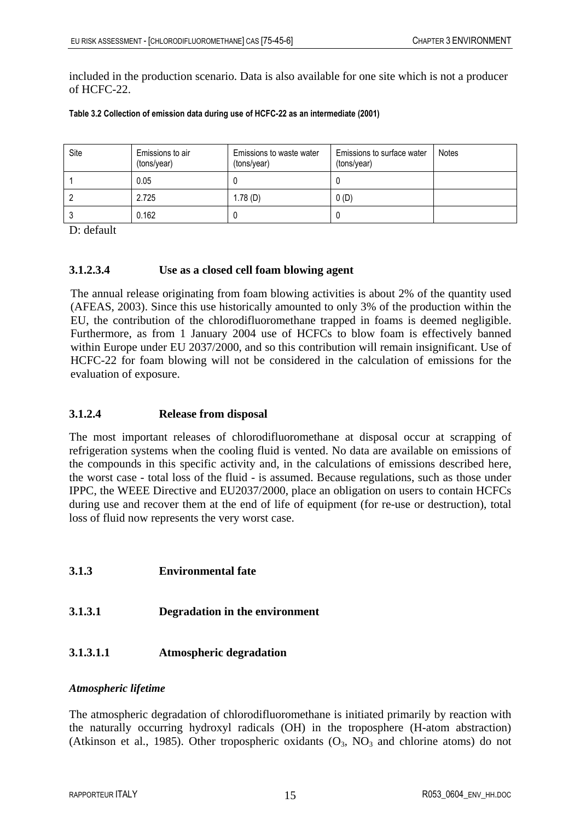included in the production scenario. Data is also available for one site which is not a producer of HCFC-22.

| Site | Emissions to air<br>(tons/year) | Emissions to waste water<br>(tons/year) | Emissions to surface water<br>(tons/year) | Notes |
|------|---------------------------------|-----------------------------------------|-------------------------------------------|-------|
|      | 0.05                            |                                         |                                           |       |
|      | 2.725                           | 1.78(D)                                 | 0(D)                                      |       |
|      | 0.162                           |                                         |                                           |       |

D: default

## **3.1.2.3.4 Use as a closed cell foam blowing agent**

The annual release originating from foam blowing activities is about 2% of the quantity used (AFEAS, 2003). Since this use historically amounted to only 3% of the production within the EU, the contribution of the chlorodifluoromethane trapped in foams is deemed negligible. Furthermore, as from 1 January 2004 use of HCFCs to blow foam is effectively banned within Europe under EU 2037/2000, and so this contribution will remain insignificant. Use of HCFC-22 for foam blowing will not be considered in the calculation of emissions for the evaluation of exposure.

## **3.1.2.4 Release from disposal**

The most important releases of chlorodifluoromethane at disposal occur at scrapping of refrigeration systems when the cooling fluid is vented. No data are available on emissions of the compounds in this specific activity and, in the calculations of emissions described here, the worst case - total loss of the fluid - is assumed. Because regulations, such as those under IPPC, the WEEE Directive and EU2037/2000, place an obligation on users to contain HCFCs during use and recover them at the end of life of equipment (for re-use or destruction), total loss of fluid now represents the very worst case.

## <span id="page-22-0"></span>**3.1.3 Environmental fate**

**3.1.3.1 Degradation in the environment** 

## **3.1.3.1.1 Atmospheric degradation**

#### *Atmospheric lifetime*

The atmospheric degradation of chlorodifluoromethane is initiated primarily by reaction with the naturally occurring hydroxyl radicals (OH) in the troposphere (H-atom abstraction) (Atkinson et al., 1985). Other tropospheric oxidants  $(O_3, NO_3$  and chlorine atoms) do not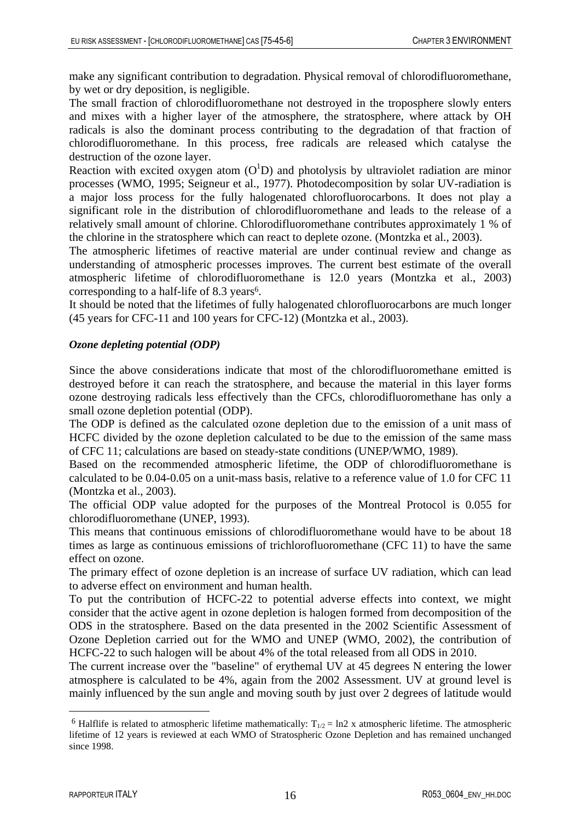make any significant contribution to degradation. Physical removal of chlorodifluoromethane, by wet or dry deposition, is negligible.

The small fraction of chlorodifluoromethane not destroyed in the troposphere slowly enters and mixes with a higher layer of the atmosphere, the stratosphere, where attack by OH radicals is also the dominant process contributing to the degradation of that fraction of chlorodifluoromethane. In this process, free radicals are released which catalyse the destruction of the ozone layer.

Reaction with excited oxygen atom  $(O<sup>1</sup>D)$  and photolysis by ultraviolet radiation are minor processes (WMO, 1995; Seigneur et al., 1977). Photodecomposition by solar UV-radiation is a major loss process for the fully halogenated chlorofluorocarbons. It does not play a significant role in the distribution of chlorodifluoromethane and leads to the release of a relatively small amount of chlorine. Chlorodifluoromethane contributes approximately 1 % of the chlorine in the stratosphere which can react to deplete ozone. (Montzka et al., 2003).

The atmospheric lifetimes of reactive material are under continual review and change as understanding of atmospheric processes improves. The current best estimate of the overall atmospheric lifetime of chlorodifluoromethane is 12.0 years (Montzka et al., 2003) corresponding to a half-life of 8.3 years<sup>6</sup>.

It should be noted that the lifetimes of fully halogenated chlorofluorocarbons are much longer (45 years for CFC-11 and 100 years for CFC-12) (Montzka et al., 2003).

## *Ozone depleting potential (ODP)*

Since the above considerations indicate that most of the chlorodifluoromethane emitted is destroyed before it can reach the stratosphere, and because the material in this layer forms ozone destroying radicals less effectively than the CFCs, chlorodifluoromethane has only a small ozone depletion potential (ODP).

The ODP is defined as the calculated ozone depletion due to the emission of a unit mass of HCFC divided by the ozone depletion calculated to be due to the emission of the same mass of CFC 11; calculations are based on steady-state conditions (UNEP/WMO, 1989).

Based on the recommended atmospheric lifetime, the ODP of chlorodifluoromethane is calculated to be 0.04-0.05 on a unit-mass basis, relative to a reference value of 1.0 for CFC 11 (Montzka et al., 2003).

The official ODP value adopted for the purposes of the Montreal Protocol is 0.055 for chlorodifluoromethane (UNEP, 1993).

This means that continuous emissions of chlorodifluoromethane would have to be about 18 times as large as continuous emissions of trichlorofluoromethane (CFC 11) to have the same effect on ozone.

The primary effect of ozone depletion is an increase of surface UV radiation, which can lead to adverse effect on environment and human health.

To put the contribution of HCFC-22 to potential adverse effects into context, we might consider that the active agent in ozone depletion is halogen formed from decomposition of the ODS in the stratosphere. Based on the data presented in the 2002 Scientific Assessment of Ozone Depletion carried out for the WMO and UNEP (WMO, 2002), the contribution of HCFC-22 to such halogen will be about 4% of the total released from all ODS in 2010.

The current increase over the "baseline" of erythemal UV at 45 degrees N entering the lower atmosphere is calculated to be 4%, again from the 2002 Assessment. UV at ground level is mainly influenced by the sun angle and moving south by just over 2 degrees of latitude would

 $\overline{a}$ 

<sup>&</sup>lt;sup>6</sup> Halflife is related to atmospheric lifetime mathematically:  $T_{1/2} = \ln 2$  x atmospheric lifetime. The atmospheric lifetime of 12 years is reviewed at each WMO of Stratospheric Ozone Depletion and has remained unchanged since 1998.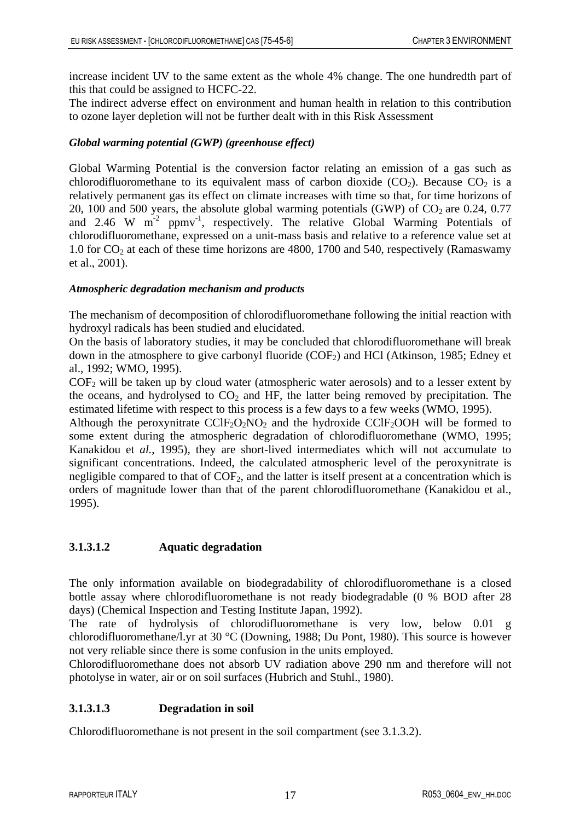increase incident UV to the same extent as the whole 4% change. The one hundredth part of this that could be assigned to HCFC-22.

The indirect adverse effect on environment and human health in relation to this contribution to ozone layer depletion will not be further dealt with in this Risk Assessment

## *Global warming potential (GWP) (greenhouse effect)*

Global Warming Potential is the conversion factor relating an emission of a gas such as chlorodifluoromethane to its equivalent mass of carbon dioxide  $(CO_2)$ . Because  $CO_2$  is a relatively permanent gas its effect on climate increases with time so that, for time horizons of 20, 100 and 500 years, the absolute global warming potentials (GWP) of  $CO<sub>2</sub>$  are 0.24, 0.77 and 2.46 W  $m^{-2}$  ppmv<sup>-1</sup>, respectively. The relative Global Warming Potentials of chlorodifluoromethane, expressed on a unit-mass basis and relative to a reference value set at 1.0 for  $CO<sub>2</sub>$  at each of these time horizons are 4800, 1700 and 540, respectively (Ramaswamy et al., 2001).

#### *Atmospheric degradation mechanism and products*

The mechanism of decomposition of chlorodifluoromethane following the initial reaction with hydroxyl radicals has been studied and elucidated.

On the basis of laboratory studies, it may be concluded that chlorodifluoromethane will break down in the atmosphere to give carbonyl fluoride  $(COF<sub>2</sub>)$  and HCl (Atkinson, 1985; Edney et al., 1992; WMO, 1995).

 $COF<sub>2</sub>$  will be taken up by cloud water (atmospheric water aerosols) and to a lesser extent by the oceans, and hydrolysed to  $CO<sub>2</sub>$  and HF, the latter being removed by precipitation. The estimated lifetime with respect to this process is a few days to a few weeks (WMO, 1995).

Although the peroxynitrate  $CCIF_2O_2NO_2$  and the hydroxide  $CCIF_2OOH$  will be formed to some extent during the atmospheric degradation of chlorodifluoromethane (WMO, 1995; Kanakidou et *al.*, 1995), they are short-lived intermediates which will not accumulate to significant concentrations. Indeed, the calculated atmospheric level of the peroxynitrate is negligible compared to that of  $COF_2$ , and the latter is itself present at a concentration which is orders of magnitude lower than that of the parent chlorodifluoromethane (Kanakidou et al., 1995).

## **3.1.3.1.2 Aquatic degradation**

The only information available on biodegradability of chlorodifluoromethane is a closed bottle assay where chlorodifluoromethane is not ready biodegradable (0 % BOD after 28 days) (Chemical Inspection and Testing Institute Japan, 1992).

The rate of hydrolysis of chlorodifluoromethane is very low, below 0.01 g chlorodifluoromethane/l.yr at 30 °C (Downing, 1988; Du Pont, 1980). This source is however not very reliable since there is some confusion in the units employed.

Chlorodifluoromethane does not absorb UV radiation above 290 nm and therefore will not photolyse in water, air or on soil surfaces (Hubrich and Stuhl., 1980).

## **3.1.3.1.3 Degradation in soil**

Chlorodifluoromethane is not present in the soil compartment (see 3.1.3.2).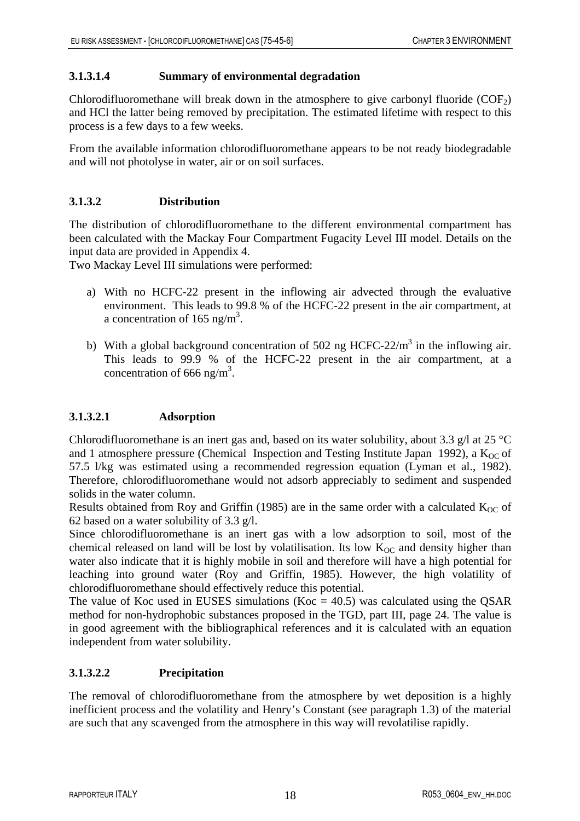## **3.1.3.1.4 Summary of environmental degradation**

Chlorodifluoromethane will break down in the atmosphere to give carbonyl fluoride  $(COF<sub>2</sub>)$ and HCl the latter being removed by precipitation. The estimated lifetime with respect to this process is a few days to a few weeks.

From the available information chlorodifluoromethane appears to be not ready biodegradable and will not photolyse in water, air or on soil surfaces.

## **3.1.3.2 Distribution**

The distribution of chlorodifluoromethane to the different environmental compartment has been calculated with the Mackay Four Compartment Fugacity Level III model. Details on the input data are provided in Appendix 4.

Two Mackay Level III simulations were performed:

- a) With no HCFC-22 present in the inflowing air advected through the evaluative environment. This leads to 99.8 % of the HCFC-22 present in the air compartment, at a concentration of 165 ng/m<sup>3</sup>.
- b) With a global background concentration of 502 ng HCFC-22/ $m<sup>3</sup>$  in the inflowing air. This leads to 99.9 % of the HCFC-22 present in the air compartment, at a concentration of 666 ng/m<sup>3</sup>.

# **3.1.3.2.1 Adsorption**

Chlorodifluoromethane is an inert gas and, based on its water solubility, about 3.3 g/l at 25 °C and 1 atmosphere pressure (Chemical Inspection and Testing Institute Japan 1992), a  $K_{OC}$  of 57.5 l/kg was estimated using a recommended regression equation (Lyman et al., 1982). Therefore, chlorodifluoromethane would not adsorb appreciably to sediment and suspended solids in the water column.

Results obtained from Roy and Griffin (1985) are in the same order with a calculated  $K_{OC}$  of 62 based on a water solubility of 3.3 g/l.

Since chlorodifluoromethane is an inert gas with a low adsorption to soil, most of the chemical released on land will be lost by volatilisation. Its low  $K_{OC}$  and density higher than water also indicate that it is highly mobile in soil and therefore will have a high potential for leaching into ground water (Roy and Griffin, 1985). However, the high volatility of chlorodifluoromethane should effectively reduce this potential.

The value of Koc used in EUSES simulations (Koc  $=$  40.5) was calculated using the QSAR method for non-hydrophobic substances proposed in the TGD, part III, page 24. The value is in good agreement with the bibliographical references and it is calculated with an equation independent from water solubility.

## **3.1.3.2.2 Precipitation**

The removal of chlorodifluoromethane from the atmosphere by wet deposition is a highly inefficient process and the volatility and Henry's Constant (see paragraph 1.3) of the material are such that any scavenged from the atmosphere in this way will revolatilise rapidly.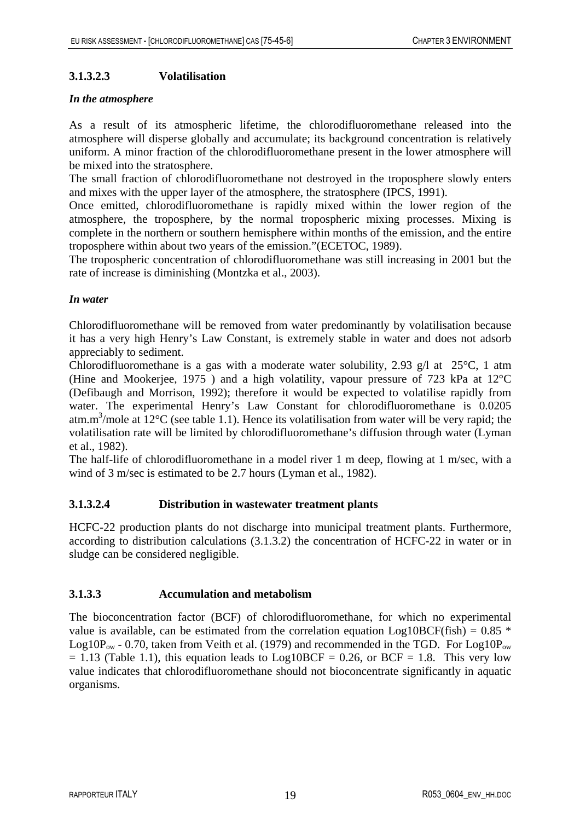#### **3.1.3.2.3 Volatilisation**

#### *In the atmosphere*

As a result of its atmospheric lifetime, the chlorodifluoromethane released into the atmosphere will disperse globally and accumulate; its background concentration is relatively uniform. A minor fraction of the chlorodifluoromethane present in the lower atmosphere will be mixed into the stratosphere.

The small fraction of chlorodifluoromethane not destroyed in the troposphere slowly enters and mixes with the upper layer of the atmosphere, the stratosphere (IPCS, 1991).

Once emitted, chlorodifluoromethane is rapidly mixed within the lower region of the atmosphere, the troposphere, by the normal tropospheric mixing processes. Mixing is complete in the northern or southern hemisphere within months of the emission, and the entire troposphere within about two years of the emission."(ECETOC, 1989).

The tropospheric concentration of chlorodifluoromethane was still increasing in 2001 but the rate of increase is diminishing (Montzka et al., 2003).

#### *In water*

Chlorodifluoromethane will be removed from water predominantly by volatilisation because it has a very high Henry's Law Constant, is extremely stable in water and does not adsorb appreciably to sediment.

Chlorodifluoromethane is a gas with a moderate water solubility, 2.93 g/l at  $25^{\circ}$ C, 1 atm (Hine and Mookerjee, 1975 ) and a high volatility, vapour pressure of 723 kPa at 12°C (Defibaugh and Morrison, 1992); therefore it would be expected to volatilise rapidly from water. The experimental Henry's Law Constant for chlorodifluoromethane is 0.0205 atm.m<sup>3</sup>/mole at  $12^{\circ}$ C (see table 1.1). Hence its volatilisation from water will be very rapid; the volatilisation rate will be limited by chlorodifluoromethane's diffusion through water (Lyman et al., 1982).

The half-life of chlorodifluoromethane in a model river 1 m deep, flowing at 1 m/sec, with a wind of 3 m/sec is estimated to be 2.7 hours (Lyman et al., 1982).

#### **3.1.3.2.4 Distribution in wastewater treatment plants**

HCFC-22 production plants do not discharge into municipal treatment plants. Furthermore, according to distribution calculations (3.1.3.2) the concentration of HCFC-22 in water or in sludge can be considered negligible.

#### **3.1.3.3 Accumulation and metabolism**

The bioconcentration factor (BCF) of chlorodifluoromethane, for which no experimental value is available, can be estimated from the correlation equation Log10BCF(fish) =  $0.85$  \* Log10P<sub>ow</sub> - 0.70, taken from Veith et al. (1979) and recommended in the TGD. For Log10P<sub>ow</sub>  $= 1.13$  (Table 1.1), this equation leads to Log10BCF = 0.26, or BCF = 1.8. This very low value indicates that chlorodifluoromethane should not bioconcentrate significantly in aquatic organisms.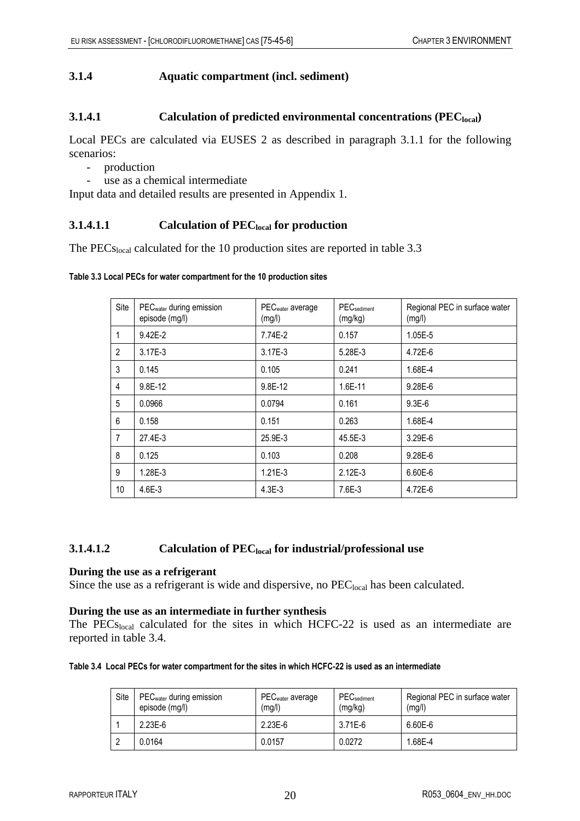## <span id="page-27-0"></span>**3.1.4 Aquatic compartment (incl. sediment)**

## **3.1.4.1 Calculation of predicted environmental concentrations (PEC<sub>local</sub>)**

Local PECs are calculated via EUSES 2 as described in paragraph 3.1.1 for the following scenarios:

- production
- use as a chemical intermediate

Input data and detailed results are presented in Appendix 1.

## **3.1.4.1.1 Calculation of PEC**<sub>local</sub> for production

The PECs<sub>local</sub> calculated for the 10 production sites are reported in table 3.3

#### **Table 3.3 Local PECs for water compartment for the 10 production sites**

| Site           | PEC <sub>water</sub> during emission<br>episode (mg/l) | PEC <sub>water</sub> average<br>(mg/l) | <b>PEC</b> sediment<br>(mg/kg) | Regional PEC in surface water<br>(mg/l) |
|----------------|--------------------------------------------------------|----------------------------------------|--------------------------------|-----------------------------------------|
| 1              | $9.42E - 2$                                            | 7.74E-2                                | 0.157                          | 1.05E-5                                 |
| $\overline{2}$ | 3.17E-3                                                | 3.17E-3                                | 5.28E-3                        | 4.72E-6                                 |
| 3              | 0.145                                                  | 0.105                                  | 0.241                          | 1.68E-4                                 |
| 4              | 9.8E-12                                                | 9.8E-12                                | 1.6E-11                        | 9.28E-6                                 |
| 5              | 0.0966                                                 | 0.0794                                 | 0.161                          | $9.3E-6$                                |
| 6              | 0.158                                                  | 0.151                                  | 0.263                          | 1.68E-4                                 |
| $\overline{7}$ | 27.4E-3                                                | 25.9E-3                                | 45.5E-3                        | 3.29E-6                                 |
| 8              | 0.125                                                  | 0.103                                  | 0.208                          | 9.28E-6                                 |
| 9              | 1.28E-3                                                | $1.21E-3$                              | $2.12E - 3$                    | 6.60E-6                                 |
| 10             | 4.6E-3                                                 | $4.3E-3$                               | 7.6E-3                         | 4.72E-6                                 |

#### **3.1.4.1.2 Calculation of PEClocal for industrial/professional use**

#### **During the use as a refrigerant**

Since the use as a refrigerant is wide and dispersive, no  $PEC<sub>local</sub>$  has been calculated.

#### **During the use as an intermediate in further synthesis**

The PEC<sub>slocal</sub> calculated for the sites in which HCFC-22 is used as an intermediate are reported in table 3.4.

**Table 3.4 Local PECs for water compartment for the sites in which HCFC-22 is used as an intermediate** 

| Site | PEC <sub>water</sub> during emission<br>episode (mg/l) | PEC <sub>water</sub> average<br>(mq/l) | PEC <sub>sediment</sub><br>(mg/kg) | Regional PEC in surface water<br>(mq/l) |
|------|--------------------------------------------------------|----------------------------------------|------------------------------------|-----------------------------------------|
|      | $2.23E-6$                                              | 2.23E-6                                | 3.71E-6                            | 6.60E-6                                 |
|      | 0.0164                                                 | 0.0157                                 | 0.0272                             | 1.68E-4                                 |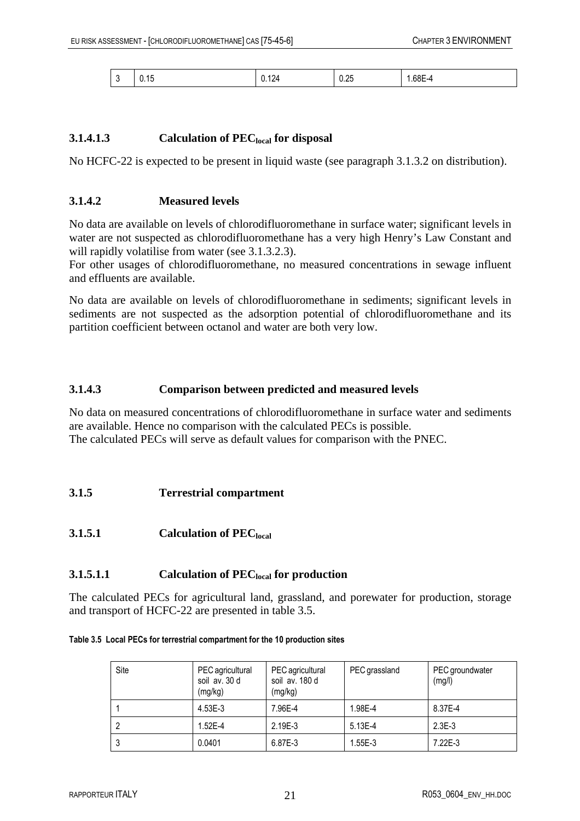|  | $\overline{ }$<br>0.10 | '24<br><b>LT</b> | った<br>∪.∠∪ | $1.68E -$ |
|--|------------------------|------------------|------------|-----------|
|  |                        |                  |            |           |

## **3.1.4.1.3 Calculation of PEClocal for disposal**

No HCFC-22 is expected to be present in liquid waste (see paragraph 3.1.3.2 on distribution).

### **3.1.4.2 Measured levels**

No data are available on levels of chlorodifluoromethane in surface water; significant levels in water are not suspected as chlorodifluoromethane has a very high Henry's Law Constant and will rapidly volatilise from water (see 3.1.3.2.3).

For other usages of chlorodifluoromethane, no measured concentrations in sewage influent and effluents are available.

No data are available on levels of chlorodifluoromethane in sediments; significant levels in sediments are not suspected as the adsorption potential of chlorodifluoromethane and its partition coefficient between octanol and water are both very low.

## **3.1.4.3 Comparison between predicted and measured levels**

No data on measured concentrations of chlorodifluoromethane in surface water and sediments are available. Hence no comparison with the calculated PECs is possible. The calculated PECs will serve as default values for comparison with the PNEC.

#### <span id="page-28-0"></span>**3.1.5 Terrestrial compartment**

## **3.1.5.1 Calculation of PEClocal**

#### **3.1.5.1.1 Calculation of PEClocal for production**

The calculated PECs for agricultural land, grassland, and porewater for production, storage and transport of HCFC-22 are presented in table 3.5.

|  |  |  |  |  | Table 3.5 Local PECs for terrestrial compartment for the 10 production sites |
|--|--|--|--|--|------------------------------------------------------------------------------|
|--|--|--|--|--|------------------------------------------------------------------------------|

| Site | PEC agricultural<br>soil av. 30 d<br>(mg/kg) | PEC agricultural<br>soil av. 180 d<br>(mg/kg) | PEC grassland | PEC groundwater<br>(mg/l) |
|------|----------------------------------------------|-----------------------------------------------|---------------|---------------------------|
|      | 4.53E-3                                      | 7.96E-4                                       | 1.98E-4       | 8.37E-4                   |
|      | 1.52E-4                                      | 2.19E-3                                       | 5.13E-4       | $2.3E-3$                  |
|      | 0.0401                                       | 6.87E-3                                       | 1.55E-3       | 7.22E-3                   |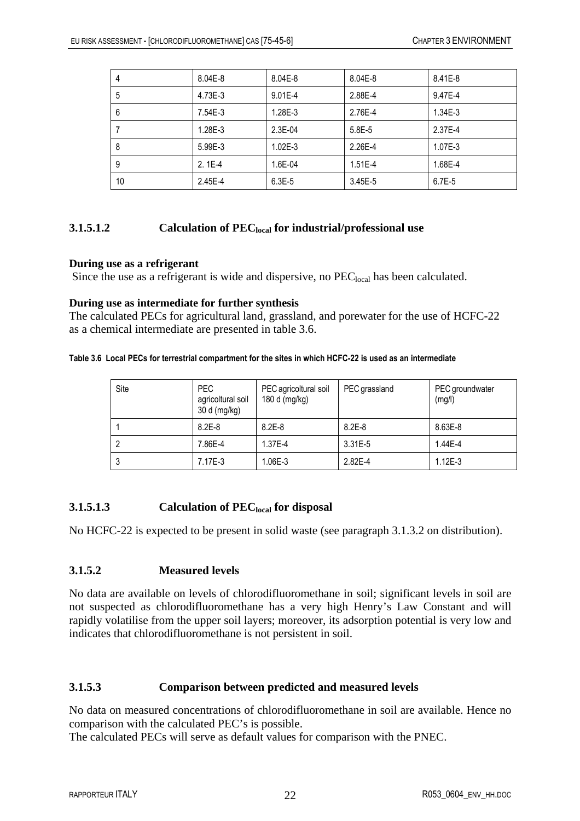| 4  | 8.04E-8  | 8.04E-8    | 8.04E-8     | 8.41E-8 |
|----|----------|------------|-------------|---------|
| 5  | 4.73E-3  | 9.01E-4    | 2.88E-4     | 9.47E-4 |
| 6  | 7.54E-3  | 1.28E-3    | 2.76E-4     | 1.34E-3 |
|    | 1.28E-3  | $2.3E-04$  | $5.8E - 5$  | 2.37E-4 |
| 8  | 5.99E-3  | 1.02E-3    | 2.26E-4     | 1.07E-3 |
| 9  | $2.1E-4$ | 1.6E-04    | $1.51E - 4$ | 1.68E-4 |
| 10 | 2.45E-4  | $6.3E - 5$ | 3.45E-5     | 6.7E-5  |

# **3.1.5.1.2 Calculation of PEC**<sub>local</sub> for industrial/professional use

#### **During use as a refrigerant**

Since the use as a refrigerant is wide and dispersive, no  $PEC<sub>local</sub>$  has been calculated.

#### **During use as intermediate for further synthesis**

The calculated PECs for agricultural land, grassland, and porewater for the use of HCFC-22 as a chemical intermediate are presented in table 3.6.

#### **Table 3.6 Local PECs for terrestrial compartment for the sites in which HCFC-22 is used as an intermediate**

| Site | <b>PEC</b><br>agricoltural soil<br>30 d (mg/kg) | PEC agricoltural soil<br>180 d (mg/kg) | PEC grassland | PEC groundwater<br>(mg/l) |
|------|-------------------------------------------------|----------------------------------------|---------------|---------------------------|
|      | $8.2E - 8$                                      | $8.2E - 8$                             | $8.2E - 8$    | 8.63E-8                   |
|      | 7.86E-4                                         | 1.37E-4                                | 3.31E-5       | 1.44E-4                   |
| 3    | 7.17E-3                                         | 1.06E-3                                | 2.82E-4       | $1.12E - 3$               |

## **3.1.5.1.3 Calculation of PEC**<sub>local</sub> for disposal

No HCFC-22 is expected to be present in solid waste (see paragraph 3.1.3.2 on distribution).

## **3.1.5.2 Measured levels**

No data are available on levels of chlorodifluoromethane in soil; significant levels in soil are not suspected as chlorodifluoromethane has a very high Henry's Law Constant and will rapidly volatilise from the upper soil layers; moreover, its adsorption potential is very low and indicates that chlorodifluoromethane is not persistent in soil.

#### **3.1.5.3 Comparison between predicted and measured levels**

No data on measured concentrations of chlorodifluoromethane in soil are available. Hence no comparison with the calculated PEC's is possible.

The calculated PECs will serve as default values for comparison with the PNEC.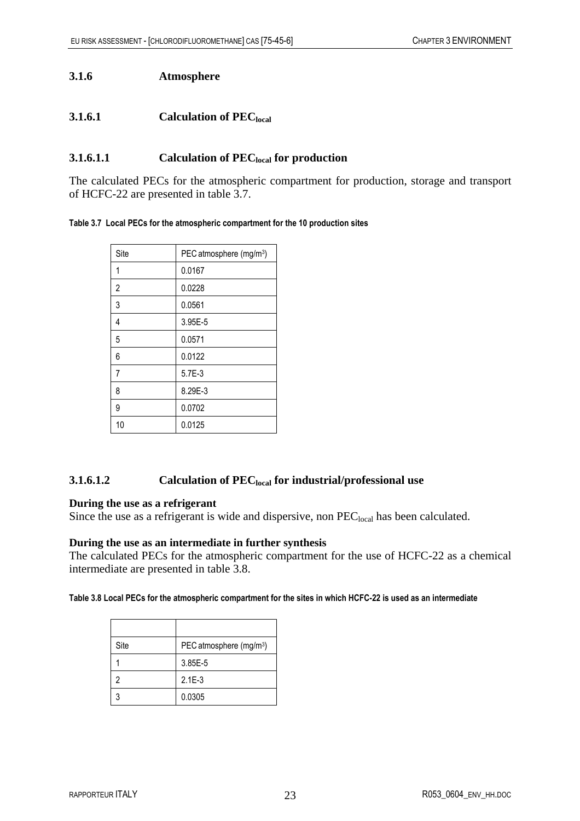### **3.1.6 Atmosphere**

## <span id="page-30-0"></span>**3.1.6.1 Calculation of PEClocal**

#### **3.1.6.1.1 Calculation of PEClocal for production**

The calculated PECs for the atmospheric compartment for production, storage and transport of HCFC-22 are presented in table 3.7.

|  |  |  |  |  |  | Table 3.7 Local PECs for the atmospheric compartment for the 10 production sites |  |
|--|--|--|--|--|--|----------------------------------------------------------------------------------|--|
|--|--|--|--|--|--|----------------------------------------------------------------------------------|--|

| Site | PEC atmosphere (mg/m <sup>3</sup> ) |
|------|-------------------------------------|
| 1    | 0.0167                              |
| 2    | 0.0228                              |
| 3    | 0.0561                              |
| 4    | 3.95E-5                             |
| 5    | 0.0571                              |
| 6    | 0.0122                              |
| 7    | 5.7E-3                              |
| 8    | 8.29E-3                             |
| 9    | 0.0702                              |
| 10   | 0.0125                              |

### **3.1.6.1.2 Calculation of PEClocal for industrial/professional use**

#### **During the use as a refrigerant**

Since the use as a refrigerant is wide and dispersive, non  $PEC<sub>local</sub>$  has been calculated.

### **During the use as an intermediate in further synthesis**

The calculated PECs for the atmospheric compartment for the use of HCFC-22 as a chemical intermediate are presented in table 3.8.

| Table 3.8 Local PECs for the atmospheric compartment for the sites in which HCFC-22 is used as an intermediate |  |
|----------------------------------------------------------------------------------------------------------------|--|
|----------------------------------------------------------------------------------------------------------------|--|

| Site | PEC atmosphere (mg/m <sup>3</sup> ) |
|------|-------------------------------------|
|      | 3.85E-5                             |
| 2    | $2.1E-3$                            |
| ٩    | 0.0305                              |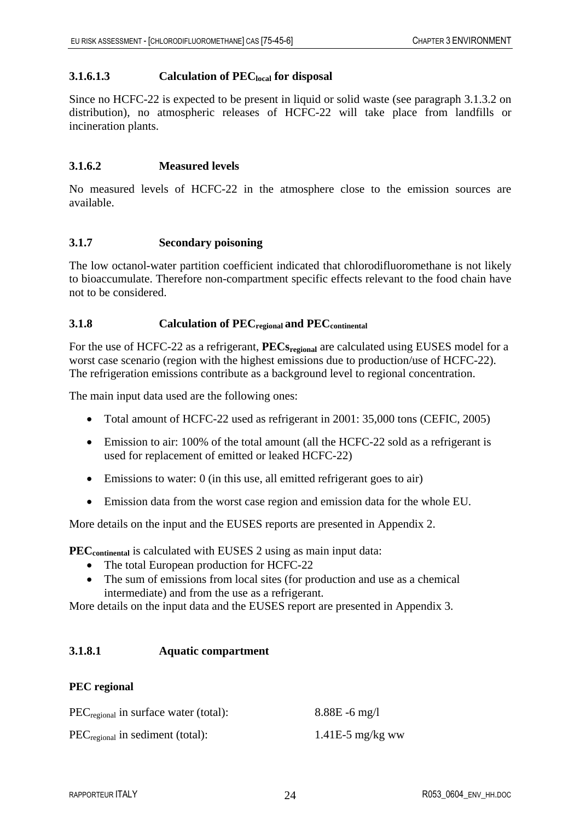## **3.1.6.1.3 Calculation of PEClocal for disposal**

Since no HCFC-22 is expected to be present in liquid or solid waste (see paragraph 3.1.3.2 on distribution), no atmospheric releases of HCFC-22 will take place from landfills or incineration plants.

## **3.1.6.2 Measured levels**

No measured levels of HCFC-22 in the atmosphere close to the emission sources are available.

#### **3.1.7 Secondary poisoning**

<span id="page-31-0"></span>The low octanol-water partition coefficient indicated that chlorodifluoromethane is not likely to bioaccumulate. Therefore non-compartment specific effects relevant to the food chain have not to be considered.

## **3.1.8 Calculation of PEC**<sub>regional</sub> and PEC<sub>continental</sub>

<span id="page-31-1"></span>For the use of HCFC-22 as a refrigerant, **PECs**<sub>regional</sub> are calculated using EUSES model for a worst case scenario (region with the highest emissions due to production/use of HCFC-22). The refrigeration emissions contribute as a background level to regional concentration.

The main input data used are the following ones:

- Total amount of HCFC-22 used as refrigerant in 2001: 35,000 tons (CEFIC, 2005)
- Emission to air: 100% of the total amount (all the HCFC-22 sold as a refrigerant is used for replacement of emitted or leaked HCFC-22)
- Emissions to water: 0 (in this use, all emitted refrigerant goes to air)
- Emission data from the worst case region and emission data for the whole EU.

More details on the input and the EUSES reports are presented in Appendix 2.

**PEC**<sub>continental</sub> is calculated with EUSES 2 using as main input data:

- The total European production for HCFC-22
- The sum of emissions from local sites (for production and use as a chemical intermediate) and from the use as a refrigerant.

More details on the input data and the EUSES report are presented in Appendix 3.

## **3.1.8.1 Aquatic compartment**

## **PEC regional**

| $PEC_{\text{regional}}$ in surface water (total): | $8.88E - 6$ mg/l   |
|---------------------------------------------------|--------------------|
| $PEC_{\text{regional}}$ in sediment (total):      | $1.41E-5$ mg/kg ww |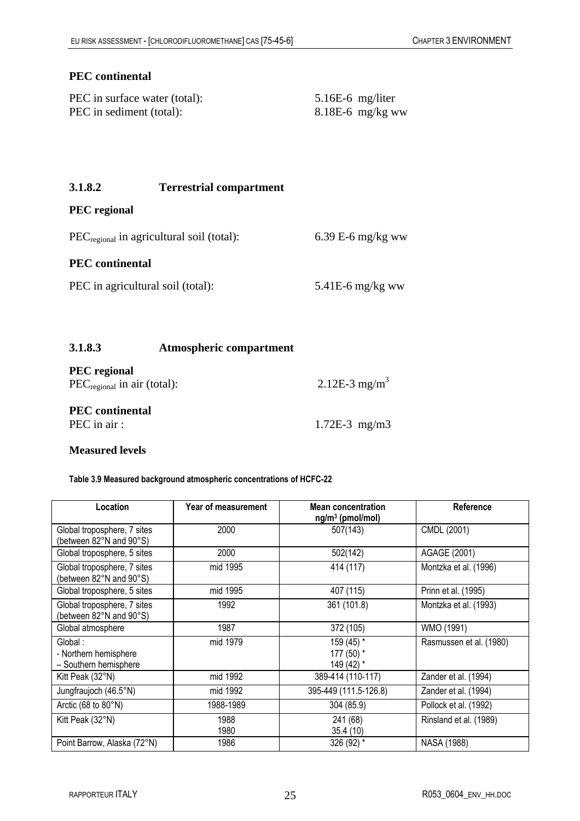## **PEC continental**

| PEC in surface water (total): | $5.16E-6$ mg/liter |                    |
|-------------------------------|--------------------|--------------------|
| PEC in sediment (total):      |                    | $8.18E-6$ mg/kg ww |

# **3.1.8.2 Terrestrial compartment**

## **PEC regional**

| $PEC_{\text{reational}}$ in agricultural soil (total): | $6.39$ E-6 mg/kg ww |
|--------------------------------------------------------|---------------------|
| <b>PEC</b> continental                                 |                     |

# PEC in agricultural soil (total): 5.41E-6 mg/kg ww

# **3.1.8.3 Atmospheric compartment**

#### **PEC regional**

PEC<sub>regional</sub> in air (total):  $2.12E-3$  mg/m<sup>3</sup>

#### **PEC continental**

PEC in air : 1.72E-3 mg/m3

#### **Measured levels**

#### **Table 3.9 Measured background atmospheric concentrations of HCFC-22**

| Location                                                  | Year of measurement | <b>Mean concentration</b><br>$ng/m3$ (pmol/mol) | Reference               |
|-----------------------------------------------------------|---------------------|-------------------------------------------------|-------------------------|
| Global troposphere, 7 sites<br>(between 82°N and 90°S)    | 2000                | 507(143)                                        | CMDL (2001)             |
| Global troposphere, 5 sites                               | 2000                | 502(142)                                        | AGAGE (2001)            |
| Global troposphere, 7 sites<br>(between 82°N and 90°S)    | mid 1995            | 414 (117)                                       | Montzka et al. (1996)   |
| Global troposphere, 5 sites                               | mid 1995            | 407 (115)                                       | Prinn et al. (1995)     |
| Global troposphere, 7 sites<br>(between 82°N and 90°S)    | 1992                | 361 (101.8)                                     | Montzka et al. (1993)   |
| Global atmosphere                                         | 1987                | 372 (105)                                       | WMO (1991)              |
| Global:<br>- Northern hemisphere<br>- Southern hemisphere | mid 1979            | 159 (45) *<br>177 (50) *<br>149 (42) *          | Rasmussen et al. (1980) |
| Kitt Peak (32°N)                                          | mid 1992            | 389-414 (110-117)                               | Zander et al. (1994)    |
| Jungfraujoch (46.5°N)                                     | mid 1992            | 395-449 (111.5-126.8)                           | Zander et al. (1994)    |
| Arctic (68 to $80^{\circ}$ N)                             | 1988-1989           | 304 (85.9)                                      | Pollock et al. (1992)   |
| Kitt Peak (32°N)                                          | 1988<br>1980        | 241 (68)<br>35.4(10)                            | Rinsland et al. (1989)  |
| Point Barrow, Alaska (72°N)                               | 1986                | 326 (92) *                                      | NASA (1988)             |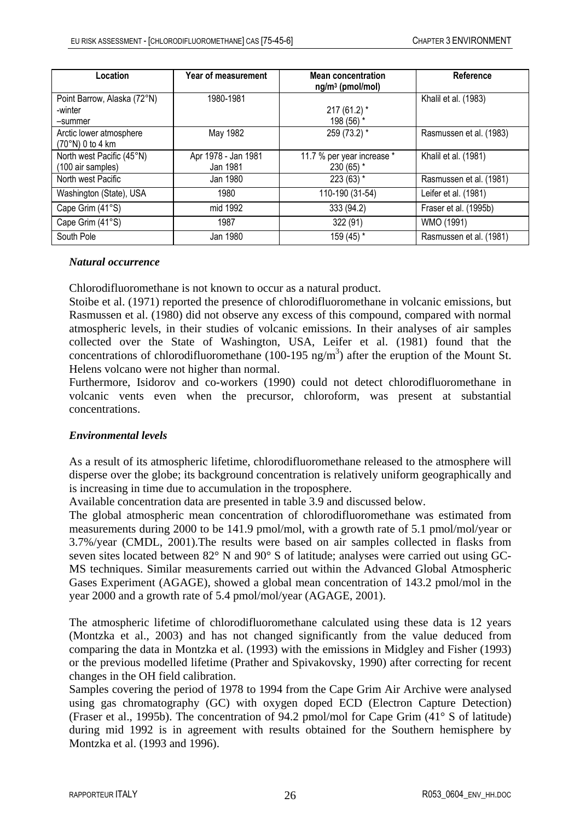| Location                    | Year of measurement | <b>Mean concentration</b><br>$ng/m3$ (pmol/mol) | Reference               |
|-----------------------------|---------------------|-------------------------------------------------|-------------------------|
| Point Barrow, Alaska (72°N) | 1980-1981           |                                                 | Khalil et al. (1983)    |
| -winter                     |                     | 217 (61.2) *                                    |                         |
| -summer                     |                     | 198 (56) *                                      |                         |
| Arctic lower atmosphere     | May 1982            | 259 (73.2) *                                    | Rasmussen et al. (1983) |
| $(70°N)$ 0 to 4 km          |                     |                                                 |                         |
| North west Pacific (45°N)   | Apr 1978 - Jan 1981 | 11.7 % per year increase *                      | Khalil et al. (1981)    |
| (100 air samples)           | Jan 1981            | 230 $(65)$ *                                    |                         |
| North west Pacific          | Jan 1980            | $223(63)$ *                                     | Rasmussen et al. (1981) |
| Washington (State), USA     | 1980                | 110-190 (31-54)                                 | Leifer et al. (1981)    |
| Cape Grim (41°S)            | mid 1992            | 333 (94.2)                                      | Fraser et al. (1995b)   |
| Cape Grim (41°S)            | 1987                | 322 (91)                                        | WMO (1991)              |
| South Pole                  | Jan 1980            | 159 (45) *                                      | Rasmussen et al. (1981) |

#### *Natural occurrence*

Chlorodifluoromethane is not known to occur as a natural product.

Stoibe et al. (1971) reported the presence of chlorodifluoromethane in volcanic emissions, but Rasmussen et al. (1980) did not observe any excess of this compound, compared with normal atmospheric levels, in their studies of volcanic emissions. In their analyses of air samples collected over the State of Washington, USA, Leifer et al. (1981) found that the concentrations of chlorodifluoromethane (100-195 ng/m<sup>3</sup>) after the eruption of the Mount St. Helens volcano were not higher than normal.

Furthermore, Isidorov and co-workers (1990) could not detect chlorodifluoromethane in volcanic vents even when the precursor, chloroform, was present at substantial concentrations.

#### *Environmental levels*

As a result of its atmospheric lifetime, chlorodifluoromethane released to the atmosphere will disperse over the globe; its background concentration is relatively uniform geographically and is increasing in time due to accumulation in the troposphere.

Available concentration data are presented in table 3.9 and discussed below.

The global atmospheric mean concentration of chlorodifluoromethane was estimated from measurements during 2000 to be 141.9 pmol/mol, with a growth rate of 5.1 pmol/mol/year or 3.7%/year (CMDL, 2001).The results were based on air samples collected in flasks from seven sites located between 82° N and 90° S of latitude; analyses were carried out using GC-MS techniques. Similar measurements carried out within the Advanced Global Atmospheric Gases Experiment (AGAGE), showed a global mean concentration of 143.2 pmol/mol in the year 2000 and a growth rate of 5.4 pmol/mol/year (AGAGE, 2001).

The atmospheric lifetime of chlorodifluoromethane calculated using these data is 12 years (Montzka et al., 2003) and has not changed significantly from the value deduced from comparing the data in Montzka et al. (1993) with the emissions in Midgley and Fisher (1993) or the previous modelled lifetime (Prather and Spivakovsky, 1990) after correcting for recent changes in the OH field calibration.

Samples covering the period of 1978 to 1994 from the Cape Grim Air Archive were analysed using gas chromatography (GC) with oxygen doped ECD (Electron Capture Detection) (Fraser et al., 1995b). The concentration of 94.2 pmol/mol for Cape Grim (41° S of latitude) during mid 1992 is in agreement with results obtained for the Southern hemisphere by Montzka et al. (1993 and 1996).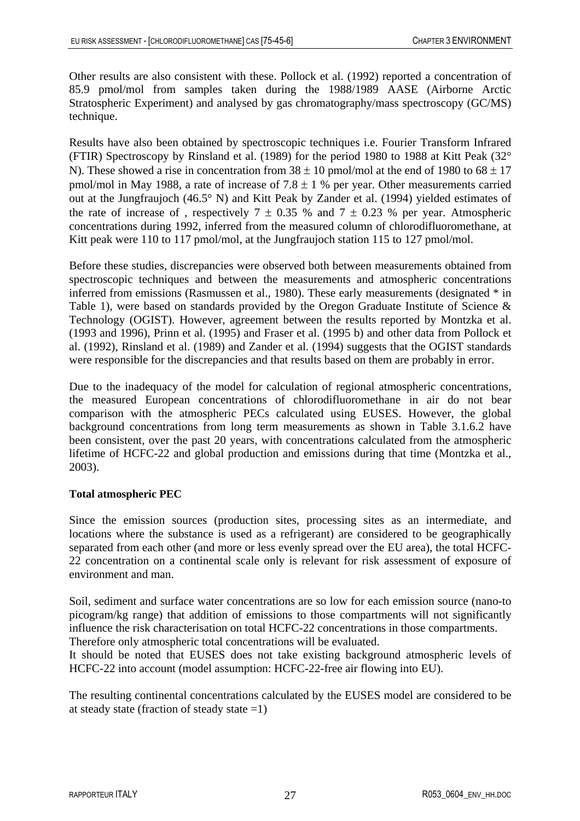Other results are also consistent with these. Pollock et al. (1992) reported a concentration of 85.9 pmol/mol from samples taken during the 1988/1989 AASE (Airborne Arctic Stratospheric Experiment) and analysed by gas chromatography/mass spectroscopy (GC/MS) technique.

Results have also been obtained by spectroscopic techniques i.e. Fourier Transform Infrared (FTIR) Spectroscopy by Rinsland et al. (1989) for the period 1980 to 1988 at Kitt Peak (32° N). These showed a rise in concentration from  $38 \pm 10$  pmol/mol at the end of 1980 to  $68 \pm 17$ pmol/mol in May 1988, a rate of increase of  $7.8 \pm 1$  % per year. Other measurements carried out at the Jungfraujoch (46.5° N) and Kitt Peak by Zander et al. (1994) yielded estimates of the rate of increase of, respectively  $7 \pm 0.35$  % and  $7 \pm 0.23$  % per year. Atmospheric concentrations during 1992, inferred from the measured column of chlorodifluoromethane, at Kitt peak were 110 to 117 pmol/mol, at the Jungfraujoch station 115 to 127 pmol/mol.

Before these studies, discrepancies were observed both between measurements obtained from spectroscopic techniques and between the measurements and atmospheric concentrations inferred from emissions (Rasmussen et al., 1980). These early measurements (designated \* in Table 1), were based on standards provided by the Oregon Graduate Institute of Science & Technology (OGIST). However, agreement between the results reported by Montzka et al. (1993 and 1996), Prinn et al. (1995) and Fraser et al. (1995 b) and other data from Pollock et al. (1992), Rinsland et al. (1989) and Zander et al. (1994) suggests that the OGIST standards were responsible for the discrepancies and that results based on them are probably in error.

Due to the inadequacy of the model for calculation of regional atmospheric concentrations, the measured European concentrations of chlorodifluoromethane in air do not bear comparison with the atmospheric PECs calculated using EUSES. However, the global background concentrations from long term measurements as shown in Table 3.1.6.2 have been consistent, over the past 20 years, with concentrations calculated from the atmospheric lifetime of HCFC-22 and global production and emissions during that time (Montzka et al., 2003).

## **Total atmospheric PEC**

Since the emission sources (production sites, processing sites as an intermediate, and locations where the substance is used as a refrigerant) are considered to be geographically separated from each other (and more or less evenly spread over the EU area), the total HCFC-22 concentration on a continental scale only is relevant for risk assessment of exposure of environment and man.

Soil, sediment and surface water concentrations are so low for each emission source (nano-to picogram/kg range) that addition of emissions to those compartments will not significantly influence the risk characterisation on total HCFC-22 concentrations in those compartments. Therefore only atmospheric total concentrations will be evaluated.

It should be noted that EUSES does not take existing background atmospheric levels of HCFC-22 into account (model assumption: HCFC-22-free air flowing into EU).

The resulting continental concentrations calculated by the EUSES model are considered to be at steady state (fraction of steady state  $=1$ )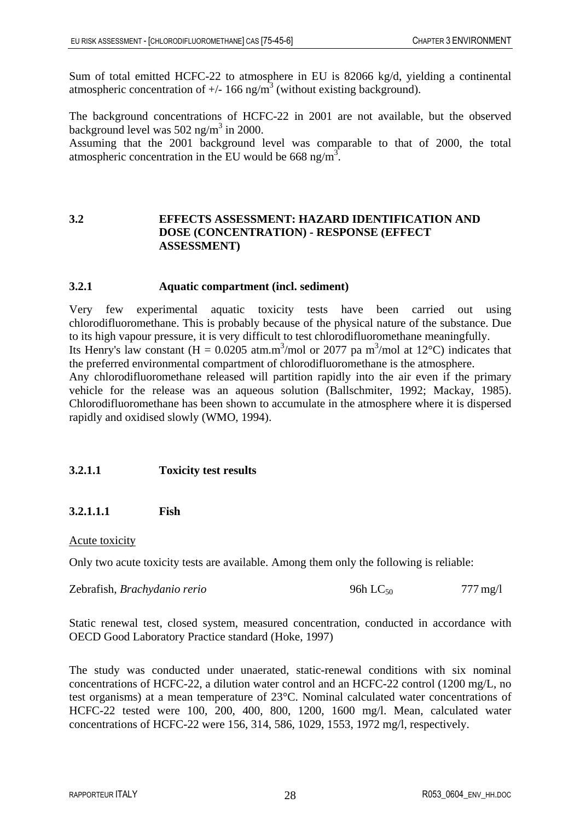Sum of total emitted HCFC-22 to atmosphere in EU is 82066 kg/d, yielding a continental atmospheric concentration of  $+/- 166$  ng/m<sup>3</sup> (without existing background).

The background concentrations of HCFC-22 in 2001 are not available, but the observed background level was  $502$  ng/m<sup>3</sup> in 2000.

Assuming that the 2001 background level was comparable to that of 2000, the total atmospheric concentration in the EU would be 668 ng/m<sup>3</sup>.

### <span id="page-35-0"></span>**3.2 EFFECTS ASSESSMENT: HAZARD IDENTIFICATION AND DOSE (CONCENTRATION) - RESPONSE (EFFECT ASSESSMENT)**

## **3.2.1 Aquatic compartment (incl. sediment)**

<span id="page-35-1"></span>Very few experimental aquatic toxicity tests have been carried out using chlorodifluoromethane. This is probably because of the physical nature of the substance. Due to its high vapour pressure, it is very difficult to test chlorodifluoromethane meaningfully. Its Henry's law constant (H = 0.0205 atm.m<sup>3</sup>/mol or 2077 pa m<sup>3</sup>/mol at 12°C) indicates that the preferred environmental compartment of chlorodifluoromethane is the atmosphere.

Any chlorodifluoromethane released will partition rapidly into the air even if the primary vehicle for the release was an aqueous solution (Ballschmiter, 1992; Mackay, 1985). Chlorodifluoromethane has been shown to accumulate in the atmosphere where it is dispersed rapidly and oxidised slowly (WMO, 1994).

## **3.2.1.1 Toxicity test results**

## **3.2.1.1.1 Fish**

#### Acute toxicity

Only two acute toxicity tests are available. Among them only the following is reliable:

Zebrafish, *Brachydanio rerio* 96h LC<sub>50</sub> 777 mg/l

Static renewal test, closed system, measured concentration, conducted in accordance with OECD Good Laboratory Practice standard (Hoke, 1997)

The study was conducted under unaerated, static-renewal conditions with six nominal concentrations of HCFC-22, a dilution water control and an HCFC-22 control (1200 mg/L, no test organisms) at a mean temperature of 23°C. Nominal calculated water concentrations of HCFC-22 tested were 100, 200, 400, 800, 1200, 1600 mg/l. Mean, calculated water concentrations of HCFC-22 were 156, 314, 586, 1029, 1553, 1972 mg/l, respectively.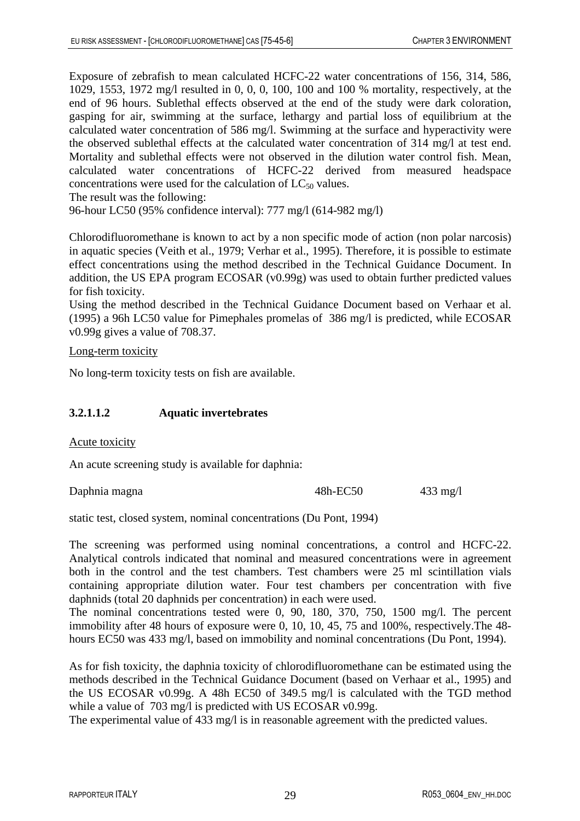Exposure of zebrafish to mean calculated HCFC-22 water concentrations of 156, 314, 586, 1029, 1553, 1972 mg/l resulted in 0, 0, 0, 100, 100 and 100 % mortality, respectively, at the end of 96 hours. Sublethal effects observed at the end of the study were dark coloration, gasping for air, swimming at the surface, lethargy and partial loss of equilibrium at the calculated water concentration of 586 mg/l. Swimming at the surface and hyperactivity were the observed sublethal effects at the calculated water concentration of 314 mg/l at test end. Mortality and sublethal effects were not observed in the dilution water control fish. Mean, calculated water concentrations of HCFC-22 derived from measured headspace concentrations were used for the calculation of  $LC_{50}$  values.

The result was the following:

96-hour LC50 (95% confidence interval): 777 mg/l (614-982 mg/l)

Chlorodifluoromethane is known to act by a non specific mode of action (non polar narcosis) in aquatic species (Veith et al., 1979; Verhar et al., 1995). Therefore, it is possible to estimate effect concentrations using the method described in the Technical Guidance Document. In addition, the US EPA program ECOSAR (v0.99g) was used to obtain further predicted values for fish toxicity.

Using the method described in the Technical Guidance Document based on Verhaar et al. (1995) a 96h LC50 value for Pimephales promelas of 386 mg/l is predicted, while ECOSAR v0.99g gives a value of 708.37.

Long-term toxicity

No long-term toxicity tests on fish are available.

## **3.2.1.1.2 Aquatic invertebrates**

Acute toxicity

An acute screening study is available for daphnia:

Daphnia magna 48h-EC50 433 mg/l

static test, closed system, nominal concentrations (Du Pont, 1994)

The screening was performed using nominal concentrations, a control and HCFC-22. Analytical controls indicated that nominal and measured concentrations were in agreement both in the control and the test chambers. Test chambers were 25 ml scintillation vials containing appropriate dilution water. Four test chambers per concentration with five daphnids (total 20 daphnids per concentration) in each were used.

The nominal concentrations tested were 0, 90, 180, 370, 750, 1500 mg/l. The percent immobility after 48 hours of exposure were 0, 10, 10, 45, 75 and 100%, respectively.The 48 hours EC50 was 433 mg/l, based on immobility and nominal concentrations (Du Pont, 1994).

As for fish toxicity, the daphnia toxicity of chlorodifluoromethane can be estimated using the methods described in the Technical Guidance Document (based on Verhaar et al., 1995) and the US ECOSAR v0.99g. A 48h EC50 of 349.5 mg/l is calculated with the TGD method while a value of 703 mg/l is predicted with US ECOSAR v0.99g.

The experimental value of 433 mg/l is in reasonable agreement with the predicted values.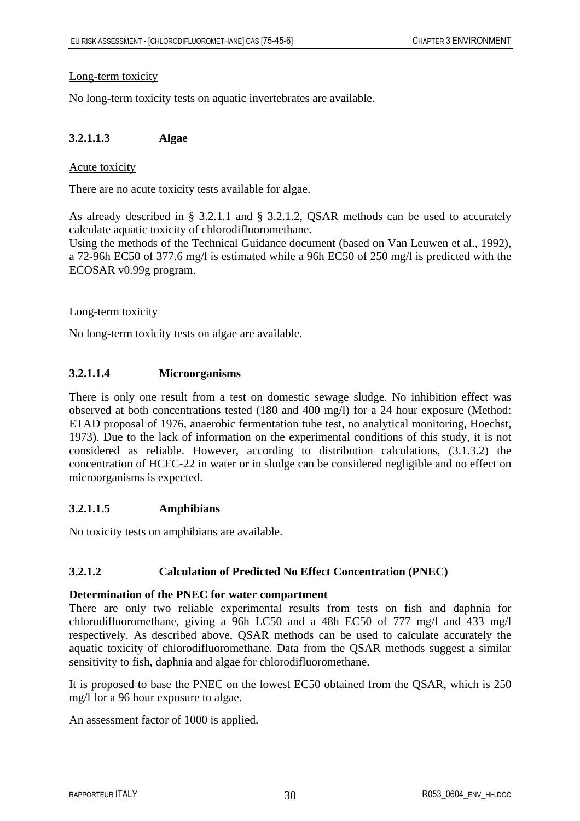## Long-term toxicity

No long-term toxicity tests on aquatic invertebrates are available.

## **3.2.1.1.3 Algae**

### Acute toxicity

There are no acute toxicity tests available for algae.

As already described in § 3.2.1.1 and § 3.2.1.2, QSAR methods can be used to accurately calculate aquatic toxicity of chlorodifluoromethane.

Using the methods of the Technical Guidance document (based on Van Leuwen et al., 1992), a 72-96h EC50 of 377.6 mg/l is estimated while a 96h EC50 of 250 mg/l is predicted with the ECOSAR v0.99g program.

### Long-term toxicity

No long-term toxicity tests on algae are available.

## **3.2.1.1.4 Microorganisms**

There is only one result from a test on domestic sewage sludge. No inhibition effect was observed at both concentrations tested (180 and 400 mg/l) for a 24 hour exposure (Method: ETAD proposal of 1976, anaerobic fermentation tube test, no analytical monitoring, Hoechst, 1973). Due to the lack of information on the experimental conditions of this study, it is not considered as reliable. However, according to distribution calculations, (3.1.3.2) the concentration of HCFC-22 in water or in sludge can be considered negligible and no effect on microorganisms is expected.

### **3.2.1.1.5 Amphibians**

No toxicity tests on amphibians are available.

## **3.2.1.2 Calculation of Predicted No Effect Concentration (PNEC)**

### **Determination of the PNEC for water compartment**

There are only two reliable experimental results from tests on fish and daphnia for chlorodifluoromethane, giving a 96h LC50 and a 48h EC50 of 777 mg/l and 433 mg/l respectively. As described above, QSAR methods can be used to calculate accurately the aquatic toxicity of chlorodifluoromethane. Data from the QSAR methods suggest a similar sensitivity to fish, daphnia and algae for chlorodifluoromethane.

It is proposed to base the PNEC on the lowest EC50 obtained from the QSAR, which is 250 mg/l for a 96 hour exposure to algae.

An assessment factor of 1000 is applied.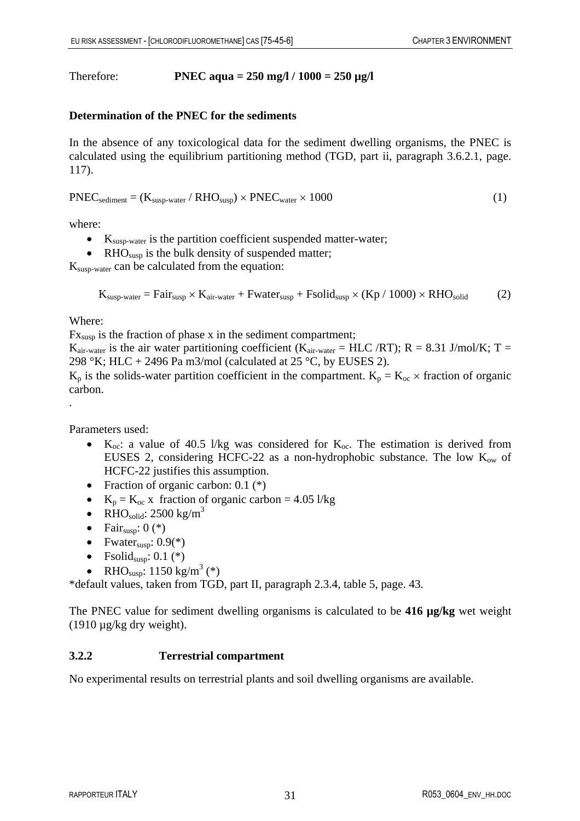Therefore: **PNEC**  $a$ qua =  $250$  mg/l  $/ 1000 = 250$  ug/l

## **Determination of the PNEC for the sediments**

In the absence of any toxicological data for the sediment dwelling organisms, the PNEC is calculated using the equilibrium partitioning method (TGD, part ii, paragraph 3.6.2.1, page. 117).

$$
PNEC_{\text{sediment}} = (K_{\text{susp-water}} / \text{RHO}_{\text{susp}}) \times PNEC_{\text{water}} \times 1000 \tag{1}
$$

where:

- K<sub>susp-water</sub> is the partition coefficient suspended matter-water;
- RHO<sub>susp</sub> is the bulk density of suspended matter;

Ksusp-water can be calculated from the equation:

$$
K_{\text{susp-water}} = \text{Fair}_{\text{susp}} \times K_{\text{air-water}} + \text{Fwater}_{\text{susp}} + \text{Fsolid}_{\text{susp}} \times (Kp / 1000) \times RHO_{\text{solid}} \tag{2}
$$

#### Where:

.

 $Fx_{susp}$  is the fraction of phase x in the sediment compartment;

 $K_{air-water}$  is the air water partitioning coefficient ( $K_{air-water}$  = HLC /RT); R = 8.31 J/mol/K; T = 298 °K; HLC + 2496 Pa m3/mol (calculated at 25 °C, by EUSES 2).

 $K_p$  is the solids-water partition coefficient in the compartment.  $K_p = K_{oc} \times$  fraction of organic carbon.

Parameters used:

- $K_{\text{oc}}$ : a value of 40.5 l/kg was considered for  $K_{\text{oc}}$ . The estimation is derived from EUSES 2, considering HCFC-22 as a non-hydrophobic substance. The low  $K_{ow}$  of HCFC-22 justifies this assumption.
- Fraction of organic carbon:  $0.1$  (\*)
- $K_p = K_{oc} x$  fraction of organic carbon = 4.05 l/kg
- RHO<sub>solid</sub>:  $2500 \text{ kg/m}^3$
- Fair<sub>susp</sub>:  $0$  (\*)
- Fwater<sub>susp</sub>:  $0.9$ <sup>(\*)</sup>)
- Fsolid<sub>susp</sub>:  $0.1$  (\*)
- RHO<sub>susp</sub>: 1150 kg/m<sup>3</sup> (\*)

\*default values, taken from TGD, part II, paragraph 2.3.4, table 5, page. 43.

The PNEC value for sediment dwelling organisms is calculated to be **416 µg/kg** wet weight  $(1910 \mu g/kg$  dry weight).

### **3.2.2 Terrestrial compartment**

No experimental results on terrestrial plants and soil dwelling organisms are available.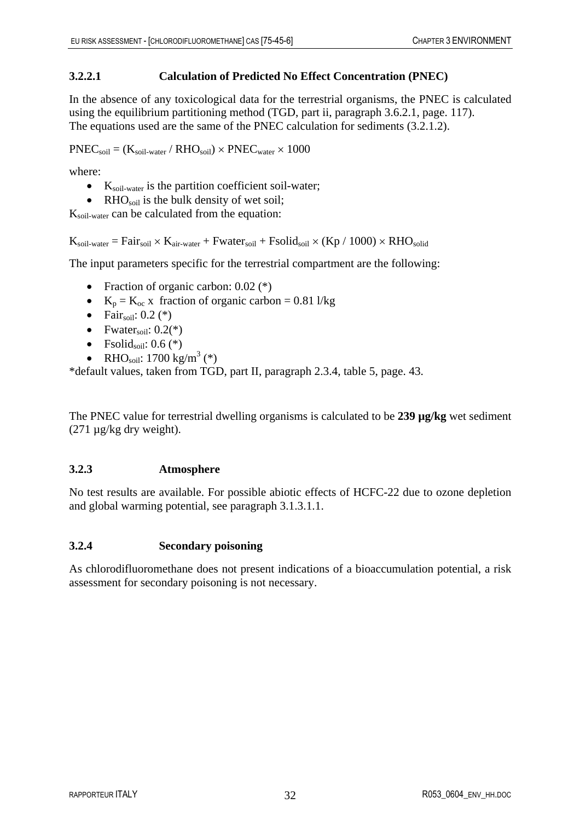## **3.2.2.1 Calculation of Predicted No Effect Concentration (PNEC)**

In the absence of any toxicological data for the terrestrial organisms, the PNEC is calculated using the equilibrium partitioning method (TGD, part ii, paragraph 3.6.2.1, page. 117). The equations used are the same of the PNEC calculation for sediments (3.2.1.2).

 $PNEC_{soil} = (K_{soil-water} / RHO_{soil}) \times PNEC_{water} \times 1000$ 

where:

- $\bullet$  K<sub>soil-water</sub> is the partition coefficient soil-water;
- RHO $_{\text{soil}}$  is the bulk density of wet soil;

Ksoil-water can be calculated from the equation:

 $K_{\text{soil-water}} = \text{Fair}_{\text{soil}} \times K_{\text{air-water}} + \text{Fwater}_{\text{soil}} + \text{Fsolid}_{\text{soil}} \times (Kp / 1000) \times \text{RHO}_{\text{solid}}$ 

The input parameters specific for the terrestrial compartment are the following:

- Fraction of organic carbon:  $0.02$  (\*)
- $K_p = K_{oc} x$  fraction of organic carbon = 0.81 l/kg
- Fair<sub>soil</sub>: 0.2 (\*)
- Fwater<sub>soil</sub>:  $0.2$ <sup>(\*)</sup>)
- Fsolid<sub>soil</sub>:  $0.6$  (\*)
- RHO<sub>soil</sub>: 1700 kg/m<sup>3</sup> (\*)

\*default values, taken from TGD, part II, paragraph 2.3.4, table 5, page. 43.

The PNEC value for terrestrial dwelling organisms is calculated to be **239 µg/kg** wet sediment  $(271 \mu g/kg$  dry weight).

## **3.2.3 Atmosphere**

No test results are available. For possible abiotic effects of HCFC-22 due to ozone depletion and global warming potential, see paragraph 3.1.3.1.1.

## **3.2.4 Secondary poisoning**

As chlorodifluoromethane does not present indications of a bioaccumulation potential, a risk assessment for secondary poisoning is not necessary.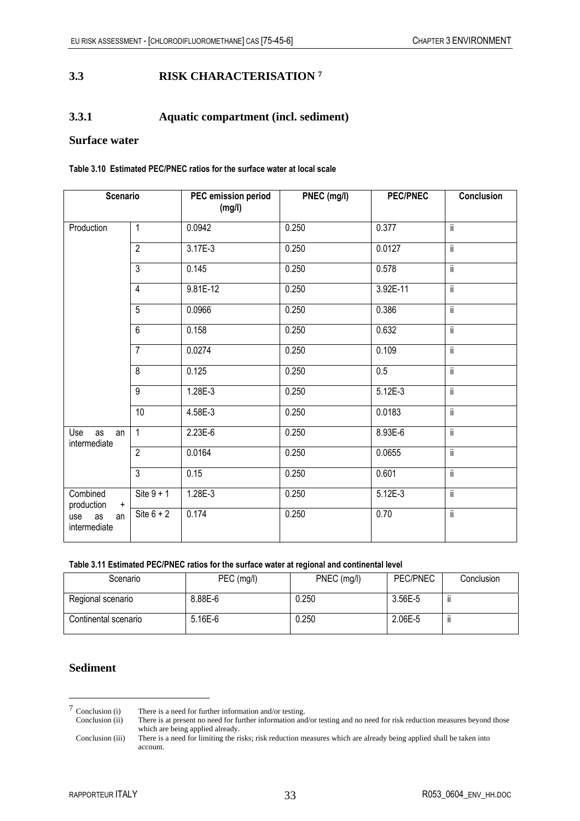#### **3.3 RISK CHARACTERISATION 7**

# **3.3.1 Aquatic compartment (incl. sediment)**

#### **Surface water**

#### **Table 3.10 Estimated PEC/PNEC ratios for the surface water at local scale**

| Scenario                        |                | PEC emission period<br>(mg/l) | PNEC (mg/l) | <b>PEC/PNEC</b> | Conclusion |
|---------------------------------|----------------|-------------------------------|-------------|-----------------|------------|
| Production                      | $\mathbf{1}$   | 0.0942                        | 0.250       | 0.377           | ii.        |
|                                 | $\overline{2}$ | $3.17E-3$                     | 0.250       | 0.0127          | ï          |
|                                 | $\overline{3}$ | 0.145                         | 0.250       | 0.578           | ï          |
|                                 | $\overline{4}$ | 9.81E-12                      | 0.250       | 3.92E-11        | ï          |
|                                 | 5              | 0.0966                        | 0.250       | 0.386           | ï          |
|                                 | $6\phantom{a}$ | 0.158                         | 0.250       | 0.632           | ï          |
|                                 | $\overline{7}$ | 0.0274                        | 0.250       | 0.109           | ΪÏ         |
|                                 | 8              | 0.125                         | 0.250       | 0.5             | ï          |
|                                 | $\overline{9}$ | $1.28E - 3$                   | 0.250       | $5.12E - 3$     | ï          |
|                                 | 10             | 4.58E-3                       | 0.250       | 0.0183          | ï          |
| Use<br>as<br>an<br>intermediate | $\mathbf{1}$   | $2.23E-6$                     | 0.250       | 8.93E-6         | ï          |
|                                 | $\overline{2}$ | 0.0164                        | 0.250       | 0.0655          | ï          |
|                                 | $\overline{3}$ | 0.15                          | 0.250       | 0.601           | ï          |
| Combined<br>production<br>$+$   | Site $9 + 1$   | 1.28E-3                       | 0.250       | $5.12E-3$       | ΪÏ         |
| use<br>as<br>an<br>intermediate | Site $6 + 2$   | 0.174                         | 0.250       | 0.70            | ï          |

#### **Table 3.11 Estimated PEC/PNEC ratios for the surface water at regional and continental level**

| Scenario             | PEC (mg/l) | PNEC (mg/l) | PEC/PNEC | Conclusion |
|----------------------|------------|-------------|----------|------------|
| Regional scenario    | 8.88E-6    | 0.250       | 3.56E-5  | <br>Ш      |
| Continental scenario | $5.16E-6$  | 0.250       | 2.06E-5  | <br>Ш      |

## **Sediment**

 $\overline{a}$ 

 $7$  Conclusion (i) There is a need for further information and/or testing.<br>Conclusion (ii) There is at present no need for further information and

There is at present no need for further information and/or testing and no need for risk reduction measures beyond those which are being applied already.

Conclusion (iii) There is a need for limiting the risks; risk reduction measures which are already being applied shall be taken into account.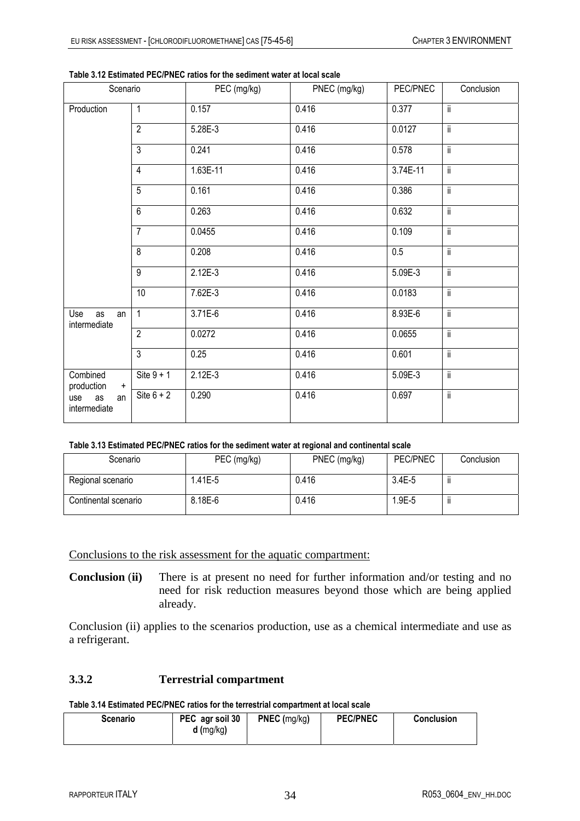| Scenario                        |                 | PEC (mg/kg) | PNEC (mg/kg) | PEC/PNEC    | Conclusion |
|---------------------------------|-----------------|-------------|--------------|-------------|------------|
| Production                      | $\mathbf{1}$    | 0.157       | 0.416        | 0.377       | ΪÏ         |
|                                 | $\overline{2}$  | 5.28E-3     | 0.416        | 0.0127      | Ϊİ         |
|                                 | $\overline{3}$  | 0.241       | 0.416        | 0.578       | ΪÏ         |
|                                 | $\overline{4}$  | 1.63E-11    | 0.416        | 3.74E-11    | ΪÏ         |
|                                 | $\overline{5}$  | 0.161       | 0.416        | 0.386       | ΪĹ         |
|                                 | $\overline{6}$  | 0.263       | 0.416        | 0.632       | ΪÏ         |
|                                 | $\overline{7}$  | 0.0455      | 0.416        | 0.109       | ΪÏ         |
|                                 | 8               | 0.208       | 0.416        | 0.5         | ΪÏ         |
|                                 | $\overline{9}$  | $2.12E-3$   | 0.416        | $5.09E - 3$ | ΪĹ         |
|                                 | $\overline{10}$ | 7.62E-3     | 0.416        | 0.0183      | ΪÏ         |
| Use<br>as<br>an<br>intermediate | $\overline{1}$  | $3.71E - 6$ | 0.416        | 8.93E-6     | ï          |
|                                 | $\overline{2}$  | 0.0272      | 0.416        | 0.0655      | ΪÏ         |
|                                 | $\overline{3}$  | 0.25        | 0.416        | 0.601       | ΪÏ         |
| Combined<br>production<br>$+$   | Site $9 + 1$    | $2.12E-3$   | 0.416        | 5.09E-3     | ΪÏ         |
| use<br>as<br>an<br>intermediate | Site $6 + 2$    | 0.290       | 0.416        | 0.697       | ΪÏ         |

#### **Table 3.13 Estimated PEC/PNEC ratios for the sediment water at regional and continental scale**

| Scenario             | PEC (mg/kg) | PNEC (mg/kg) | PEC/PNEC   | Conclusion |
|----------------------|-------------|--------------|------------|------------|
| Regional scenario    | 1.41E-5     | 0.416        | $3.4E - 5$ | <br>Ш      |
| Continental scenario | 8.18E-6     | 0.416        | 1.9E-5     | Ш          |

Conclusions to the risk assessment for the aquatic compartment:

**Conclusion** (**ii)** There is at present no need for further information and/or testing and no need for risk reduction measures beyond those which are being applied already.

Conclusion (ii) applies to the scenarios production, use as a chemical intermediate and use as a refrigerant.

#### **3.3.2 Terrestrial compartment**

#### **Table 3.14 Estimated PEC/PNEC ratios for the terrestrial compartment at local scale**

| Scenario | PEC agr soil 30<br>$d$ (mg/kg) | <b>PNEC</b> (mg/kg) | <b>PEC/PNEC</b> | <b>Conclusion</b> |
|----------|--------------------------------|---------------------|-----------------|-------------------|
|          |                                |                     |                 |                   |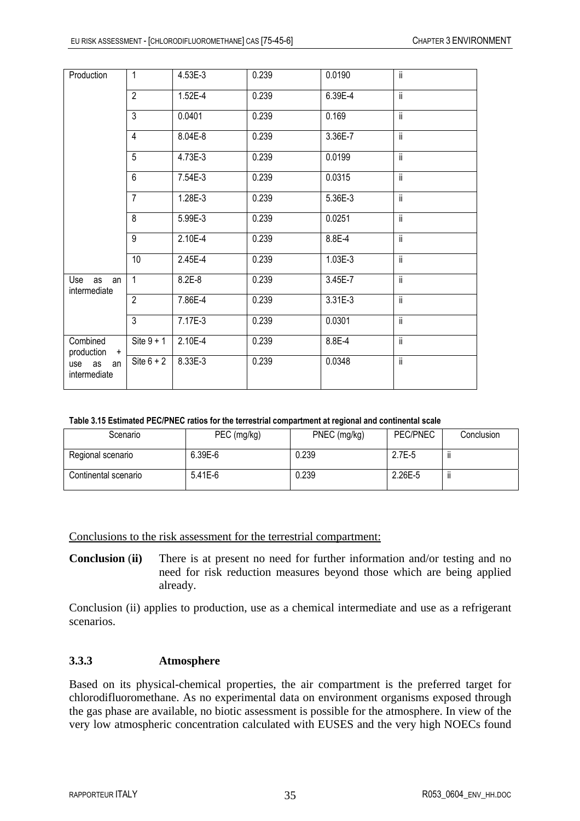| Production                      | 1               | 4.53E-3  | 0.239 | 0.0190    | ï   |
|---------------------------------|-----------------|----------|-------|-----------|-----|
|                                 | $\overline{2}$  | 1.52E-4  | 0.239 | 6.39E-4   | ii. |
|                                 | 3               | 0.0401   | 0.239 | 0.169     | ï   |
|                                 | 4               | 8.04E-8  | 0.239 | 3.36E-7   | ï   |
|                                 | $\overline{5}$  | 4.73E-3  | 0.239 | 0.0199    | ï   |
|                                 | $\overline{6}$  | 7.54E-3  | 0.239 | 0.0315    | ï   |
|                                 | $\overline{7}$  | 1.28E-3  | 0.239 | 5.36E-3   | ï   |
|                                 | 8               | 5.99E-3  | 0.239 | 0.0251    | ï   |
|                                 | 9               | 2.10E-4  | 0.239 | 8.8E-4    | ï   |
|                                 | 10 <sup>1</sup> | 2.45E-4  | 0.239 | 1.03E-3   | ï   |
| Use<br>as<br>an<br>intermediate | $\mathbf{1}$    | $8.2E-8$ | 0.239 | 3.45E-7   | Ï   |
|                                 | $\overline{2}$  | 7.86E-4  | 0.239 | $3.31E-3$ | ï   |
|                                 | 3               | 7.17E-3  | 0.239 | 0.0301    | ï   |
| Combined<br>production<br>$+$   | Site $9 + 1$    | 2.10E-4  | 0.239 | 8.8E-4    | ï   |
| use as<br>an<br>intermediate    | Site $6 + 2$    | 8.33E-3  | 0.239 | 0.0348    | ï   |
|                                 |                 |          |       |           |     |

**Table 3.15 Estimated PEC/PNEC ratios for the terrestrial compartment at regional and continental scale**

| Scenario             | $PEC$ (mg/kg) | PNEC (mg/kg) | PEC/PNEC | Conclusion |
|----------------------|---------------|--------------|----------|------------|
| Regional scenario    | $6.39E-6$     | 0.239        | 2.7E-5   | Ш          |
| Continental scenario | $5.41E - 6$   | 0.239        | 2.26E-5  | Ш          |

Conclusions to the risk assessment for the terrestrial compartment:

**Conclusion** (**ii)** There is at present no need for further information and/or testing and no need for risk reduction measures beyond those which are being applied already.

Conclusion (ii) applies to production, use as a chemical intermediate and use as a refrigerant scenarios.

## **3.3.3 Atmosphere**

Based on its physical-chemical properties, the air compartment is the preferred target for chlorodifluoromethane. As no experimental data on environment organisms exposed through the gas phase are available, no biotic assessment is possible for the atmosphere. In view of the very low atmospheric concentration calculated with EUSES and the very high NOECs found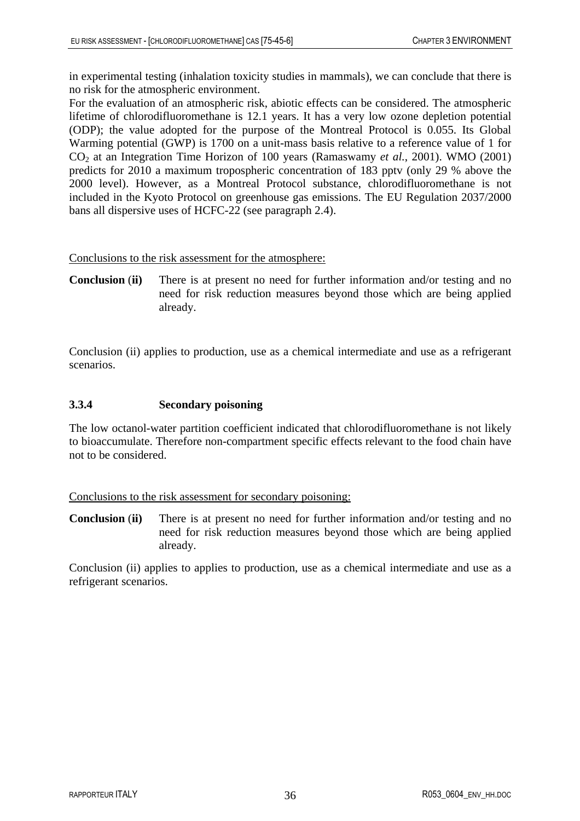in experimental testing (inhalation toxicity studies in mammals), we can conclude that there is no risk for the atmospheric environment.

For the evaluation of an atmospheric risk, abiotic effects can be considered. The atmospheric lifetime of chlorodifluoromethane is 12.1 years. It has a very low ozone depletion potential (ODP); the value adopted for the purpose of the Montreal Protocol is 0.055. Its Global Warming potential (GWP) is 1700 on a unit-mass basis relative to a reference value of 1 for CO2 at an Integration Time Horizon of 100 years (Ramaswamy *et al.*, 2001). WMO (2001) predicts for 2010 a maximum tropospheric concentration of 183 pptv (only 29 % above the 2000 level). However, as a Montreal Protocol substance, chlorodifluoromethane is not included in the Kyoto Protocol on greenhouse gas emissions. The EU Regulation 2037/2000 bans all dispersive uses of HCFC-22 (see paragraph 2.4).

## Conclusions to the risk assessment for the atmosphere:

**Conclusion** (**ii)** There is at present no need for further information and/or testing and no need for risk reduction measures beyond those which are being applied already.

Conclusion (ii) applies to production, use as a chemical intermediate and use as a refrigerant scenarios.

## **3.3.4 Secondary poisoning**

The low octanol-water partition coefficient indicated that chlorodifluoromethane is not likely to bioaccumulate. Therefore non-compartment specific effects relevant to the food chain have not to be considered.

### Conclusions to the risk assessment for secondary poisoning:

**Conclusion** (**ii)** There is at present no need for further information and/or testing and no need for risk reduction measures beyond those which are being applied already.

Conclusion (ii) applies to applies to production, use as a chemical intermediate and use as a refrigerant scenarios.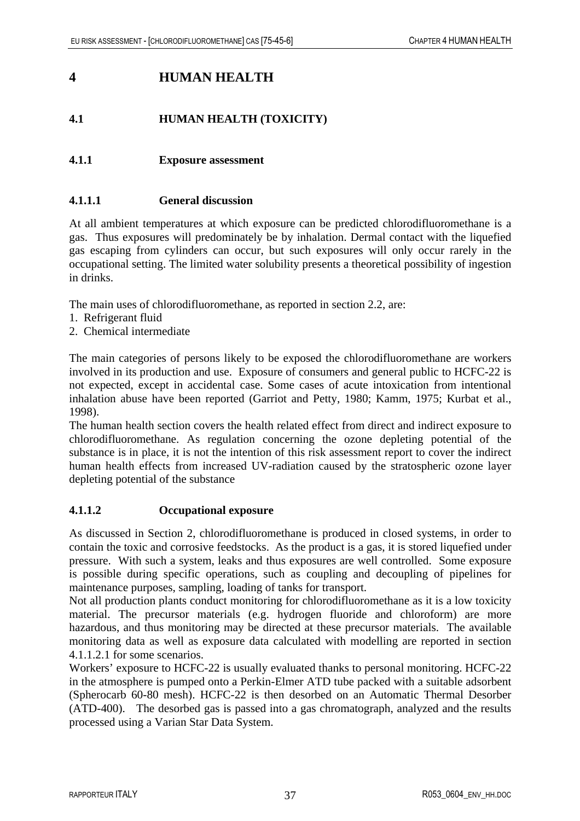# **4 HUMAN HEALTH**

# **4.1 HUMAN HEALTH (TOXICITY)**

## **4.1.1 Exposure assessment**

#### **4.1.1.1 General discussion**

At all ambient temperatures at which exposure can be predicted chlorodifluoromethane is a gas. Thus exposures will predominately be by inhalation. Dermal contact with the liquefied gas escaping from cylinders can occur, but such exposures will only occur rarely in the occupational setting. The limited water solubility presents a theoretical possibility of ingestion in drinks.

The main uses of chlorodifluoromethane, as reported in section 2.2, are:

- 1. Refrigerant fluid
- 2. Chemical intermediate

The main categories of persons likely to be exposed the chlorodifluoromethane are workers involved in its production and use. Exposure of consumers and general public to HCFC-22 is not expected, except in accidental case. Some cases of acute intoxication from intentional inhalation abuse have been reported (Garriot and Petty, 1980; Kamm, 1975; Kurbat et al., 1998).

The human health section covers the health related effect from direct and indirect exposure to chlorodifluoromethane. As regulation concerning the ozone depleting potential of the substance is in place, it is not the intention of this risk assessment report to cover the indirect human health effects from increased UV-radiation caused by the stratospheric ozone layer depleting potential of the substance

## **4.1.1.2 Occupational exposure**

As discussed in Section 2, chlorodifluoromethane is produced in closed systems, in order to contain the toxic and corrosive feedstocks. As the product is a gas, it is stored liquefied under pressure. With such a system, leaks and thus exposures are well controlled. Some exposure is possible during specific operations, such as coupling and decoupling of pipelines for maintenance purposes, sampling, loading of tanks for transport.

Not all production plants conduct monitoring for chlorodifluoromethane as it is a low toxicity material. The precursor materials (e.g. hydrogen fluoride and chloroform) are more hazardous, and thus monitoring may be directed at these precursor materials. The available monitoring data as well as exposure data calculated with modelling are reported in section 4.1.1.2.1 for some scenarios.

Workers' exposure to HCFC-22 is usually evaluated thanks to personal monitoring. HCFC-22 in the atmosphere is pumped onto a Perkin-Elmer ATD tube packed with a suitable adsorbent (Spherocarb 60-80 mesh). HCFC-22 is then desorbed on an Automatic Thermal Desorber (ATD-400). The desorbed gas is passed into a gas chromatograph, analyzed and the results processed using a Varian Star Data System.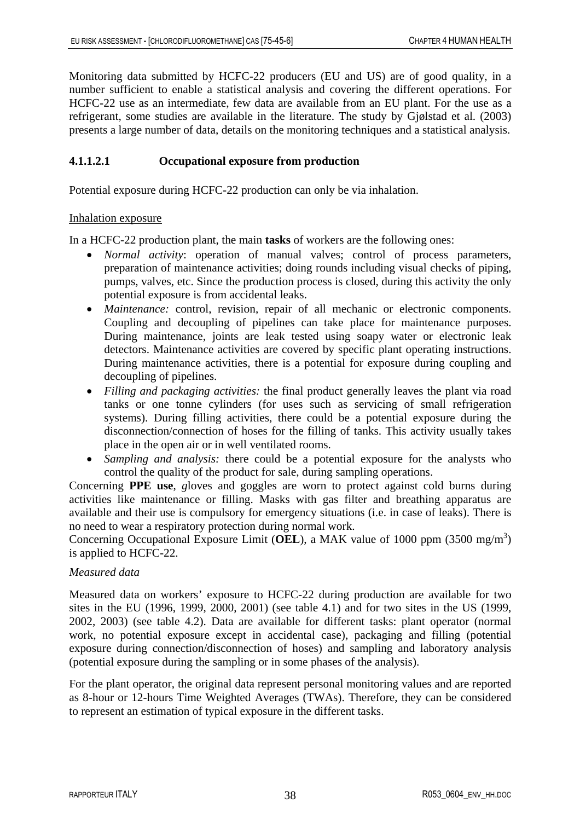Monitoring data submitted by HCFC-22 producers (EU and US) are of good quality, in a number sufficient to enable a statistical analysis and covering the different operations. For HCFC-22 use as an intermediate, few data are available from an EU plant. For the use as a refrigerant, some studies are available in the literature. The study by Gjølstad et al. (2003) presents a large number of data, details on the monitoring techniques and a statistical analysis.

## **4.1.1.2.1 Occupational exposure from production**

Potential exposure during HCFC-22 production can only be via inhalation.

### Inhalation exposure

In a HCFC-22 production plant, the main **tasks** of workers are the following ones:

- *Normal activity*: operation of manual valves; control of process parameters, preparation of maintenance activities; doing rounds including visual checks of piping, pumps, valves, etc. Since the production process is closed, during this activity the only potential exposure is from accidental leaks.
- *Maintenance:* control, revision, repair of all mechanic or electronic components. Coupling and decoupling of pipelines can take place for maintenance purposes. During maintenance, joints are leak tested using soapy water or electronic leak detectors. Maintenance activities are covered by specific plant operating instructions. During maintenance activities, there is a potential for exposure during coupling and decoupling of pipelines.
- *Filling and packaging activities:* the final product generally leaves the plant via road tanks or one tonne cylinders (for uses such as servicing of small refrigeration systems). During filling activities, there could be a potential exposure during the disconnection/connection of hoses for the filling of tanks. This activity usually takes place in the open air or in well ventilated rooms.
- *Sampling and analysis:* there could be a potential exposure for the analysts who control the quality of the product for sale, during sampling operations.

Concerning **PPE use**, *g*loves and goggles are worn to protect against cold burns during activities like maintenance or filling. Masks with gas filter and breathing apparatus are available and their use is compulsory for emergency situations (i.e. in case of leaks). There is no need to wear a respiratory protection during normal work.

Concerning Occupational Exposure Limit (OEL), a MAK value of 1000 ppm (3500 mg/m<sup>3</sup>) is applied to HCFC-22.

### *Measured data*

Measured data on workers' exposure to HCFC-22 during production are available for two sites in the EU (1996, 1999, 2000, 2001) (see table 4.1) and for two sites in the US (1999, 2002, 2003) (see table 4.2). Data are available for different tasks: plant operator (normal work, no potential exposure except in accidental case), packaging and filling (potential exposure during connection/disconnection of hoses) and sampling and laboratory analysis (potential exposure during the sampling or in some phases of the analysis).

For the plant operator, the original data represent personal monitoring values and are reported as 8-hour or 12-hours Time Weighted Averages (TWAs). Therefore, they can be considered to represent an estimation of typical exposure in the different tasks.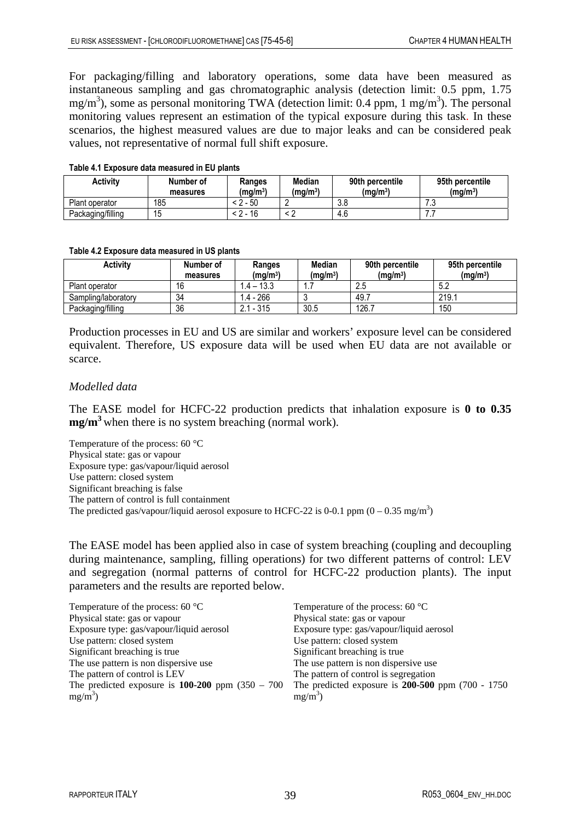**95th percentile (mg/m3)** 

For packaging/filling and laboratory operations, some data have been measured as instantaneous sampling and gas chromatographic analysis (detection limit: 0.5 ppm, 1.75  $mg/m<sup>3</sup>$ ), some as personal monitoring TWA (detection limit: 0.4 ppm, 1 mg/m<sup>3</sup>). The personal monitoring values represent an estimation of the typical exposure during this task. In these scenarios, the highest measured values are due to major leaks and can be considered peak values, not representative of normal full shift exposure.

#### **Table 4.1 Exposure data measured in EU plants**

| <b>Activity</b>   | Number of<br>measures | Ranges<br>(ma/mª)      | <b>Median</b><br>(ma/mª) | 90th percentile<br>(ma/m $3)$ | 95th percentile<br>$(m\alpha/m^3)$ |
|-------------------|-----------------------|------------------------|--------------------------|-------------------------------|------------------------------------|
| Plant operator    | 185                   | $\cdot$ 2 - 50 $\cdot$ |                          | 3.8                           | ن. ا                               |
| Packaging/filling | ∪ו                    | 16<br>$\leq$ 2 - .     |                          | 4.6                           | $\cdot$ . $\cdot$                  |

| Table 4.2 Exposure data measured in OS plants |                       |                                |                                |                                         |       |  |
|-----------------------------------------------|-----------------------|--------------------------------|--------------------------------|-----------------------------------------|-------|--|
| <b>Activity</b>                               | Number of<br>measures | Ranges<br>(ma/m <sup>3</sup> ) | Median<br>(mq/m <sup>3</sup> ) | 90th percentile<br>(mg/m <sup>3</sup> ) | 95    |  |
| Plant operator                                | 16                    | $1.4 - 13.3$                   |                                | 2.5                                     | 5.2   |  |
| Sampling/laboratory                           | 34                    | $1.4 - 266$                    |                                | 49.7                                    | 219.1 |  |
| Packaging/filling                             | 36                    | $2.1 - 315$                    | 30.5                           | 126.7                                   | 150   |  |

#### **Table 4.2 Exposure data measured in US plants**

Production processes in EU and US are similar and workers' exposure level can be considered equivalent. Therefore, US exposure data will be used when EU data are not available or scarce.

## *Modelled data*

The EASE model for HCFC-22 production predicts that inhalation exposure is **0 to 0.35 mg/m<sup>3</sup>** when there is no system breaching (normal work).

Temperature of the process: 60 °C Physical state: gas or vapour Exposure type: gas/vapour/liquid aerosol Use pattern: closed system Significant breaching is false The pattern of control is full containment The predicted gas/vapour/liquid aerosol exposure to HCFC-22 is 0-0.1 ppm  $(0 - 0.35 \text{ mg/m}^3)$ 

The EASE model has been applied also in case of system breaching (coupling and decoupling during maintenance, sampling, filling operations) for two different patterns of control: LEV and segregation (normal patterns of control for HCFC-22 production plants). The input parameters and the results are reported below.

| Temperature of the process: $60^{\circ}$ C            | Temperature of the process: 60 $^{\circ}$ C          |
|-------------------------------------------------------|------------------------------------------------------|
| Physical state: gas or vapour                         | Physical state: gas or vapour                        |
| Exposure type: gas/vapour/liquid aerosol              | Exposure type: gas/vapour/liquid aerosol             |
| Use pattern: closed system                            | Use pattern: closed system                           |
| Significant breaching is true                         | Significant breaching is true.                       |
| The use pattern is non dispersive use                 | The use pattern is non dispersive use                |
| The pattern of control is LEV                         | The pattern of control is segregation                |
| The predicted exposure is $100-200$ ppm $(350 - 700)$ | The predicted exposure is $200-500$ ppm (700 - 1750) |
| $mg/m^3$ )                                            | $mg/m^3$                                             |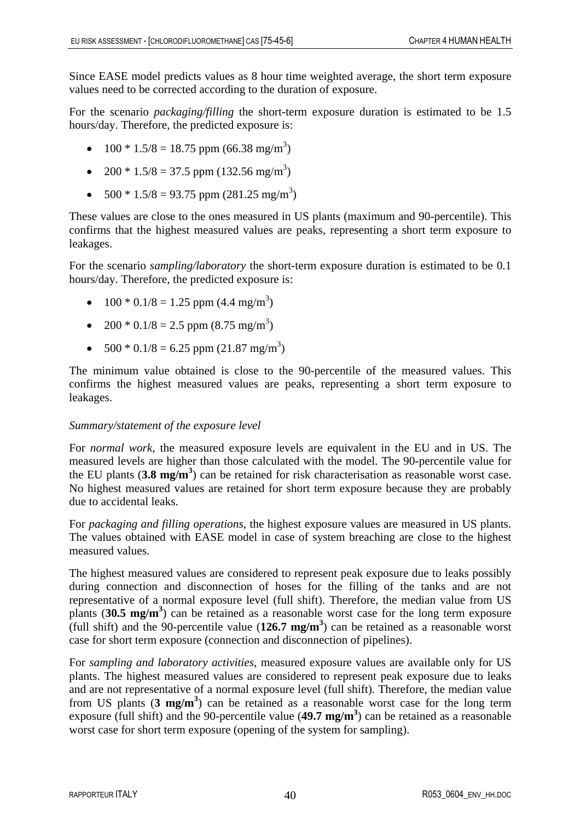Since EASE model predicts values as 8 hour time weighted average, the short term exposure values need to be corrected according to the duration of exposure.

For the scenario *packaging/filling* the short-term exposure duration is estimated to be 1.5 hours/day. Therefore, the predicted exposure is:

- 100 \* 1.5/8 = 18.75 ppm (66.38 mg/m<sup>3</sup>)
- 200 \* 1.5/8 = 37.5 ppm (132.56 mg/m<sup>3</sup>)
- $500 * 1.5/8 = 93.75$  ppm  $(281.25 \text{ mg/m}^3)$

These values are close to the ones measured in US plants (maximum and 90-percentile). This confirms that the highest measured values are peaks, representing a short term exposure to leakages.

For the scenario *sampling/laboratory* the short-term exposure duration is estimated to be 0.1 hours/day. Therefore, the predicted exposure is:

- 100  $\text{*}$  0.1/8 = 1.25 ppm (4.4 mg/m<sup>3</sup>)
- 200 \* 0.1/8 = 2.5 ppm  $(8.75 \text{ mg/m}^3)$
- $500 * 0.1/8 = 6.25$  ppm  $(21.87 \text{ mg/m}^3)$

The minimum value obtained is close to the 90-percentile of the measured values. This confirms the highest measured values are peaks, representing a short term exposure to leakages.

## *Summary/statement of the exposure level*

For *normal work*, the measured exposure levels are equivalent in the EU and in US. The measured levels are higher than those calculated with the model. The 90-percentile value for the EU plants (**3.8 mg/m<sup>3</sup>** ) can be retained for risk characterisation as reasonable worst case. No highest measured values are retained for short term exposure because they are probably due to accidental leaks.

For *packaging and filling operations*, the highest exposure values are measured in US plants. The values obtained with EASE model in case of system breaching are close to the highest measured values.

The highest measured values are considered to represent peak exposure due to leaks possibly during connection and disconnection of hoses for the filling of the tanks and are not representative of a normal exposure level (full shift). Therefore, the median value from US plants (**30.5 mg/m3** ) can be retained as a reasonable worst case for the long term exposure (full shift) and the 90-percentile value (**126.7 mg/m<sup>3</sup>** ) can be retained as a reasonable worst case for short term exposure (connection and disconnection of pipelines).

For *sampling and laboratory activities*, measured exposure values are available only for US plants. The highest measured values are considered to represent peak exposure due to leaks and are not representative of a normal exposure level (full shift). Therefore, the median value from US plants (**3 mg/m<sup>3</sup>** ) can be retained as a reasonable worst case for the long term exposure (full shift) and the 90-percentile value (**49.7 mg/m<sup>3</sup>** ) can be retained as a reasonable worst case for short term exposure (opening of the system for sampling).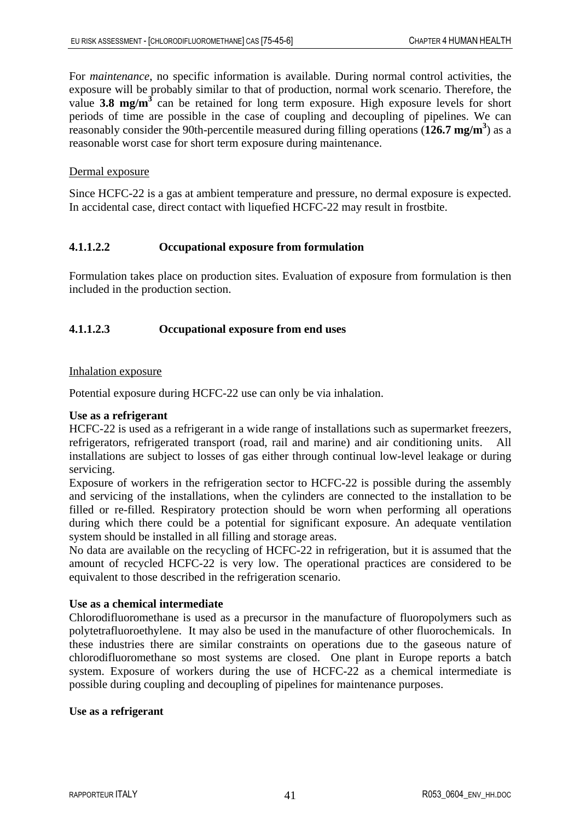For *maintenance*, no specific information is available. During normal control activities, the exposure will be probably similar to that of production, normal work scenario. Therefore, the value **3.8 mg/m<sup>3</sup>** can be retained for long term exposure. High exposure levels for short periods of time are possible in the case of coupling and decoupling of pipelines. We can reasonably consider the 90th-percentile measured during filling operations (**126.7 mg/m<sup>3</sup>** ) as a reasonable worst case for short term exposure during maintenance.

## Dermal exposure

Since HCFC-22 is a gas at ambient temperature and pressure, no dermal exposure is expected. In accidental case, direct contact with liquefied HCFC-22 may result in frostbite.

## **4.1.1.2.2 Occupational exposure from formulation**

Formulation takes place on production sites. Evaluation of exposure from formulation is then included in the production section.

## **4.1.1.2.3 Occupational exposure from end uses**

## Inhalation exposure

Potential exposure during HCFC-22 use can only be via inhalation.

### **Use as a refrigerant**

HCFC-22 is used as a refrigerant in a wide range of installations such as supermarket freezers, refrigerators, refrigerated transport (road, rail and marine) and air conditioning units. All installations are subject to losses of gas either through continual low-level leakage or during servicing.

Exposure of workers in the refrigeration sector to HCFC-22 is possible during the assembly and servicing of the installations, when the cylinders are connected to the installation to be filled or re-filled. Respiratory protection should be worn when performing all operations during which there could be a potential for significant exposure. An adequate ventilation system should be installed in all filling and storage areas.

No data are available on the recycling of HCFC-22 in refrigeration, but it is assumed that the amount of recycled HCFC-22 is very low. The operational practices are considered to be equivalent to those described in the refrigeration scenario.

### **Use as a chemical intermediate**

Chlorodifluoromethane is used as a precursor in the manufacture of fluoropolymers such as polytetrafluoroethylene. It may also be used in the manufacture of other fluorochemicals. In these industries there are similar constraints on operations due to the gaseous nature of chlorodifluoromethane so most systems are closed. One plant in Europe reports a batch system. Exposure of workers during the use of HCFC-22 as a chemical intermediate is possible during coupling and decoupling of pipelines for maintenance purposes.

### **Use as a refrigerant**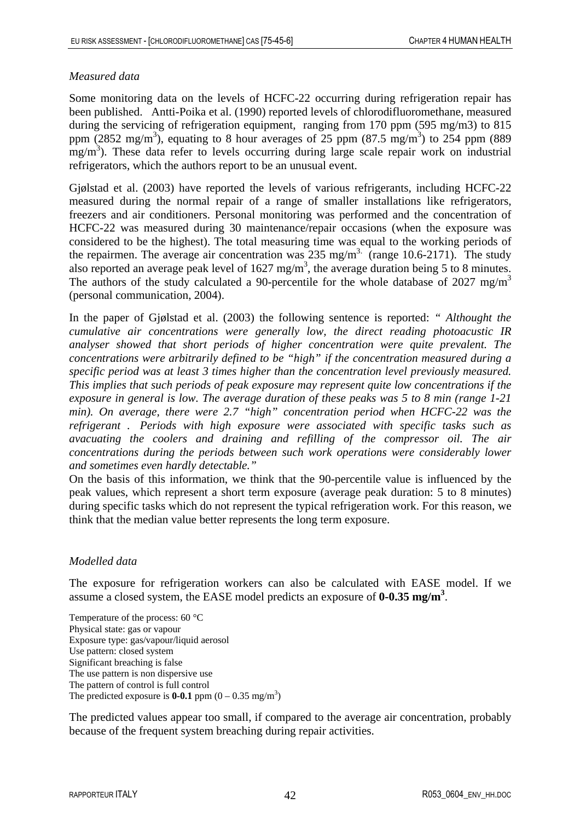## *Measured data*

Some monitoring data on the levels of HCFC-22 occurring during refrigeration repair has been published. Antti-Poika et al. (1990) reported levels of chlorodifluoromethane, measured during the servicing of refrigeration equipment, ranging from 170 ppm (595 mg/m3) to 815 ppm  $(2852 \text{ mg/m}^3)$ , equating to 8 hour averages of 25 ppm  $(87.5 \text{ mg/m}^3)$  to 254 ppm  $(889$  $\text{mg/m}^3$ ). These data refer to levels occurring during large scale repair work on industrial refrigerators, which the authors report to be an unusual event.

Gjølstad et al. (2003) have reported the levels of various refrigerants, including HCFC-22 measured during the normal repair of a range of smaller installations like refrigerators, freezers and air conditioners. Personal monitoring was performed and the concentration of HCFC-22 was measured during 30 maintenance/repair occasions (when the exposure was considered to be the highest). The total measuring time was equal to the working periods of the repairmen. The average air concentration was 235 mg/m<sup>3.</sup> (range 10.6-2171). The study also reported an average peak level of  $1627 \text{ mg/m}^3$ , the average duration being 5 to 8 minutes. The authors of the study calculated a 90-percentile for the whole database of 2027 mg/m<sup>3</sup> (personal communication, 2004).

In the paper of Gjølstad et al. (2003) the following sentence is reported: *" Althought the cumulative air concentrations were generally low, the direct reading photoacustic IR analyser showed that short periods of higher concentration were quite prevalent. The concentrations were arbitrarily defined to be "high" if the concentration measured during a specific period was at least 3 times higher than the concentration level previously measured. This implies that such periods of peak exposure may represent quite low concentrations if the exposure in general is low. The average duration of these peaks was 5 to 8 min (range 1-21 min). On average, there were 2.7 "high" concentration period when HCFC-22 was the refrigerant . Periods with high exposure were associated with specific tasks such as avacuating the coolers and draining and refilling of the compressor oil. The air concentrations during the periods between such work operations were considerably lower and sometimes even hardly detectable."*

On the basis of this information, we think that the 90-percentile value is influenced by the peak values, which represent a short term exposure (average peak duration: 5 to 8 minutes) during specific tasks which do not represent the typical refrigeration work. For this reason, we think that the median value better represents the long term exposure.

## *Modelled data*

The exposure for refrigeration workers can also be calculated with EASE model. If we assume a closed system, the EASE model predicts an exposure of **0-0.35 mg/m3** .

Temperature of the process: 60 °C Physical state: gas or vapour Exposure type: gas/vapour/liquid aerosol Use pattern: closed system Significant breaching is false The use pattern is non dispersive use The pattern of control is full control The predicted exposure is  $0-0.1$  ppm  $(0-0.35 \text{ mg/m}^3)$ 

The predicted values appear too small, if compared to the average air concentration, probably because of the frequent system breaching during repair activities.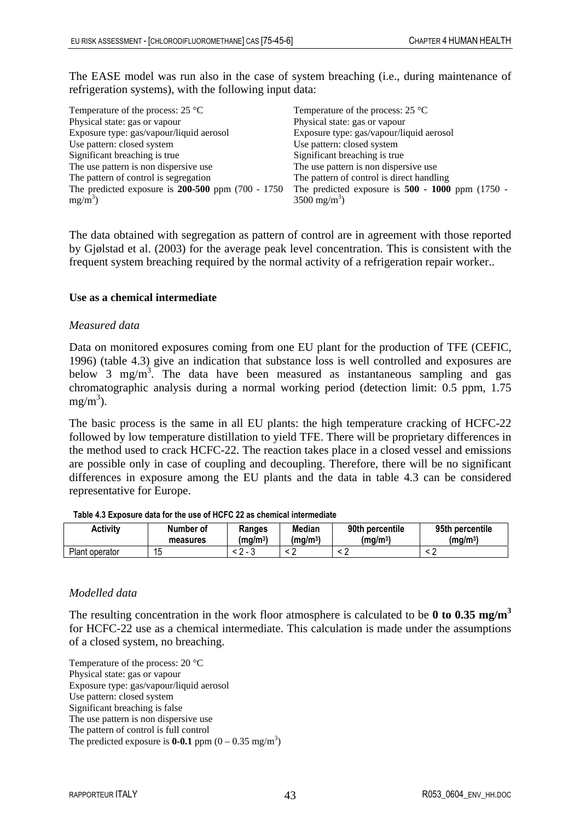The EASE model was run also in the case of system breaching (i.e., during maintenance of refrigeration systems), with the following input data:

| Temperature of the process: $25^{\circ}$ C             | Temperature of the process: $25^{\circ}$ C           |
|--------------------------------------------------------|------------------------------------------------------|
| Physical state: gas or vapour                          | Physical state: gas or vapour                        |
| Exposure type: gas/vapour/liquid aerosol               | Exposure type: gas/vapour/liquid aerosol             |
| Use pattern: closed system                             | Use pattern: closed system                           |
| Significant breaching is true                          | Significant breaching is true                        |
| The use pattern is non dispersive use                  | The use pattern is non dispersive use                |
| The pattern of control is segregation                  | The pattern of control is direct handling            |
| The predicted exposure is $200-500$ ppm $(700 - 1750)$ | The predicted exposure is $500 - 1000$ ppm $(1750 -$ |
| $mg/m^3$ )                                             | $3500 \text{ mg/m}^3$ )                              |

The data obtained with segregation as pattern of control are in agreement with those reported by Gjølstad et al. (2003) for the average peak level concentration. This is consistent with the frequent system breaching required by the normal activity of a refrigeration repair worker..

#### **Use as a chemical intermediate**

#### *Measured data*

Data on monitored exposures coming from one EU plant for the production of TFE (CEFIC, 1996) (table 4.3) give an indication that substance loss is well controlled and exposures are below 3 mg/m<sup>3</sup>. The data have been measured as instantaneous sampling and gas chromatographic analysis during a normal working period (detection limit: 0.5 ppm, 1.75  $mg/m<sup>3</sup>$ ).

The basic process is the same in all EU plants: the high temperature cracking of HCFC-22 followed by low temperature distillation to yield TFE. There will be proprietary differences in the method used to crack HCFC-22. The reaction takes place in a closed vessel and emissions are possible only in case of coupling and decoupling. Therefore, there will be no significant differences in exposure among the EU plants and the data in table 4.3 can be considered representative for Europe.

| <b>Activity</b> | Number of | Ranges                   | Median  | 90th percentile | 95th percentile |
|-----------------|-----------|--------------------------|---------|-----------------|-----------------|
|                 | measures  | (mq/m <sup>3</sup> )     | (ma/m3) | (ma/m3)         | (ma/m $3)$      |
| Plant operator  | 15        | $\overline{\phantom{0}}$ |         |                 |                 |

#### **Table 4.3 Exposure data for the use of HCFC 22 as chemical intermediate**

#### *Modelled data*

The resulting concentration in the work floor atmosphere is calculated to be **0 to 0.35 mg/m<sup>3</sup>** for HCFC-22 use as a chemical intermediate. This calculation is made under the assumptions of a closed system, no breaching.

Temperature of the process: 20 °C Physical state: gas or vapour Exposure type: gas/vapour/liquid aerosol Use pattern: closed system Significant breaching is false The use pattern is non dispersive use The pattern of control is full control The predicted exposure is  $0-0.1$  ppm  $(0-0.35 \text{ mg/m}^3)$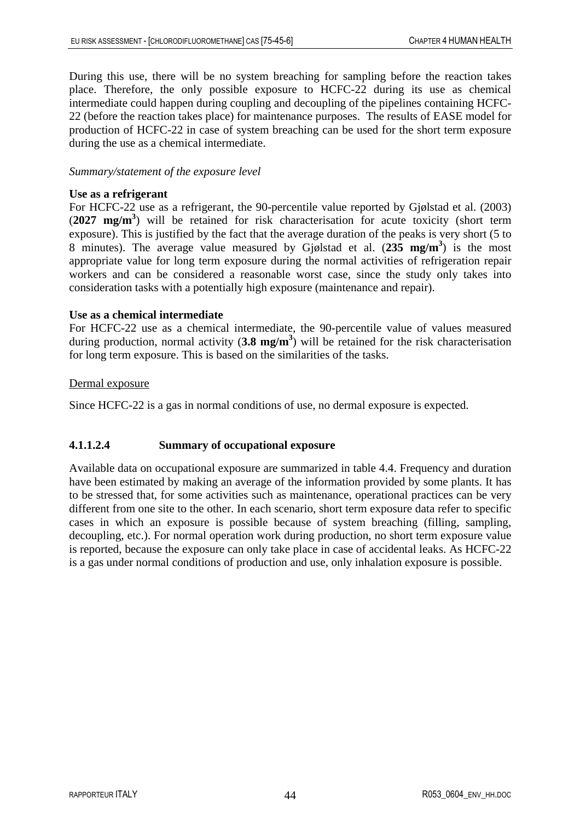During this use, there will be no system breaching for sampling before the reaction takes place. Therefore, the only possible exposure to HCFC-22 during its use as chemical intermediate could happen during coupling and decoupling of the pipelines containing HCFC-22 (before the reaction takes place) for maintenance purposes. The results of EASE model for production of HCFC-22 in case of system breaching can be used for the short term exposure during the use as a chemical intermediate.

## *Summary/statement of the exposure level*

## **Use as a refrigerant**

For HCFC-22 use as a refrigerant, the 90-percentile value reported by Gjølstad et al. (2003) (**2027 mg/m<sup>3</sup>** ) will be retained for risk characterisation for acute toxicity (short term exposure). This is justified by the fact that the average duration of the peaks is very short (5 to 8 minutes). The average value measured by Gjølstad et al. (**235 mg/m3** ) is the most appropriate value for long term exposure during the normal activities of refrigeration repair workers and can be considered a reasonable worst case, since the study only takes into consideration tasks with a potentially high exposure (maintenance and repair).

## **Use as a chemical intermediate**

For HCFC-22 use as a chemical intermediate, the 90-percentile value of values measured during production, normal activity (3.8 mg/m<sup>3</sup>) will be retained for the risk characterisation for long term exposure. This is based on the similarities of the tasks.

### Dermal exposure

Since HCFC-22 is a gas in normal conditions of use, no dermal exposure is expected.

## **4.1.1.2.4 Summary of occupational exposure**

Available data on occupational exposure are summarized in table 4.4. Frequency and duration have been estimated by making an average of the information provided by some plants. It has to be stressed that, for some activities such as maintenance, operational practices can be very different from one site to the other. In each scenario, short term exposure data refer to specific cases in which an exposure is possible because of system breaching (filling, sampling, decoupling, etc.). For normal operation work during production, no short term exposure value is reported, because the exposure can only take place in case of accidental leaks. As HCFC-22 is a gas under normal conditions of production and use, only inhalation exposure is possible.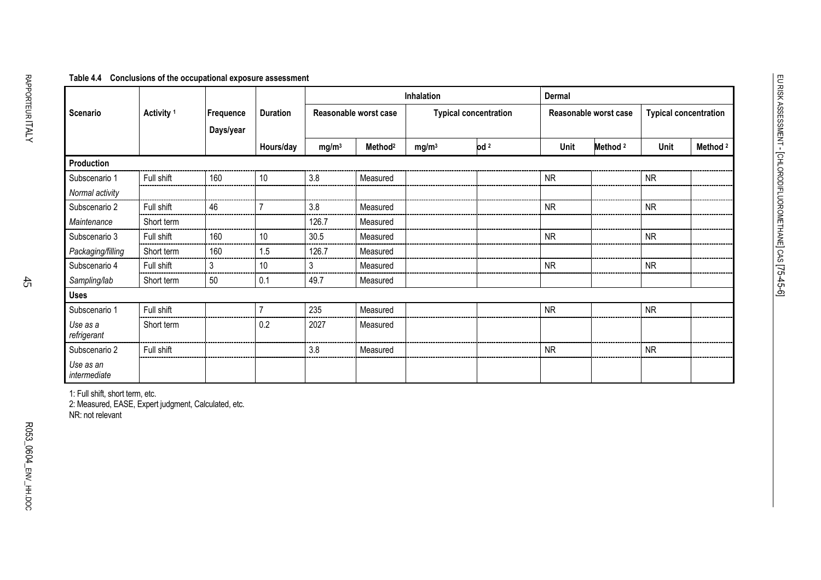|                           |                       |                        |                 |                   |                       | Inhalation        |                              | Dermal    |                       |                              |                     |
|---------------------------|-----------------------|------------------------|-----------------|-------------------|-----------------------|-------------------|------------------------------|-----------|-----------------------|------------------------------|---------------------|
| Scenario                  | Activity <sup>1</sup> | Frequence<br>Days/year | <b>Duration</b> |                   | Reasonable worst case |                   | <b>Typical concentration</b> |           | Reasonable worst case | <b>Typical concentration</b> |                     |
|                           |                       |                        | Hours/day       | mg/m <sup>3</sup> | Method <sup>2</sup>   | mg/m <sup>3</sup> | $\mathsf{od}^2$              | Unit      | Method <sup>2</sup>   | Unit                         | Method <sup>2</sup> |
| Production                |                       |                        |                 |                   |                       |                   |                              |           |                       |                              |                     |
| Subscenario 1             | Full shift            | 160                    | 10              | 3.8               | Measured              |                   |                              | <b>NR</b> |                       | <b>NR</b>                    |                     |
| Normal activity           |                       |                        |                 |                   |                       |                   |                              |           |                       |                              |                     |
| Subscenario 2             | Full shift            | 46                     | $\overline{7}$  | 3.8               | Measured              |                   |                              | <b>NR</b> |                       | <b>NR</b>                    |                     |
| Maintenance               | Short term            |                        |                 | 126.7             | Measured              |                   |                              |           |                       |                              |                     |
| Subscenario 3             | Full shift            | 160                    | 10              | 30.5              | Measured              |                   |                              | <b>NR</b> |                       | NR                           |                     |
| Packaging/filling         | Short term            | 160                    | 1.5             | 126.7             | Measured              |                   |                              |           |                       |                              |                     |
| Subscenario 4             | Full shift            | 3                      | $10$            | 3                 | Measured              |                   |                              | <b>NR</b> |                       | <b>NR</b>                    |                     |
| Sampling/lab              | Short term            | 50                     | 0.1             | 49.7              | Measured              |                   |                              |           |                       |                              |                     |
| <b>Uses</b>               |                       |                        |                 |                   |                       |                   |                              |           |                       |                              |                     |
| Subscenario 1             | Full shift            |                        | $\overline{7}$  | 235               | Measured              |                   |                              | <b>NR</b> |                       | ${\sf NR}$                   |                     |
| Use as a<br>refrigerant   | Short term            |                        | 0.2             | 2027              | Measured              |                   |                              |           |                       |                              |                     |
| Subscenario 2             | Full shift            |                        |                 | 3.8               | Measured              |                   |                              | <b>NR</b> |                       | NR                           |                     |
| Use as an<br>intermediate |                       |                        |                 |                   |                       |                   |                              |           |                       |                              |                     |

EU RISK ASSESSMENT -

[CHLORODIFLUOROMETHANE] CAS [75-45-6]

EU RISKASSESSMENT - [CHLOROMETHANE] CAS [75-45-6]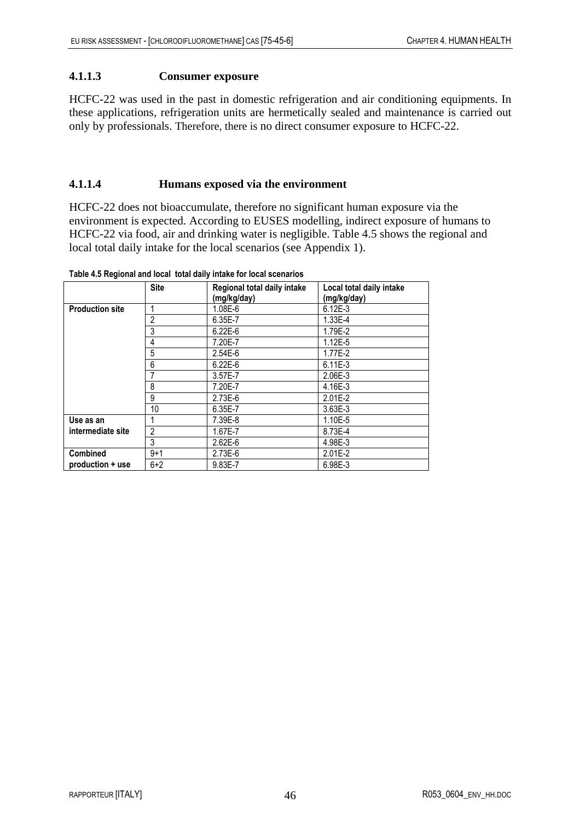#### **4.1.1.3 Consumer exposure**

HCFC-22 was used in the past in domestic refrigeration and air conditioning equipments. In these applications, refrigeration units are hermetically sealed and maintenance is carried out only by professionals. Therefore, there is no direct consumer exposure to HCFC-22.

#### **4.1.1.4 Humans exposed via the environment**

HCFC-22 does not bioaccumulate, therefore no significant human exposure via the environment is expected. According to EUSES modelling, indirect exposure of humans to HCFC-22 via food, air and drinking water is negligible. Table 4.5 shows the regional and local total daily intake for the local scenarios (see Appendix 1).

|                        | <b>Site</b>    | Regional total daily intake<br>(mg/kg/day) | Local total daily intake<br>(mg/kg/day) |
|------------------------|----------------|--------------------------------------------|-----------------------------------------|
| <b>Production site</b> |                | 1.08E-6                                    | $6.12E - 3$                             |
|                        | 2              | 6.35E-7                                    | 1.33E-4                                 |
|                        | 3              | $6.22E-6$                                  | 1.79E-2                                 |
|                        | 4              | 7.20E-7                                    | 1.12E-5                                 |
|                        | 5              | $2.54E-6$                                  | 1.77E-2                                 |
|                        | 6              | $6.22E - 6$                                | $6.11E-3$                               |
|                        |                | 3.57E-7                                    | 2.06E-3                                 |
|                        | 8              | 7.20E-7                                    | 4.16E-3                                 |
|                        | 9              | 2.73E-6                                    | 2.01E-2                                 |
|                        | 10             | 6.35E-7                                    | 3.63E-3                                 |
| Use as an              |                | 7.39E-8                                    | 1.10E-5                                 |
| intermediate site      | $\overline{2}$ | 1.67E-7                                    | 8.73E-4                                 |
|                        | 3              | $2.62E - 6$                                | 4.98E-3                                 |
| Combined               | $9 + 1$        | 2.73E-6                                    | 2.01E-2                                 |
| production + use       | $6 + 2$        | 9.83E-7                                    | 6.98E-3                                 |

**Table 4.5 Regional and local total daily intake for local scenarios**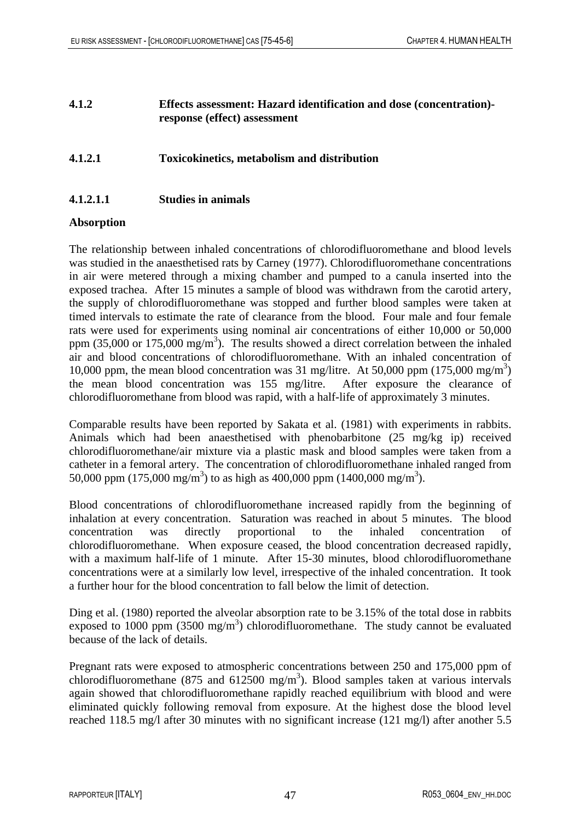## **4.1.2 Effects assessment: Hazard identification and dose (concentration) response (effect) assessment**

## **4.1.2.1 Toxicokinetics, metabolism and distribution**

## **4.1.2.1.1 Studies in animals**

### **Absorption**

The relationship between inhaled concentrations of chlorodifluoromethane and blood levels was studied in the anaesthetised rats by Carney (1977). Chlorodifluoromethane concentrations in air were metered through a mixing chamber and pumped to a canula inserted into the exposed trachea. After 15 minutes a sample of blood was withdrawn from the carotid artery, the supply of chlorodifluoromethane was stopped and further blood samples were taken at timed intervals to estimate the rate of clearance from the blood. Four male and four female rats were used for experiments using nominal air concentrations of either 10,000 or 50,000 ppm (35,000 or 175,000 mg/m<sup>3</sup>). The results showed a direct correlation between the inhaled air and blood concentrations of chlorodifluoromethane. With an inhaled concentration of 10,000 ppm, the mean blood concentration was 31 mg/litre. At 50,000 ppm  $(175,000 \text{ mg/m}^3)$ the mean blood concentration was 155 mg/litre. After exposure the clearance of chlorodifluoromethane from blood was rapid, with a half-life of approximately 3 minutes.

Comparable results have been reported by Sakata et al. (1981) with experiments in rabbits. Animals which had been anaesthetised with phenobarbitone (25 mg/kg ip) received chlorodifluoromethane/air mixture via a plastic mask and blood samples were taken from a catheter in a femoral artery. The concentration of chlorodifluoromethane inhaled ranged from 50,000 ppm (175,000 mg/m<sup>3</sup>) to as high as 400,000 ppm (1400,000 mg/m<sup>3</sup>).

Blood concentrations of chlorodifluoromethane increased rapidly from the beginning of inhalation at every concentration. Saturation was reached in about 5 minutes. The blood concentration was directly proportional to the inhaled concentration of chlorodifluoromethane. When exposure ceased, the blood concentration decreased rapidly, with a maximum half-life of 1 minute. After 15-30 minutes, blood chlorodifluoromethane concentrations were at a similarly low level, irrespective of the inhaled concentration. It took a further hour for the blood concentration to fall below the limit of detection.

Ding et al. (1980) reported the alveolar absorption rate to be 3.15% of the total dose in rabbits exposed to 1000 ppm  $(3500 \text{ mg/m}^3)$  chlorodifluoromethane. The study cannot be evaluated because of the lack of details.

Pregnant rats were exposed to atmospheric concentrations between 250 and 175,000 ppm of chlorodifluoromethane (875 and 612500 mg/m<sup>3</sup>). Blood samples taken at various intervals again showed that chlorodifluoromethane rapidly reached equilibrium with blood and were eliminated quickly following removal from exposure. At the highest dose the blood level reached 118.5 mg/l after 30 minutes with no significant increase (121 mg/l) after another 5.5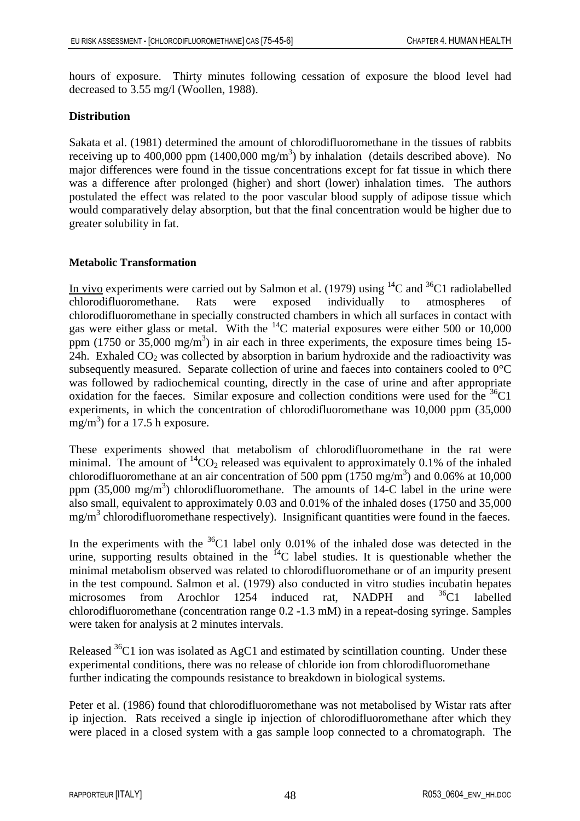hours of exposure. Thirty minutes following cessation of exposure the blood level had decreased to 3.55 mg/l (Woollen, 1988).

## **Distribution**

Sakata et al. (1981) determined the amount of chlorodifluoromethane in the tissues of rabbits receiving up to 400,000 ppm (1400,000 mg/m<sup>3</sup>) by inhalation (details described above). No major differences were found in the tissue concentrations except for fat tissue in which there was a difference after prolonged (higher) and short (lower) inhalation times. The authors postulated the effect was related to the poor vascular blood supply of adipose tissue which would comparatively delay absorption, but that the final concentration would be higher due to greater solubility in fat.

## **Metabolic Transformation**

<u>In vivo</u> experiments were carried out by Salmon et al. (1979) using <sup>14</sup>C and <sup>36</sup>C1 radiolabelled chlorodifluoromethane. Rats were exposed individually to atmospheres of chlorodifluoromethane. Rats were exposed individually to atmospheres of chlorodifluoromethane in specially constructed chambers in which all surfaces in contact with gas were either glass or metal. With the  $^{14}$ C material exposures were either 500 or 10,000 ppm (1750 or  $35,000 \text{ mg/m}^3$ ) in air each in three experiments, the exposure times being 15-24h. Exhaled  $CO<sub>2</sub>$  was collected by absorption in barium hydroxide and the radioactivity was subsequently measured. Separate collection of urine and faeces into containers cooled to 0°C was followed by radiochemical counting, directly in the case of urine and after appropriate oxidation for the faeces. Similar exposure and collection conditions were used for the  ${}^{36}C1$ experiments, in which the concentration of chlorodifluoromethane was 10,000 ppm (35,000  $mg/m<sup>3</sup>$ ) for a 17.5 h exposure.

These experiments showed that metabolism of chlorodifluoromethane in the rat were minimal. The amount of  ${}^{14}CO_2$  released was equivalent to approximately 0.1% of the inhaled chlorodifluoromethane at an air concentration of 500 ppm  $(1750 \text{ mg/m}^3)$  and 0.06% at 10,000 ppm  $(35,000 \text{ mg/m}^3)$  chlorodifluoromethane. The amounts of 14-C label in the urine were also small, equivalent to approximately 0.03 and 0.01% of the inhaled doses (1750 and 35,000 mg/m<sup>3</sup> chlorodifluoromethane respectively). Insignificant quantities were found in the faeces.

In the experiments with the  $36C1$  label only 0.01% of the inhaled dose was detected in the urine, supporting results obtained in the  ${}^{14}C$  label studies. It is questionable whether the minimal metabolism observed was related to chlorodifluoromethane or of an impurity present in the test compound. Salmon et al. (1979) also conducted in vitro studies incubatin hepates microsomes from Arochlor 1254 induced rat NADPH and  $36C1$  labelled microsomes from Arochlor 1254 induced rat, NADPH and <sup>36</sup>C1 labelled chlorodifluoromethane (concentration range 0.2 -1.3 mM) in a repeat-dosing syringe. Samples were taken for analysis at 2 minutes intervals.

Released  ${}^{36}C1$  ion was isolated as AgC1 and estimated by scintillation counting. Under these experimental conditions, there was no release of chloride ion from chlorodifluoromethane further indicating the compounds resistance to breakdown in biological systems.

Peter et al. (1986) found that chlorodifluoromethane was not metabolised by Wistar rats after ip injection. Rats received a single ip injection of chlorodifluoromethane after which they were placed in a closed system with a gas sample loop connected to a chromatograph. The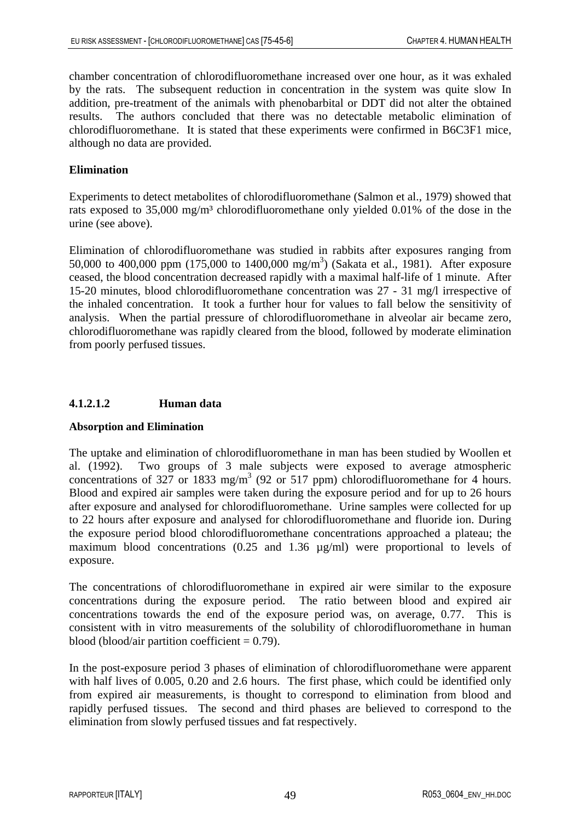chamber concentration of chlorodifluoromethane increased over one hour, as it was exhaled by the rats. The subsequent reduction in concentration in the system was quite slow In addition, pre-treatment of the animals with phenobarbital or DDT did not alter the obtained results. The authors concluded that there was no detectable metabolic elimination of chlorodifluoromethane. It is stated that these experiments were confirmed in B6C3F1 mice, although no data are provided.

## **Elimination**

Experiments to detect metabolites of chlorodifluoromethane (Salmon et al., 1979) showed that rats exposed to 35,000 mg/m<sup>3</sup> chlorodifluoromethane only yielded 0.01% of the dose in the urine (see above).

Elimination of chlorodifluoromethane was studied in rabbits after exposures ranging from 50,000 to 400,000 ppm (175,000 to 1400,000 mg/m<sup>3</sup>) (Sakata et al., 1981). After exposure ceased, the blood concentration decreased rapidly with a maximal half-life of 1 minute. After 15-20 minutes, blood chlorodifluoromethane concentration was 27 - 31 mg/l irrespective of the inhaled concentration. It took a further hour for values to fall below the sensitivity of analysis. When the partial pressure of chlorodifluoromethane in alveolar air became zero, chlorodifluoromethane was rapidly cleared from the blood, followed by moderate elimination from poorly perfused tissues.

## **4.1.2.1.2 Human data**

### **Absorption and Elimination**

The uptake and elimination of chlorodifluoromethane in man has been studied by Woollen et al. (1992). Two groups of 3 male subjects were exposed to average atmospheric concentrations of 327 or 1833 mg/m<sup>3</sup> (92 or 517 ppm) chlorodifluoromethane for 4 hours. Blood and expired air samples were taken during the exposure period and for up to 26 hours after exposure and analysed for chlorodifluoromethane. Urine samples were collected for up to 22 hours after exposure and analysed for chlorodifluoromethane and fluoride ion. During the exposure period blood chlorodifluoromethane concentrations approached a plateau; the maximum blood concentrations (0.25 and 1.36  $\mu$ g/ml) were proportional to levels of exposure.

The concentrations of chlorodifluoromethane in expired air were similar to the exposure concentrations during the exposure period. The ratio between blood and expired air concentrations towards the end of the exposure period was, on average, 0.77. This is consistent with in vitro measurements of the solubility of chlorodifluoromethane in human blood (blood/air partition coefficient  $= 0.79$ ).

In the post-exposure period 3 phases of elimination of chlorodifluoromethane were apparent with half lives of 0.005, 0.20 and 2.6 hours. The first phase, which could be identified only from expired air measurements, is thought to correspond to elimination from blood and rapidly perfused tissues. The second and third phases are believed to correspond to the elimination from slowly perfused tissues and fat respectively.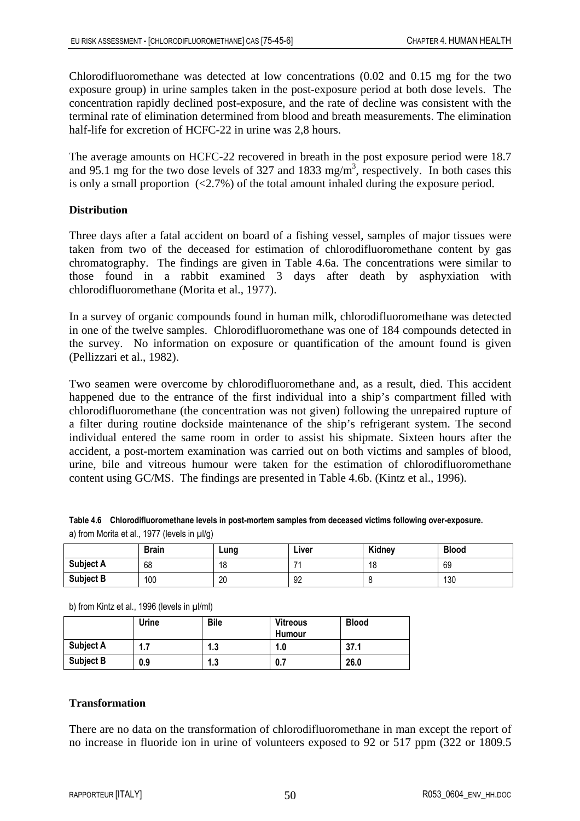Chlorodifluoromethane was detected at low concentrations (0.02 and 0.15 mg for the two exposure group) in urine samples taken in the post-exposure period at both dose levels. The concentration rapidly declined post-exposure, and the rate of decline was consistent with the terminal rate of elimination determined from blood and breath measurements. The elimination half-life for excretion of HCFC-22 in urine was 2,8 hours.

The average amounts on HCFC-22 recovered in breath in the post exposure period were 18.7 and 95.1 mg for the two dose levels of 327 and 1833 mg/m<sup>3</sup>, respectively. In both cases this is only a small proportion (<2.7%) of the total amount inhaled during the exposure period.

## **Distribution**

Three days after a fatal accident on board of a fishing vessel, samples of major tissues were taken from two of the deceased for estimation of chlorodifluoromethane content by gas chromatography. The findings are given in Table 4.6a. The concentrations were similar to those found in a rabbit examined 3 days after death by asphyxiation with chlorodifluoromethane (Morita et al., 1977).

In a survey of organic compounds found in human milk, chlorodifluoromethane was detected in one of the twelve samples. Chlorodifluoromethane was one of 184 compounds detected in the survey. No information on exposure or quantification of the amount found is given (Pellizzari et al., 1982).

Two seamen were overcome by chlorodifluoromethane and, as a result, died. This accident happened due to the entrance of the first individual into a ship's compartment filled with chlorodifluoromethane (the concentration was not given) following the unrepaired rupture of a filter during routine dockside maintenance of the ship's refrigerant system. The second individual entered the same room in order to assist his shipmate. Sixteen hours after the accident, a post-mortem examination was carried out on both victims and samples of blood, urine, bile and vitreous humour were taken for the estimation of chlorodifluoromethane content using GC/MS. The findings are presented in Table 4.6b. (Kintz et al., 1996).

| Table 4.6 Chlorodifluoromethane levels in post-mortem samples from deceased victims following over-exposure. |  |
|--------------------------------------------------------------------------------------------------------------|--|
| a) from Morita et al., 1977 (levels in $\mu$ l/g)                                                            |  |

|                  | <b>Brain</b> | Lung | Liver | Kidney | <b>Blood</b> |
|------------------|--------------|------|-------|--------|--------------|
| <b>Subject A</b> | 68           | 18   | 7     | 18     | 69           |
| <b>Subject B</b> | 100          | 20   | 92    |        | 130          |

b) from Kintz et al., 1996 (levels in µl/ml)

|                  | Urine  | <b>Bile</b> | <b>Vitreous</b><br>Humour | <b>Blood</b> |
|------------------|--------|-------------|---------------------------|--------------|
| <b>Subject A</b> | 47<br> | 1.3         | 1.0                       | 37.1         |
| <b>Subject B</b> | 0.9    | 1.3         | 0.7                       | 26.0         |

### **Transformation**

There are no data on the transformation of chlorodifluoromethane in man except the report of no increase in fluoride ion in urine of volunteers exposed to 92 or 517 ppm (322 or 1809.5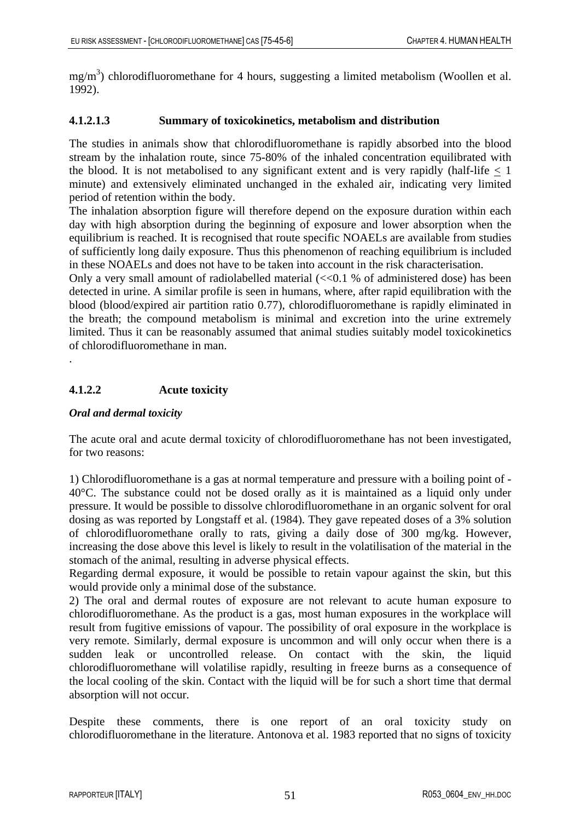$mg/m<sup>3</sup>$ ) chlorodifluoromethane for 4 hours, suggesting a limited metabolism (Woollen et al. 1992).

## **4.1.2.1.3 Summary of toxicokinetics, metabolism and distribution**

The studies in animals show that chlorodifluoromethane is rapidly absorbed into the blood stream by the inhalation route, since 75-80% of the inhaled concentration equilibrated with the blood. It is not metabolised to any significant extent and is very rapidly (half-life  $< 1$ ) minute) and extensively eliminated unchanged in the exhaled air, indicating very limited period of retention within the body.

The inhalation absorption figure will therefore depend on the exposure duration within each day with high absorption during the beginning of exposure and lower absorption when the equilibrium is reached. It is recognised that route specific NOAELs are available from studies of sufficiently long daily exposure. Thus this phenomenon of reaching equilibrium is included in these NOAELs and does not have to be taken into account in the risk characterisation.

Only a very small amount of radiolabelled material  $\ll 0.1$  % of administered dose) has been detected in urine. A similar profile is seen in humans, where, after rapid equilibration with the blood (blood/expired air partition ratio 0.77), chlorodifluoromethane is rapidly eliminated in the breath; the compound metabolism is minimal and excretion into the urine extremely limited. Thus it can be reasonably assumed that animal studies suitably model toxicokinetics of chlorodifluoromethane in man.

## **4.1.2.2 Acute toxicity**

## *Oral and dermal toxicity*

.

The acute oral and acute dermal toxicity of chlorodifluoromethane has not been investigated, for two reasons:

1) Chlorodifluoromethane is a gas at normal temperature and pressure with a boiling point of - 40°C. The substance could not be dosed orally as it is maintained as a liquid only under pressure. It would be possible to dissolve chlorodifluoromethane in an organic solvent for oral dosing as was reported by Longstaff et al. (1984). They gave repeated doses of a 3% solution of chlorodifluoromethane orally to rats, giving a daily dose of 300 mg/kg. However, increasing the dose above this level is likely to result in the volatilisation of the material in the stomach of the animal, resulting in adverse physical effects.

Regarding dermal exposure, it would be possible to retain vapour against the skin, but this would provide only a minimal dose of the substance.

2) The oral and dermal routes of exposure are not relevant to acute human exposure to chlorodifluoromethane. As the product is a gas, most human exposures in the workplace will result from fugitive emissions of vapour. The possibility of oral exposure in the workplace is very remote. Similarly, dermal exposure is uncommon and will only occur when there is a sudden leak or uncontrolled release. On contact with the skin, the liquid chlorodifluoromethane will volatilise rapidly, resulting in freeze burns as a consequence of the local cooling of the skin. Contact with the liquid will be for such a short time that dermal absorption will not occur.

Despite these comments, there is one report of an oral toxicity study on chlorodifluoromethane in the literature. Antonova et al. 1983 reported that no signs of toxicity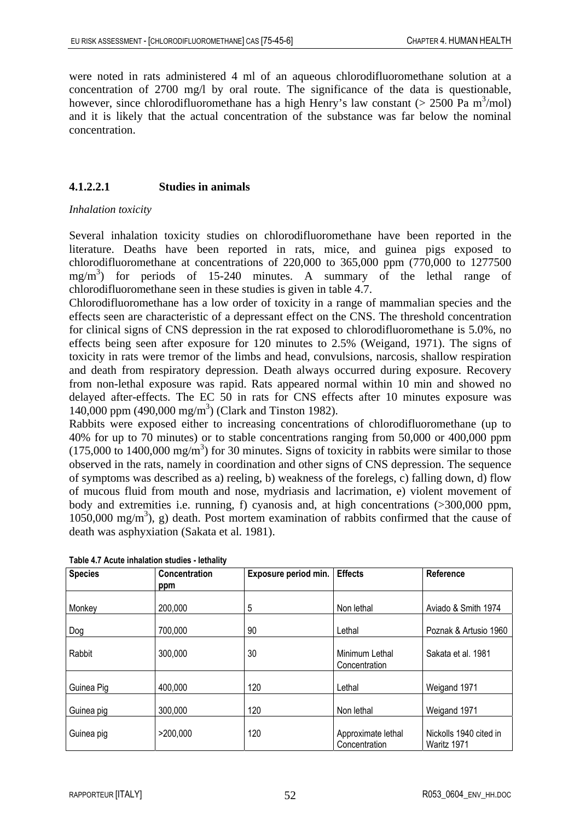were noted in rats administered 4 ml of an aqueous chlorodifluoromethane solution at a concentration of 2700 mg/l by oral route. The significance of the data is questionable, however, since chlorodifluoromethane has a high Henry's law constant ( $> 2500$  Pa m<sup>3</sup>/mol) and it is likely that the actual concentration of the substance was far below the nominal concentration.

### **4.1.2.2.1 Studies in animals**

#### *Inhalation toxicity*

Several inhalation toxicity studies on chlorodifluoromethane have been reported in the literature. Deaths have been reported in rats, mice, and guinea pigs exposed to chlorodifluoromethane at concentrations of  $220,000$  to  $365,000$  ppm  $(770,000)$  to  $1277500$  $mg/m<sup>3</sup>$ ) for periods of 15-240 minutes. A summary of the lethal range of chlorodifluoromethane seen in these studies is given in table 4.7.

Chlorodifluoromethane has a low order of toxicity in a range of mammalian species and the effects seen are characteristic of a depressant effect on the CNS. The threshold concentration for clinical signs of CNS depression in the rat exposed to chlorodifluoromethane is 5.0%, no effects being seen after exposure for 120 minutes to 2.5% (Weigand, 1971). The signs of toxicity in rats were tremor of the limbs and head, convulsions, narcosis, shallow respiration and death from respiratory depression. Death always occurred during exposure. Recovery from non-lethal exposure was rapid. Rats appeared normal within 10 min and showed no delayed after-effects. The EC 50 in rats for CNS effects after 10 minutes exposure was 140,000 ppm  $(490,000 \text{ mg/m}^3)$  (Clark and Tinston 1982).

Rabbits were exposed either to increasing concentrations of chlorodifluoromethane (up to 40% for up to 70 minutes) or to stable concentrations ranging from 50,000 or 400,000 ppm  $(175,000 \text{ to } 1400,000 \text{ mg/m}^3)$  for 30 minutes. Signs of toxicity in rabbits were similar to those observed in the rats, namely in coordination and other signs of CNS depression. The sequence of symptoms was described as a) reeling, b) weakness of the forelegs, c) falling down, d) flow of mucous fluid from mouth and nose, mydriasis and lacrimation, e) violent movement of body and extremities i.e. running, f) cyanosis and, at high concentrations (>300,000 ppm, 1050,000 mg/m<sup>3</sup>), g) death. Post mortem examination of rabbits confirmed that the cause of death was asphyxiation (Sakata et al. 1981).

| <b>Species</b> | Concentration<br>ppm | Exposure period min. | <b>Effects</b>                      | Reference                             |
|----------------|----------------------|----------------------|-------------------------------------|---------------------------------------|
| Monkey         | 200,000              | 5                    | Non lethal                          | Aviado & Smith 1974                   |
| Dog            | 700,000              | 90                   | Lethal                              | Poznak & Artusio 1960                 |
| Rabbit         | 300,000              | 30                   | Minimum Lethal<br>Concentration     | Sakata et al. 1981                    |
| Guinea Pig     | 400,000              | 120                  | Lethal                              | Weigand 1971                          |
| Guinea pig     | 300,000              | 120                  | Non lethal                          | Weigand 1971                          |
| Guinea pig     | >200,000             | 120                  | Approximate lethal<br>Concentration | Nickolls 1940 cited in<br>Waritz 1971 |

#### **Table 4.7 Acute inhalation studies - lethality**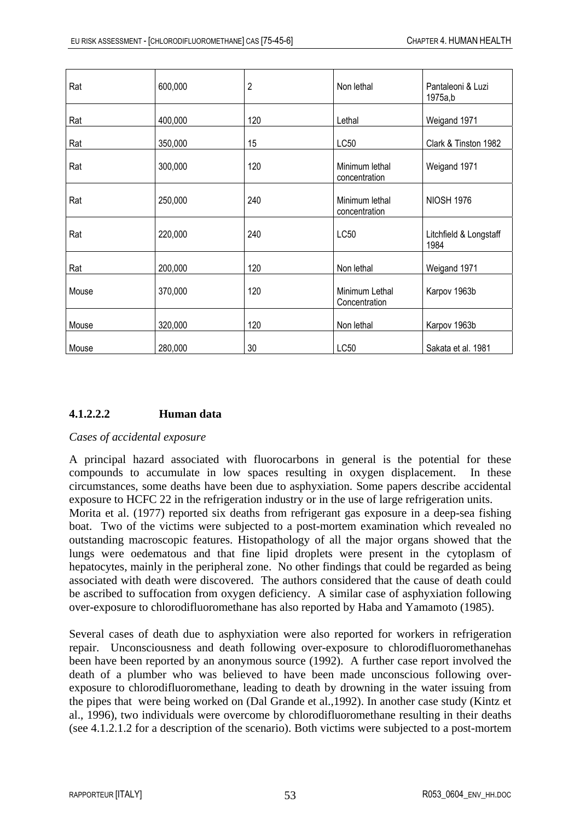| Rat   | 600,000 | $\overline{2}$ | Non lethal                      | Pantaleoni & Luzi<br>1975a,b   |
|-------|---------|----------------|---------------------------------|--------------------------------|
| Rat   | 400,000 | 120            | Lethal                          | Weigand 1971                   |
| Rat   | 350,000 | 15             | LC50                            | Clark & Tinston 1982           |
| Rat   | 300,000 | 120            | Minimum lethal<br>concentration | Weigand 1971                   |
| Rat   | 250,000 | 240            | Minimum lethal<br>concentration | <b>NIOSH 1976</b>              |
| Rat   | 220,000 | 240            | LC50                            | Litchfield & Longstaff<br>1984 |
| Rat   | 200,000 | 120            | Non lethal                      | Weigand 1971                   |
| Mouse | 370,000 | 120            | Minimum Lethal<br>Concentration | Karpov 1963b                   |
| Mouse | 320,000 | 120            | Non lethal                      | Karpov 1963b                   |
| Mouse | 280,000 | 30             | LC50                            | Sakata et al. 1981             |

# **4.1.2.2.2 Human data**

### *Cases of accidental exposure*

A principal hazard associated with fluorocarbons in general is the potential for these compounds to accumulate in low spaces resulting in oxygen displacement. In these circumstances, some deaths have been due to asphyxiation. Some papers describe accidental exposure to HCFC 22 in the refrigeration industry or in the use of large refrigeration units. Morita et al. (1977) reported six deaths from refrigerant gas exposure in a deep-sea fishing

boat. Two of the victims were subjected to a post-mortem examination which revealed no outstanding macroscopic features. Histopathology of all the major organs showed that the lungs were oedematous and that fine lipid droplets were present in the cytoplasm of hepatocytes, mainly in the peripheral zone. No other findings that could be regarded as being associated with death were discovered. The authors considered that the cause of death could be ascribed to suffocation from oxygen deficiency. A similar case of asphyxiation following over-exposure to chlorodifluoromethane has also reported by Haba and Yamamoto (1985).

Several cases of death due to asphyxiation were also reported for workers in refrigeration repair. Unconsciousness and death following over-exposure to chlorodifluoromethanehas been have been reported by an anonymous source (1992). A further case report involved the death of a plumber who was believed to have been made unconscious following overexposure to chlorodifluoromethane, leading to death by drowning in the water issuing from the pipes that were being worked on (Dal Grande et al.,1992). In another case study (Kintz et al., 1996), two individuals were overcome by chlorodifluoromethane resulting in their deaths (see 4.1.2.1.2 for a description of the scenario). Both victims were subjected to a post-mortem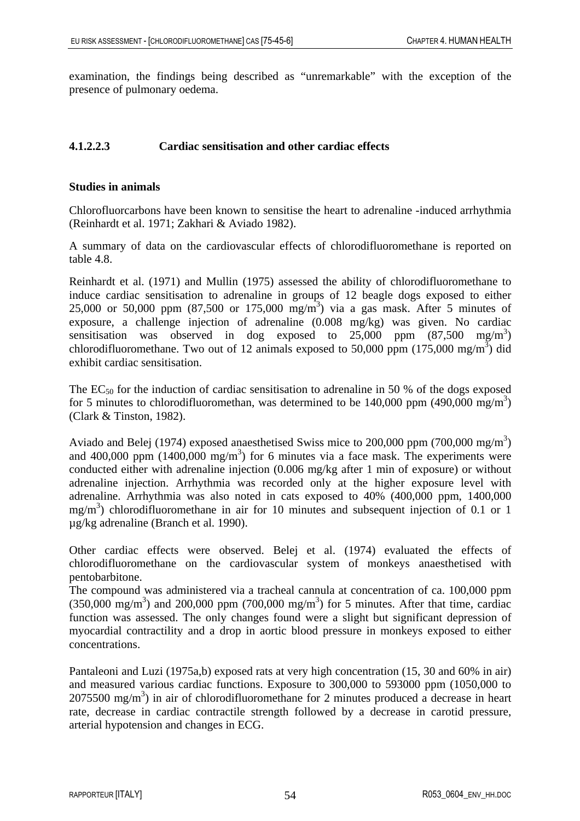examination, the findings being described as "unremarkable" with the exception of the presence of pulmonary oedema.

### **4.1.2.2.3 Cardiac sensitisation and other cardiac effects**

#### **Studies in animals**

Chlorofluorcarbons have been known to sensitise the heart to adrenaline -induced arrhythmia (Reinhardt et al. 1971; Zakhari & Aviado 1982).

A summary of data on the cardiovascular effects of chlorodifluoromethane is reported on table 4.8.

Reinhardt et al. (1971) and Mullin (1975) assessed the ability of chlorodifluoromethane to induce cardiac sensitisation to adrenaline in groups of 12 beagle dogs exposed to either 25,000 or 50,000 ppm  $(87,500 \text{ or } 175,000 \text{ mg/m}^3)$  via a gas mask. After 5 minutes of exposure, a challenge injection of adrenaline (0.008 mg/kg) was given. No cardiac sensitisation was observed in dog exposed to  $25,000$  ppm  $(87,500 \text{ mg/m}^3)$ chlorodifluoromethane. Two out of 12 animals exposed to 50,000 ppm  $(175,000 \text{ mg/m}^3)$  did exhibit cardiac sensitisation.

The  $EC_{50}$  for the induction of cardiac sensitisation to adrenaline in 50 % of the dogs exposed for 5 minutes to chlorodifluoromethan, was determined to be 140,000 ppm (490,000 mg/m<sup>3</sup>) (Clark & Tinston, 1982).

Aviado and Belej (1974) exposed anaesthetised Swiss mice to 200,000 ppm (700,000 mg/m<sup>3</sup>) and  $400,000$  ppm  $(1400,000 \text{ mg/m}^3)$  for 6 minutes via a face mask. The experiments were conducted either with adrenaline injection (0.006 mg/kg after 1 min of exposure) or without adrenaline injection. Arrhythmia was recorded only at the higher exposure level with adrenaline. Arrhythmia was also noted in cats exposed to 40% (400,000 ppm, 1400,000 mg/m<sup>3</sup>) chlorodifluoromethane in air for 10 minutes and subsequent injection of 0.1 or 1 µg/kg adrenaline (Branch et al. 1990).

Other cardiac effects were observed. Belej et al. (1974) evaluated the effects of chlorodifluoromethane on the cardiovascular system of monkeys anaesthetised with pentobarbitone.

The compound was administered via a tracheal cannula at concentration of ca. 100,000 ppm  $(350,000 \text{ mg/m}^3)$  and 200,000 ppm  $(700,000 \text{ mg/m}^3)$  for 5 minutes. After that time, cardiac function was assessed. The only changes found were a slight but significant depression of myocardial contractility and a drop in aortic blood pressure in monkeys exposed to either concentrations.

Pantaleoni and Luzi (1975a,b) exposed rats at very high concentration (15, 30 and 60% in air) and measured various cardiac functions. Exposure to 300,000 to 593000 ppm (1050,000 to 2075500 mg/m<sup>3</sup>) in air of chlorodifluoromethane for 2 minutes produced a decrease in heart rate, decrease in cardiac contractile strength followed by a decrease in carotid pressure, arterial hypotension and changes in ECG.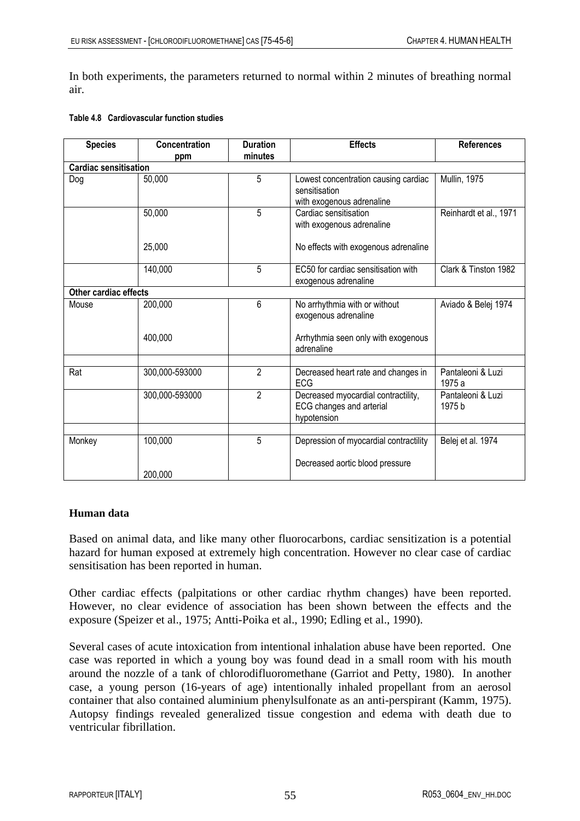In both experiments, the parameters returned to normal within 2 minutes of breathing normal air.

| <b>Species</b>               | Concentration  | <b>Duration</b> | <b>Effects</b>                                                                     | <b>References</b>           |
|------------------------------|----------------|-----------------|------------------------------------------------------------------------------------|-----------------------------|
|                              | ppm            | minutes         |                                                                                    |                             |
| <b>Cardiac sensitisation</b> |                |                 |                                                                                    |                             |
| Dog                          | 50,000         | 5               | Lowest concentration causing cardiac<br>sensitisation<br>with exogenous adrenaline | <b>Mullin, 1975</b>         |
|                              | 50,000         | 5               | Cardiac sensitisation<br>with exogenous adrenaline                                 | Reinhardt et al., 1971      |
|                              | 25,000         |                 | No effects with exogenous adrenaline                                               |                             |
|                              | 140,000        | 5               | EC50 for cardiac sensitisation with<br>exogenous adrenaline                        | Clark & Tinston 1982        |
| <b>Other cardiac effects</b> |                |                 |                                                                                    |                             |
| Mouse                        | 200,000        | 6               | No arrhythmia with or without<br>exogenous adrenaline                              | Aviado & Belej 1974         |
|                              | 400,000        |                 | Arrhythmia seen only with exogenous<br>adrenaline                                  |                             |
|                              |                |                 |                                                                                    |                             |
| Rat                          | 300,000-593000 | $\overline{2}$  | Decreased heart rate and changes in<br><b>ECG</b>                                  | Pantaleoni & Luzi<br>1975 a |
|                              | 300,000-593000 | $\overline{2}$  | Decreased myocardial contractility,<br>ECG changes and arterial<br>hypotension     | Pantaleoni & Luzi<br>1975 b |
|                              |                |                 |                                                                                    |                             |
| Monkey                       | 100,000        | 5               | Depression of myocardial contractility                                             | Belej et al. 1974           |
|                              | 200,000        |                 | Decreased aortic blood pressure                                                    |                             |

#### **Table 4.8 Cardiovascular function studies**

## **Human data**

Based on animal data, and like many other fluorocarbons, cardiac sensitization is a potential hazard for human exposed at extremely high concentration. However no clear case of cardiac sensitisation has been reported in human.

Other cardiac effects (palpitations or other cardiac rhythm changes) have been reported. However, no clear evidence of association has been shown between the effects and the exposure (Speizer et al., 1975; Antti-Poika et al., 1990; Edling et al., 1990).

Several cases of acute intoxication from intentional inhalation abuse have been reported. One case was reported in which a young boy was found dead in a small room with his mouth around the nozzle of a tank of chlorodifluoromethane (Garriot and Petty, 1980). In another case, a young person (16-years of age) intentionally inhaled propellant from an aerosol container that also contained aluminium phenylsulfonate as an anti-perspirant (Kamm, 1975). Autopsy findings revealed generalized tissue congestion and edema with death due to ventricular fibrillation.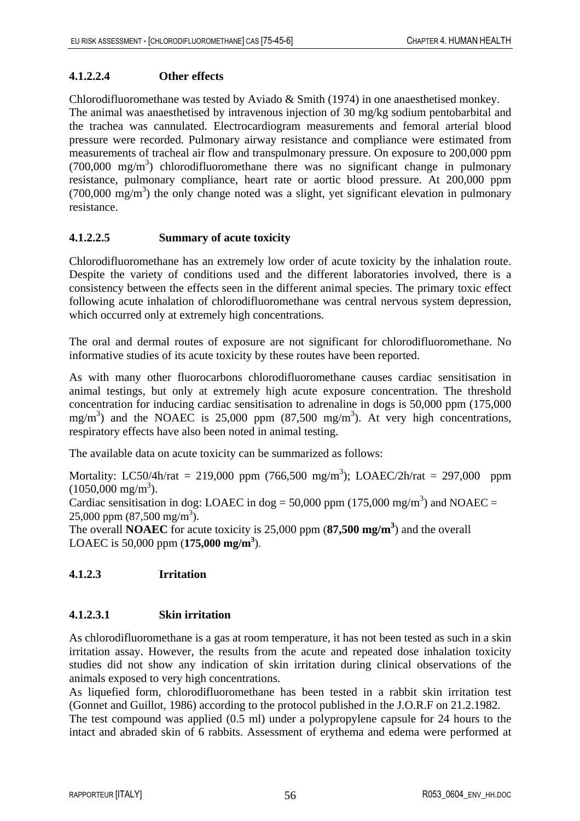## **4.1.2.2.4 Other effects**

Chlorodifluoromethane was tested by Aviado & Smith (1974) in one anaesthetised monkey. The animal was anaesthetised by intravenous injection of 30 mg/kg sodium pentobarbital and the trachea was cannulated. Electrocardiogram measurements and femoral arterial blood pressure were recorded. Pulmonary airway resistance and compliance were estimated from measurements of tracheal air flow and transpulmonary pressure. On exposure to 200,000 ppm  $(700,000 \text{ mg/m}^3)$  chlorodifluoromethane there was no significant change in pulmonary resistance, pulmonary compliance, heart rate or aortic blood pressure. At 200,000 ppm  $(700,000 \text{ mg/m}^3)$  the only change noted was a slight, yet significant elevation in pulmonary resistance.

## **4.1.2.2.5 Summary of acute toxicity**

Chlorodifluoromethane has an extremely low order of acute toxicity by the inhalation route. Despite the variety of conditions used and the different laboratories involved, there is a consistency between the effects seen in the different animal species. The primary toxic effect following acute inhalation of chlorodifluoromethane was central nervous system depression, which occurred only at extremely high concentrations.

The oral and dermal routes of exposure are not significant for chlorodifluoromethane. No informative studies of its acute toxicity by these routes have been reported.

As with many other fluorocarbons chlorodifluoromethane causes cardiac sensitisation in animal testings, but only at extremely high acute exposure concentration. The threshold concentration for inducing cardiac sensitisation to adrenaline in dogs is 50,000 ppm (175,000  $mg/m<sup>3</sup>$ ) and the NOAEC is 25,000 ppm (87,500 mg/m<sup>3</sup>). At very high concentrations, respiratory effects have also been noted in animal testing.

The available data on acute toxicity can be summarized as follows:

Mortality: LC50/4h/rat = 219,000 ppm (766,500 mg/m<sup>3</sup>); LOAEC/2h/rat = 297,000 ppm  $(1050,000 \text{ mg/m}^3)$ .

Cardiac sensitisation in dog: LOAEC in dog = 50,000 ppm (175,000 mg/m<sup>3</sup>) and NOAEC =  $25,000$  ppm  $(87,500 \text{ mg/m}^3)$ .

The overall **NOAEC** for acute toxicity is 25,000 ppm (**87,500 mg/m3** ) and the overall LOAEC is 50,000 ppm (**175,000 mg/m<sup>3</sup>** ).

## **4.1.2.3 Irritation**

## **4.1.2.3.1 Skin irritation**

As chlorodifluoromethane is a gas at room temperature, it has not been tested as such in a skin irritation assay. However, the results from the acute and repeated dose inhalation toxicity studies did not show any indication of skin irritation during clinical observations of the animals exposed to very high concentrations.

As liquefied form, chlorodifluoromethane has been tested in a rabbit skin irritation test (Gonnet and Guillot, 1986) according to the protocol published in the J.O.R.F on 21.2.1982.

The test compound was applied (0.5 ml) under a polypropylene capsule for 24 hours to the intact and abraded skin of 6 rabbits. Assessment of erythema and edema were performed at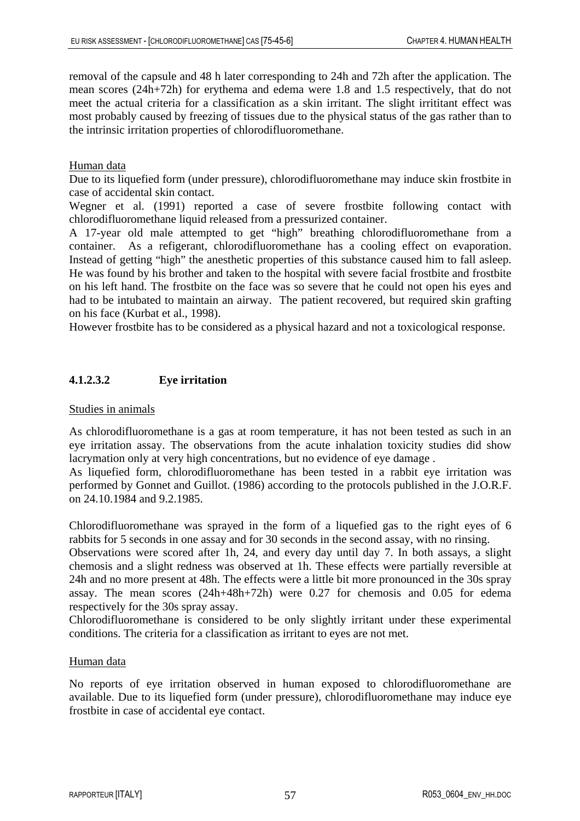removal of the capsule and 48 h later corresponding to 24h and 72h after the application. The mean scores (24h+72h) for erythema and edema were 1.8 and 1.5 respectively, that do not meet the actual criteria for a classification as a skin irritant. The slight irrititant effect was most probably caused by freezing of tissues due to the physical status of the gas rather than to the intrinsic irritation properties of chlorodifluoromethane.

## Human data

Due to its liquefied form (under pressure), chlorodifluoromethane may induce skin frostbite in case of accidental skin contact.

Wegner et al. (1991) reported a case of severe frostbite following contact with chlorodifluoromethane liquid released from a pressurized container.

A 17-year old male attempted to get "high" breathing chlorodifluoromethane from a container. As a refigerant, chlorodifluoromethane has a cooling effect on evaporation. Instead of getting "high" the anesthetic properties of this substance caused him to fall asleep. He was found by his brother and taken to the hospital with severe facial frostbite and frostbite on his left hand. The frostbite on the face was so severe that he could not open his eyes and had to be intubated to maintain an airway. The patient recovered, but required skin grafting on his face (Kurbat et al., 1998).

However frostbite has to be considered as a physical hazard and not a toxicological response.

# **4.1.2.3.2 Eye irritation**

### Studies in animals

As chlorodifluoromethane is a gas at room temperature, it has not been tested as such in an eye irritation assay. The observations from the acute inhalation toxicity studies did show lacrymation only at very high concentrations, but no evidence of eye damage .

As liquefied form, chlorodifluoromethane has been tested in a rabbit eye irritation was performed by Gonnet and Guillot. (1986) according to the protocols published in the J.O.R.F. on 24.10.1984 and 9.2.1985.

Chlorodifluoromethane was sprayed in the form of a liquefied gas to the right eyes of 6 rabbits for 5 seconds in one assay and for 30 seconds in the second assay, with no rinsing.

Observations were scored after 1h, 24, and every day until day 7. In both assays, a slight chemosis and a slight redness was observed at 1h. These effects were partially reversible at 24h and no more present at 48h. The effects were a little bit more pronounced in the 30s spray assay. The mean scores (24h+48h+72h) were 0.27 for chemosis and 0.05 for edema respectively for the 30s spray assay.

Chlorodifluoromethane is considered to be only slightly irritant under these experimental conditions. The criteria for a classification as irritant to eyes are not met.

### Human data

No reports of eye irritation observed in human exposed to chlorodifluoromethane are available. Due to its liquefied form (under pressure), chlorodifluoromethane may induce eye frostbite in case of accidental eye contact.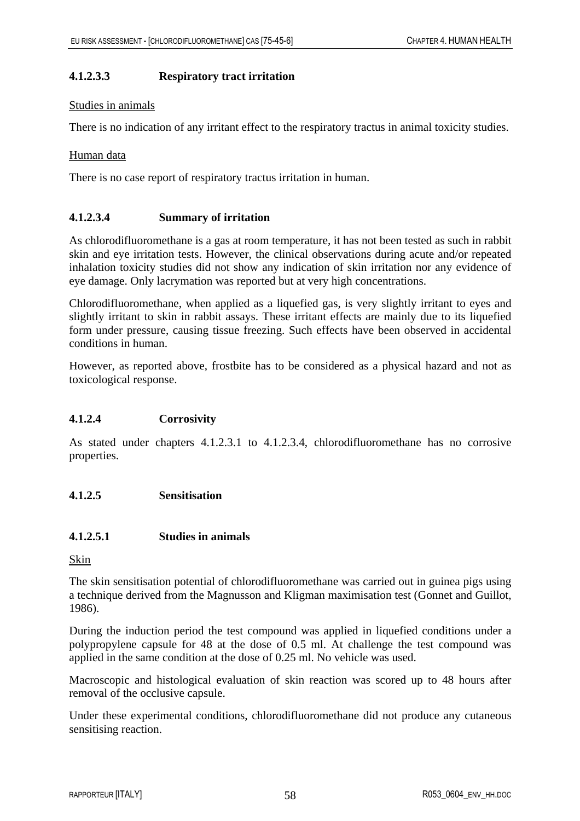## **4.1.2.3.3 Respiratory tract irritation**

## Studies in animals

There is no indication of any irritant effect to the respiratory tractus in animal toxicity studies.

## Human data

There is no case report of respiratory tractus irritation in human.

## **4.1.2.3.4 Summary of irritation**

As chlorodifluoromethane is a gas at room temperature, it has not been tested as such in rabbit skin and eye irritation tests. However, the clinical observations during acute and/or repeated inhalation toxicity studies did not show any indication of skin irritation nor any evidence of eye damage. Only lacrymation was reported but at very high concentrations.

Chlorodifluoromethane, when applied as a liquefied gas, is very slightly irritant to eyes and slightly irritant to skin in rabbit assays. These irritant effects are mainly due to its liquefied form under pressure, causing tissue freezing. Such effects have been observed in accidental conditions in human.

However, as reported above, frostbite has to be considered as a physical hazard and not as toxicological response.

## **4.1.2.4 Corrosivity**

As stated under chapters 4.1.2.3.1 to 4.1.2.3.4, chlorodifluoromethane has no corrosive properties.

### **4.1.2.5 Sensitisation**

### **4.1.2.5.1 Studies in animals**

Skin

The skin sensitisation potential of chlorodifluoromethane was carried out in guinea pigs using a technique derived from the Magnusson and Kligman maximisation test (Gonnet and Guillot, 1986).

During the induction period the test compound was applied in liquefied conditions under a polypropylene capsule for 48 at the dose of 0.5 ml. At challenge the test compound was applied in the same condition at the dose of 0.25 ml. No vehicle was used.

Macroscopic and histological evaluation of skin reaction was scored up to 48 hours after removal of the occlusive capsule.

Under these experimental conditions, chlorodifluoromethane did not produce any cutaneous sensitising reaction.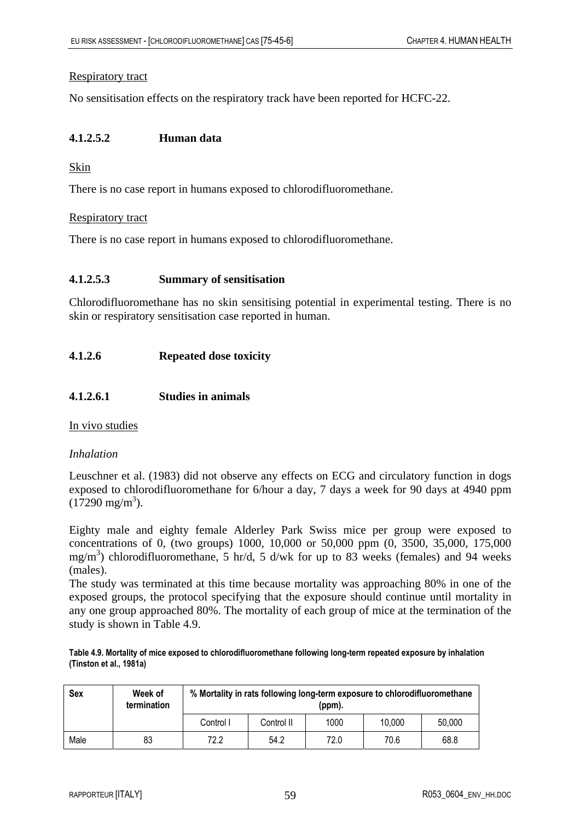## Respiratory tract

No sensitisation effects on the respiratory track have been reported for HCFC-22.

## **4.1.2.5.2 Human data**

#### Skin

There is no case report in humans exposed to chlorodifluoromethane.

### **Respiratory tract**

There is no case report in humans exposed to chlorodifluoromethane.

#### **4.1.2.5.3 Summary of sensitisation**

Chlorodifluoromethane has no skin sensitising potential in experimental testing. There is no skin or respiratory sensitisation case reported in human.

## **4.1.2.6 Repeated dose toxicity**

### **4.1.2.6.1 Studies in animals**

In vivo studies

### *Inhalation*

Leuschner et al. (1983) did not observe any effects on ECG and circulatory function in dogs exposed to chlorodifluoromethane for 6/hour a day, 7 days a week for 90 days at 4940 ppm  $(17290 \text{ mg/m}^3)$ .

Eighty male and eighty female Alderley Park Swiss mice per group were exposed to concentrations of 0, (two groups) 1000, 10,000 or 50,000 ppm (0, 3500, 35,000, 175,000 mg/m<sup>3</sup>) chlorodifluoromethane, 5 hr/d, 5 d/wk for up to 83 weeks (females) and 94 weeks (males).

The study was terminated at this time because mortality was approaching 80% in one of the exposed groups, the protocol specifying that the exposure should continue until mortality in any one group approached 80%. The mortality of each group of mice at the termination of the study is shown in Table 4.9.

#### **Table 4.9. Mortality of mice exposed to chlorodifluoromethane following long-term repeated exposure by inhalation (Tinston et al., 1981a)**

| <b>Sex</b> | Week of<br>termination |           | % Mortality in rats following long-term exposure to chlorodifluoromethane<br>(ppm). |      |        |        |  |  |  |  |
|------------|------------------------|-----------|-------------------------------------------------------------------------------------|------|--------|--------|--|--|--|--|
|            |                        | Control I | Control II                                                                          | 1000 | 10.000 | 50,000 |  |  |  |  |
| Male       | 83                     | 72.2      | 54.2                                                                                | 72.0 | 70.6   | 68.8   |  |  |  |  |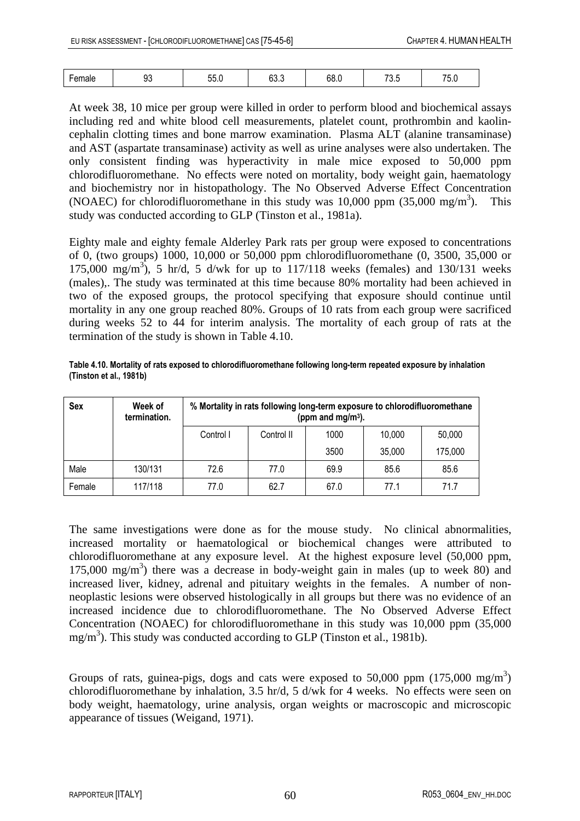| emale<br>-- | ne,<br>υu | --<br>-<br><b><u><u>_</u></u></b><br>∪∪.⊽ | $\sim$ $\sim$<br><br>ບບ.ບ | 68.0 | $\overline{\phantom{a}}$<br>ັບ.ບ | $- -$<br>v.v |
|-------------|-----------|-------------------------------------------|---------------------------|------|----------------------------------|--------------|

At week 38, 10 mice per group were killed in order to perform blood and biochemical assays including red and white blood cell measurements, platelet count, prothrombin and kaolincephalin clotting times and bone marrow examination. Plasma ALT (alanine transaminase) and AST (aspartate transaminase) activity as well as urine analyses were also undertaken. The only consistent finding was hyperactivity in male mice exposed to 50,000 ppm chlorodifluoromethane. No effects were noted on mortality, body weight gain, haematology and biochemistry nor in histopathology. The No Observed Adverse Effect Concentration (NOAEC) for chlorodifluoromethane in this study was  $10,000$  ppm  $(35,000 \text{ mg/m}^3)$ . This study was conducted according to GLP (Tinston et al., 1981a).

Eighty male and eighty female Alderley Park rats per group were exposed to concentrations of 0, (two groups) 1000, 10,000 or 50,000 ppm chlorodifluoromethane (0, 3500, 35,000 or 175,000 mg/m<sup>3</sup>), 5 hr/d, 5 d/wk for up to 117/118 weeks (females) and 130/131 weeks (males),. The study was terminated at this time because 80% mortality had been achieved in two of the exposed groups, the protocol specifying that exposure should continue until mortality in any one group reached 80%. Groups of 10 rats from each group were sacrificed during weeks 52 to 44 for interim analysis. The mortality of each group of rats at the termination of the study is shown in Table 4.10.

**Table 4.10. Mortality of rats exposed to chlorodifluoromethane following long-term repeated exposure by inhalation (Tinston et al., 1981b)** 

| Sex    | Week of<br>termination. | % Mortality in rats following long-term exposure to chlorodifluoromethane<br>(ppm and mg/m <sup>3</sup> ). |            |      |        |         |  |  |
|--------|-------------------------|------------------------------------------------------------------------------------------------------------|------------|------|--------|---------|--|--|
|        |                         | Control I                                                                                                  | Control II | 1000 | 10,000 | 50,000  |  |  |
|        |                         |                                                                                                            |            | 3500 | 35,000 | 175,000 |  |  |
| Male   | 130/131                 | 72.6                                                                                                       | 77.0       | 69.9 | 85.6   | 85.6    |  |  |
| Female | 117/118                 | 77.0                                                                                                       | 62.7       | 67.0 | 77.1   | 71.7    |  |  |

The same investigations were done as for the mouse study. No clinical abnormalities, increased mortality or haematological or biochemical changes were attributed to chlorodifluoromethane at any exposure level. At the highest exposure level (50,000 ppm, 175,000 mg/m<sup>3</sup>) there was a decrease in body-weight gain in males (up to week 80) and increased liver, kidney, adrenal and pituitary weights in the females. A number of nonneoplastic lesions were observed histologically in all groups but there was no evidence of an increased incidence due to chlorodifluoromethane. The No Observed Adverse Effect Concentration (NOAEC) for chlorodifluoromethane in this study was 10,000 ppm (35,000  $mg/m<sup>3</sup>$ ). This study was conducted according to GLP (Tinston et al., 1981b).

Groups of rats, guinea-pigs, dogs and cats were exposed to 50,000 ppm  $(175,000 \text{ mg/m}^3)$ chlorodifluoromethane by inhalation, 3.5 hr/d, 5 d/wk for 4 weeks. No effects were seen on body weight, haematology, urine analysis, organ weights or macroscopic and microscopic appearance of tissues (Weigand, 1971).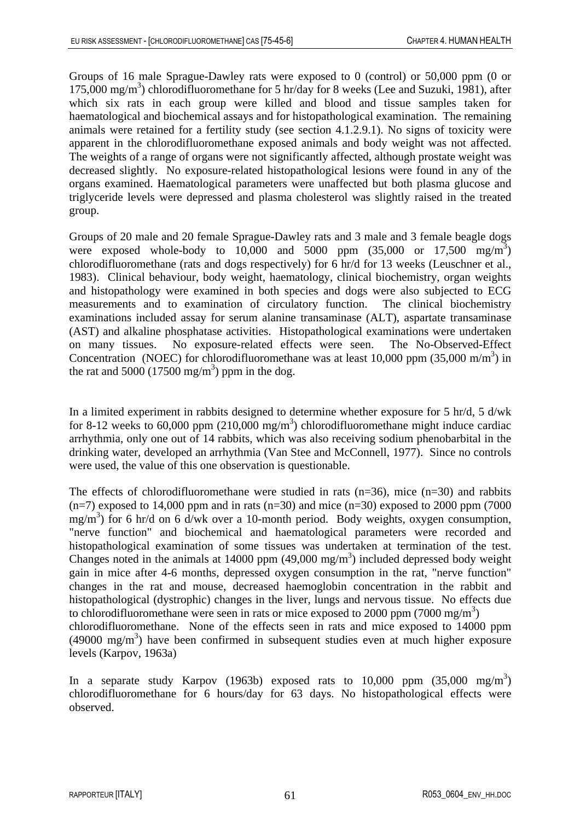Groups of 16 male Sprague-Dawley rats were exposed to 0 (control) or 50,000 ppm (0 or 175,000 mg/m<sup>3</sup>) chlorodifluoromethane for 5 hr/day for 8 weeks (Lee and Suzuki, 1981), after which six rats in each group were killed and blood and tissue samples taken for haematological and biochemical assays and for histopathological examination. The remaining animals were retained for a fertility study (see section 4.1.2.9.1). No signs of toxicity were apparent in the chlorodifluoromethane exposed animals and body weight was not affected. The weights of a range of organs were not significantly affected, although prostate weight was decreased slightly. No exposure-related histopathological lesions were found in any of the organs examined. Haematological parameters were unaffected but both plasma glucose and triglyceride levels were depressed and plasma cholesterol was slightly raised in the treated group.

Groups of 20 male and 20 female Sprague-Dawley rats and 3 male and 3 female beagle dogs were exposed whole-body to  $10,000$  and  $5000$  ppm  $(35,000$  or  $17,500$  mg/m<sup>3</sup>) chlorodifluoromethane (rats and dogs respectively) for 6 hr/d for 13 weeks (Leuschner et al., 1983). Clinical behaviour, body weight, haematology, clinical biochemistry, organ weights and histopathology were examined in both species and dogs were also subjected to ECG measurements and to examination of circulatory function. The clinical biochemistry examinations included assay for serum alanine transaminase (ALT), aspartate transaminase (AST) and alkaline phosphatase activities. Histopathological examinations were undertaken on many tissues. No exposure-related effects were seen. The No-Observed-Effect Concentration (NOEC) for chlorodifluoromethane was at least 10,000 ppm (35,000 m/m<sup>3</sup>) in the rat and 5000  $(17500 \text{ mg/m}^3)$  ppm in the dog.

In a limited experiment in rabbits designed to determine whether exposure for 5 hr/d, 5 d/wk for 8-12 weeks to 60,000 ppm  $(210,000 \text{ mg/m}^3)$  chlorodifluoromethane might induce cardiac arrhythmia, only one out of 14 rabbits, which was also receiving sodium phenobarbital in the drinking water, developed an arrhythmia (Van Stee and McConnell, 1977). Since no controls were used, the value of this one observation is questionable.

The effects of chlorodifluoromethane were studied in rats  $(n=36)$ , mice  $(n=30)$  and rabbits  $(n=7)$  exposed to 14,000 ppm and in rats  $(n=30)$  and mice  $(n=30)$  exposed to 2000 ppm (7000) mg/m<sup>3</sup>) for 6 hr/d on 6 d/wk over a 10-month period. Body weights, oxygen consumption, "nerve function" and biochemical and haematological parameters were recorded and histopathological examination of some tissues was undertaken at termination of the test. Changes noted in the animals at 14000 ppm  $(49,000 \text{ mg/m}^3)$  included depressed body weight gain in mice after 4-6 months, depressed oxygen consumption in the rat, "nerve function" changes in the rat and mouse, decreased haemoglobin concentration in the rabbit and histopathological (dystrophic) changes in the liver, lungs and nervous tissue. No effects due to chlorodifluoromethane were seen in rats or mice exposed to 2000 ppm (7000 mg/m<sup>3</sup>) chlorodifluoromethane. None of the effects seen in rats and mice exposed to 14000 ppm  $(49000 \text{ mg/m}^3)$  have been confirmed in subsequent studies even at much higher exposure levels (Karpov, 1963a)

In a separate study Karpov (1963b) exposed rats to 10,000 ppm (35,000 mg/m<sup>3</sup>) chlorodifluoromethane for 6 hours/day for 63 days. No histopathological effects were observed.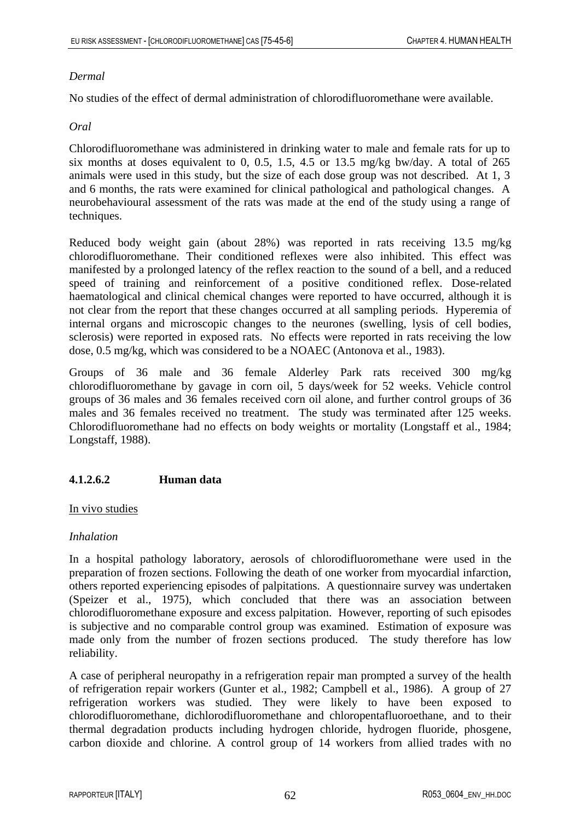## *Dermal*

No studies of the effect of dermal administration of chlorodifluoromethane were available.

# *Oral*

Chlorodifluoromethane was administered in drinking water to male and female rats for up to six months at doses equivalent to 0, 0.5, 1.5, 4.5 or 13.5 mg/kg bw/day. A total of 265 animals were used in this study, but the size of each dose group was not described. At 1, 3 and 6 months, the rats were examined for clinical pathological and pathological changes. A neurobehavioural assessment of the rats was made at the end of the study using a range of techniques.

Reduced body weight gain (about 28%) was reported in rats receiving 13.5 mg/kg chlorodifluoromethane. Their conditioned reflexes were also inhibited. This effect was manifested by a prolonged latency of the reflex reaction to the sound of a bell, and a reduced speed of training and reinforcement of a positive conditioned reflex. Dose-related haematological and clinical chemical changes were reported to have occurred, although it is not clear from the report that these changes occurred at all sampling periods. Hyperemia of internal organs and microscopic changes to the neurones (swelling, lysis of cell bodies, sclerosis) were reported in exposed rats. No effects were reported in rats receiving the low dose, 0.5 mg/kg, which was considered to be a NOAEC (Antonova et al., 1983).

Groups of 36 male and 36 female Alderley Park rats received 300 mg/kg chlorodifluoromethane by gavage in corn oil, 5 days/week for 52 weeks. Vehicle control groups of 36 males and 36 females received corn oil alone, and further control groups of 36 males and 36 females received no treatment. The study was terminated after 125 weeks. Chlorodifluoromethane had no effects on body weights or mortality (Longstaff et al., 1984; Longstaff, 1988).

# **4.1.2.6.2 Human data**

## In vivo studies

## *Inhalation*

In a hospital pathology laboratory, aerosols of chlorodifluoromethane were used in the preparation of frozen sections. Following the death of one worker from myocardial infarction, others reported experiencing episodes of palpitations. A questionnaire survey was undertaken (Speizer et al., 1975), which concluded that there was an association between chlorodifluoromethane exposure and excess palpitation. However, reporting of such episodes is subjective and no comparable control group was examined. Estimation of exposure was made only from the number of frozen sections produced. The study therefore has low reliability.

A case of peripheral neuropathy in a refrigeration repair man prompted a survey of the health of refrigeration repair workers (Gunter et al., 1982; Campbell et al., 1986). A group of 27 refrigeration workers was studied. They were likely to have been exposed to chlorodifluoromethane, dichlorodifluoromethane and chloropentafluoroethane, and to their thermal degradation products including hydrogen chloride, hydrogen fluoride, phosgene, carbon dioxide and chlorine. A control group of 14 workers from allied trades with no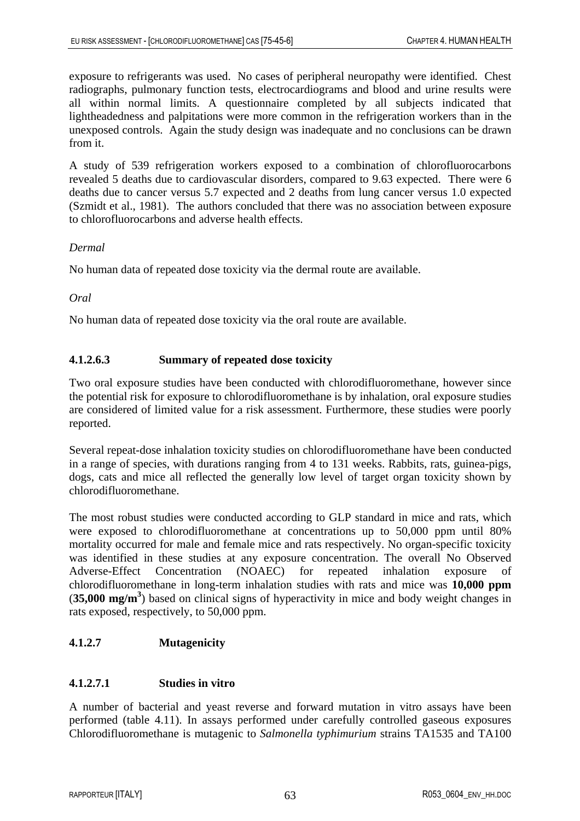exposure to refrigerants was used. No cases of peripheral neuropathy were identified. Chest radiographs, pulmonary function tests, electrocardiograms and blood and urine results were all within normal limits. A questionnaire completed by all subjects indicated that lightheadedness and palpitations were more common in the refrigeration workers than in the unexposed controls. Again the study design was inadequate and no conclusions can be drawn from it.

A study of 539 refrigeration workers exposed to a combination of chlorofluorocarbons revealed 5 deaths due to cardiovascular disorders, compared to 9.63 expected. There were 6 deaths due to cancer versus 5.7 expected and 2 deaths from lung cancer versus 1.0 expected (Szmidt et al., 1981). The authors concluded that there was no association between exposure to chlorofluorocarbons and adverse health effects.

## *Dermal*

No human data of repeated dose toxicity via the dermal route are available.

*Oral* 

No human data of repeated dose toxicity via the oral route are available.

## **4.1.2.6.3 Summary of repeated dose toxicity**

Two oral exposure studies have been conducted with chlorodifluoromethane, however since the potential risk for exposure to chlorodifluoromethane is by inhalation, oral exposure studies are considered of limited value for a risk assessment. Furthermore, these studies were poorly reported.

Several repeat-dose inhalation toxicity studies on chlorodifluoromethane have been conducted in a range of species, with durations ranging from 4 to 131 weeks. Rabbits, rats, guinea-pigs, dogs, cats and mice all reflected the generally low level of target organ toxicity shown by chlorodifluoromethane.

The most robust studies were conducted according to GLP standard in mice and rats, which were exposed to chlorodifluoromethane at concentrations up to 50,000 ppm until 80% mortality occurred for male and female mice and rats respectively. No organ-specific toxicity was identified in these studies at any exposure concentration. The overall No Observed Adverse-Effect Concentration (NOAEC) for repeated inhalation exposure of chlorodifluoromethane in long-term inhalation studies with rats and mice was **10,000 ppm** (**35,000 mg/m<sup>3</sup>** ) based on clinical signs of hyperactivity in mice and body weight changes in rats exposed, respectively, to 50,000 ppm.

## **4.1.2.7 Mutagenicity**

## **4.1.2.7.1 Studies in vitro**

A number of bacterial and yeast reverse and forward mutation in vitro assays have been performed (table 4.11). In assays performed under carefully controlled gaseous exposures Chlorodifluoromethane is mutagenic to *Salmonella typhimurium* strains TA1535 and TA100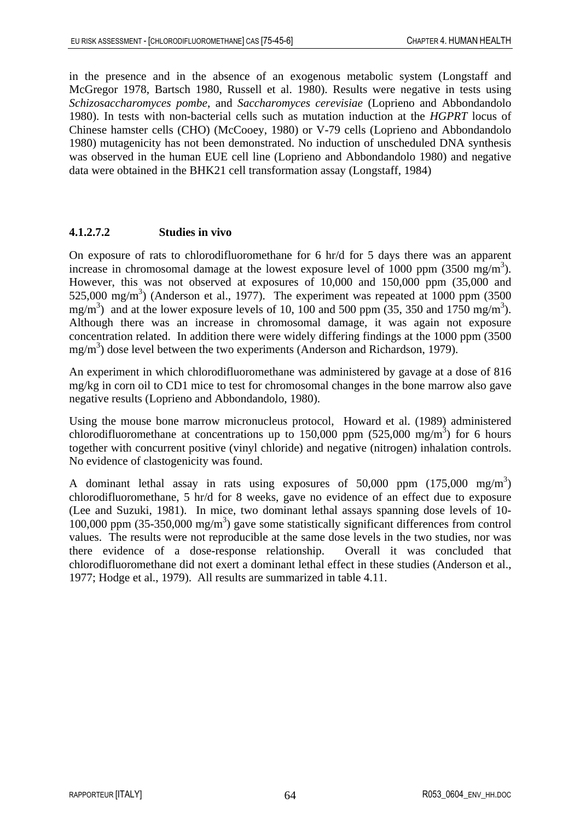in the presence and in the absence of an exogenous metabolic system (Longstaff and McGregor 1978, Bartsch 1980, Russell et al. 1980). Results were negative in tests using *Schizosaccharomyces pombe*, and *Saccharomyces cerevisiae* (Loprieno and Abbondandolo 1980). In tests with non-bacterial cells such as mutation induction at the *HGPRT* locus of Chinese hamster cells (CHO) (McCooey, 1980) or V-79 cells (Loprieno and Abbondandolo 1980) mutagenicity has not been demonstrated. No induction of unscheduled DNA synthesis was observed in the human EUE cell line (Loprieno and Abbondandolo 1980) and negative data were obtained in the BHK21 cell transformation assay (Longstaff, 1984)

## **4.1.2.7.2 Studies in vivo**

On exposure of rats to chlorodifluoromethane for 6 hr/d for 5 days there was an apparent increase in chromosomal damage at the lowest exposure level of  $1000$  ppm  $(3500 \text{ mg/m}^3)$ . However, this was not observed at exposures of 10,000 and 150,000 ppm (35,000 and 525,000 mg/m<sup>3</sup>) (Anderson et al., 1977). The experiment was repeated at 1000 ppm (3500 mg/m<sup>3</sup>) and at the lower exposure levels of 10, 100 and 500 ppm (35, 350 and 1750 mg/m<sup>3</sup>). Although there was an increase in chromosomal damage, it was again not exposure concentration related. In addition there were widely differing findings at the 1000 ppm (3500 mg/m<sup>3</sup>) dose level between the two experiments (Anderson and Richardson, 1979).

An experiment in which chlorodifluoromethane was administered by gavage at a dose of 816 mg/kg in corn oil to CD1 mice to test for chromosomal changes in the bone marrow also gave negative results (Loprieno and Abbondandolo, 1980).

Using the mouse bone marrow micronucleus protocol, Howard et al. (1989) administered chlorodifluoromethane at concentrations up to 150,000 ppm  $(525,000 \text{ mg/m}^3)$  for 6 hours together with concurrent positive (vinyl chloride) and negative (nitrogen) inhalation controls. No evidence of clastogenicity was found.

A dominant lethal assay in rats using exposures of 50,000 ppm  $(175,000 \text{ mg/m}^3)$ chlorodifluoromethane, 5 hr/d for 8 weeks, gave no evidence of an effect due to exposure (Lee and Suzuki, 1981). In mice, two dominant lethal assays spanning dose levels of 10- 100,000 ppm (35-350,000 mg/m<sup>3</sup>) gave some statistically significant differences from control values. The results were not reproducible at the same dose levels in the two studies, nor was there evidence of a dose-response relationship. Overall it was concluded that chlorodifluoromethane did not exert a dominant lethal effect in these studies (Anderson et al., 1977; Hodge et al., 1979). All results are summarized in table 4.11.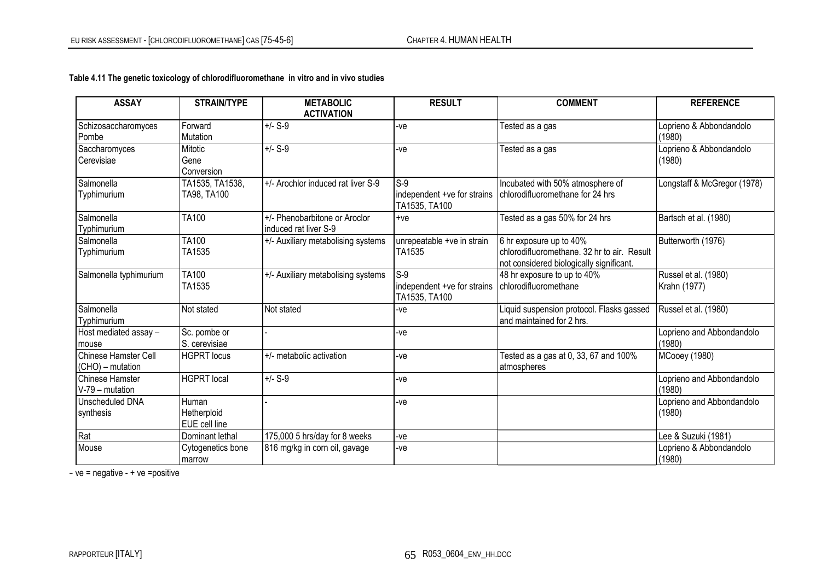| <b>ASSAY</b>                                    | <b>STRAIN/TYPE</b>                    | <b>METABOLIC</b>                                       | <b>RESULT</b>                                         | <b>COMMENT</b>                                                                                                     | <b>REFERENCE</b>                     |
|-------------------------------------------------|---------------------------------------|--------------------------------------------------------|-------------------------------------------------------|--------------------------------------------------------------------------------------------------------------------|--------------------------------------|
|                                                 |                                       | <b>ACTIVATION</b>                                      |                                                       |                                                                                                                    |                                      |
| Schizosaccharomyces<br>Pombe                    | Forward<br><b>Mutation</b>            | $+/- S-9$                                              | -ve                                                   | Tested as a gas                                                                                                    | Loprieno & Abbondandolo<br>(1980)    |
| Saccharomyces<br>Cerevisiae                     | Mitotic<br>Gene<br>Conversion         | $+/- S-9$                                              | -ve                                                   | Tested as a gas                                                                                                    | Loprieno & Abbondandolo<br>(1980)    |
| Salmonella<br>Typhimurium                       | TA1535, TA1538,<br>TA98, TA100        | +/- Arochlor induced rat liver S-9                     | $S-9$<br>independent +ve for strains<br>TA1535, TA100 | Incubated with 50% atmosphere of<br>chlorodifluoromethane for 24 hrs                                               | Longstaff & McGregor (1978)          |
| Salmonella<br>Typhimurium                       | TA100                                 | +/- Phenobarbitone or Aroclor<br>induced rat liver S-9 | $+ve$                                                 | Tested as a gas 50% for 24 hrs                                                                                     | Bartsch et al. (1980)                |
| Salmonella<br>Typhimurium                       | TA100<br>TA1535                       | +/- Auxiliary metabolising systems                     | unrepeatable +ve in strain<br><b>TA1535</b>           | 6 hr exposure up to 40%<br>chlorodifluoromethane, 32 hr to air. Result<br>not considered biologically significant. | Butterworth (1976)                   |
| Salmonella typhimurium                          | TA100<br>TA1535                       | +/- Auxiliary metabolising systems                     | $S-9$<br>independent +ve for strains<br>TA1535, TA100 | 48 hr exposure to up to 40%<br>chlorodifluoromethane                                                               | Russel et al. (1980)<br>Krahn (1977) |
| Salmonella<br>Typhimurium                       | Not stated                            | Not stated                                             | $-ve$                                                 | Liquid suspension protocol. Flasks gassed<br>and maintained for 2 hrs.                                             | Russel et al. (1980)                 |
| Host mediated assay -<br>mouse                  | Sc. pombe or<br>S. cerevisiae         |                                                        | -ve                                                   |                                                                                                                    | Loprieno and Abbondandolo<br>(1980)  |
| <b>Chinese Hamster Cell</b><br>(CHO) - mutation | <b>HGPRT</b> locus                    | +/- metabolic activation                               | -ve                                                   | Tested as a gas at 0, 33, 67 and 100%<br>atmospheres                                                               | MCooey (1980)                        |
| Chinese Hamster<br>$V-79$ – mutation            | <b>HGPRT</b> local                    | $+/- S-9$                                              | -ve                                                   |                                                                                                                    | Loprieno and Abbondandolo<br>(1980)  |
| Unscheduled DNA<br>synthesis                    | Human<br>Hetherploid<br>EUE cell line |                                                        | -ve                                                   |                                                                                                                    | Loprieno and Abbondandolo<br>(1980)  |
| Rat                                             | Dominant lethal                       | 175,000 5 hrs/day for 8 weeks                          | -ve                                                   |                                                                                                                    | Lee & Suzuki (1981)                  |
| Mouse                                           | Cytogenetics bone<br>marrow           | 816 mg/kg in corn oil, gavage                          | -ve                                                   |                                                                                                                    | Loprieno & Abbondandolo<br>(1980)    |

#### **Table 4.11 The genetic toxicology of chlorodifluoromethane in vitro and in vivo studies**

- ve = negative - + ve =positive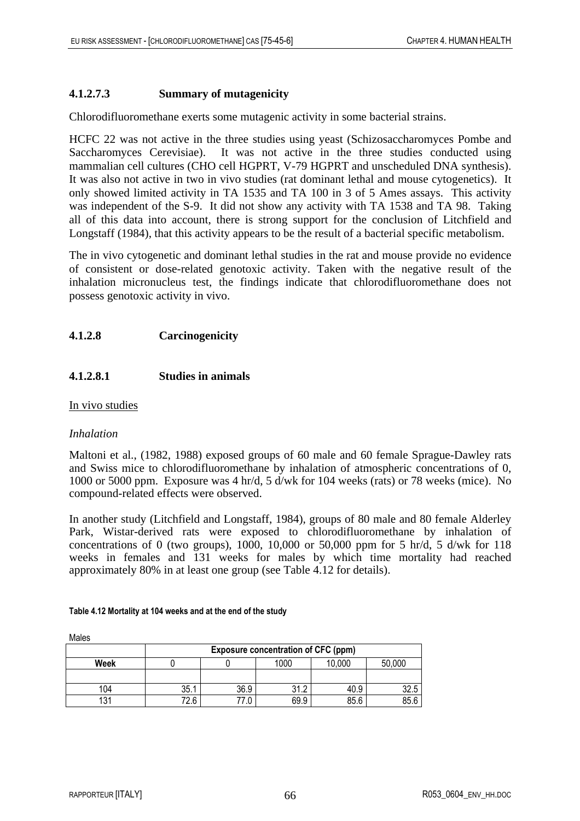## **4.1.2.7.3 Summary of mutagenicity**

Chlorodifluoromethane exerts some mutagenic activity in some bacterial strains.

HCFC 22 was not active in the three studies using yeast (Schizosaccharomyces Pombe and Saccharomyces Cerevisiae). It was not active in the three studies conducted using mammalian cell cultures (CHO cell HGPRT, V-79 HGPRT and unscheduled DNA synthesis). It was also not active in two in vivo studies (rat dominant lethal and mouse cytogenetics). It only showed limited activity in TA 1535 and TA 100 in 3 of 5 Ames assays. This activity was independent of the S-9. It did not show any activity with TA 1538 and TA 98. Taking all of this data into account, there is strong support for the conclusion of Litchfield and Longstaff (1984), that this activity appears to be the result of a bacterial specific metabolism.

The in vivo cytogenetic and dominant lethal studies in the rat and mouse provide no evidence of consistent or dose-related genotoxic activity. Taken with the negative result of the inhalation micronucleus test, the findings indicate that chlorodifluoromethane does not possess genotoxic activity in vivo.

## **4.1.2.8 Carcinogenicity**

## **4.1.2.8.1 Studies in animals**

In vivo studies

## *Inhalation*

Maltoni et al., (1982, 1988) exposed groups of 60 male and 60 female Sprague-Dawley rats and Swiss mice to chlorodifluoromethane by inhalation of atmospheric concentrations of 0, 1000 or 5000 ppm. Exposure was 4 hr/d, 5 d/wk for 104 weeks (rats) or 78 weeks (mice). No compound-related effects were observed.

In another study (Litchfield and Longstaff, 1984), groups of 80 male and 80 female Alderley Park, Wistar-derived rats were exposed to chlorodifluoromethane by inhalation of concentrations of 0 (two groups), 1000, 10,000 or 50,000 ppm for 5 hr/d, 5 d/wk for 118 weeks in females and 131 weeks for males by which time mortality had reached approximately 80% in at least one group (see Table 4.12 for details).

#### **Table 4.12 Mortality at 104 weeks and at the end of the study**

Males

|      | <b>Exposure concentration of CFC (ppm)</b> |      |       |        |        |  |  |  |  |  |  |
|------|--------------------------------------------|------|-------|--------|--------|--|--|--|--|--|--|
| Week |                                            |      | 1000  | 10,000 | 50,000 |  |  |  |  |  |  |
|      |                                            |      |       |        |        |  |  |  |  |  |  |
| 104  | 35.1                                       | 36.9 | າ 1 ດ | 40.9   | ن.∠ن   |  |  |  |  |  |  |
| 131  | 72.6                                       |      | 69.9  | 85.6   | 85.6   |  |  |  |  |  |  |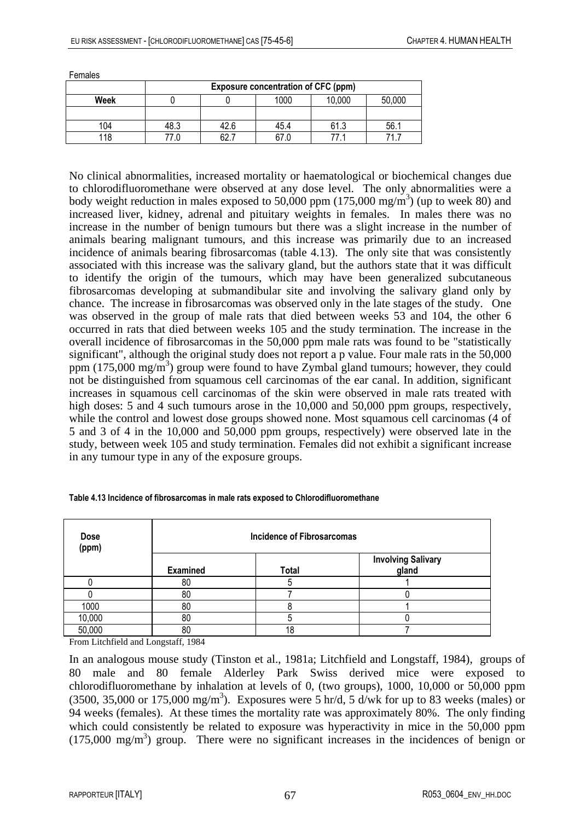|      |      |      | Exposure concentration of CFC (ppm) |        |        |
|------|------|------|-------------------------------------|--------|--------|
| Week |      |      | 1000                                | 10,000 | 50,000 |
|      |      |      |                                     |        |        |
| 104  | 48.3 | 42.6 | 45.4                                | 61.3   | 56.    |
| 118  |      | 52.  | 67.(                                |        | 71     |

Females

No clinical abnormalities, increased mortality or haematological or biochemical changes due to chlorodifluoromethane were observed at any dose level. The only abnormalities were a body weight reduction in males exposed to 50,000 ppm  $(175,000 \text{ mg/m}^3)$  (up to week 80) and increased liver, kidney, adrenal and pituitary weights in females. In males there was no increase in the number of benign tumours but there was a slight increase in the number of animals bearing malignant tumours, and this increase was primarily due to an increased incidence of animals bearing fibrosarcomas (table 4.13). The only site that was consistently associated with this increase was the salivary gland, but the authors state that it was difficult to identify the origin of the tumours, which may have been generalized subcutaneous fibrosarcomas developing at submandibular site and involving the salivary gland only by chance. The increase in fibrosarcomas was observed only in the late stages of the study. One was observed in the group of male rats that died between weeks 53 and 104, the other 6 occurred in rats that died between weeks 105 and the study termination. The increase in the overall incidence of fibrosarcomas in the 50,000 ppm male rats was found to be "statistically significant", although the original study does not report a p value. Four male rats in the 50,000 ppm  $(175,000 \text{ mg/m}^3)$  group were found to have Zymbal gland tumours; however, they could not be distinguished from squamous cell carcinomas of the ear canal. In addition, significant increases in squamous cell carcinomas of the skin were observed in male rats treated with high doses: 5 and 4 such tumours arose in the 10,000 and 50,000 ppm groups, respectively, while the control and lowest dose groups showed none. Most squamous cell carcinomas (4 of 5 and 3 of 4 in the 10,000 and 50,000 ppm groups, respectively) were observed late in the study, between week 105 and study termination. Females did not exhibit a significant increase in any tumour type in any of the exposure groups.

| <b>Dose</b><br>(ppm) | Incidence of Fibrosarcomas |              |                                    |  |  |  |  |  |  |  |
|----------------------|----------------------------|--------------|------------------------------------|--|--|--|--|--|--|--|
|                      | <b>Examined</b>            | <b>Total</b> | <b>Involving Salivary</b><br>gland |  |  |  |  |  |  |  |
|                      | 80                         |              |                                    |  |  |  |  |  |  |  |
|                      | 80                         |              |                                    |  |  |  |  |  |  |  |
| 1000                 | 80                         |              |                                    |  |  |  |  |  |  |  |
| 10,000               | 80                         |              |                                    |  |  |  |  |  |  |  |
| 50,000               | 80                         | 18           |                                    |  |  |  |  |  |  |  |

**Table 4.13 Incidence of fibrosarcomas in male rats exposed to Chlorodifluoromethane** 

From Litchfield and Longstaff, 1984

In an analogous mouse study (Tinston et al., 1981a; Litchfield and Longstaff, 1984), groups of 80 male and 80 female Alderley Park Swiss derived mice were exposed to chlorodifluoromethane by inhalation at levels of 0, (two groups), 1000, 10,000 or 50,000 ppm  $(3500, 35,000 \text{ or } 175,000 \text{ mg/m}^3)$ . Exposures were 5 hr/d, 5 d/wk for up to 83 weeks (males) or 94 weeks (females). At these times the mortality rate was approximately 80%. The only finding which could consistently be related to exposure was hyperactivity in mice in the 50,000 ppm  $(175,000 \text{ mg/m}^3)$  group. There were no significant increases in the incidences of benign or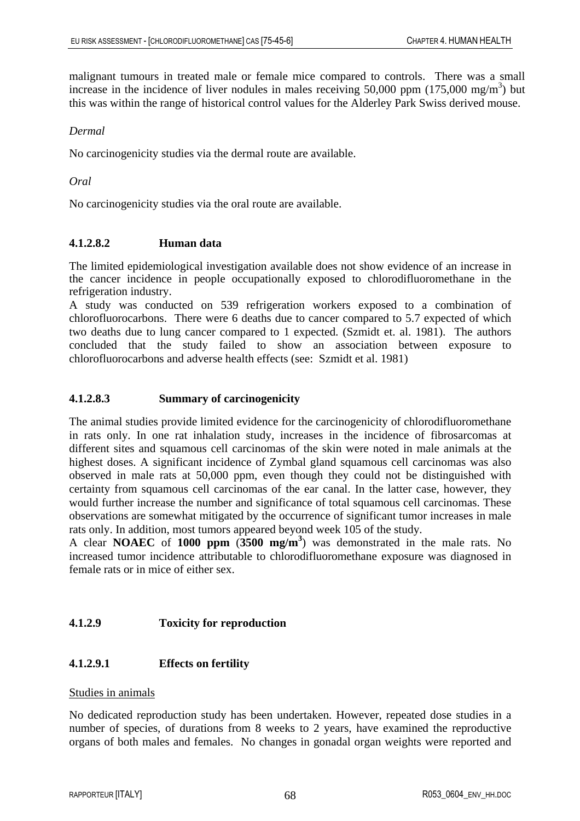malignant tumours in treated male or female mice compared to controls. There was a small increase in the incidence of liver nodules in males receiving 50,000 ppm  $(175,000 \text{ mg/m}^3)$  but this was within the range of historical control values for the Alderley Park Swiss derived mouse.

*Dermal* 

No carcinogenicity studies via the dermal route are available.

*Oral* 

No carcinogenicity studies via the oral route are available.

## **4.1.2.8.2 Human data**

The limited epidemiological investigation available does not show evidence of an increase in the cancer incidence in people occupationally exposed to chlorodifluoromethane in the refrigeration industry.

A study was conducted on 539 refrigeration workers exposed to a combination of chlorofluorocarbons. There were 6 deaths due to cancer compared to 5.7 expected of which two deaths due to lung cancer compared to 1 expected. (Szmidt et. al. 1981). The authors concluded that the study failed to show an association between exposure to chlorofluorocarbons and adverse health effects (see: Szmidt et al. 1981)

## **4.1.2.8.3 Summary of carcinogenicity**

The animal studies provide limited evidence for the carcinogenicity of chlorodifluoromethane in rats only. In one rat inhalation study, increases in the incidence of fibrosarcomas at different sites and squamous cell carcinomas of the skin were noted in male animals at the highest doses. A significant incidence of Zymbal gland squamous cell carcinomas was also observed in male rats at 50,000 ppm, even though they could not be distinguished with certainty from squamous cell carcinomas of the ear canal. In the latter case, however, they would further increase the number and significance of total squamous cell carcinomas. These observations are somewhat mitigated by the occurrence of significant tumor increases in male rats only. In addition, most tumors appeared beyond week 105 of the study.

A clear **NOAEC** of **1000 ppm** (**3500 mg/m<sup>3</sup>** ) was demonstrated in the male rats. No increased tumor incidence attributable to chlorodifluoromethane exposure was diagnosed in female rats or in mice of either sex.

# **4.1.2.9 Toxicity for reproduction**

# **4.1.2.9.1 Effects on fertility**

## Studies in animals

No dedicated reproduction study has been undertaken. However, repeated dose studies in a number of species, of durations from 8 weeks to 2 years, have examined the reproductive organs of both males and females. No changes in gonadal organ weights were reported and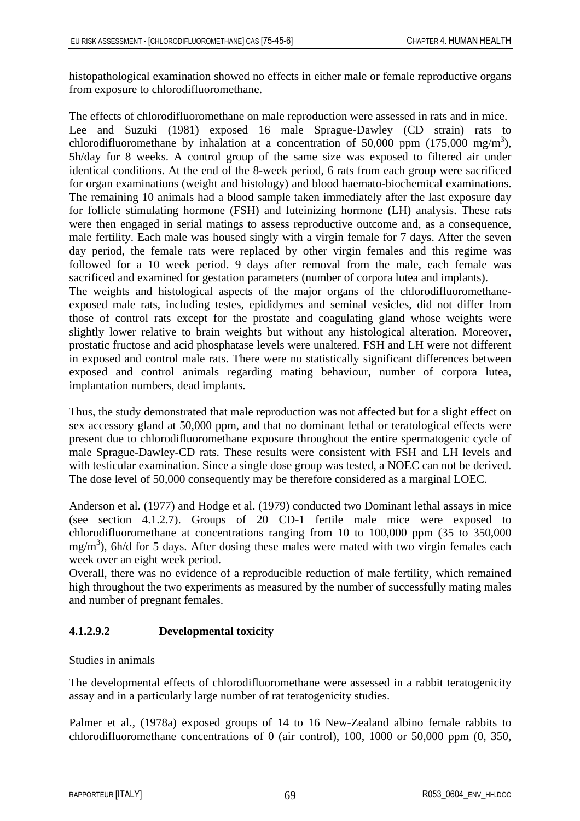histopathological examination showed no effects in either male or female reproductive organs from exposure to chlorodifluoromethane.

The effects of chlorodifluoromethane on male reproduction were assessed in rats and in mice. Lee and Suzuki (1981) exposed 16 male Sprague-Dawley (CD strain) rats to chlorodifluoromethane by inhalation at a concentration of 50,000 ppm (175,000 mg/m<sup>3</sup>), 5h/day for 8 weeks. A control group of the same size was exposed to filtered air under identical conditions. At the end of the 8-week period, 6 rats from each group were sacrificed for organ examinations (weight and histology) and blood haemato-biochemical examinations. The remaining 10 animals had a blood sample taken immediately after the last exposure day for follicle stimulating hormone (FSH) and luteinizing hormone (LH) analysis. These rats were then engaged in serial matings to assess reproductive outcome and, as a consequence, male fertility. Each male was housed singly with a virgin female for 7 days. After the seven day period, the female rats were replaced by other virgin females and this regime was followed for a 10 week period. 9 days after removal from the male, each female was sacrificed and examined for gestation parameters (number of corpora lutea and implants). The weights and histological aspects of the major organs of the chlorodifluoromethaneexposed male rats, including testes, epididymes and seminal vesicles, did not differ from those of control rats except for the prostate and coagulating gland whose weights were

slightly lower relative to brain weights but without any histological alteration. Moreover, prostatic fructose and acid phosphatase levels were unaltered. FSH and LH were not different in exposed and control male rats. There were no statistically significant differences between exposed and control animals regarding mating behaviour, number of corpora lutea, implantation numbers, dead implants.

Thus, the study demonstrated that male reproduction was not affected but for a slight effect on sex accessory gland at 50,000 ppm, and that no dominant lethal or teratological effects were present due to chlorodifluoromethane exposure throughout the entire spermatogenic cycle of male Sprague-Dawley-CD rats. These results were consistent with FSH and LH levels and with testicular examination. Since a single dose group was tested, a NOEC can not be derived. The dose level of 50,000 consequently may be therefore considered as a marginal LOEC.

Anderson et al. (1977) and Hodge et al. (1979) conducted two Dominant lethal assays in mice (see section 4.1.2.7). Groups of 20 CD-1 fertile male mice were exposed to chlorodifluoromethane at concentrations ranging from 10 to 100,000 ppm (35 to 350,000 mg/m<sup>3</sup>), 6h/d for 5 days. After dosing these males were mated with two virgin females each week over an eight week period.

Overall, there was no evidence of a reproducible reduction of male fertility, which remained high throughout the two experiments as measured by the number of successfully mating males and number of pregnant females.

# **4.1.2.9.2 Developmental toxicity**

# Studies in animals

The developmental effects of chlorodifluoromethane were assessed in a rabbit teratogenicity assay and in a particularly large number of rat teratogenicity studies.

Palmer et al., (1978a) exposed groups of 14 to 16 New-Zealand albino female rabbits to chlorodifluoromethane concentrations of 0 (air control), 100, 1000 or 50,000 ppm (0, 350,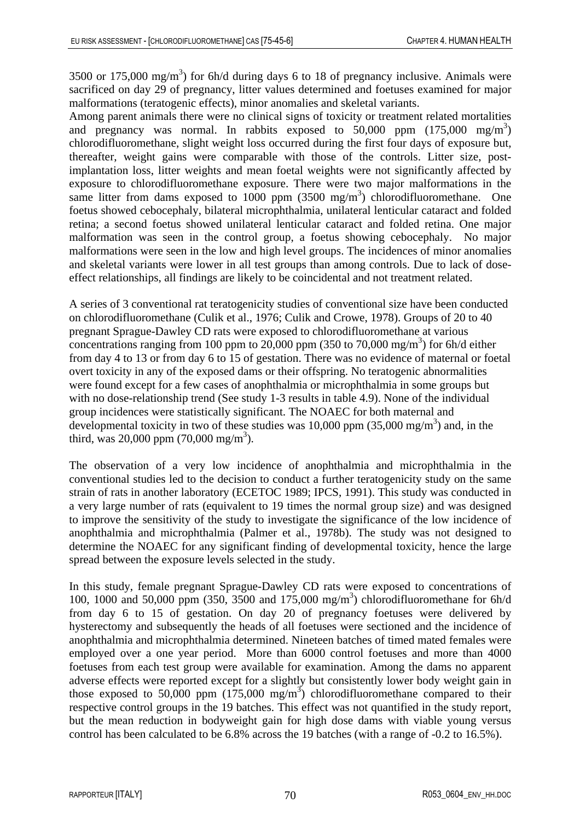3500 or 175,000 mg/m<sup>3</sup>) for 6h/d during days 6 to 18 of pregnancy inclusive. Animals were sacrificed on day 29 of pregnancy, litter values determined and foetuses examined for major malformations (teratogenic effects), minor anomalies and skeletal variants.

Among parent animals there were no clinical signs of toxicity or treatment related mortalities and pregnancy was normal. In rabbits exposed to  $50,000$  ppm  $(175,000 \text{ mg/m}^3)$ chlorodifluoromethane, slight weight loss occurred during the first four days of exposure but, thereafter, weight gains were comparable with those of the controls. Litter size, postimplantation loss, litter weights and mean foetal weights were not significantly affected by exposure to chlorodifluoromethane exposure. There were two major malformations in the same litter from dams exposed to 1000 ppm  $(3500 \text{ mg/m}^3)$  chlorodifluoromethane. One foetus showed cebocephaly, bilateral microphthalmia, unilateral lenticular cataract and folded retina; a second foetus showed unilateral lenticular cataract and folded retina. One major malformation was seen in the control group, a foetus showing cebocephaly. No major malformations were seen in the low and high level groups. The incidences of minor anomalies and skeletal variants were lower in all test groups than among controls. Due to lack of doseeffect relationships, all findings are likely to be coincidental and not treatment related.

A series of 3 conventional rat teratogenicity studies of conventional size have been conducted on chlorodifluoromethane (Culik et al., 1976; Culik and Crowe, 1978). Groups of 20 to 40 pregnant Sprague-Dawley CD rats were exposed to chlorodifluoromethane at various concentrations ranging from 100 ppm to  $20,000$  ppm (350 to 70,000 mg/m<sup>3</sup>) for 6h/d either from day 4 to 13 or from day 6 to 15 of gestation. There was no evidence of maternal or foetal overt toxicity in any of the exposed dams or their offspring. No teratogenic abnormalities were found except for a few cases of anophthalmia or microphthalmia in some groups but with no dose-relationship trend (See study 1-3 results in table 4.9). None of the individual group incidences were statistically significant. The NOAEC for both maternal and developmental toxicity in two of these studies was 10,000 ppm  $(35,000 \text{ mg/m}^3)$  and, in the third, was 20,000 ppm  $(70,000 \text{ mg/m}^3)$ .

The observation of a very low incidence of anophthalmia and microphthalmia in the conventional studies led to the decision to conduct a further teratogenicity study on the same strain of rats in another laboratory (ECETOC 1989; IPCS, 1991). This study was conducted in a very large number of rats (equivalent to 19 times the normal group size) and was designed to improve the sensitivity of the study to investigate the significance of the low incidence of anophthalmia and microphthalmia (Palmer et al., 1978b). The study was not designed to determine the NOAEC for any significant finding of developmental toxicity, hence the large spread between the exposure levels selected in the study.

In this study, female pregnant Sprague-Dawley CD rats were exposed to concentrations of 100, 1000 and 50,000 ppm (350, 3500 and 175,000 mg/m3 ) chlorodifluoromethane for 6h/d from day 6 to 15 of gestation. On day 20 of pregnancy foetuses were delivered by hysterectomy and subsequently the heads of all foetuses were sectioned and the incidence of anophthalmia and microphthalmia determined. Nineteen batches of timed mated females were employed over a one year period. More than 6000 control foetuses and more than 4000 foetuses from each test group were available for examination. Among the dams no apparent adverse effects were reported except for a slightly but consistently lower body weight gain in those exposed to 50,000 ppm  $(175,000 \text{ mg/m}^3)$  chlorodifluoromethane compared to their respective control groups in the 19 batches. This effect was not quantified in the study report, but the mean reduction in bodyweight gain for high dose dams with viable young versus control has been calculated to be 6.8% across the 19 batches (with a range of -0.2 to 16.5%).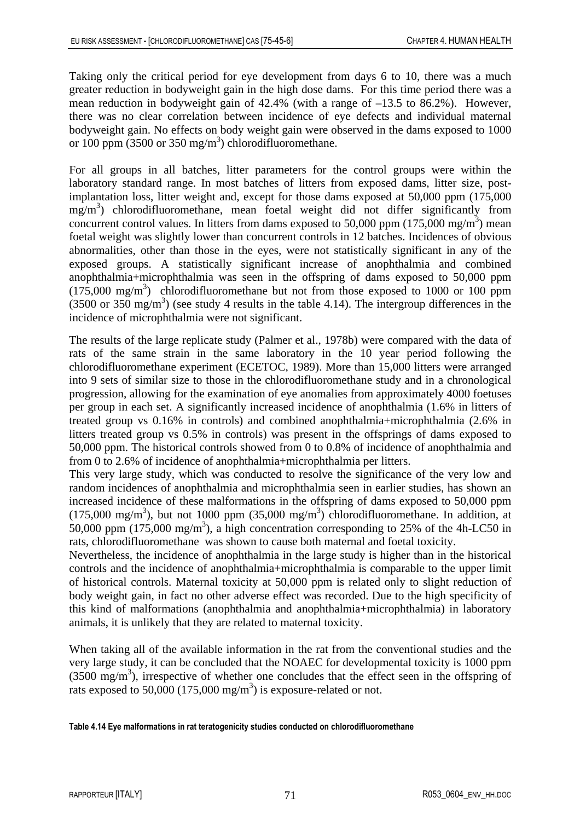Taking only the critical period for eye development from days 6 to 10, there was a much greater reduction in bodyweight gain in the high dose dams. For this time period there was a mean reduction in bodyweight gain of 42.4% (with a range of –13.5 to 86.2%). However, there was no clear correlation between incidence of eye defects and individual maternal bodyweight gain. No effects on body weight gain were observed in the dams exposed to 1000 or 100 ppm  $(3500 \text{ or } 350 \text{ mg/m}^3)$  chlorodifluoromethane.

For all groups in all batches, litter parameters for the control groups were within the laboratory standard range. In most batches of litters from exposed dams, litter size, postimplantation loss, litter weight and, except for those dams exposed at 50,000 ppm (175,000 mg/m<sup>3</sup>) chlorodifluoromethane, mean foetal weight did not differ significantly from concurrent control values. In litters from dams exposed to 50,000 ppm  $(175,000 \text{ mg/m}^3)$  mean foetal weight was slightly lower than concurrent controls in 12 batches. Incidences of obvious abnormalities, other than those in the eyes, were not statistically significant in any of the exposed groups. A statistically significant increase of anophthalmia and combined anophthalmia+microphthalmia was seen in the offspring of dams exposed to 50,000 ppm  $(175,000 \text{ mg/m}^3)$  chlorodifluoromethane but not from those exposed to 1000 or 100 ppm  $(3500 \text{ or } 350 \text{ mg/m}^3)$  (see study 4 results in the table 4.14). The intergroup differences in the incidence of microphthalmia were not significant.

The results of the large replicate study (Palmer et al., 1978b) were compared with the data of rats of the same strain in the same laboratory in the 10 year period following the chlorodifluoromethane experiment (ECETOC, 1989). More than 15,000 litters were arranged into 9 sets of similar size to those in the chlorodifluoromethane study and in a chronological progression, allowing for the examination of eye anomalies from approximately 4000 foetuses per group in each set. A significantly increased incidence of anophthalmia (1.6% in litters of treated group vs 0.16% in controls) and combined anophthalmia+microphthalmia (2.6% in litters treated group vs 0.5% in controls) was present in the offsprings of dams exposed to 50,000 ppm. The historical controls showed from 0 to 0.8% of incidence of anophthalmia and from 0 to 2.6% of incidence of anophthalmia+microphthalmia per litters.

This very large study, which was conducted to resolve the significance of the very low and random incidences of anophthalmia and microphthalmia seen in earlier studies, has shown an increased incidence of these malformations in the offspring of dams exposed to 50,000 ppm  $(175,000 \text{ mg/m}^3)$ , but not 1000 ppm  $(35,000 \text{ mg/m}^3)$  chlorodifluoromethane. In addition, at 50,000 ppm  $(175,000 \text{ mg/m}^3)$ , a high concentration corresponding to 25% of the 4h-LC50 in rats, chlorodifluoromethane was shown to cause both maternal and foetal toxicity.

Nevertheless, the incidence of anophthalmia in the large study is higher than in the historical controls and the incidence of anophthalmia+microphthalmia is comparable to the upper limit of historical controls. Maternal toxicity at 50,000 ppm is related only to slight reduction of body weight gain, in fact no other adverse effect was recorded. Due to the high specificity of this kind of malformations (anophthalmia and anophthalmia+microphthalmia) in laboratory animals, it is unlikely that they are related to maternal toxicity.

When taking all of the available information in the rat from the conventional studies and the very large study, it can be concluded that the NOAEC for developmental toxicity is 1000 ppm  $(3500 \text{ mg/m}^3)$ , irrespective of whether one concludes that the effect seen in the offspring of rats exposed to 50,000 (175,000 mg/m<sup>3</sup>) is exposure-related or not.

**Table 4.14 Eye malformations in rat teratogenicity studies conducted on chlorodifluoromethane**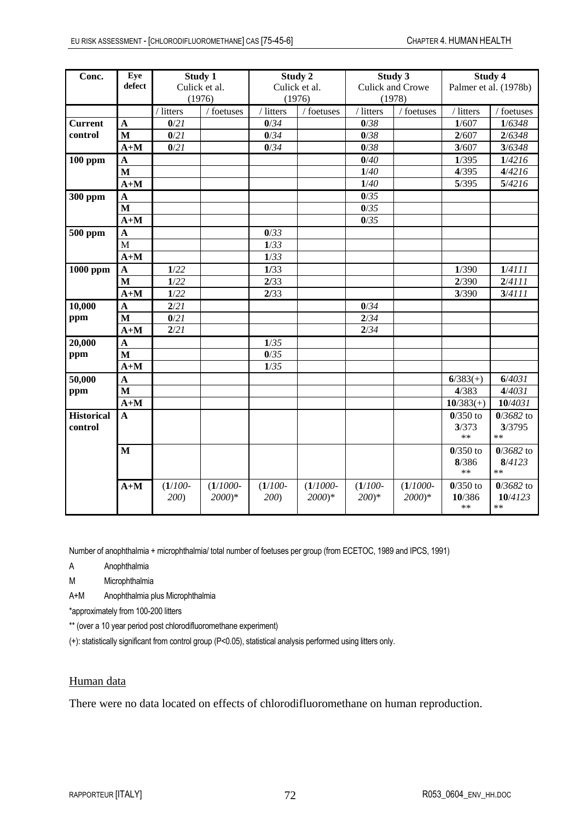| Conc.             | Eye                     | <b>Study 1</b>    |                         |            | Study 2       |                   | Study 3          | Study 4     |                       |
|-------------------|-------------------------|-------------------|-------------------------|------------|---------------|-------------------|------------------|-------------|-----------------------|
|                   | defect                  |                   | Culick et al.           |            | Culick et al. |                   | Culick and Crowe |             | Palmer et al. (1978b) |
|                   |                         | (1976)            |                         |            | (1976)        | (1978)            |                  |             |                       |
|                   |                         | / litters         | $\overline{7}$ foetuses | / litters  | / foetuses    | litters           | / foetuses       | / litters   | / foetuses            |
| <b>Current</b>    | $\mathbf{A}$            | $\overline{0/21}$ |                         | 0/34       |               | 0/38              |                  | 1/607       | 1/6348                |
| control           | $\mathbf{M}$            | 0/21              |                         | 0/34       |               | 0/38              |                  | 2/607       | 2/6348                |
|                   | $A+M$                   | 0/21              |                         | 0/34       |               | 0/38              |                  | 3/607       | 3/6348                |
| $100$ ppm         | $\mathbf{A}$            |                   |                         |            |               | 0/40              |                  | 1/395       | 1/4216                |
|                   | $\mathbf{M}$            |                   |                         |            |               | 1/40              |                  | 4/395       | 4/4216                |
|                   | $A+M$                   |                   |                         |            |               | $1/40$            |                  | 5/395       | 5/4216                |
| 300 ppm           | $\mathbf{A}$            |                   |                         |            |               | 0/35              |                  |             |                       |
|                   | $\mathbf{M}$            |                   |                         |            |               | 0/35              |                  |             |                       |
|                   | $A+M$                   |                   |                         |            |               | 0/35              |                  |             |                       |
| 500 ppm           | $\mathbf{A}$            |                   |                         | 0/33       |               |                   |                  |             |                       |
|                   | M                       |                   |                         | 1/33       |               |                   |                  |             |                       |
|                   | $A+M$                   |                   |                         | 1/33       |               |                   |                  |             |                       |
| 1000 ppm          | A                       | 1/22              |                         | 1/33       |               |                   |                  | 1/390       | 1/4111                |
|                   | $\mathbf{M}$            | 1/22              |                         | 2/33       |               |                   |                  | 2/390       | 2/4111                |
|                   | $A+M$                   | 1/22              |                         | 2/33       |               |                   |                  | 3/390       | 3/4111                |
| 10,000            | $\mathbf{A}$            | $\overline{2/21}$ |                         |            |               | $\overline{0/34}$ |                  |             |                       |
| ppm               | $\overline{\mathbf{M}}$ | $\overline{0/21}$ |                         |            |               | 2/34              |                  |             |                       |
|                   | $A+M$                   | 2/21              |                         |            |               | 2/34              |                  |             |                       |
| 20,000            | $\mathbf{A}$            |                   |                         | 1/35       |               |                   |                  |             |                       |
| ppm               | $\overline{\mathbf{M}}$ |                   |                         | 0/35       |               |                   |                  |             |                       |
|                   | $A+M$                   |                   |                         | 1/35       |               |                   |                  |             |                       |
| 50,000            | $\mathbf{A}$            |                   |                         |            |               |                   |                  | $6/383(+)$  | 6/4031                |
| ppm               | M                       |                   |                         |            |               |                   |                  | 4/383       | 4/4031                |
|                   | $A+M$                   |                   |                         |            |               |                   |                  | $10/383(+)$ | 10/4031               |
| <b>Historical</b> | $\mathbf{A}$            |                   |                         |            |               |                   |                  | $0/350$ to  | $0/3682$ to           |
| control           |                         |                   |                         |            |               |                   |                  | 3/373       | 3/3795                |
|                   |                         |                   |                         |            |               |                   |                  | $**$        | $**$                  |
|                   | $\mathbf{M}$            |                   |                         |            |               |                   |                  | $0/350$ to  | $0/3682$ to           |
|                   |                         |                   |                         |            |               |                   |                  | 8/386       | 8/4123                |
|                   |                         |                   |                         |            |               |                   |                  | $**$        | $**$                  |
|                   | $A+M$                   | $(1/100 -$        | $(1/1000 -$             | $(1/100 -$ | $(1/1000 -$   | $(1/100 -$        | $(1/1000 -$      | $0/350$ to  | $0/3682$ to           |
|                   |                         | 200)              | 2000)*                  | 200)       | $2000)*$      | $200)*$           | $2000)*$         | 10/386      | 10/4123               |
|                   |                         |                   |                         |            |               |                   |                  | $***$       | $**$                  |

Number of anophthalmia + microphthalmia/ total number of foetuses per group (from ECETOC, 1989 and IPCS, 1991)

- A Anophthalmia
- M Microphthalmia

A+M Anophthalmia plus Microphthalmia

\*approximately from 100-200 litters

\*\* (over a 10 year period post chlorodifluoromethane experiment)

(+): statistically significant from control group (P<0.05), statistical analysis performed using litters only.

# Human data

There were no data located on effects of chlorodifluoromethane on human reproduction.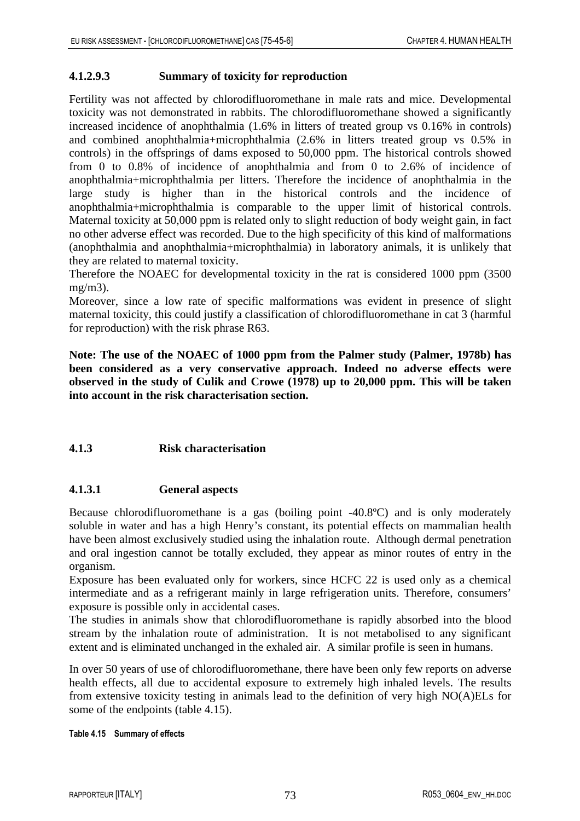# **4.1.2.9.3 Summary of toxicity for reproduction**

Fertility was not affected by chlorodifluoromethane in male rats and mice. Developmental toxicity was not demonstrated in rabbits. The chlorodifluoromethane showed a significantly increased incidence of anophthalmia (1.6% in litters of treated group vs 0.16% in controls) and combined anophthalmia+microphthalmia (2.6% in litters treated group vs 0.5% in controls) in the offsprings of dams exposed to 50,000 ppm. The historical controls showed from 0 to 0.8% of incidence of anophthalmia and from 0 to 2.6% of incidence of anophthalmia+microphthalmia per litters. Therefore the incidence of anophthalmia in the large study is higher than in the historical controls and the incidence of anophthalmia+microphthalmia is comparable to the upper limit of historical controls. Maternal toxicity at 50,000 ppm is related only to slight reduction of body weight gain, in fact no other adverse effect was recorded. Due to the high specificity of this kind of malformations (anophthalmia and anophthalmia+microphthalmia) in laboratory animals, it is unlikely that they are related to maternal toxicity.

Therefore the NOAEC for developmental toxicity in the rat is considered 1000 ppm (3500 mg/m3).

Moreover, since a low rate of specific malformations was evident in presence of slight maternal toxicity, this could justify a classification of chlorodifluoromethane in cat 3 (harmful for reproduction) with the risk phrase R63.

**Note: The use of the NOAEC of 1000 ppm from the Palmer study (Palmer, 1978b) has been considered as a very conservative approach. Indeed no adverse effects were observed in the study of Culik and Crowe (1978) up to 20,000 ppm. This will be taken into account in the risk characterisation section.**

# **4.1.3 Risk characterisation**

# **4.1.3.1 General aspects**

Because chlorodifluoromethane is a gas (boiling point -40.8ºC) and is only moderately soluble in water and has a high Henry's constant, its potential effects on mammalian health have been almost exclusively studied using the inhalation route. Although dermal penetration and oral ingestion cannot be totally excluded, they appear as minor routes of entry in the organism.

Exposure has been evaluated only for workers, since HCFC 22 is used only as a chemical intermediate and as a refrigerant mainly in large refrigeration units. Therefore, consumers' exposure is possible only in accidental cases.

The studies in animals show that chlorodifluoromethane is rapidly absorbed into the blood stream by the inhalation route of administration. It is not metabolised to any significant extent and is eliminated unchanged in the exhaled air. A similar profile is seen in humans.

In over 50 years of use of chlorodifluoromethane, there have been only few reports on adverse health effects, all due to accidental exposure to extremely high inhaled levels. The results from extensive toxicity testing in animals lead to the definition of very high NO(A)ELs for some of the endpoints (table 4.15).

#### **Table 4.15 Summary of effects**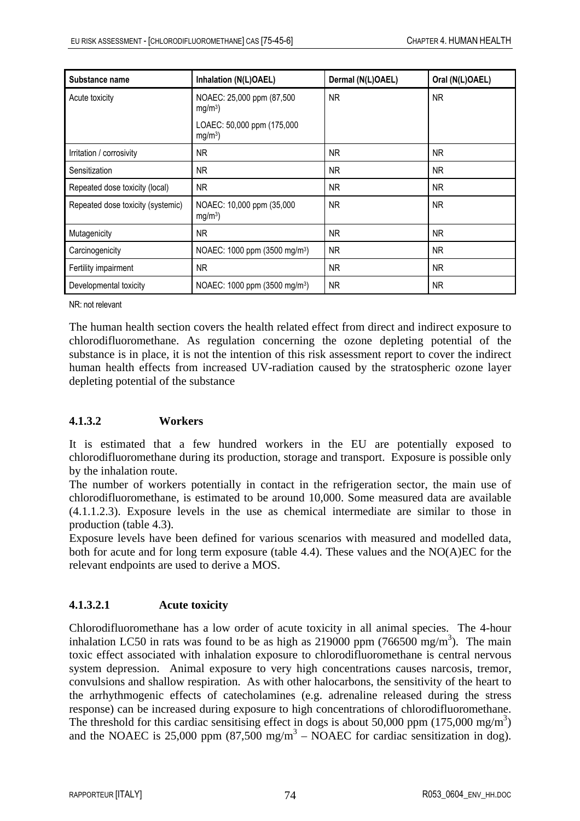| Substance name                    | Inhalation (N(L)OAEL)                           | Dermal (N(L)OAEL) | Oral (N(L)OAEL) |
|-----------------------------------|-------------------------------------------------|-------------------|-----------------|
| Acute toxicity                    | NOAEC: 25,000 ppm (87,500<br>mg/m <sup>3</sup>  | <b>NR</b>         | <b>NR</b>       |
|                                   | LOAEC: 50,000 ppm (175,000<br>mg/m <sup>3</sup> |                   |                 |
| Irritation / corrosivity          | <b>NR</b>                                       | NR.               | <b>NR</b>       |
| Sensitization                     | <b>NR</b>                                       | <b>NR</b>         | <b>NR</b>       |
| Repeated dose toxicity (local)    | <b>NR</b>                                       | <b>NR</b>         | <b>NR</b>       |
| Repeated dose toxicity (systemic) | NOAEC: 10,000 ppm (35,000<br>mg/m <sup>3</sup>  | <b>NR</b>         | <b>NR</b>       |
| Mutagenicity                      | <b>NR</b>                                       | <b>NR</b>         | <b>NR</b>       |
| Carcinogenicity                   | NOAEC: 1000 ppm (3500 mg/m <sup>3</sup> )       | NR.               | <b>NR</b>       |
| Fertility impairment              | <b>NR</b>                                       | <b>NR</b>         | <b>NR</b>       |
| Developmental toxicity            | NOAEC: 1000 ppm (3500 mg/m <sup>3</sup> )       | <b>NR</b>         | <b>NR</b>       |

NR: not relevant

The human health section covers the health related effect from direct and indirect exposure to chlorodifluoromethane. As regulation concerning the ozone depleting potential of the substance is in place, it is not the intention of this risk assessment report to cover the indirect human health effects from increased UV-radiation caused by the stratospheric ozone layer depleting potential of the substance

## **4.1.3.2 Workers**

It is estimated that a few hundred workers in the EU are potentially exposed to chlorodifluoromethane during its production, storage and transport. Exposure is possible only by the inhalation route.

The number of workers potentially in contact in the refrigeration sector, the main use of chlorodifluoromethane, is estimated to be around 10,000. Some measured data are available (4.1.1.2.3). Exposure levels in the use as chemical intermediate are similar to those in production (table 4.3).

Exposure levels have been defined for various scenarios with measured and modelled data, both for acute and for long term exposure (table 4.4). These values and the NO(A)EC for the relevant endpoints are used to derive a MOS.

# **4.1.3.2.1 Acute toxicity**

Chlorodifluoromethane has a low order of acute toxicity in all animal species. The 4-hour inhalation LC50 in rats was found to be as high as 219000 ppm  $(766500 \text{ mg/m}^3)$ . The main toxic effect associated with inhalation exposure to chlorodifluoromethane is central nervous system depression. Animal exposure to very high concentrations causes narcosis, tremor, convulsions and shallow respiration. As with other halocarbons, the sensitivity of the heart to the arrhythmogenic effects of catecholamines (e.g. adrenaline released during the stress response) can be increased during exposure to high concentrations of chlorodifluoromethane. The threshold for this cardiac sensitising effect in dogs is about 50,000 ppm (175,000 mg/m<sup>3</sup>) and the NOAEC is 25,000 ppm  $(87,500 \text{ mg/m}^3 - \text{NOAEC}$  for cardiac sensitization in dog).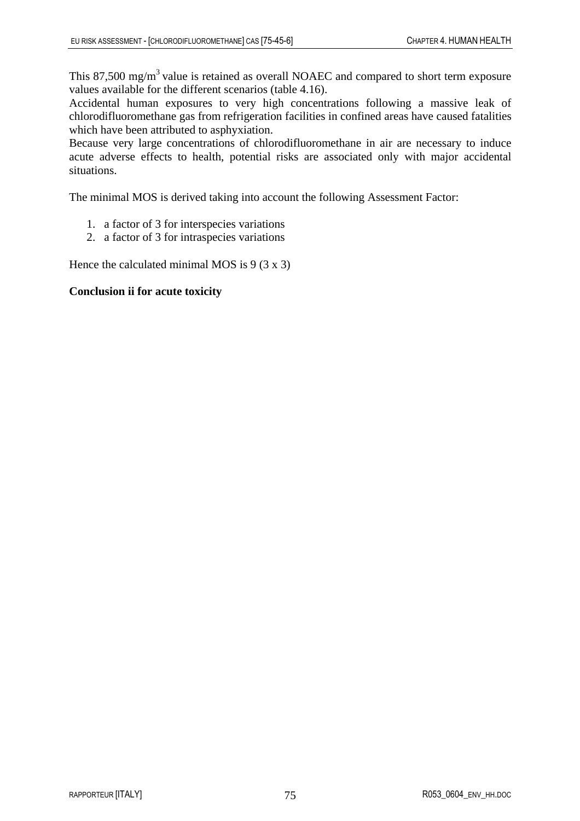This  $87,500 \text{ mg/m}^3$  value is retained as overall NOAEC and compared to short term exposure values available for the different scenarios (table 4.16).

Accidental human exposures to very high concentrations following a massive leak of chlorodifluoromethane gas from refrigeration facilities in confined areas have caused fatalities which have been attributed to asphyxiation.

Because very large concentrations of chlorodifluoromethane in air are necessary to induce acute adverse effects to health, potential risks are associated only with major accidental situations.

The minimal MOS is derived taking into account the following Assessment Factor:

- 1. a factor of 3 for interspecies variations
- 2. a factor of 3 for intraspecies variations

Hence the calculated minimal MOS is 9 (3 x 3)

## **Conclusion ii for acute toxicity**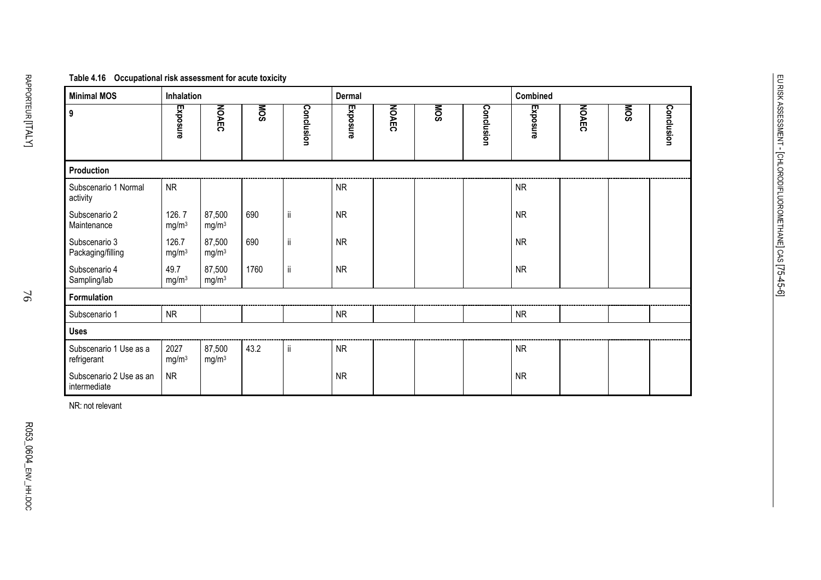| <b>Minimal MOS</b>                      | Inhalation                 |                             |      |                    | Dermal     |       |     |            | Combined   |       |     |
|-----------------------------------------|----------------------------|-----------------------------|------|--------------------|------------|-------|-----|------------|------------|-------|-----|
| 9                                       | Exposure                   | NOAEC                       | SOM  | Conclusion         | Exposure   | NOAEC | SOM | Conclusion | Exposure   | NOAEC | SOM |
| Production                              |                            |                             |      |                    |            |       |     |            |            |       |     |
| Subscenario 1 Normal<br>activity        | ${\sf NR}$                 |                             |      |                    | ${\sf NR}$ |       |     |            | ${\sf NR}$ |       |     |
| Subscenario 2<br>Maintenance            | 126.7<br>mg/m <sup>3</sup> | 87,500<br>mg/m <sup>3</sup> | 690  | $\ddot{\text{II}}$ | <b>NR</b>  |       |     |            | <b>NR</b>  |       |     |
| Subscenario 3<br>Packaging/filling      | 126.7<br>mg/m <sup>3</sup> | 87,500<br>mg/m <sup>3</sup> | 690  | ï                  | ${\sf NR}$ |       |     |            | <b>NR</b>  |       |     |
| Subscenario 4<br>Sampling/lab           | 49.7<br>mg/m <sup>3</sup>  | 87,500<br>mg/m <sup>3</sup> | 1760 | jj.                | <b>NR</b>  |       |     |            | <b>NR</b>  |       |     |
| Formulation                             |                            |                             |      |                    |            |       |     |            |            |       |     |
| Subscenario 1                           | ${\sf NR}$                 |                             |      |                    | ${\sf NR}$ |       |     |            | ${\sf NR}$ |       |     |
| <b>Uses</b>                             |                            |                             |      |                    |            |       |     |            |            |       |     |
| Subscenario 1 Use as a<br>refrigerant   | 2027<br>mg/m <sup>3</sup>  | 87,500<br>mg/m <sup>3</sup> | 43.2 | ii                 | <b>NR</b>  |       |     |            | ${\sf NR}$ |       |     |
| Subscenario 2 Use as an<br>intermediate | <b>NR</b>                  |                             |      |                    | <b>NR</b>  |       |     |            | <b>NR</b>  |       |     |
| NR: not relevant                        |                            |                             |      |                    |            |       |     |            |            |       |     |
|                                         |                            |                             |      |                    |            |       |     |            |            |       |     |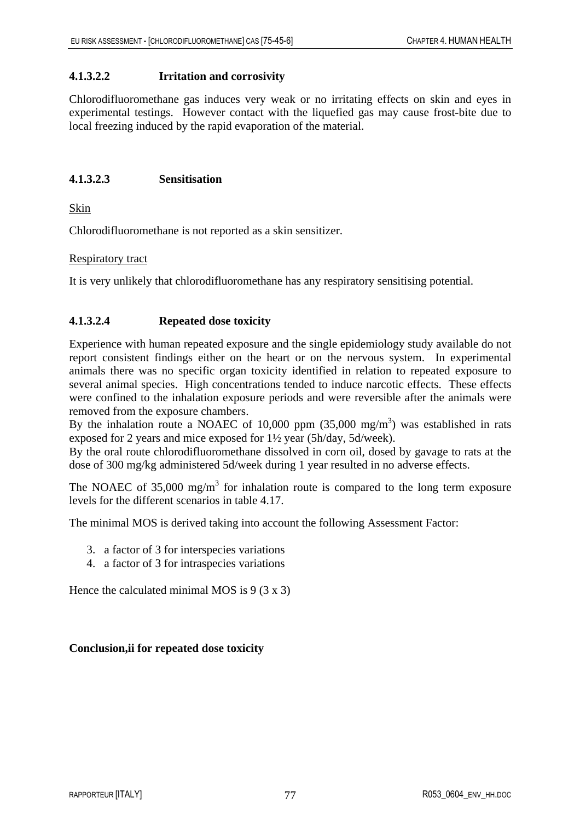## **4.1.3.2.2 Irritation and corrosivity**

Chlorodifluoromethane gas induces very weak or no irritating effects on skin and eyes in experimental testings. However contact with the liquefied gas may cause frost-bite due to local freezing induced by the rapid evaporation of the material.

## **4.1.3.2.3 Sensitisation**

Skin

Chlorodifluoromethane is not reported as a skin sensitizer.

Respiratory tract

It is very unlikely that chlorodifluoromethane has any respiratory sensitising potential.

## **4.1.3.2.4 Repeated dose toxicity**

Experience with human repeated exposure and the single epidemiology study available do not report consistent findings either on the heart or on the nervous system. In experimental animals there was no specific organ toxicity identified in relation to repeated exposure to several animal species. High concentrations tended to induce narcotic effects. These effects were confined to the inhalation exposure periods and were reversible after the animals were removed from the exposure chambers.

By the inhalation route a NOAEC of 10,000 ppm  $(35,000 \text{ mg/m}^3)$  was established in rats exposed for 2 years and mice exposed for 1½ year (5h/day, 5d/week).

By the oral route chlorodifluoromethane dissolved in corn oil, dosed by gavage to rats at the dose of 300 mg/kg administered 5d/week during 1 year resulted in no adverse effects.

The NOAEC of 35,000 mg/m<sup>3</sup> for inhalation route is compared to the long term exposure levels for the different scenarios in table 4.17.

The minimal MOS is derived taking into account the following Assessment Factor:

- 3. a factor of 3 for interspecies variations
- 4. a factor of 3 for intraspecies variations

Hence the calculated minimal MOS is 9 (3 x 3)

## **Conclusion,ii for repeated dose toxicity**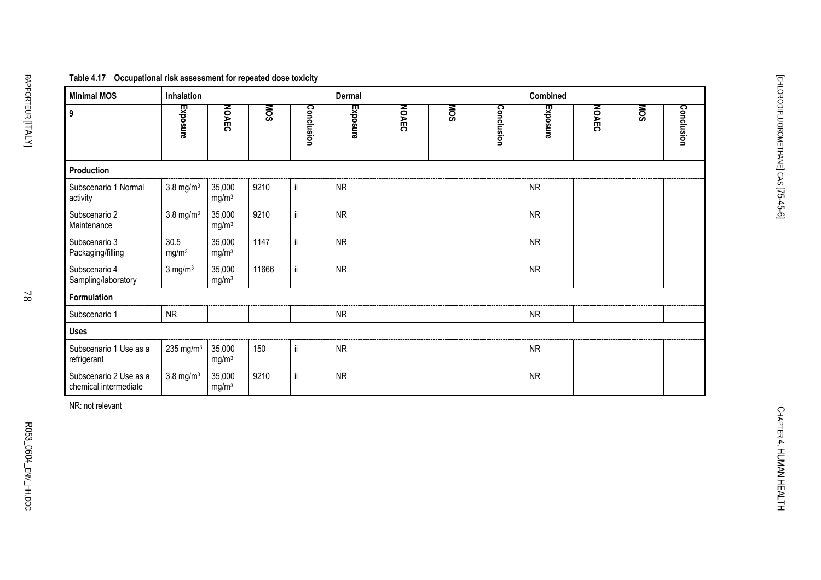| <b>Minimal MOS</b>                              | Inhalation                |                             |       |            | Dermal     |       |     |            | Combined  |       |     |
|-------------------------------------------------|---------------------------|-----------------------------|-------|------------|------------|-------|-----|------------|-----------|-------|-----|
| 9                                               | Exposure                  | NOAEC                       | SOM   | Conclusion | Exposure   | NOAEC | SOM | Conclusion | Exposure  | NOAEC | SOM |
| Production                                      |                           |                             |       |            |            |       |     |            |           |       |     |
| Subscenario 1 Normal<br>activity                | $3.8$ mg/m <sup>3</sup>   | 35,000<br>mg/m <sup>3</sup> | 9210  | ii.        | <b>NR</b>  |       |     |            | <b>NR</b> |       |     |
| Subscenario 2<br>Maintenance                    | $3.8$ mg/m $3$            | 35,000<br>mg/m <sup>3</sup> | 9210  | ï          | <b>NR</b>  |       |     |            | <b>NR</b> |       |     |
| Subscenario 3<br>Packaging/filling              | 30.5<br>mg/m <sup>3</sup> | 35,000<br>mg/m <sup>3</sup> | 1147  | ï          | ${\sf NR}$ |       |     |            | <b>NR</b> |       |     |
| Subscenario 4<br>Sampling/laboratory            | $3$ mg/m $3$              | 35,000<br>mg/m <sup>3</sup> | 11666 | ii.        | <b>NR</b>  |       |     |            | <b>NR</b> |       |     |
| Formulation                                     |                           |                             |       |            |            |       |     |            |           |       |     |
| Subscenario 1                                   | ${\sf NR}$                |                             |       |            | <b>NR</b>  |       |     |            | <b>NR</b> |       |     |
| <b>Uses</b>                                     |                           |                             |       |            |            |       |     |            |           |       |     |
| Subscenario 1 Use as a<br>refrigerant           | 235 mg/m $3$              | 35,000<br>mg/m <sup>3</sup> | 150   | ii.        | <b>NR</b>  |       |     |            | <b>NR</b> |       |     |
| Subscenario 2 Use as a<br>chemical intermediate | $3.8$ mg/m <sup>3</sup>   | 35,000<br>mg/m <sup>3</sup> | 9210  | ï          | ${\sf NR}$ |       |     |            | <b>NR</b> |       |     |
| NR: not relevant                                |                           |                             |       |            |            |       |     |            |           |       |     |
|                                                 |                           |                             |       |            |            |       |     |            |           |       |     |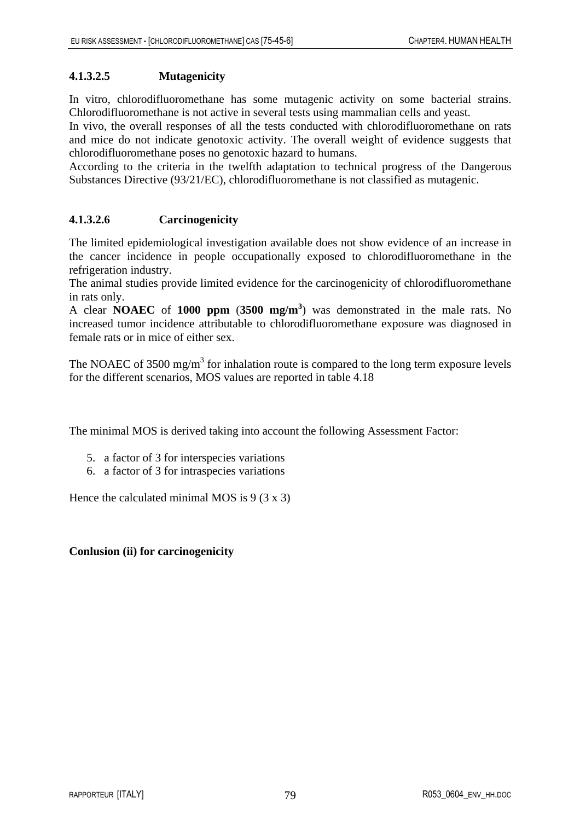# **4.1.3.2.5 Mutagenicity**

In vitro, chlorodifluoromethane has some mutagenic activity on some bacterial strains. Chlorodifluoromethane is not active in several tests using mammalian cells and yeast.

In vivo, the overall responses of all the tests conducted with chlorodifluoromethane on rats and mice do not indicate genotoxic activity. The overall weight of evidence suggests that chlorodifluoromethane poses no genotoxic hazard to humans.

According to the criteria in the twelfth adaptation to technical progress of the Dangerous Substances Directive (93/21/EC), chlorodifluoromethane is not classified as mutagenic.

## **4.1.3.2.6 Carcinogenicity**

The limited epidemiological investigation available does not show evidence of an increase in the cancer incidence in people occupationally exposed to chlorodifluoromethane in the refrigeration industry.

The animal studies provide limited evidence for the carcinogenicity of chlorodifluoromethane in rats only.

A clear **NOAEC** of **1000 ppm** (**3500 mg/m<sup>3</sup>** ) was demonstrated in the male rats. No increased tumor incidence attributable to chlorodifluoromethane exposure was diagnosed in female rats or in mice of either sex.

The NOAEC of 3500 mg/m<sup>3</sup> for inhalation route is compared to the long term exposure levels for the different scenarios, MOS values are reported in table 4.18

The minimal MOS is derived taking into account the following Assessment Factor:

- 5. a factor of 3 for interspecies variations
- 6. a factor of 3 for intraspecies variations

Hence the calculated minimal MOS is 9 (3 x 3)

**Conlusion (ii) for carcinogenicity**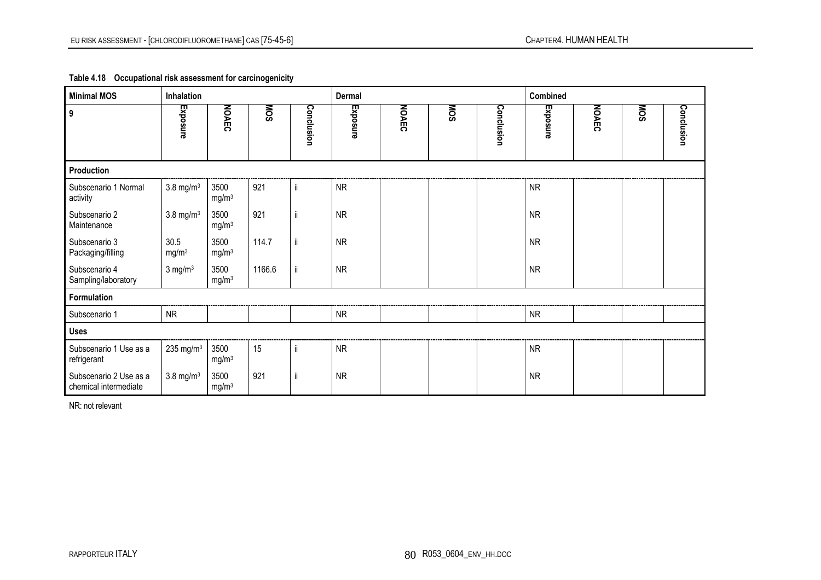|  | Table 4.18 Occupational risk assessment for carcinogenicity |
|--|-------------------------------------------------------------|
|--|-------------------------------------------------------------|

| <b>Minimal MOS</b>                              | Inhalation                |                           |            |            | Dermal    |       |     |            | Combined  |       |            |            |
|-------------------------------------------------|---------------------------|---------------------------|------------|------------|-----------|-------|-----|------------|-----------|-------|------------|------------|
| 9                                               | Exposure                  | NOAEC                     | <b>NOS</b> | Conclusion | Exposure  | NOAEC | SOM | Conclusion | Exposure  | NOAEC | <b>NOS</b> | Conclusion |
| Production                                      |                           |                           |            |            |           |       |     |            |           |       |            |            |
| Subscenario 1 Normal<br>activity                | $3.8 \text{ mg/m}^3$      | 3500<br>mg/m <sup>3</sup> | 921        | ii         | <b>NR</b> |       |     |            | <b>NR</b> |       |            |            |
| Subscenario 2<br>Maintenance                    | $3.8 \text{ mg/m}^3$      | 3500<br>mg/m <sup>3</sup> | 921        | Ш          | <b>NR</b> |       |     |            | <b>NR</b> |       |            |            |
| Subscenario 3<br>Packaging/filling              | 30.5<br>mg/m <sup>3</sup> | 3500<br>mg/m <sup>3</sup> | 114.7      | ii         | <b>NR</b> |       |     |            | <b>NR</b> |       |            |            |
| Subscenario 4<br>Sampling/laboratory            | $3 \text{ mg/m}^3$        | 3500<br>mg/m <sup>3</sup> | 1166.6     | Ш          | <b>NR</b> |       |     |            | <b>NR</b> |       |            |            |
| Formulation                                     |                           |                           |            |            |           |       |     |            |           |       |            |            |
| Subscenario 1                                   | <b>NR</b>                 |                           |            |            | <b>NR</b> |       |     |            | <b>NR</b> |       |            |            |
| <b>Uses</b>                                     |                           |                           |            |            |           |       |     |            |           |       |            |            |
| Subscenario 1 Use as a<br>refrigerant           | 235 mg/m $3$              | 3500<br>mg/m <sup>3</sup> | 15         | ii         | <b>NR</b> |       |     |            | <b>NR</b> |       |            |            |
| Subscenario 2 Use as a<br>chemical intermediate | $3.8$ mg/m <sup>3</sup>   | 3500<br>mg/m <sup>3</sup> | 921        | ji         | <b>NR</b> |       |     |            | <b>NR</b> |       |            |            |

NR: not relevant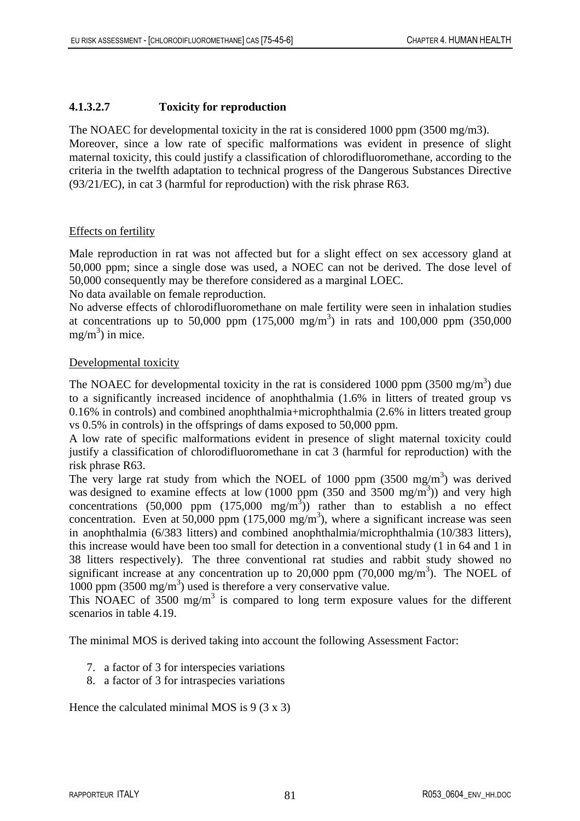## **4.1.3.2.7 Toxicity for reproduction**

The NOAEC for developmental toxicity in the rat is considered 1000 ppm (3500 mg/m3). Moreover, since a low rate of specific malformations was evident in presence of slight maternal toxicity, this could justify a classification of chlorodifluoromethane, according to the criteria in the twelfth adaptation to technical progress of the Dangerous Substances Directive (93/21/EC), in cat 3 (harmful for reproduction) with the risk phrase R63.

### Effects on fertility

Male reproduction in rat was not affected but for a slight effect on sex accessory gland at 50,000 ppm; since a single dose was used, a NOEC can not be derived. The dose level of 50,000 consequently may be therefore considered as a marginal LOEC.

No data available on female reproduction.

No adverse effects of chlorodifluoromethane on male fertility were seen in inhalation studies at concentrations up to 50,000 ppm  $(175,000 \text{ mg/m}^3)$  in rats and 100,000 ppm  $(350,000 \text{ g/m}^3)$  $mg/m<sup>3</sup>$ ) in mice.

## Developmental toxicity

The NOAEC for developmental toxicity in the rat is considered 1000 ppm  $(3500 \text{ mg/m}^3)$  due to a significantly increased incidence of anophthalmia (1.6% in litters of treated group vs 0.16% in controls) and combined anophthalmia+microphthalmia (2.6% in litters treated group vs 0.5% in controls) in the offsprings of dams exposed to 50,000 ppm.

A low rate of specific malformations evident in presence of slight maternal toxicity could justify a classification of chlorodifluoromethane in cat 3 (harmful for reproduction) with the risk phrase R63.

The very large rat study from which the NOEL of 1000 ppm  $(3500 \text{ mg/m}^3)$  was derived was designed to examine effects at low (1000 ppm  $(350 \text{ and } 3500 \text{ mg/m}^3)$ ) and very high concentrations (50,000 ppm  $(175,000 \text{ mg/m}^3)$ ) rather than to establish a no effect concentration. Even at 50,000 ppm  $(175,000 \text{ mg/m}^3)$ , where a significant increase was seen in anophthalmia (6/383 litters) and combined anophthalmia/microphthalmia (10/383 litters), this increase would have been too small for detection in a conventional study (1 in 64 and 1 in 38 litters respectively). The three conventional rat studies and rabbit study showed no significant increase at any concentration up to 20,000 ppm  $(70,000 \text{ mg/m}^3)$ . The NOEL of 1000 ppm  $(3500 \text{ mg/m}^3)$  used is therefore a very conservative value.

This NOAEC of  $3500 \text{ mg/m}^3$  is compared to long term exposure values for the different scenarios in table 4.19.

The minimal MOS is derived taking into account the following Assessment Factor:

- 7. a factor of 3 for interspecies variations
- 8. a factor of 3 for intraspecies variations

Hence the calculated minimal MOS is 9 (3 x 3)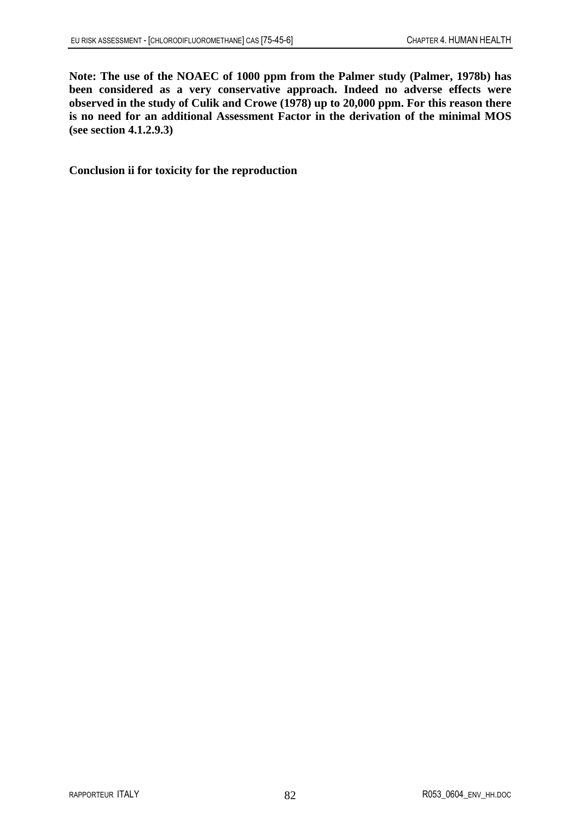**Note: The use of the NOAEC of 1000 ppm from the Palmer study (Palmer, 1978b) has been considered as a very conservative approach. Indeed no adverse effects were observed in the study of Culik and Crowe (1978) up to 20,000 ppm. For this reason there is no need for an additional Assessment Factor in the derivation of the minimal MOS (see section 4.1.2.9.3)**

**Conclusion ii for toxicity for the reproduction**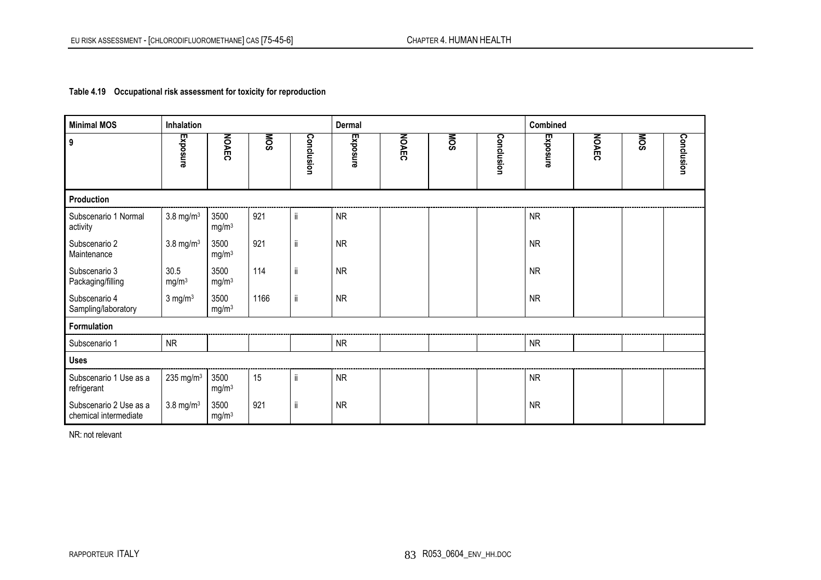**Table 4.19 Occupational risk assessment for toxicity for reproduction** 

| <b>Minimal MOS</b>                              | Inhalation                |                           |      |            | Dermal    |       |     |            | <b>Combined</b> |       |     |            |
|-------------------------------------------------|---------------------------|---------------------------|------|------------|-----------|-------|-----|------------|-----------------|-------|-----|------------|
| 9                                               | Exposure                  | NOAEC                     | SOM  | Conclusion | Exposure  | NOAEC | SOM | Conclusion | Exposure        | NOAEC | SOM | Conclusion |
| Production                                      |                           |                           |      |            |           |       |     |            |                 |       |     |            |
| Subscenario 1 Normal<br>activity                | $3.8$ mg/m <sup>3</sup>   | 3500<br>mg/m <sup>3</sup> | 921  | ii.        | <b>NR</b> |       |     |            | <b>NR</b>       |       |     |            |
| Subscenario 2<br>Maintenance                    | $3.8$ mg/m <sup>3</sup>   | 3500<br>mg/m <sup>3</sup> | 921  | ii         | <b>NR</b> |       |     |            | <b>NR</b>       |       |     |            |
| Subscenario 3<br>Packaging/filling              | 30.5<br>mg/m <sup>3</sup> | 3500<br>mg/m <sup>3</sup> | 114  | ii.        | <b>NR</b> |       |     |            | <b>NR</b>       |       |     |            |
| Subscenario 4<br>Sampling/laboratory            | $3$ mg/m <sup>3</sup>     | 3500<br>mg/m <sup>3</sup> | 1166 | ii.        | <b>NR</b> |       |     |            | <b>NR</b>       |       |     |            |
| Formulation                                     |                           |                           |      |            |           |       |     |            |                 |       |     |            |
| Subscenario 1                                   | <b>NR</b>                 |                           |      |            | <b>NR</b> |       |     |            | <b>NR</b>       |       |     |            |
| <b>Uses</b>                                     |                           |                           |      |            |           |       |     |            |                 |       |     |            |
| Subscenario 1 Use as a<br>refrigerant           | 235 mg/m $3$              | 3500<br>mg/m <sup>3</sup> | 15   | ii.        | <b>NR</b> |       |     |            | <b>NR</b>       |       |     |            |
| Subscenario 2 Use as a<br>chemical intermediate | $3.8$ mg/m <sup>3</sup>   | 3500<br>mg/m <sup>3</sup> | 921  | ii.        | <b>NR</b> |       |     |            | <b>NR</b>       |       |     |            |

NR: not relevant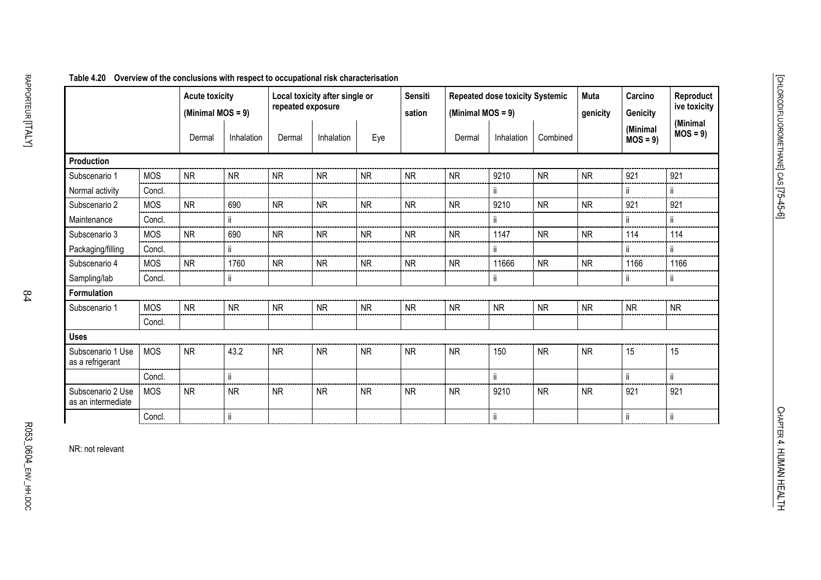|                                       |            | <b>Acute toxicity</b><br>(Minimal MOS = $9$ ) |            | repeated exposure | Local toxicity after single or |           | Sensiti<br>sation | (Minimal MOS = $9$ ) | <b>Repeated dose toxicity Systemic</b> |           | <b>Muta</b><br>genicity | Carcino<br>Genicity   | Reproduct<br>ive toxicity |
|---------------------------------------|------------|-----------------------------------------------|------------|-------------------|--------------------------------|-----------|-------------------|----------------------|----------------------------------------|-----------|-------------------------|-----------------------|---------------------------|
|                                       |            | Dermal                                        | Inhalation | Dermal            | Inhalation                     | Eye       |                   | Dermal               | Inhalation                             | Combined  |                         | (Minimal<br>$MOS = 9$ | (Minimal<br>$MOS = 9$     |
| Production                            |            |                                               |            |                   |                                |           |                   |                      |                                        |           |                         |                       |                           |
| Subscenario 1                         | <b>MOS</b> | <b>NR</b>                                     | ${\sf NR}$ | <b>NR</b>         | <b>NR</b>                      | <b>NR</b> | <b>NR</b>         | <b>NR</b>            | 9210                                   | <b>NR</b> | <b>NR</b>               | 921                   | 921                       |
| Normal activity                       | Concl.     |                                               |            |                   |                                |           |                   |                      | ii.                                    |           |                         | ii                    | ii.                       |
| Subscenario 2                         | <b>MOS</b> | <b>NR</b>                                     | 690        | <b>NR</b>         | <b>NR</b>                      | <b>NR</b> | <b>NR</b>         | <b>NR</b>            | 9210                                   | <b>NR</b> | ${\sf NR}$              | 921                   | 921                       |
| Maintenance                           | Concl.     |                                               | ïi         |                   |                                |           |                   |                      | ij.                                    |           |                         | ii                    | ii.                       |
| Subscenario 3                         | <b>MOS</b> | <b>NR</b>                                     | 690        | <b>NR</b>         | <b>NR</b>                      | <b>NR</b> | <b>NR</b>         | <b>NR</b>            | 1147                                   | <b>NR</b> | ${\sf NR}$              | 114                   | 114                       |
| Packaging/filling                     | Concl.     |                                               | ïi         |                   |                                |           |                   |                      | ij.                                    |           |                         | ii                    | ii.                       |
| Subscenario 4                         | <b>MOS</b> | ${\sf NR}$                                    | 1760       | <b>NR</b>         | <b>NR</b>                      | <b>NR</b> | <b>NR</b>         | <b>NR</b>            | 11666                                  | <b>NR</b> | <b>NR</b>               | 1166                  | 1166                      |
| Sampling/lab                          | Concl.     |                                               | ii.        |                   |                                |           |                   |                      | ii.                                    |           |                         | ii.                   | ii.                       |
| Formulation                           |            |                                               |            |                   |                                |           |                   |                      |                                        |           |                         |                       |                           |
| Subscenario 1                         | <b>MOS</b> | <b>NR</b>                                     | <b>NR</b>  | <b>NR</b>         | <b>NR</b>                      | <b>NR</b> | <b>NR</b>         | <b>NR</b>            | <b>NR</b>                              | <b>NR</b> | <b>NR</b>               | <b>NR</b>             | <b>NR</b>                 |
|                                       | Concl.     |                                               |            |                   |                                |           |                   |                      |                                        |           |                         |                       |                           |
| <b>Uses</b>                           |            |                                               |            |                   |                                |           |                   |                      |                                        |           |                         |                       |                           |
| Subscenario 1 Use<br>as a refrigerant | <b>MOS</b> | ${\sf NR}$                                    | 43.2       | <b>NR</b>         | <b>NR</b>                      | <b>NR</b> | <b>NR</b>         | <b>NR</b>            | 150                                    | <b>NR</b> | <b>NR</b>               | 15                    | 15                        |
|                                       | Concl.     |                                               | ii.        |                   |                                |           |                   |                      | ii.                                    |           |                         | ii.                   | ii.                       |
| Subscenario 2 Use                     | <b>MOS</b> | ${\sf NR}$                                    | <b>NR</b>  | <b>NR</b>         | <b>NR</b>                      | <b>NR</b> | <b>NR</b>         | <b>NR</b>            | 9210                                   | <b>NR</b> | ${\sf NR}$              | 921                   | 921                       |
| as an intermediate                    | Concl.     |                                               | ii.        |                   |                                |           |                   |                      | ii.                                    |           |                         | ii.                   | ii.                       |

[CHLORODIFLUOROMETHANE] CAS [75-45-6]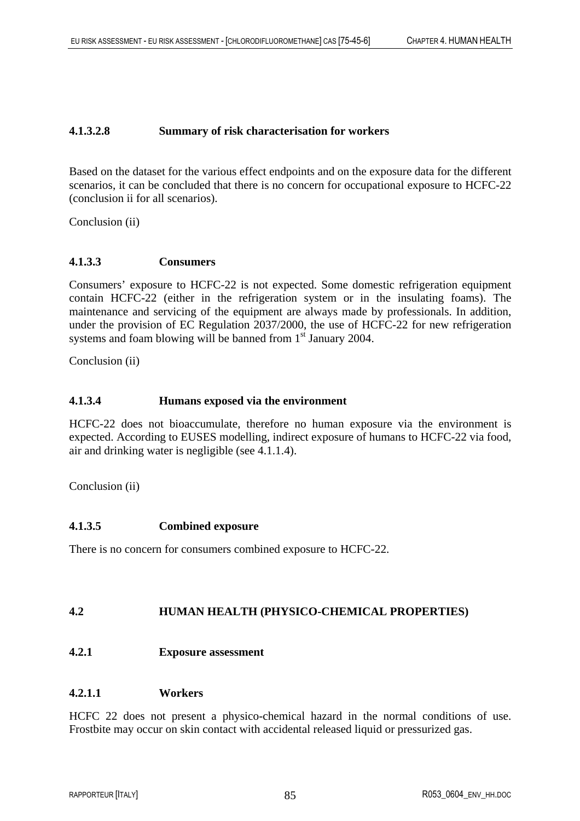### **4.1.3.2.8 Summary of risk characterisation for workers**

Based on the dataset for the various effect endpoints and on the exposure data for the different scenarios, it can be concluded that there is no concern for occupational exposure to HCFC-22 (conclusion ii for all scenarios).

Conclusion (ii)

## **4.1.3.3 Consumers**

Consumers' exposure to HCFC-22 is not expected. Some domestic refrigeration equipment contain HCFC-22 (either in the refrigeration system or in the insulating foams). The maintenance and servicing of the equipment are always made by professionals. In addition, under the provision of EC Regulation 2037/2000, the use of HCFC-22 for new refrigeration systems and foam blowing will be banned from 1<sup>st</sup> January 2004.

Conclusion (ii)

### **4.1.3.4 Humans exposed via the environment**

HCFC-22 does not bioaccumulate, therefore no human exposure via the environment is expected. According to EUSES modelling, indirect exposure of humans to HCFC-22 via food, air and drinking water is negligible (see 4.1.1.4).

Conclusion (ii)

#### **4.1.3.5 Combined exposure**

There is no concern for consumers combined exposure to HCFC-22.

## **4.2 HUMAN HEALTH (PHYSICO-CHEMICAL PROPERTIES)**

**4.2.1 Exposure assessment** 

#### **4.2.1.1 Workers**

HCFC 22 does not present a physico-chemical hazard in the normal conditions of use. Frostbite may occur on skin contact with accidental released liquid or pressurized gas.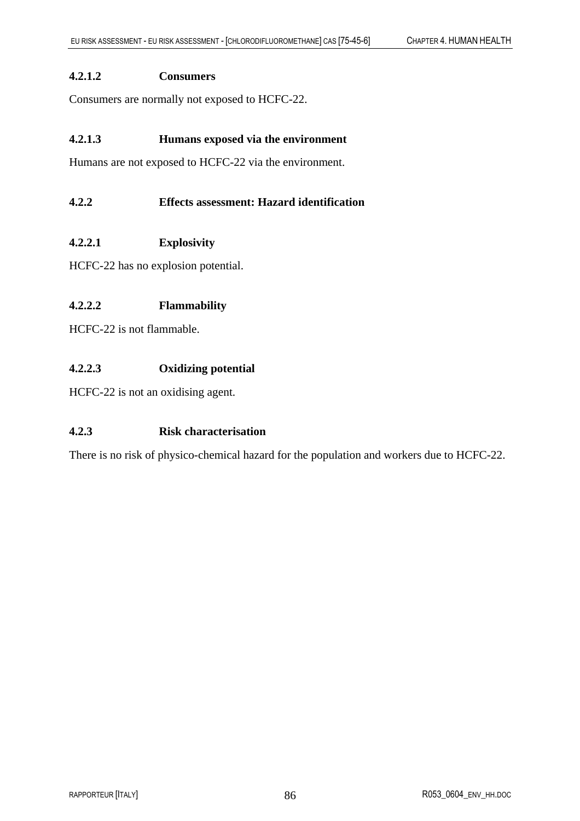## **4.2.1.2 Consumers**

Consumers are normally not exposed to HCFC-22.

# **4.2.1.3 Humans exposed via the environment**

Humans are not exposed to HCFC-22 via the environment.

# **4.2.2 Effects assessment: Hazard identification**

## **4.2.2.1 Explosivity**

HCFC-22 has no explosion potential.

# **4.2.2.2 Flammability**

HCFC-22 is not flammable.

## **4.2.2.3 Oxidizing potential**

HCFC-22 is not an oxidising agent.

# **4.2.3 Risk characterisation**

There is no risk of physico-chemical hazard for the population and workers due to HCFC-22.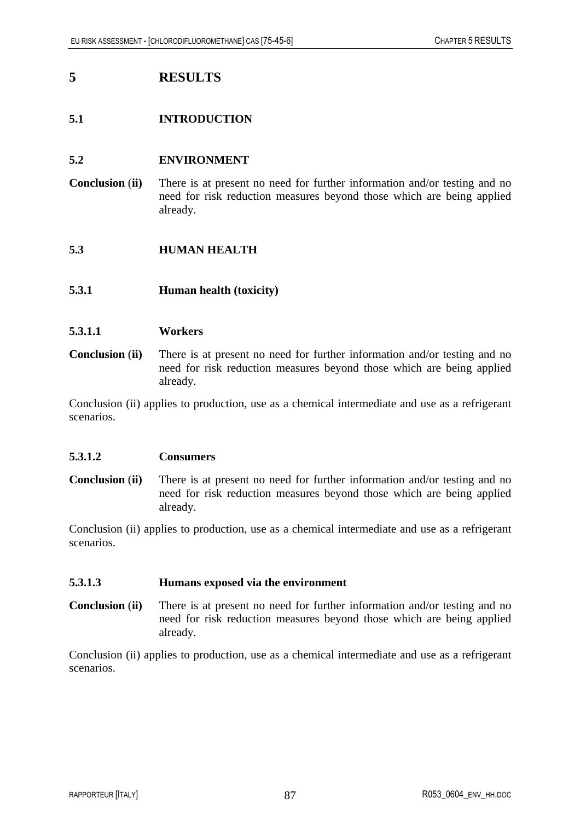# **5 RESULTS**

## **5.1 INTRODUCTION**

#### **5.2 ENVIRONMENT**

**Conclusion** (**ii)** There is at present no need for further information and/or testing and no need for risk reduction measures beyond those which are being applied already.

### **5.3 HUMAN HEALTH**

**5.3.1 Human health (toxicity)** 

### **5.3.1.1 Workers**

**Conclusion** (**ii)** There is at present no need for further information and/or testing and no need for risk reduction measures beyond those which are being applied already.

Conclusion (ii) applies to production, use as a chemical intermediate and use as a refrigerant scenarios.

#### **5.3.1.2 Consumers**

**Conclusion** (**ii)** There is at present no need for further information and/or testing and no need for risk reduction measures beyond those which are being applied already.

Conclusion (ii) applies to production, use as a chemical intermediate and use as a refrigerant scenarios.

#### **5.3.1.3 Humans exposed via the environment**

**Conclusion** (**ii)** There is at present no need for further information and/or testing and no need for risk reduction measures beyond those which are being applied already.

Conclusion (ii) applies to production, use as a chemical intermediate and use as a refrigerant scenarios.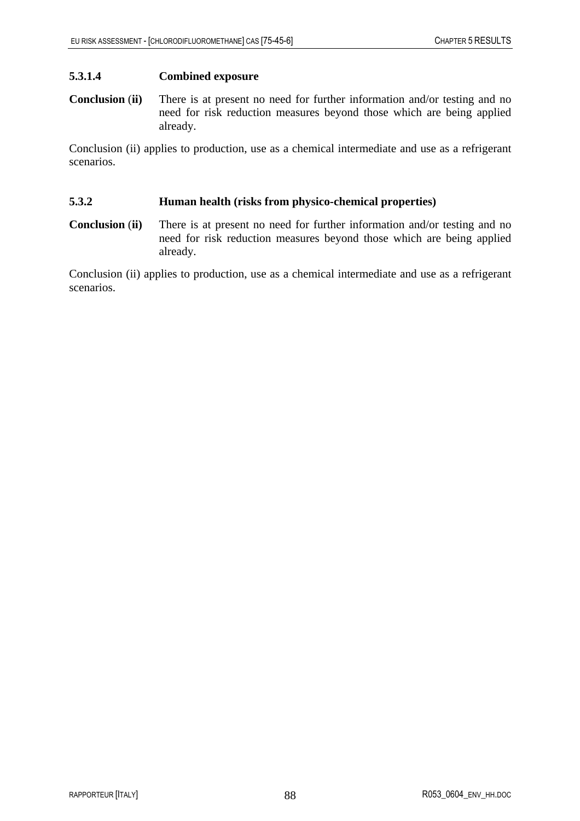#### **5.3.1.4 Combined exposure**

**Conclusion** (**ii)** There is at present no need for further information and/or testing and no need for risk reduction measures beyond those which are being applied already.

Conclusion (ii) applies to production, use as a chemical intermediate and use as a refrigerant scenarios.

## **5.3.2 Human health (risks from physico-chemical properties)**

**Conclusion** (**ii)** There is at present no need for further information and/or testing and no need for risk reduction measures beyond those which are being applied already.

Conclusion (ii) applies to production, use as a chemical intermediate and use as a refrigerant scenarios.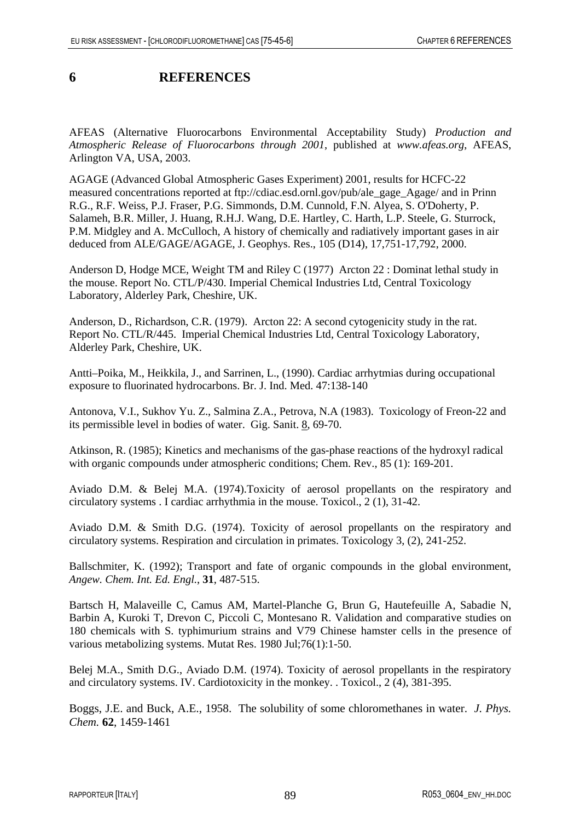# **6 REFERENCES**

AFEAS (Alternative Fluorocarbons Environmental Acceptability Study) *Production and Atmospheric Release of Fluorocarbons through 2001*, published at *www.afeas.org*, AFEAS, Arlington VA, USA, 2003.

AGAGE (Advanced Global Atmospheric Gases Experiment) 2001, results for HCFC-22 measured concentrations reported at ftp://cdiac.esd.ornl.gov/pub/ale\_gage\_Agage/ and in Prinn R.G., R.F. Weiss, P.J. Fraser, P.G. Simmonds, D.M. Cunnold, F.N. Alyea, S. O'Doherty, P. Salameh, B.R. Miller, J. Huang, R.H.J. Wang, D.E. Hartley, C. Harth, L.P. Steele, G. Sturrock, P.M. Midgley and A. McCulloch, A history of chemically and radiatively important gases in air deduced from ALE/GAGE/AGAGE, J. Geophys. Res., 105 (D14), 17,751-17,792, 2000.

Anderson D, Hodge MCE, Weight TM and Riley C (1977) Arcton 22 : Dominat lethal study in the mouse. Report No. CTL/P/430. Imperial Chemical Industries Ltd, Central Toxicology Laboratory, Alderley Park, Cheshire, UK.

Anderson, D., Richardson, C.R. (1979). Arcton 22: A second cytogenicity study in the rat. Report No. CTL/R/445. Imperial Chemical Industries Ltd, Central Toxicology Laboratory, Alderley Park, Cheshire, UK.

Antti–Poika, M., Heikkila, J., and Sarrinen, L., (1990). Cardiac arrhytmias during occupational exposure to fluorinated hydrocarbons. Br. J. Ind. Med. 47:138-140

Antonova, V.I., Sukhov Yu. Z., Salmina Z.A., Petrova, N.A (1983). Toxicology of Freon-22 and its permissible level in bodies of water. Gig. Sanit. 8, 69-70.

Atkinson, R. (1985); Kinetics and mechanisms of the gas-phase reactions of the hydroxyl radical with organic compounds under atmospheric conditions; Chem. Rev., 85 (1): 169-201.

Aviado D.M. & Belej M.A. (1974).Toxicity of aerosol propellants on the respiratory and circulatory systems . I cardiac arrhythmia in the mouse. Toxicol., 2 (1), 31-42.

Aviado D.M. & Smith D.G. (1974). Toxicity of aerosol propellants on the respiratory and circulatory systems. Respiration and circulation in primates. Toxicology 3, (2), 241-252.

Ballschmiter, K. (1992); Transport and fate of organic compounds in the global environment, *Angew. Chem. Int. Ed. Engl.*, **31**, 487-515.

[Bartsch H, Malaveille C, Camus AM, Martel-Planche G, Brun G, Hautefeuille A, Sabadie N,](http://www.ncbi.nlm.nih.gov/entrez/query.fcgi?db=pubmed&cmd=Retrieve&dopt=Abstract&list_uids=6993936&query_hl=15&itool=pubmed_docsum)  [Barbin A, Kuroki T, Drevon C, Piccoli C, Montesano R.](http://www.ncbi.nlm.nih.gov/entrez/query.fcgi?db=pubmed&cmd=Retrieve&dopt=Abstract&list_uids=6993936&query_hl=15&itool=pubmed_docsum) Validation and comparative studies on 180 chemicals with S. typhimurium strains and V79 Chinese hamster cells in the presence of various metabolizing systems. Mutat Res. 1980 Jul;76(1):1-50.

Belej M.A., Smith D.G., Aviado D.M. (1974). Toxicity of aerosol propellants in the respiratory and circulatory systems. IV. Cardiotoxicity in the monkey. . Toxicol., 2 (4), 381-395.

Boggs, J.E. and Buck, A.E., 1958. The solubility of some chloromethanes in water. *J. Phys. Chem.* **62**, 1459-1461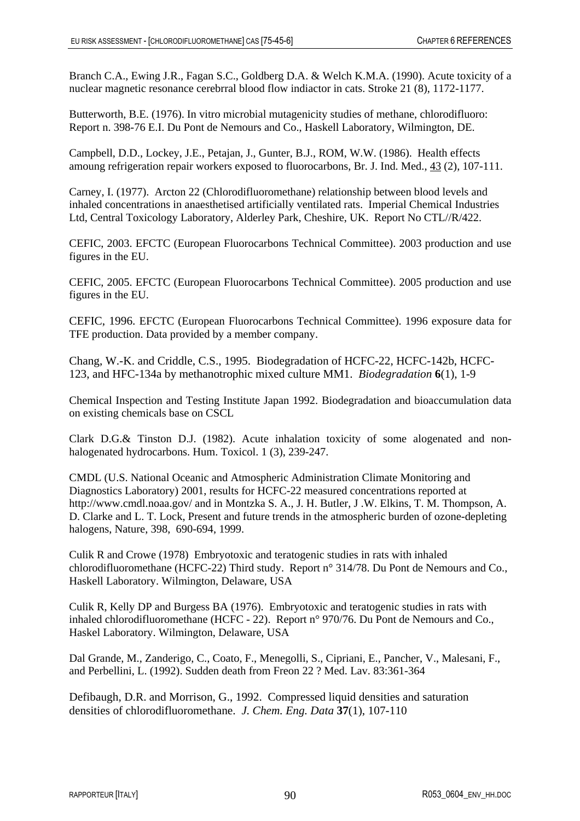Branch C.A., Ewing J.R., Fagan S.C., Goldberg D.A. & Welch K.M.A. (1990). Acute toxicity of a nuclear magnetic resonance cerebrral blood flow indiactor in cats. Stroke 21 (8), 1172-1177.

Butterworth, B.E. (1976). In vitro microbial mutagenicity studies of methane, chlorodifluoro: Report n. 398-76 E.I. Du Pont de Nemours and Co., Haskell Laboratory, Wilmington, DE.

Campbell, D.D., Lockey, J.E., Petajan, J., Gunter, B.J., ROM, W.W. (1986). Health effects amoung refrigeration repair workers exposed to fluorocarbons, Br. J. Ind. Med., 43 (2), 107-111.

Carney, I. (1977). Arcton 22 (Chlorodifluoromethane) relationship between blood levels and inhaled concentrations in anaesthetised artificially ventilated rats. Imperial Chemical Industries Ltd, Central Toxicology Laboratory, Alderley Park, Cheshire, UK. Report No CTL//R/422.

CEFIC, 2003. EFCTC (European Fluorocarbons Technical Committee). 2003 production and use figures in the EU.

CEFIC, 2005. EFCTC (European Fluorocarbons Technical Committee). 2005 production and use figures in the EU.

CEFIC, 1996. EFCTC (European Fluorocarbons Technical Committee). 1996 exposure data for TFE production. Data provided by a member company.

Chang, W.-K. and Criddle, C.S., 1995. Biodegradation of HCFC-22, HCFC-142b, HCFC-123, and HFC-134a by methanotrophic mixed culture MM1. *Biodegradation* **6**(1), 1-9

Chemical Inspection and Testing Institute Japan 1992. Biodegradation and bioaccumulation data on existing chemicals base on CSCL

Clark D.G.& Tinston D.J. (1982). Acute inhalation toxicity of some alogenated and nonhalogenated hydrocarbons. Hum. Toxicol. 1 (3), 239-247.

CMDL (U.S. National Oceanic and Atmospheric Administration Climate Monitoring and Diagnostics Laboratory) 2001, results for HCFC-22 measured concentrations reported at http://www.cmdl.noaa.gov/ and in Montzka S. A., J. H. Butler, J .W. Elkins, T. M. Thompson, A. D. Clarke and L. T. Lock, Present and future trends in the atmospheric burden of ozone-depleting halogens, Nature, 398, 690-694, 1999.

Culik R and Crowe (1978) Embryotoxic and teratogenic studies in rats with inhaled chlorodifluoromethane (HCFC-22) Third study. Report n° 314/78. Du Pont de Nemours and Co., Haskell Laboratory. Wilmington, Delaware, USA

Culik R, Kelly DP and Burgess BA (1976). Embryotoxic and teratogenic studies in rats with inhaled chlorodifluoromethane (HCFC - 22). Report n° 970/76. Du Pont de Nemours and Co., Haskel Laboratory. Wilmington, Delaware, USA

Dal Grande, M., Zanderigo, C., Coato, F., Menegolli, S., Cipriani, E., Pancher, V., Malesani, F., and Perbellini, L. (1992). Sudden death from Freon 22 ? Med. Lav. 83:361-364

Defibaugh, D.R. and Morrison, G., 1992. Compressed liquid densities and saturation densities of chlorodifluoromethane. *J. Chem. Eng. Data* **37**(1), 107-110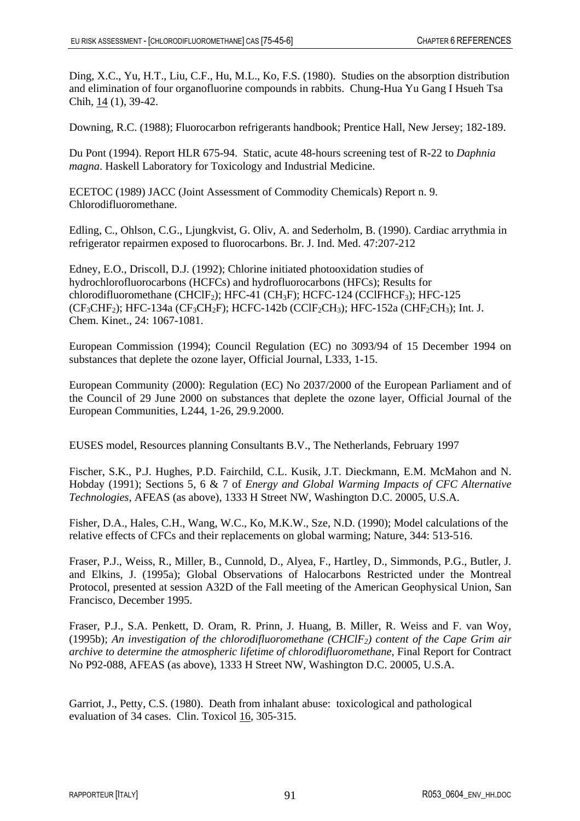Ding, X.C., Yu, H.T., Liu, C.F., Hu, M.L., Ko, F.S. (1980). Studies on the absorption distribution and elimination of four organofluorine compounds in rabbits. Chung-Hua Yu Gang I Hsueh Tsa Chih, 14 (1), 39-42.

Downing, R.C. (1988); Fluorocarbon refrigerants handbook; Prentice Hall, New Jersey; 182-189.

Du Pont (1994). Report HLR 675-94. Static, acute 48-hours screening test of R-22 to *Daphnia magna*. Haskell Laboratory for Toxicology and Industrial Medicine.

ECETOC (1989) JACC (Joint Assessment of Commodity Chemicals) Report n. 9. Chlorodifluoromethane.

Edling, C., Ohlson, C.G., Ljungkvist, G. Oliv, A. and Sederholm, B. (1990). Cardiac arrythmia in refrigerator repairmen exposed to fluorocarbons. Br. J. Ind. Med. 47:207-212

Edney, E.O., Driscoll, D.J. (1992); Chlorine initiated photooxidation studies of hydrochlorofluorocarbons (HCFCs) and hydrofluorocarbons (HFCs); Results for chlorodifluoromethane (CHClF<sub>2</sub>); HFC-41 (CH<sub>3</sub>F); HCFC-124 (CClFHCF<sub>3</sub>); HFC-125  $(CF_3CHF_2)$ ; HFC-134a  $(CF_3CH_2F)$ ; HCFC-142b  $(CCIF_2CH_3)$ ; HFC-152a  $(CHF_2CH_3)$ ; Int. J. Chem. Kinet., 24: 1067-1081.

European Commission (1994); Council Regulation (EC) no 3093/94 of 15 December 1994 on substances that deplete the ozone layer, Official Journal, L333, 1-15.

European Community (2000): Regulation (EC) No 2037/2000 of the European Parliament and of the Council of 29 June 2000 on substances that deplete the ozone layer, Official Journal of the European Communities, L244, 1-26, 29.9.2000.

EUSES model, Resources planning Consultants B.V., The Netherlands, February 1997

Fischer, S.K., P.J. Hughes, P.D. Fairchild, C.L. Kusik, J.T. Dieckmann, E.M. McMahon and N. Hobday (1991); Sections 5, 6 & 7 of *Energy and Global Warming Impacts of CFC Alternative Technologies*, AFEAS (as above), 1333 H Street NW, Washington D.C. 20005, U.S.A.

Fisher, D.A., Hales, C.H., Wang, W.C., Ko, M.K.W., Sze, N.D. (1990); Model calculations of the relative effects of CFCs and their replacements on global warming; Nature, 344: 513-516.

Fraser, P.J., Weiss, R., Miller, B., Cunnold, D., Alyea, F., Hartley, D., Simmonds, P.G., Butler, J. and Elkins, J. (1995a); Global Observations of Halocarbons Restricted under the Montreal Protocol, presented at session A32D of the Fall meeting of the American Geophysical Union, San Francisco, December 1995.

Fraser, P.J., S.A. Penkett, D. Oram, R. Prinn, J. Huang, B. Miller, R. Weiss and F. van Woy, (1995b); An investigation of the chlorodifluoromethane (CHClF<sub>2</sub>) content of the Cape Grim air *archive to determine the atmospheric lifetime of chlorodifluoromethane*, Final Report for Contract No P92-088, AFEAS (as above), 1333 H Street NW, Washington D.C. 20005, U.S.A.

Garriot, J., Petty, C.S. (1980). Death from inhalant abuse: toxicological and pathological evaluation of 34 cases. Clin. Toxicol 16, 305-315.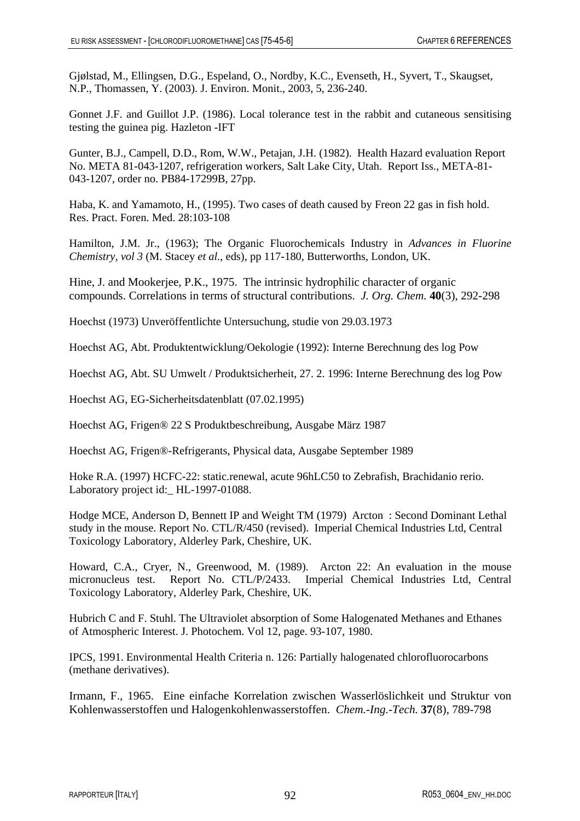Gjølstad, M., Ellingsen, D.G., Espeland, O., Nordby, K.C., Evenseth, H., Syvert, T., Skaugset, N.P., Thomassen, Y. (2003). J. Environ. Monit., 2003, 5, 236-240.

Gonnet J.F. and Guillot J.P. (1986). Local tolerance test in the rabbit and cutaneous sensitising testing the guinea pig. Hazleton -IFT

Gunter, B.J., Campell, D.D., Rom, W.W., Petajan, J.H. (1982). Health Hazard evaluation Report No. META 81-043-1207, refrigeration workers, Salt Lake City, Utah. Report Iss., META-81- 043-1207, order no. PB84-17299B, 27pp.

Haba, K. and Yamamoto, H., (1995). Two cases of death caused by Freon 22 gas in fish hold. Res. Pract. Foren. Med. 28:103-108

Hamilton, J.M. Jr., (1963); The Organic Fluorochemicals Industry in *Advances in Fluorine Chemistry, vol 3* (M. Stacey *et al.*, eds), pp 117-180, Butterworths, London, UK.

Hine, J. and Mookerjee, P.K., 1975. The intrinsic hydrophilic character of organic compounds. Correlations in terms of structural contributions. *J. Org. Chem.* **40**(3), 292-298

Hoechst (1973) Unveröffentlichte Untersuchung, studie von 29.03.1973

Hoechst AG, Abt. Produktentwicklung/Oekologie (1992): Interne Berechnung des log Pow

Hoechst AG, Abt. SU Umwelt / Produktsicherheit, 27. 2. 1996: Interne Berechnung des log Pow

Hoechst AG, EG-Sicherheitsdatenblatt (07.02.1995)

Hoechst AG, Frigen® 22 S Produktbeschreibung, Ausgabe März 1987

Hoechst AG, Frigen®-Refrigerants, Physical data, Ausgabe September 1989

Hoke R.A. (1997) HCFC-22: static.renewal, acute 96hLC50 to Zebrafish, Brachidanio rerio. Laboratory project id:\_ HL-1997-01088.

Hodge MCE, Anderson D, Bennett IP and Weight TM (1979) Arcton : Second Dominant Lethal study in the mouse. Report No. CTL/R/450 (revised). Imperial Chemical Industries Ltd, Central Toxicology Laboratory, Alderley Park, Cheshire, UK.

Howard, C.A., Cryer, N., Greenwood, M. (1989). Arcton 22: An evaluation in the mouse micronucleus test. Report No. CTL/P/2433. Imperial Chemical Industries Ltd, Central Toxicology Laboratory, Alderley Park, Cheshire, UK.

Hubrich C and F. Stuhl. The Ultraviolet absorption of Some Halogenated Methanes and Ethanes of Atmospheric Interest. J. Photochem. Vol 12, page. 93-107, 1980.

IPCS, 1991. Environmental Health Criteria n. 126: Partially halogenated chlorofluorocarbons (methane derivatives).

Irmann, F., 1965. Eine einfache Korrelation zwischen Wasserlöslichkeit und Struktur von Kohlenwasserstoffen und Halogenkohlenwasserstoffen. *Chem.-Ing.-Tech.* **37**(8), 789-798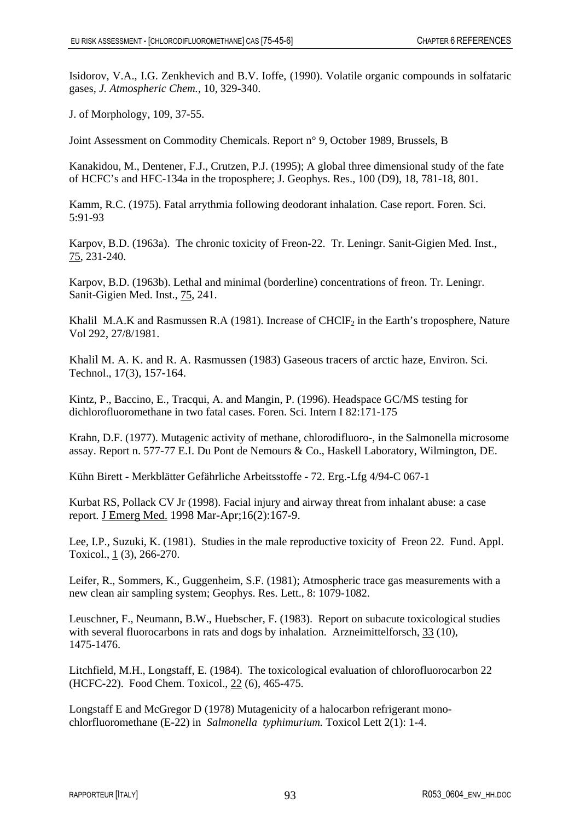Isidorov, V.A., I.G. Zenkhevich and B.V. Ioffe, (1990). Volatile organic compounds in solfataric gases, *J. Atmospheric Chem.*, 10, 329-340.

J. of Morphology, 109, 37-55.

Joint Assessment on Commodity Chemicals. Report n° 9, October 1989, Brussels, B

Kanakidou, M., Dentener, F.J., Crutzen, P.J. (1995); A global three dimensional study of the fate of HCFC's and HFC-134a in the troposphere; J. Geophys. Res., 100 (D9), 18, 781-18, 801.

Kamm, R.C. (1975). Fatal arrythmia following deodorant inhalation. Case report. Foren. Sci. 5:91-93

Karpov, B.D. (1963a). The chronic toxicity of Freon-22. Tr. Leningr. Sanit-Gigien Med. Inst., 75, 231-240.

Karpov, B.D. (1963b). Lethal and minimal (borderline) concentrations of freon. Tr. Leningr. Sanit-Gigien Med. Inst., 75, 241.

Khalil M.A.K and Rasmussen R.A (1981). Increase of CHClF<sub>2</sub> in the Earth's troposphere, Nature Vol 292, 27/8/1981.

Khalil M. A. K. and R. A. Rasmussen (1983) Gaseous tracers of arctic haze, Environ. Sci. Technol., 17(3), 157-164.

Kintz, P., Baccino, E., Tracqui, A. and Mangin, P. (1996). Headspace GC/MS testing for dichlorofluoromethane in two fatal cases. Foren. Sci. Intern I 82:171-175

Krahn, D.F. (1977). Mutagenic activity of methane, chlorodifluoro-, in the Salmonella microsome assay. Report n. 577-77 E.I. Du Pont de Nemours & Co., Haskell Laboratory, Wilmington, DE.

Kühn Birett - Merkblätter Gefährliche Arbeitsstoffe - 72. Erg.-Lfg 4/94-C 067-1

Kurbat [RS,](http://www.ncbi.nlm.nih.gov/entrez/query.fcgi?db=pubmed&cmd=Search&itool=pubmed_Abstract&term=%22Kurbat+RS%22%5BAuthor%5D) [Pollack CV Jr \(](http://www.ncbi.nlm.nih.gov/entrez/query.fcgi?db=pubmed&cmd=Search&itool=pubmed_Abstract&term=%22Pollack+CV+Jr%22%5BAuthor%5D)1998). Facial injury and airway threat from inhalant abuse: a case report[. J Emerg Med. 1](#page-0-0)998 Mar-Apr;16(2):167-9.

Lee, I.P., Suzuki, K. (1981). Studies in the male reproductive toxicity of Freon 22. Fund. Appl. Toxicol., 1 (3), 266-270.

Leifer, R., Sommers, K., Guggenheim, S.F. (1981); Atmospheric trace gas measurements with a new clean air sampling system; Geophys. Res. Lett., 8: 1079-1082.

Leuschner, F., Neumann, B.W., Huebscher, F. (1983). Report on subacute toxicological studies with several fluorocarbons in rats and dogs by inhalation. Arzneimittelforsch, 33 (10), 1475-1476.

Litchfield, M.H., Longstaff, E. (1984). The toxicological evaluation of chlorofluorocarbon 22 (HCFC-22). Food Chem. Toxicol., 22 (6), 465-475.

Longstaff E and McGregor D (1978) Mutagenicity of a halocarbon refrigerant monochlorfluoromethane (E-22) in *Salmonella typhimurium.* Toxicol Lett 2(1): 1-4.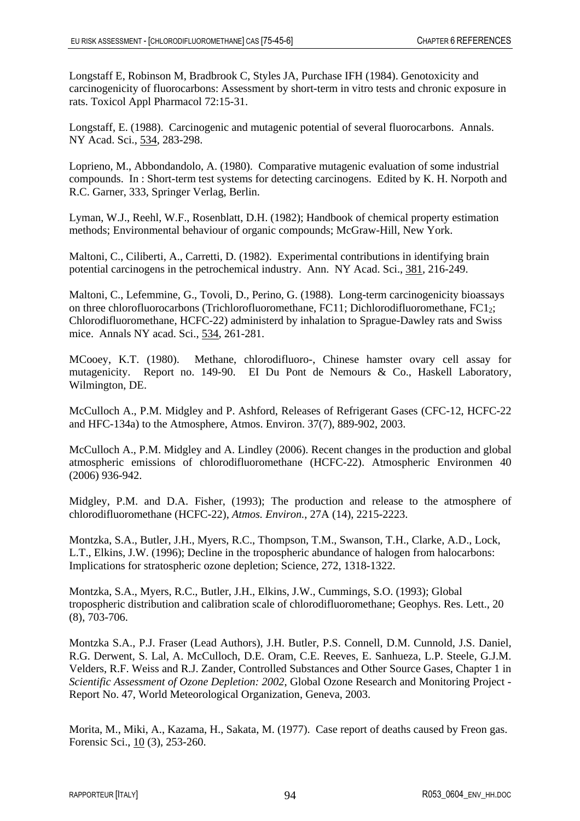Longstaff E, Robinson M, Bradbrook C, Styles JA, Purchase IFH (1984). Genotoxicity and carcinogenicity of fluorocarbons: Assessment by short-term in vitro tests and chronic exposure in rats. Toxicol Appl Pharmacol 72:15-31.

Longstaff, E. (1988). Carcinogenic and mutagenic potential of several fluorocarbons. Annals. NY Acad. Sci., 534, 283-298.

Loprieno, M., Abbondandolo, A. (1980). Comparative mutagenic evaluation of some industrial compounds. In : Short-term test systems for detecting carcinogens. Edited by K. H. Norpoth and R.C. Garner, 333, Springer Verlag, Berlin.

Lyman, W.J., Reehl, W.F., Rosenblatt, D.H. (1982); Handbook of chemical property estimation methods; Environmental behaviour of organic compounds; McGraw-Hill, New York.

Maltoni, C., Ciliberti, A., Carretti, D. (1982). Experimental contributions in identifying brain potential carcinogens in the petrochemical industry. Ann. NY Acad. Sci., 381, 216-249.

Maltoni, C., Lefemmine, G., Tovoli, D., Perino, G. (1988). Long-term carcinogenicity bioassays on three chlorofluorocarbons (Trichlorofluoromethane, FC11; Dichlorodifluoromethane, FC12; Chlorodifluoromethane, HCFC-22) administerd by inhalation to Sprague-Dawley rats and Swiss mice. Annals NY acad. Sci., 534, 261-281.

MCooey, K.T. (1980). Methane, chlorodifluoro-, Chinese hamster ovary cell assay for mutagenicity. Report no. 149-90. EI Du Pont de Nemours & Co., Haskell Laboratory, Wilmington, DE.

McCulloch A., P.M. Midgley and P. Ashford, Releases of Refrigerant Gases (CFC-12, HCFC-22 and HFC-134a) to the Atmosphere, Atmos. Environ. 37(7), 889-902, 2003.

McCulloch A., P.M. Midgley and A. Lindley (2006). Recent changes in the production and global atmospheric emissions of chlorodifluoromethane (HCFC-22). Atmospheric Environmen 40 (2006) 936-942.

Midgley, P.M. and D.A. Fisher, (1993); The production and release to the atmosphere of chlorodifluoromethane (HCFC-22), *Atmos. Environ.*, 27A (14), 2215-2223.

Montzka, S.A., Butler, J.H., Myers, R.C., Thompson, T.M., Swanson, T.H., Clarke, A.D., Lock, L.T., Elkins, J.W. (1996); Decline in the tropospheric abundance of halogen from halocarbons: Implications for stratospheric ozone depletion; Science, 272, 1318-1322.

Montzka, S.A., Myers, R.C., Butler, J.H., Elkins, J.W., Cummings, S.O. (1993); Global tropospheric distribution and calibration scale of chlorodifluoromethane; Geophys. Res. Lett., 20 (8), 703-706.

Montzka S.A., P.J. Fraser (Lead Authors), J.H. Butler, P.S. Connell, D.M. Cunnold, J.S. Daniel, R.G. Derwent, S. Lal, A. McCulloch, D.E. Oram, C.E. Reeves, E. Sanhueza, L.P. Steele, G.J.M. Velders, R.F. Weiss and R.J. Zander, Controlled Substances and Other Source Gases, Chapter 1 in *Scientific Assessment of Ozone Depletion: 2002*, Global Ozone Research and Monitoring Project - Report No. 47, World Meteorological Organization, Geneva, 2003.

Morita, M., Miki, A., Kazama, H., Sakata, M. (1977). Case report of deaths caused by Freon gas. Forensic Sci., 10 (3), 253-260.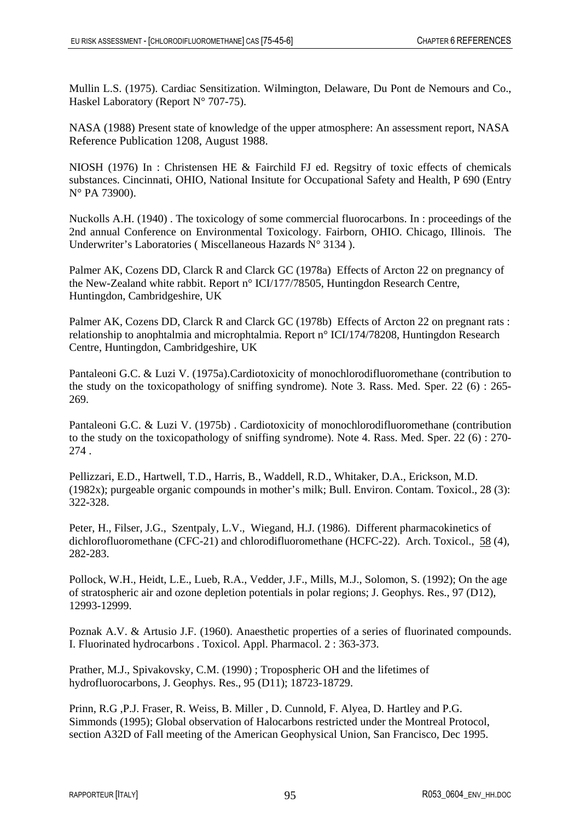Mullin L.S. (1975). Cardiac Sensitization. Wilmington, Delaware, Du Pont de Nemours and Co., Haskel Laboratory (Report N° 707-75).

NASA (1988) Present state of knowledge of the upper atmosphere: An assessment report, NASA Reference Publication 1208, August 1988.

NIOSH (1976) In : Christensen HE & Fairchild FJ ed. Regsitry of toxic effects of chemicals substances. Cincinnati, OHIO, National Insitute for Occupational Safety and Health, P 690 (Entry N° PA 73900).

Nuckolls A.H. (1940) . The toxicology of some commercial fluorocarbons. In : proceedings of the 2nd annual Conference on Environmental Toxicology. Fairborn, OHIO. Chicago, Illinois. The Underwriter's Laboratories ( Miscellaneous Hazards N° 3134 ).

Palmer AK, Cozens DD, Clarck R and Clarck GC (1978a) Effects of Arcton 22 on pregnancy of the New-Zealand white rabbit. Report n° ICI/177/78505, Huntingdon Research Centre, Huntingdon, Cambridgeshire, UK

Palmer AK, Cozens DD, Clarck R and Clarck GC (1978b) Effects of Arcton 22 on pregnant rats : relationship to anophtalmia and microphtalmia. Report n° ICI/174/78208, Huntingdon Research Centre, Huntingdon, Cambridgeshire, UK

Pantaleoni G.C. & Luzi V. (1975a).Cardiotoxicity of monochlorodifluoromethane (contribution to the study on the toxicopathology of sniffing syndrome). Note 3. Rass. Med. Sper. 22 (6) : 265- 269.

Pantaleoni G.C. & Luzi V. (1975b) . Cardiotoxicity of monochlorodifluoromethane (contribution to the study on the toxicopathology of sniffing syndrome). Note 4. Rass. Med. Sper. 22 (6) : 270- 274 .

Pellizzari, E.D., Hartwell, T.D., Harris, B., Waddell, R.D., Whitaker, D.A., Erickson, M.D. (1982x); purgeable organic compounds in mother's milk; Bull. Environ. Contam. Toxicol., 28 (3): 322-328.

Peter, H., Filser, J.G., Szentpaly, L.V., Wiegand, H.J. (1986). Different pharmacokinetics of dichlorofluoromethane (CFC-21) and chlorodifluoromethane (HCFC-22). Arch. Toxicol., 58 (4), 282-283.

Pollock, W.H., Heidt, L.E., Lueb, R.A., Vedder, J.F., Mills, M.J., Solomon, S. (1992); On the age of stratospheric air and ozone depletion potentials in polar regions; J. Geophys. Res., 97 (D12), 12993-12999.

Poznak A.V. & Artusio J.F. (1960). Anaesthetic properties of a series of fluorinated compounds. I. Fluorinated hydrocarbons . Toxicol. Appl. Pharmacol. 2 : 363-373.

Prather, M.J., Spivakovsky, C.M. (1990) ; Tropospheric OH and the lifetimes of hydrofluorocarbons, J. Geophys. Res., 95 (D11); 18723-18729.

Prinn, R.G ,P.J. Fraser, R. Weiss, B. Miller , D. Cunnold, F. Alyea, D. Hartley and P.G. Simmonds (1995); Global observation of Halocarbons restricted under the Montreal Protocol, section A32D of Fall meeting of the American Geophysical Union, San Francisco, Dec 1995.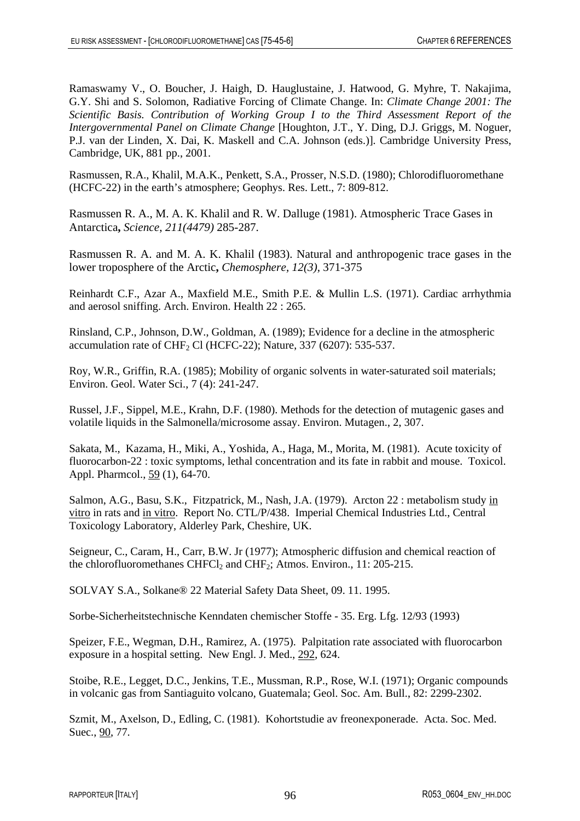Ramaswamy V., O. Boucher, J. Haigh, D. Hauglustaine, J. Hatwood, G. Myhre, T. Nakajima, G.Y. Shi and S. Solomon, Radiative Forcing of Climate Change. In: *Climate Change 2001: The Scientific Basis. Contribution of Working Group I to the Third Assessment Report of the Intergovernmental Panel on Climate Change* [Houghton, J.T., Y. Ding, D.J. Griggs, M. Noguer, P.J. van der Linden, X. Dai, K. Maskell and C.A. Johnson (eds.)]. Cambridge University Press, Cambridge, UK, 881 pp., 2001.

Rasmussen, R.A., Khalil, M.A.K., Penkett, S.A., Prosser, N.S.D. (1980); Chlorodifluoromethane (HCFC-22) in the earth's atmosphere; Geophys. Res. Lett., 7: 809-812.

Rasmussen R. A., M. A. K. Khalil and R. W. Dalluge (1981). Atmospheric Trace Gases in Antarctica**,** *Science*, *211(4479)* 285-287.

Rasmussen R. A. and M. A. K. Khalil (1983). Natural and anthropogenic trace gases in the lower troposphere of the Arctic**,** *Chemosphere, 12(3),* 371-375

Reinhardt C.F., Azar A., Maxfield M.E., Smith P.E. & Mullin L.S. (1971). Cardiac arrhythmia and aerosol sniffing. Arch. Environ. Health 22 : 265.

Rinsland, C.P., Johnson, D.W., Goldman, A. (1989); Evidence for a decline in the atmospheric accumulation rate of CHF<sub>2</sub> Cl (HCFC-22); Nature,  $337$  (6207):  $535-537$ .

Roy, W.R., Griffin, R.A. (1985); Mobility of organic solvents in water-saturated soil materials; Environ. Geol. Water Sci., 7 (4): 241-247.

Russel, J.F., Sippel, M.E., Krahn, D.F. (1980). Methods for the detection of mutagenic gases and volatile liquids in the Salmonella/microsome assay. Environ. Mutagen., 2, 307.

Sakata, M., Kazama, H., Miki, A., Yoshida, A., Haga, M., Morita, M. (1981). Acute toxicity of fluorocarbon-22 : toxic symptoms, lethal concentration and its fate in rabbit and mouse. Toxicol. Appl. Pharmcol., 59 (1), 64-70.

Salmon, A.G., Basu, S.K., Fitzpatrick, M., Nash, J.A. (1979). Arcton 22 : metabolism study in vitro in rats and in vitro. Report No. CTL/P/438. Imperial Chemical Industries Ltd., Central Toxicology Laboratory, Alderley Park, Cheshire, UK.

Seigneur, C., Caram, H., Carr, B.W. Jr (1977); Atmospheric diffusion and chemical reaction of the chlorofluoromethanes CHFCl<sub>2</sub> and CHF<sub>2</sub>; Atmos. Environ., 11: 205-215.

SOLVAY S.A., Solkane® 22 Material Safety Data Sheet, 09. 11. 1995.

Sorbe-Sicherheitstechnische Kenndaten chemischer Stoffe - 35. Erg. Lfg. 12/93 (1993)

Speizer, F.E., Wegman, D.H., Ramirez, A. (1975). Palpitation rate associated with fluorocarbon exposure in a hospital setting. New Engl. J. Med., 292, 624.

Stoibe, R.E., Legget, D.C., Jenkins, T.E., Mussman, R.P., Rose, W.I. (1971); Organic compounds in volcanic gas from Santiaguito volcano, Guatemala; Geol. Soc. Am. Bull., 82: 2299-2302.

Szmit, M., Axelson, D., Edling, C. (1981). Kohortstudie av freonexponerade. Acta. Soc. Med. Suec., 90, 77.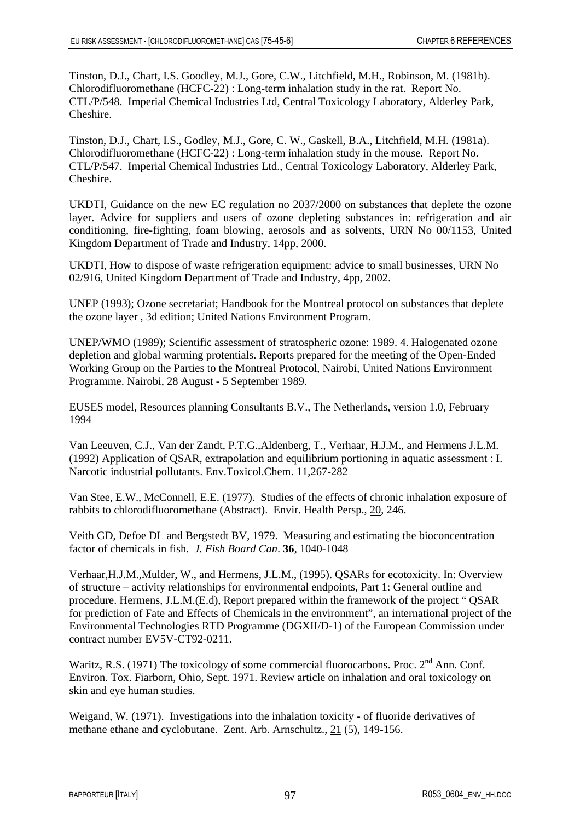Tinston, D.J., Chart, I.S. Goodley, M.J., Gore, C.W., Litchfield, M.H., Robinson, M. (1981b). Chlorodifluoromethane (HCFC-22) : Long-term inhalation study in the rat. Report No. CTL/P/548. Imperial Chemical Industries Ltd, Central Toxicology Laboratory, Alderley Park, Cheshire.

Tinston, D.J., Chart, I.S., Godley, M.J., Gore, C. W., Gaskell, B.A., Litchfield, M.H. (1981a). Chlorodifluoromethane (HCFC-22) : Long-term inhalation study in the mouse. Report No. CTL/P/547. Imperial Chemical Industries Ltd., Central Toxicology Laboratory, Alderley Park, Cheshire.

UKDTI, Guidance on the new EC regulation no 2037/2000 on substances that deplete the ozone layer. Advice for suppliers and users of ozone depleting substances in: refrigeration and air conditioning, fire-fighting, foam blowing, aerosols and as solvents, URN No 00/1153, United Kingdom Department of Trade and Industry, 14pp, 2000.

UKDTI, How to dispose of waste refrigeration equipment: advice to small businesses, URN No 02/916, United Kingdom Department of Trade and Industry, 4pp, 2002.

UNEP (1993); Ozone secretariat; Handbook for the Montreal protocol on substances that deplete the ozone layer , 3d edition; United Nations Environment Program.

UNEP/WMO (1989); Scientific assessment of stratospheric ozone: 1989. 4. Halogenated ozone depletion and global warming protentials. Reports prepared for the meeting of the Open-Ended Working Group on the Parties to the Montreal Protocol, Nairobi, United Nations Environment Programme. Nairobi, 28 August - 5 September 1989.

EUSES model, Resources planning Consultants B.V., The Netherlands, version 1.0, February 1994

Van Leeuven, C.J., Van der Zandt, P.T.G.,Aldenberg, T., Verhaar, H.J.M., and Hermens J.L.M. (1992) Application of QSAR, extrapolation and equilibrium portioning in aquatic assessment : I. Narcotic industrial pollutants. Env.Toxicol.Chem. 11,267-282

Van Stee, E.W., McConnell, E.E. (1977). Studies of the effects of chronic inhalation exposure of rabbits to chlorodifluoromethane (Abstract). Envir. Health Persp., 20, 246.

Veith GD, Defoe DL and Bergstedt BV, 1979. Measuring and estimating the bioconcentration factor of chemicals in fish. *J. Fish Board Can*. **36**, 1040-1048

Verhaar,H.J.M.,Mulder, W., and Hermens, J.L.M., (1995). QSARs for ecotoxicity. In: Overview of structure – activity relationships for environmental endpoints, Part 1: General outline and procedure. Hermens, J.L.M.(E.d), Report prepared within the framework of the project " QSAR for prediction of Fate and Effects of Chemicals in the environment", an international project of the Environmental Technologies RTD Programme (DGXII/D-1) of the European Commission under contract number EV5V-CT92-0211.

Waritz, R.S. (1971) The toxicology of some commercial fluorocarbons. Proc.  $2<sup>nd</sup>$  Ann. Conf. Environ. Tox. Fiarborn, Ohio, Sept. 1971. Review article on inhalation and oral toxicology on skin and eye human studies.

Weigand, W. (1971). Investigations into the inhalation toxicity - of fluoride derivatives of methane ethane and cyclobutane. Zent. Arb. Arnschultz., 21 (5), 149-156.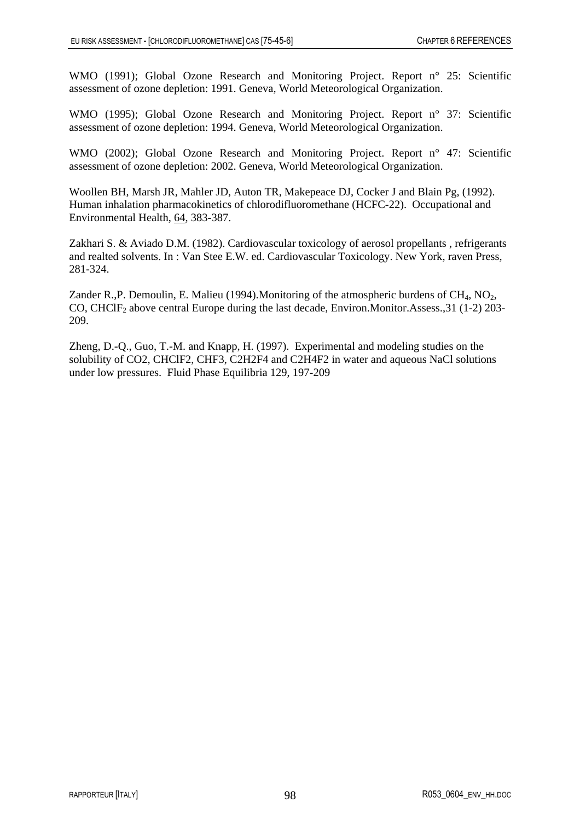WMO (1991); Global Ozone Research and Monitoring Project. Report n° 25: Scientific assessment of ozone depletion: 1991. Geneva, World Meteorological Organization.

WMO (1995); Global Ozone Research and Monitoring Project. Report n° 37: Scientific assessment of ozone depletion: 1994. Geneva, World Meteorological Organization.

WMO (2002); Global Ozone Research and Monitoring Project. Report n° 47: Scientific assessment of ozone depletion: 2002. Geneva, World Meteorological Organization.

Woollen BH, Marsh JR, Mahler JD, Auton TR, Makepeace DJ, Cocker J and Blain Pg, (1992). Human inhalation pharmacokinetics of chlorodifluoromethane (HCFC-22). Occupational and Environmental Health, 64, 383-387.

Zakhari S. & Aviado D.M. (1982). Cardiovascular toxicology of aerosol propellants , refrigerants and realted solvents. In : Van Stee E.W. ed. Cardiovascular Toxicology. New York, raven Press, 281-324.

Zander R., P. Demoulin, E. Malieu (1994). Monitoring of the atmospheric burdens of  $CH_4$ , NO<sub>2</sub>, CO, CHClF2 above central Europe during the last decade, Environ.Monitor.Assess.,31 (1-2) 203- 209.

Zheng, D.-Q., Guo, T.-M. and Knapp, H. (1997). Experimental and modeling studies on the solubility of CO2, CHClF2, CHF3, C2H2F4 and C2H4F2 in water and aqueous NaCl solutions under low pressures. Fluid Phase Equilibria 129, 197-209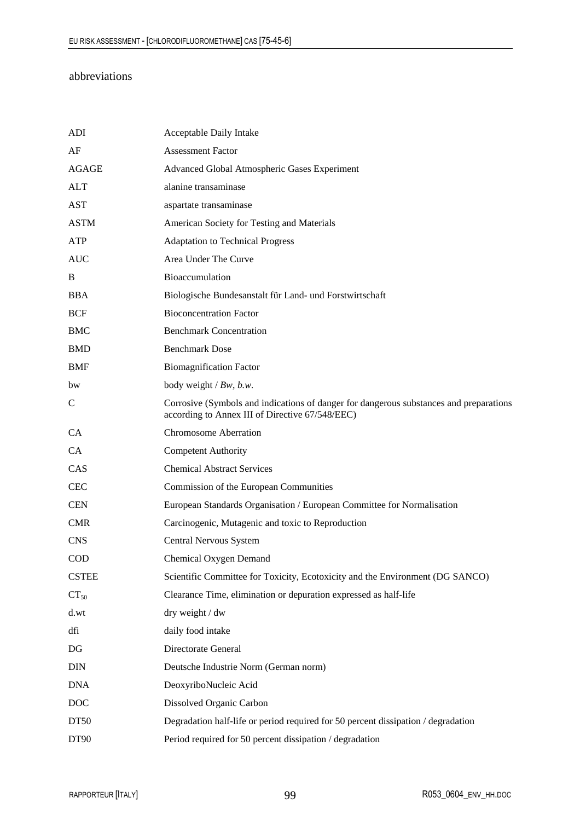# abbreviations

| ADI              | Acceptable Daily Intake                                                                                                                   |
|------------------|-------------------------------------------------------------------------------------------------------------------------------------------|
| AF               | <b>Assessment Factor</b>                                                                                                                  |
| AGAGE            | Advanced Global Atmospheric Gases Experiment                                                                                              |
| <b>ALT</b>       | alanine transaminase                                                                                                                      |
| <b>AST</b>       | aspartate transaminase                                                                                                                    |
| <b>ASTM</b>      | American Society for Testing and Materials                                                                                                |
| <b>ATP</b>       | <b>Adaptation to Technical Progress</b>                                                                                                   |
| <b>AUC</b>       | Area Under The Curve                                                                                                                      |
| B                | Bioaccumulation                                                                                                                           |
| <b>BBA</b>       | Biologische Bundesanstalt für Land- und Forstwirtschaft                                                                                   |
| <b>BCF</b>       | <b>Bioconcentration Factor</b>                                                                                                            |
| <b>BMC</b>       | <b>Benchmark Concentration</b>                                                                                                            |
| <b>BMD</b>       | <b>Benchmark Dose</b>                                                                                                                     |
| BMF              | <b>Biomagnification Factor</b>                                                                                                            |
| bw               | body weight $/Bw$ , b.w.                                                                                                                  |
| $\mathsf{C}$     | Corrosive (Symbols and indications of danger for dangerous substances and preparations<br>according to Annex III of Directive 67/548/EEC) |
| CA               | <b>Chromosome Aberration</b>                                                                                                              |
| <b>CA</b>        | <b>Competent Authority</b>                                                                                                                |
| CAS              | <b>Chemical Abstract Services</b>                                                                                                         |
| <b>CEC</b>       | Commission of the European Communities                                                                                                    |
| <b>CEN</b>       | European Standards Organisation / European Committee for Normalisation                                                                    |
| <b>CMR</b>       | Carcinogenic, Mutagenic and toxic to Reproduction                                                                                         |
| <b>CNS</b>       | Central Nervous System                                                                                                                    |
| <b>COD</b>       | Chemical Oxygen Demand                                                                                                                    |
| <b>CSTEE</b>     | Scientific Committee for Toxicity, Ecotoxicity and the Environment (DG SANCO)                                                             |
| $CT_{50}$        | Clearance Time, elimination or depuration expressed as half-life                                                                          |
| d.wt             | dry weight / dw                                                                                                                           |
| dfi              | daily food intake                                                                                                                         |
| DG               | Directorate General                                                                                                                       |
| <b>DIN</b>       | Deutsche Industrie Norm (German norm)                                                                                                     |
| <b>DNA</b>       | DeoxyriboNucleic Acid                                                                                                                     |
| <b>DOC</b>       | Dissolved Organic Carbon                                                                                                                  |
| DT <sub>50</sub> | Degradation half-life or period required for 50 percent dissipation / degradation                                                         |
| DT90             | Period required for 50 percent dissipation / degradation                                                                                  |
|                  |                                                                                                                                           |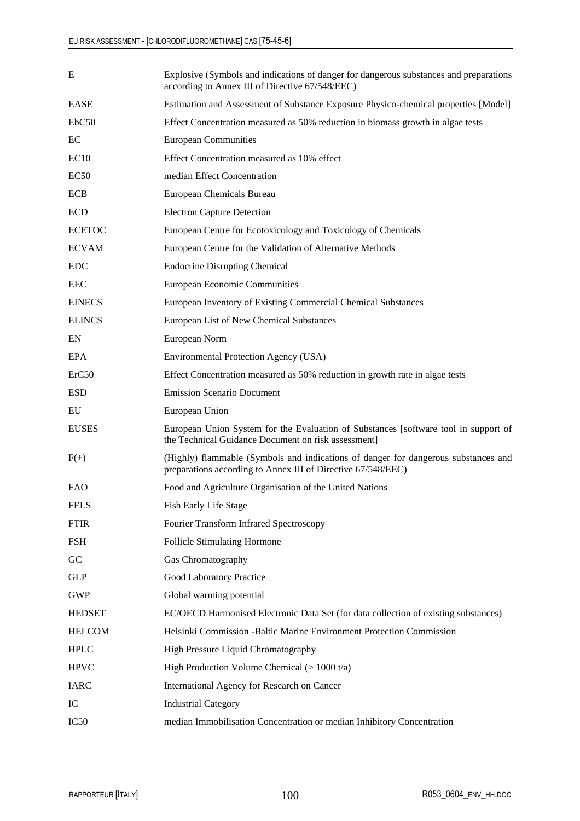| E                 | Explosive (Symbols and indications of danger for dangerous substances and preparations<br>according to Annex III of Directive 67/548/EEC)          |
|-------------------|----------------------------------------------------------------------------------------------------------------------------------------------------|
| <b>EASE</b>       | Estimation and Assessment of Substance Exposure Physico-chemical properties [Model]                                                                |
| EbC <sub>50</sub> | Effect Concentration measured as 50% reduction in biomass growth in algae tests                                                                    |
| EC                | <b>European Communities</b>                                                                                                                        |
| EC10              | Effect Concentration measured as 10% effect                                                                                                        |
| EC50              | median Effect Concentration                                                                                                                        |
| <b>ECB</b>        | European Chemicals Bureau                                                                                                                          |
| <b>ECD</b>        | <b>Electron Capture Detection</b>                                                                                                                  |
| <b>ECETOC</b>     | European Centre for Ecotoxicology and Toxicology of Chemicals                                                                                      |
| <b>ECVAM</b>      | European Centre for the Validation of Alternative Methods                                                                                          |
| <b>EDC</b>        | <b>Endocrine Disrupting Chemical</b>                                                                                                               |
| <b>EEC</b>        | European Economic Communities                                                                                                                      |
| <b>EINECS</b>     | European Inventory of Existing Commercial Chemical Substances                                                                                      |
| <b>ELINCS</b>     | European List of New Chemical Substances                                                                                                           |
| EN                | European Norm                                                                                                                                      |
| <b>EPA</b>        | Environmental Protection Agency (USA)                                                                                                              |
| ErC50             | Effect Concentration measured as 50% reduction in growth rate in algae tests                                                                       |
| <b>ESD</b>        | <b>Emission Scenario Document</b>                                                                                                                  |
| EU                | European Union                                                                                                                                     |
| <b>EUSES</b>      | European Union System for the Evaluation of Substances [software tool in support of<br>the Technical Guidance Document on risk assessment]         |
| $F(+)$            | (Highly) flammable (Symbols and indications of danger for dangerous substances and<br>preparations according to Annex III of Directive 67/548/EEC) |
| <b>FAO</b>        | Food and Agriculture Organisation of the United Nations                                                                                            |
| <b>FELS</b>       | Fish Early Life Stage                                                                                                                              |
| <b>FTIR</b>       | Fourier Transform Infrared Spectroscopy                                                                                                            |
| <b>FSH</b>        | <b>Follicle Stimulating Hormone</b>                                                                                                                |
| GC                | Gas Chromatography                                                                                                                                 |
| <b>GLP</b>        | Good Laboratory Practice                                                                                                                           |
| <b>GWP</b>        | Global warming potential                                                                                                                           |
| <b>HEDSET</b>     | EC/OECD Harmonised Electronic Data Set (for data collection of existing substances)                                                                |
| <b>HELCOM</b>     | Helsinki Commission -Baltic Marine Environment Protection Commission                                                                               |
| <b>HPLC</b>       | High Pressure Liquid Chromatography                                                                                                                |
| <b>HPVC</b>       | High Production Volume Chemical $(>1000 t/a)$                                                                                                      |
| <b>IARC</b>       | International Agency for Research on Cancer                                                                                                        |
| IC                | <b>Industrial Category</b>                                                                                                                         |
| IC50              | median Immobilisation Concentration or median Inhibitory Concentration                                                                             |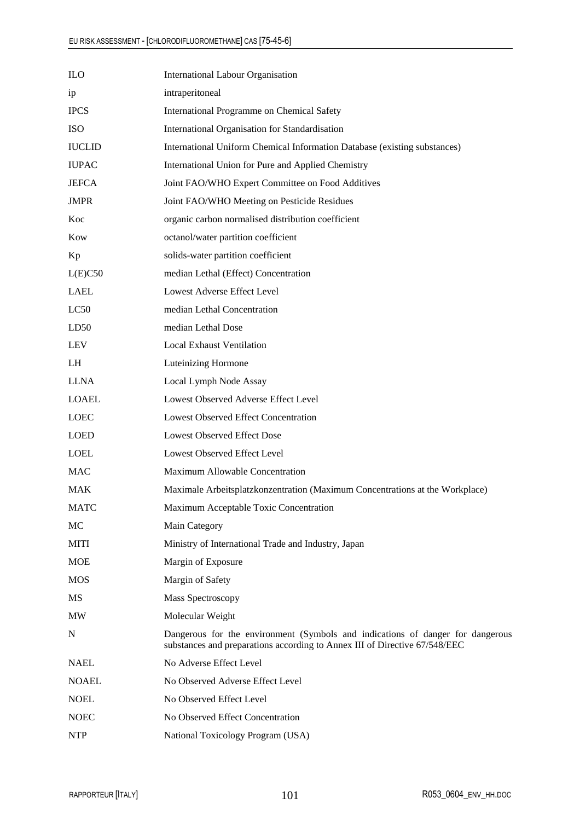| <b>ILO</b>    | International Labour Organisation                                                                                                                            |
|---------------|--------------------------------------------------------------------------------------------------------------------------------------------------------------|
| ip            | intraperitoneal                                                                                                                                              |
| <b>IPCS</b>   | International Programme on Chemical Safety                                                                                                                   |
| <b>ISO</b>    | International Organisation for Standardisation                                                                                                               |
| <b>IUCLID</b> | International Uniform Chemical Information Database (existing substances)                                                                                    |
| <b>IUPAC</b>  | International Union for Pure and Applied Chemistry                                                                                                           |
| <b>JEFCA</b>  | Joint FAO/WHO Expert Committee on Food Additives                                                                                                             |
| <b>JMPR</b>   | Joint FAO/WHO Meeting on Pesticide Residues                                                                                                                  |
| Koc           | organic carbon normalised distribution coefficient                                                                                                           |
| Kow           | octanol/water partition coefficient                                                                                                                          |
| Kp            | solids-water partition coefficient                                                                                                                           |
| L(E)C50       | median Lethal (Effect) Concentration                                                                                                                         |
| <b>LAEL</b>   | Lowest Adverse Effect Level                                                                                                                                  |
| LC50          | median Lethal Concentration                                                                                                                                  |
| LD50          | median Lethal Dose                                                                                                                                           |
| LEV           | <b>Local Exhaust Ventilation</b>                                                                                                                             |
| LH            | Luteinizing Hormone                                                                                                                                          |
| <b>LLNA</b>   | Local Lymph Node Assay                                                                                                                                       |
| <b>LOAEL</b>  | Lowest Observed Adverse Effect Level                                                                                                                         |
| <b>LOEC</b>   | Lowest Observed Effect Concentration                                                                                                                         |
| <b>LOED</b>   | <b>Lowest Observed Effect Dose</b>                                                                                                                           |
| <b>LOEL</b>   | Lowest Observed Effect Level                                                                                                                                 |
| <b>MAC</b>    | Maximum Allowable Concentration                                                                                                                              |
| <b>MAK</b>    | Maximale Arbeitsplatzkonzentration (Maximum Concentrations at the Workplace)                                                                                 |
| <b>MATC</b>   | Maximum Acceptable Toxic Concentration                                                                                                                       |
| MC            | Main Category                                                                                                                                                |
| <b>MITI</b>   | Ministry of International Trade and Industry, Japan                                                                                                          |
| <b>MOE</b>    | Margin of Exposure                                                                                                                                           |
| <b>MOS</b>    | Margin of Safety                                                                                                                                             |
| MS            | Mass Spectroscopy                                                                                                                                            |
| MW            | Molecular Weight                                                                                                                                             |
| N             | Dangerous for the environment (Symbols and indications of danger for dangerous<br>substances and preparations according to Annex III of Directive 67/548/EEC |
| NAEL          | No Adverse Effect Level                                                                                                                                      |
| <b>NOAEL</b>  | No Observed Adverse Effect Level                                                                                                                             |
| <b>NOEL</b>   | No Observed Effect Level                                                                                                                                     |
| <b>NOEC</b>   | No Observed Effect Concentration                                                                                                                             |
| <b>NTP</b>    | National Toxicology Program (USA)                                                                                                                            |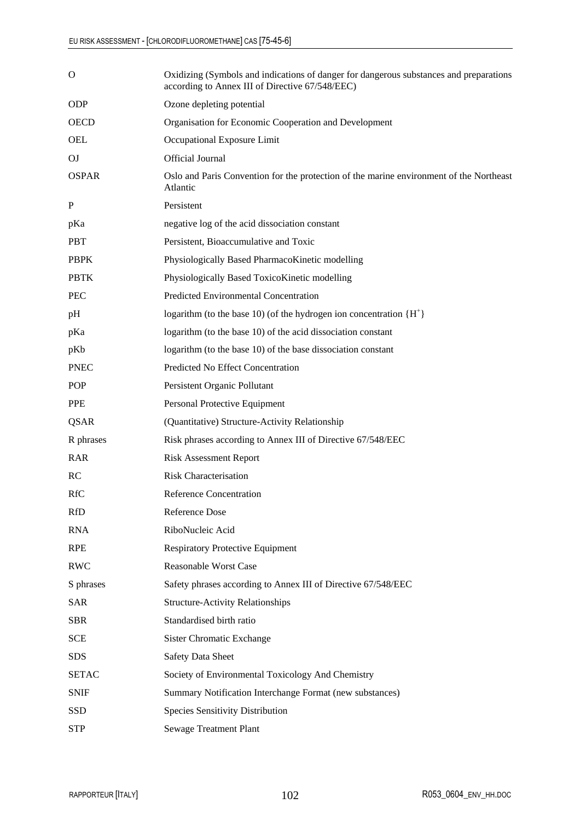| $\mathbf O$  | Oxidizing (Symbols and indications of danger for dangerous substances and preparations<br>according to Annex III of Directive 67/548/EEC) |
|--------------|-------------------------------------------------------------------------------------------------------------------------------------------|
| <b>ODP</b>   | Ozone depleting potential                                                                                                                 |
| <b>OECD</b>  | Organisation for Economic Cooperation and Development                                                                                     |
| <b>OEL</b>   | Occupational Exposure Limit                                                                                                               |
| OJ           | Official Journal                                                                                                                          |
| <b>OSPAR</b> | Oslo and Paris Convention for the protection of the marine environment of the Northeast<br>Atlantic                                       |
| P            | Persistent                                                                                                                                |
| pKa          | negative log of the acid dissociation constant                                                                                            |
| <b>PBT</b>   | Persistent, Bioaccumulative and Toxic                                                                                                     |
| <b>PBPK</b>  | Physiologically Based PharmacoKinetic modelling                                                                                           |
| <b>PBTK</b>  | Physiologically Based ToxicoKinetic modelling                                                                                             |
| <b>PEC</b>   | Predicted Environmental Concentration                                                                                                     |
| pH           | logarithm (to the base 10) (of the hydrogen ion concentration $\{H^+\}$                                                                   |
| pKa          | logarithm (to the base 10) of the acid dissociation constant                                                                              |
| pKb          | logarithm (to the base 10) of the base dissociation constant                                                                              |
| <b>PNEC</b>  | Predicted No Effect Concentration                                                                                                         |
| <b>POP</b>   | Persistent Organic Pollutant                                                                                                              |
| <b>PPE</b>   | Personal Protective Equipment                                                                                                             |
| QSAR         | (Quantitative) Structure-Activity Relationship                                                                                            |
| R phrases    | Risk phrases according to Annex III of Directive 67/548/EEC                                                                               |
| <b>RAR</b>   | <b>Risk Assessment Report</b>                                                                                                             |
| RC           | <b>Risk Characterisation</b>                                                                                                              |
| <b>RfC</b>   | <b>Reference Concentration</b>                                                                                                            |
| RfD          | Reference Dose                                                                                                                            |
| <b>RNA</b>   | RiboNucleic Acid                                                                                                                          |
| <b>RPE</b>   | <b>Respiratory Protective Equipment</b>                                                                                                   |
| <b>RWC</b>   | <b>Reasonable Worst Case</b>                                                                                                              |
| S phrases    | Safety phrases according to Annex III of Directive 67/548/EEC                                                                             |
| SAR          | <b>Structure-Activity Relationships</b>                                                                                                   |
| <b>SBR</b>   | Standardised birth ratio                                                                                                                  |
| <b>SCE</b>   | Sister Chromatic Exchange                                                                                                                 |
| <b>SDS</b>   | <b>Safety Data Sheet</b>                                                                                                                  |
| <b>SETAC</b> | Society of Environmental Toxicology And Chemistry                                                                                         |
| <b>SNIF</b>  | Summary Notification Interchange Format (new substances)                                                                                  |
| SSD          | <b>Species Sensitivity Distribution</b>                                                                                                   |
| <b>STP</b>   | Sewage Treatment Plant                                                                                                                    |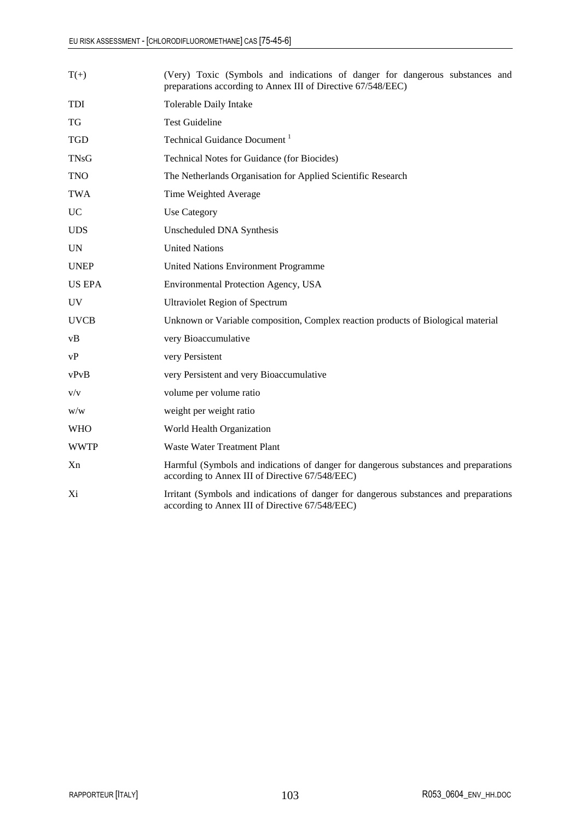| $T(+)$        | (Very) Toxic (Symbols and indications of danger for dangerous substances and<br>preparations according to Annex III of Directive 67/548/EEC) |
|---------------|----------------------------------------------------------------------------------------------------------------------------------------------|
| <b>TDI</b>    | Tolerable Daily Intake                                                                                                                       |
| TG            | <b>Test Guideline</b>                                                                                                                        |
| <b>TGD</b>    | Technical Guidance Document <sup>1</sup>                                                                                                     |
| <b>TNsG</b>   | Technical Notes for Guidance (for Biocides)                                                                                                  |
| <b>TNO</b>    | The Netherlands Organisation for Applied Scientific Research                                                                                 |
| <b>TWA</b>    | Time Weighted Average                                                                                                                        |
| <b>UC</b>     | Use Category                                                                                                                                 |
| <b>UDS</b>    | Unscheduled DNA Synthesis                                                                                                                    |
| <b>UN</b>     | <b>United Nations</b>                                                                                                                        |
| <b>UNEP</b>   | United Nations Environment Programme                                                                                                         |
| <b>US EPA</b> | Environmental Protection Agency, USA                                                                                                         |
| <b>UV</b>     | <b>Ultraviolet Region of Spectrum</b>                                                                                                        |
| <b>UVCB</b>   | Unknown or Variable composition, Complex reaction products of Biological material                                                            |
| vB            | very Bioaccumulative                                                                                                                         |
| vP            | very Persistent                                                                                                                              |
| vPvB          | very Persistent and very Bioaccumulative                                                                                                     |
| V/V           | volume per volume ratio                                                                                                                      |
| W/W           | weight per weight ratio                                                                                                                      |
| <b>WHO</b>    | World Health Organization                                                                                                                    |
| <b>WWTP</b>   | Waste Water Treatment Plant                                                                                                                  |
| Xn            | Harmful (Symbols and indications of danger for dangerous substances and preparations<br>according to Annex III of Directive 67/548/EEC)      |
| Xi            | Irritant (Symbols and indications of danger for dangerous substances and preparations<br>according to Annex III of Directive 67/548/EEC)     |